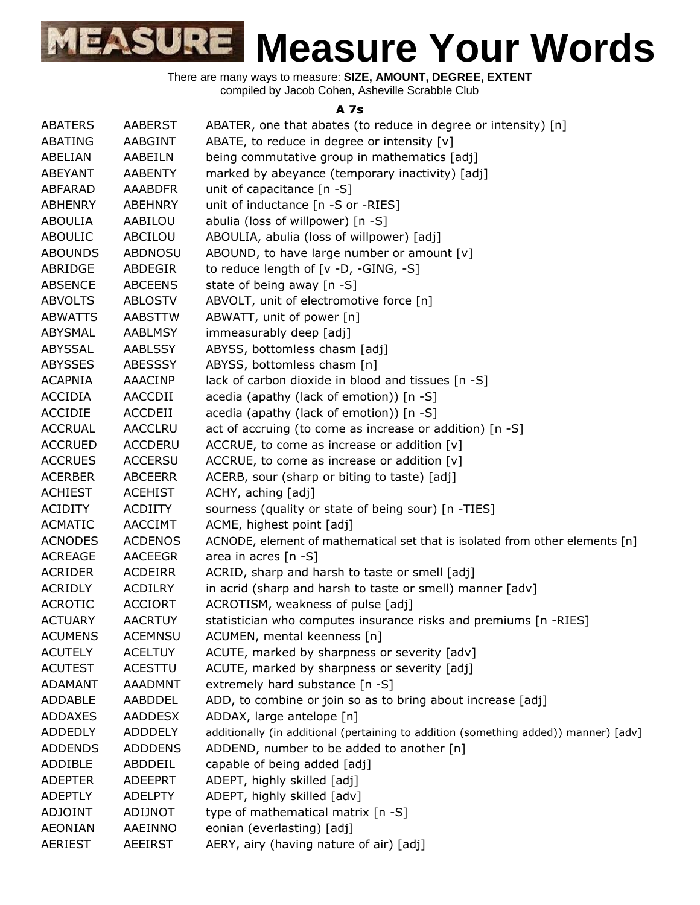There are many ways to measure: **SIZE, AMOUNT, DEGREE, EXTENT** compiled by Jacob Cohen, Asheville Scrabble Club

#### **A 7s**

| <b>ABATERS</b> | <b>AABERST</b> | ABATER, one that abates (to reduce in degree or intensity) [n]                       |
|----------------|----------------|--------------------------------------------------------------------------------------|
| ABATING        | AABGINT        | ABATE, to reduce in degree or intensity [v]                                          |
| ABELIAN        | AABEILN        | being commutative group in mathematics [adj]                                         |
| <b>ABEYANT</b> | <b>AABENTY</b> | marked by abeyance (temporary inactivity) [adj]                                      |
| <b>ABFARAD</b> | <b>AAABDFR</b> | unit of capacitance [n -S]                                                           |
| <b>ABHENRY</b> | <b>ABEHNRY</b> | unit of inductance [n -S or -RIES]                                                   |
|                |                |                                                                                      |
| <b>ABOULIA</b> | AABILOU        | abulia (loss of willpower) [n -S]                                                    |
| <b>ABOULIC</b> | ABCILOU        | ABOULIA, abulia (loss of willpower) [adj]                                            |
| <b>ABOUNDS</b> | <b>ABDNOSU</b> | ABOUND, to have large number or amount [v]                                           |
| ABRIDGE        | ABDEGIR        | to reduce length of $[v -D, -GING, -S]$                                              |
| <b>ABSENCE</b> | <b>ABCEENS</b> | state of being away [n -S]                                                           |
| <b>ABVOLTS</b> | <b>ABLOSTV</b> | ABVOLT, unit of electromotive force [n]                                              |
| <b>ABWATTS</b> | <b>AABSTTW</b> | ABWATT, unit of power [n]                                                            |
| ABYSMAL        | <b>AABLMSY</b> | immeasurably deep [adj]                                                              |
| ABYSSAL        | <b>AABLSSY</b> | ABYSS, bottomless chasm [adj]                                                        |
| <b>ABYSSES</b> | <b>ABESSSY</b> | ABYSS, bottomless chasm [n]                                                          |
| <b>ACAPNIA</b> | AAACINP        | lack of carbon dioxide in blood and tissues [n -S]                                   |
| <b>ACCIDIA</b> | AACCDII        | acedia (apathy (lack of emotion)) [n -S]                                             |
| <b>ACCIDIE</b> | ACCDEII        | acedia (apathy (lack of emotion)) [n -S]                                             |
| <b>ACCRUAL</b> | <b>AACCLRU</b> | act of accruing (to come as increase or addition) [n -S]                             |
| <b>ACCRUED</b> | <b>ACCDERU</b> | ACCRUE, to come as increase or addition [v]                                          |
| <b>ACCRUES</b> | <b>ACCERSU</b> | ACCRUE, to come as increase or addition $[v]$                                        |
| <b>ACERBER</b> | <b>ABCEERR</b> | ACERB, sour (sharp or biting to taste) [adj]                                         |
| <b>ACHIEST</b> | <b>ACEHIST</b> | ACHY, aching [adj]                                                                   |
| <b>ACIDITY</b> | <b>ACDIITY</b> | sourness (quality or state of being sour) [n -TIES]                                  |
| <b>ACMATIC</b> | AACCIMT        | ACME, highest point [adj]                                                            |
| <b>ACNODES</b> | <b>ACDENOS</b> | ACNODE, element of mathematical set that is isolated from other elements [n]         |
| <b>ACREAGE</b> | <b>AACEEGR</b> | area in acres [n -S]                                                                 |
| <b>ACRIDER</b> | <b>ACDEIRR</b> | ACRID, sharp and harsh to taste or smell [adj]                                       |
| <b>ACRIDLY</b> | <b>ACDILRY</b> | in acrid (sharp and harsh to taste or smell) manner [adv]                            |
| <b>ACROTIC</b> | <b>ACCIORT</b> | ACROTISM, weakness of pulse [adj]                                                    |
| <b>ACTUARY</b> | <b>AACRTUY</b> | statistician who computes insurance risks and premiums [n -RIES]                     |
| <b>ACUMENS</b> | <b>ACEMNSU</b> | ACUMEN, mental keenness [n]                                                          |
| <b>ACUTELY</b> | <b>ACELTUY</b> | ACUTE, marked by sharpness or severity [adv]                                         |
| <b>ACUTEST</b> | <b>ACESTTU</b> | ACUTE, marked by sharpness or severity [adj]                                         |
| <b>ADAMANT</b> | <b>AAADMNT</b> | extremely hard substance [n -S]                                                      |
| <b>ADDABLE</b> | AABDDEL        | ADD, to combine or join so as to bring about increase [adj]                          |
| <b>ADDAXES</b> | <b>AADDESX</b> | ADDAX, large antelope [n]                                                            |
| <b>ADDEDLY</b> | <b>ADDDELY</b> | additionally (in additional (pertaining to addition (something added)) manner) [adv] |
| <b>ADDENDS</b> | <b>ADDDENS</b> | ADDEND, number to be added to another [n]                                            |
| ADDIBLE        | ABDDEIL        | capable of being added [adj]                                                         |
| <b>ADEPTER</b> | <b>ADEEPRT</b> | ADEPT, highly skilled [adj]                                                          |
| <b>ADEPTLY</b> | <b>ADELPTY</b> | ADEPT, highly skilled [adv]                                                          |
| <b>ADJOINT</b> | ADIJNOT        | type of mathematical matrix [n -S]                                                   |
| <b>AEONIAN</b> | AAEINNO        | eonian (everlasting) [adj]                                                           |
| <b>AERIEST</b> | <b>AEEIRST</b> | AERY, airy (having nature of air) [adj]                                              |
|                |                |                                                                                      |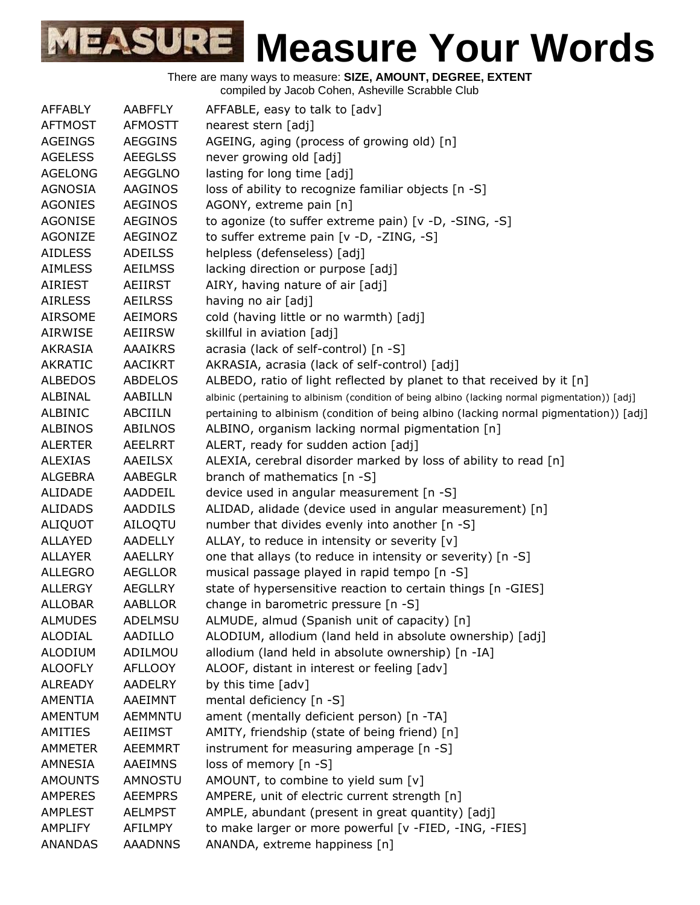| AFFABLY        | <b>AABFFLY</b> | AFFABLE, easy to talk to [adv]                                                                  |
|----------------|----------------|-------------------------------------------------------------------------------------------------|
| <b>AFTMOST</b> | <b>AFMOSTT</b> | nearest stern [adj]                                                                             |
| <b>AGEINGS</b> | <b>AEGGINS</b> | AGEING, aging (process of growing old) [n]                                                      |
| <b>AGELESS</b> | <b>AEEGLSS</b> | never growing old [adj]                                                                         |
| <b>AGELONG</b> | <b>AEGGLNO</b> | lasting for long time [adj]                                                                     |
| AGNOSIA        | AAGINOS        | loss of ability to recognize familiar objects [n -S]                                            |
| <b>AGONIES</b> | <b>AEGINOS</b> | AGONY, extreme pain [n]                                                                         |
| <b>AGONISE</b> | <b>AEGINOS</b> | to agonize (to suffer extreme pain) [v -D, -SING, -S]                                           |
| AGONIZE        | AEGINOZ        | to suffer extreme pain [v -D, -ZING, -S]                                                        |
| <b>AIDLESS</b> | <b>ADEILSS</b> |                                                                                                 |
|                |                | helpless (defenseless) [adj]                                                                    |
| <b>AIMLESS</b> | <b>AEILMSS</b> | lacking direction or purpose [adj]                                                              |
| AIRIEST        | AEIIRST        | AIRY, having nature of air [adj]                                                                |
| <b>AIRLESS</b> | <b>AEILRSS</b> | having no air [adj]                                                                             |
| <b>AIRSOME</b> | <b>AEIMORS</b> | cold (having little or no warmth) [adj]                                                         |
| AIRWISE        | AEIIRSW        | skillful in aviation [adj]                                                                      |
| AKRASIA        | <b>AAAIKRS</b> | acrasia (lack of self-control) [n -S]                                                           |
| <b>AKRATIC</b> | <b>AACIKRT</b> | AKRASIA, acrasia (lack of self-control) [adj]                                                   |
| <b>ALBEDOS</b> | <b>ABDELOS</b> | ALBEDO, ratio of light reflected by planet to that received by it [n]                           |
| ALBINAL        | AABILLN        | albinic (pertaining to albinism (condition of being albino (lacking normal pigmentation)) [adj] |
| ALBINIC        | ABCIILN        | pertaining to albinism (condition of being albino (lacking normal pigmentation)) [adj]          |
| ALBINOS        | ABILNOS        | ALBINO, organism lacking normal pigmentation [n]                                                |
| <b>ALERTER</b> | <b>AEELRRT</b> | ALERT, ready for sudden action [adj]                                                            |
| <b>ALEXIAS</b> | AAEILSX        | ALEXIA, cerebral disorder marked by loss of ability to read [n]                                 |
| <b>ALGEBRA</b> | AABEGLR        | branch of mathematics [n -S]                                                                    |
| ALIDADE        | AADDEIL        | device used in angular measurement [n -S]                                                       |
| <b>ALIDADS</b> | <b>AADDILS</b> | ALIDAD, alidade (device used in angular measurement) [n]                                        |
| ALIQUOT        | AILOQTU        | number that divides evenly into another [n -S]                                                  |
| ALLAYED        | <b>AADELLY</b> | ALLAY, to reduce in intensity or severity [v]                                                   |
| ALLAYER        | AAELLRY        | one that allays (to reduce in intensity or severity) [n -S]                                     |
| <b>ALLEGRO</b> | <b>AEGLLOR</b> | musical passage played in rapid tempo [n -S]                                                    |
| <b>ALLERGY</b> | <b>AEGLLRY</b> | state of hypersensitive reaction to certain things [n -GIES]                                    |
| <b>ALLOBAR</b> | AABLLOR        | change in barometric pressure [n -S]                                                            |
| <b>ALMUDES</b> | ADELMSU        | ALMUDE, almud (Spanish unit of capacity) [n]                                                    |
| ALODIAL        | AADILLO        | ALODIUM, allodium (land held in absolute ownership) [adj]                                       |
| <b>ALODIUM</b> | ADILMOU        | allodium (land held in absolute ownership) [n -IA]                                              |
| <b>ALOOFLY</b> | <b>AFLLOOY</b> | ALOOF, distant in interest or feeling [adv]                                                     |
| <b>ALREADY</b> | <b>AADELRY</b> | by this time [adv]                                                                              |
| AMENTIA        | AAEIMNT        |                                                                                                 |
|                |                | mental deficiency [n -S]                                                                        |
| AMENTUM        | <b>AEMMNTU</b> | ament (mentally deficient person) [n -TA]                                                       |
| AMITIES        | AEIIMST        | AMITY, friendship (state of being friend) [n]                                                   |
| <b>AMMETER</b> | <b>AEEMMRT</b> | instrument for measuring amperage [n -S]                                                        |
| AMNESIA        | AAEIMNS        | loss of memory [n -S]                                                                           |
| <b>AMOUNTS</b> | AMNOSTU        | AMOUNT, to combine to yield sum [v]                                                             |
| AMPERES        | <b>AEEMPRS</b> | AMPERE, unit of electric current strength [n]                                                   |
| AMPLEST        | <b>AELMPST</b> | AMPLE, abundant (present in great quantity) [adj]                                               |
| <b>AMPLIFY</b> | AFILMPY        | to make larger or more powerful [v -FIED, -ING, -FIES]                                          |
| ANANDAS        | <b>AAADNNS</b> | ANANDA, extreme happiness [n]                                                                   |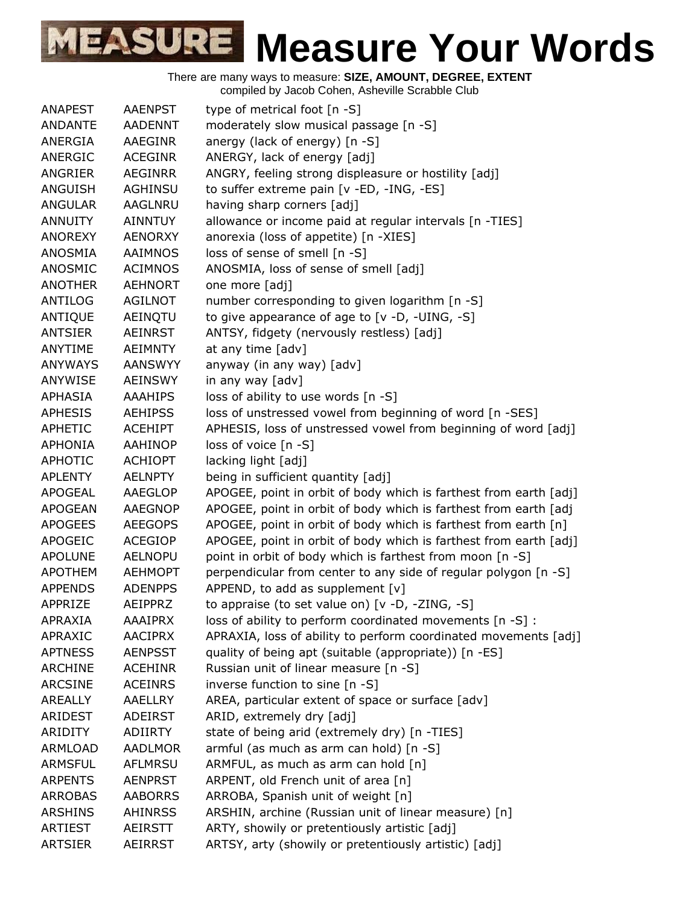There are many ways to measure: **SIZE, AMOUNT, DEGREE, EXTENT**

compiled by Jacob Cohen, Asheville Scrabble Club

| <b>ANAPEST</b> | <b>AAENPST</b> | type of metrical foot [n -S]                                      |
|----------------|----------------|-------------------------------------------------------------------|
| ANDANTE        | <b>AADENNT</b> | moderately slow musical passage [n -S]                            |
| ANERGIA        | AAEGINR        | anergy (lack of energy) [n -S]                                    |
| ANERGIC        | <b>ACEGINR</b> | ANERGY, lack of energy [adj]                                      |
| ANGRIER        | <b>AEGINRR</b> | ANGRY, feeling strong displeasure or hostility [adj]              |
| ANGUISH        | <b>AGHINSU</b> | to suffer extreme pain [v -ED, -ING, -ES]                         |
| <b>ANGULAR</b> | AAGLNRU        | having sharp corners [adj]                                        |
| <b>ANNUITY</b> | <b>AINNTUY</b> | allowance or income paid at regular intervals [n -TIES]           |
| <b>ANOREXY</b> | <b>AENORXY</b> | anorexia (loss of appetite) [n -XIES]                             |
| <b>ANOSMIA</b> | <b>AAIMNOS</b> | loss of sense of smell [n -S]                                     |
| ANOSMIC        | <b>ACIMNOS</b> | ANOSMIA, loss of sense of smell [adj]                             |
| <b>ANOTHER</b> | <b>AEHNORT</b> | one more [adj]                                                    |
| <b>ANTILOG</b> | AGILNOT        | number corresponding to given logarithm [n -S]                    |
| <b>ANTIQUE</b> | AEINQTU        | to give appearance of age to [v -D, -UING, -S]                    |
| <b>ANTSIER</b> | <b>AEINRST</b> | ANTSY, fidgety (nervously restless) [adj]                         |
| <b>ANYTIME</b> | <b>AEIMNTY</b> | at any time [adv]                                                 |
| <b>ANYWAYS</b> | <b>AANSWYY</b> | anyway (in any way) [adv]                                         |
| ANYWISE        | <b>AEINSWY</b> | in any way [adv]                                                  |
| <b>APHASIA</b> | <b>AAAHIPS</b> | loss of ability to use words [n -S]                               |
| <b>APHESIS</b> | <b>AEHIPSS</b> | loss of unstressed vowel from beginning of word [n -SES]          |
| <b>APHETIC</b> | <b>ACEHIPT</b> | APHESIS, loss of unstressed vowel from beginning of word [adj]    |
| <b>APHONIA</b> | <b>AAHINOP</b> | loss of voice [n -S]                                              |
| <b>APHOTIC</b> | <b>ACHIOPT</b> | lacking light [adj]                                               |
| <b>APLENTY</b> | <b>AELNPTY</b> | being in sufficient quantity [adj]                                |
| <b>APOGEAL</b> | AAEGLOP        | APOGEE, point in orbit of body which is farthest from earth [adj] |
| <b>APOGEAN</b> | AAEGNOP        | APOGEE, point in orbit of body which is farthest from earth [adj  |
| <b>APOGEES</b> | <b>AEEGOPS</b> | APOGEE, point in orbit of body which is farthest from earth [n]   |
| <b>APOGEIC</b> | <b>ACEGIOP</b> | APOGEE, point in orbit of body which is farthest from earth [adj] |
| <b>APOLUNE</b> | <b>AELNOPU</b> | point in orbit of body which is farthest from moon [n -S]         |
| <b>APOTHEM</b> | <b>AEHMOPT</b> | perpendicular from center to any side of regular polygon [n -S]   |
| <b>APPENDS</b> | <b>ADENPPS</b> | APPEND, to add as supplement [v]                                  |
| APPRIZE        | AEIPPRZ        | to appraise (to set value on) [v -D, -ZING, -S]                   |
| APRAXIA        | <b>AAAIPRX</b> | loss of ability to perform coordinated movements [n -S] :         |
| APRAXIC        | <b>AACIPRX</b> | APRAXIA, loss of ability to perform coordinated movements [adj]   |
| <b>APTNESS</b> | <b>AENPSST</b> | quality of being apt (suitable (appropriate)) [n -ES]             |
| <b>ARCHINE</b> | <b>ACEHINR</b> | Russian unit of linear measure [n -S]                             |
| <b>ARCSINE</b> | <b>ACEINRS</b> | inverse function to sine [n -S]                                   |
| <b>AREALLY</b> | <b>AAELLRY</b> | AREA, particular extent of space or surface [adv]                 |
| ARIDEST        | ADEIRST        | ARID, extremely dry [adj]                                         |
| <b>ARIDITY</b> | <b>ADIIRTY</b> | state of being arid (extremely dry) [n -TIES]                     |
| <b>ARMLOAD</b> | <b>AADLMOR</b> | armful (as much as arm can hold) [n -S]                           |
| <b>ARMSFUL</b> | AFLMRSU        | ARMFUL, as much as arm can hold [n]                               |
| <b>ARPENTS</b> | <b>AENPRST</b> | ARPENT, old French unit of area [n]                               |
| <b>ARROBAS</b> | <b>AABORRS</b> | ARROBA, Spanish unit of weight [n]                                |
| <b>ARSHINS</b> | <b>AHINRSS</b> | ARSHIN, archine (Russian unit of linear measure) [n]              |
| <b>ARTIEST</b> | AEIRSTT        | ARTY, showily or pretentiously artistic [adj]                     |
| <b>ARTSIER</b> | <b>AEIRRST</b> | ARTSY, arty (showily or pretentiously artistic) [adj]             |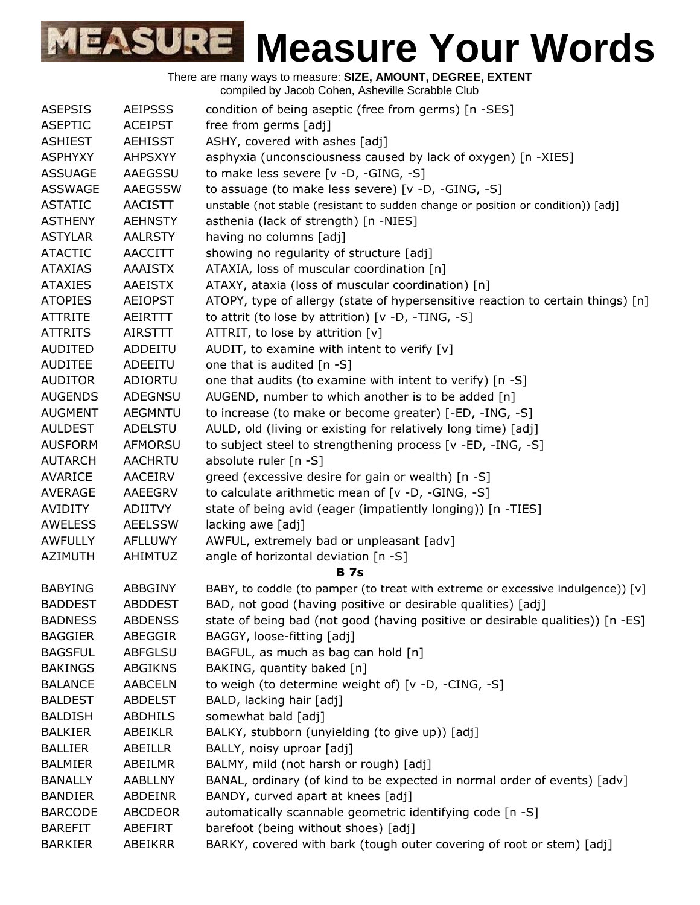| There are many ways to measure: SIZE, AMOUNT, DEGREE, EXTENT<br>compiled by Jacob Cohen, Asheville Scrabble Club |                |                                                                                   |  |
|------------------------------------------------------------------------------------------------------------------|----------------|-----------------------------------------------------------------------------------|--|
| <b>ASEPSIS</b>                                                                                                   | <b>AEIPSSS</b> | condition of being aseptic (free from germs) [n -SES]                             |  |
| <b>ASEPTIC</b>                                                                                                   | <b>ACEIPST</b> | free from germs [adj]                                                             |  |
| <b>ASHIEST</b>                                                                                                   | <b>AEHISST</b> | ASHY, covered with ashes [adj]                                                    |  |
| <b>ASPHYXY</b>                                                                                                   | <b>AHPSXYY</b> | asphyxia (unconsciousness caused by lack of oxygen) [n -XIES]                     |  |
| <b>ASSUAGE</b>                                                                                                   | AAEGSSU        | to make less severe [v -D, -GING, -S]                                             |  |
| <b>ASSWAGE</b>                                                                                                   | <b>AAEGSSW</b> | to assuage (to make less severe) [v -D, -GING, -S]                                |  |
| <b>ASTATIC</b>                                                                                                   | <b>AACISTT</b> | unstable (not stable (resistant to sudden change or position or condition)) [adj] |  |
| <b>ASTHENY</b>                                                                                                   | <b>AEHNSTY</b> | asthenia (lack of strength) [n -NIES]                                             |  |
| <b>ASTYLAR</b>                                                                                                   | <b>AALRSTY</b> | having no columns [adj]                                                           |  |
| <b>ATACTIC</b>                                                                                                   | <b>AACCITT</b> | showing no regularity of structure [adj]                                          |  |
| <b>ATAXIAS</b>                                                                                                   | <b>AAAISTX</b> | ATAXIA, loss of muscular coordination [n]                                         |  |
| <b>ATAXIES</b>                                                                                                   | <b>AAEISTX</b> | ATAXY, ataxia (loss of muscular coordination) [n]                                 |  |
| <b>ATOPIES</b>                                                                                                   | <b>AEIOPST</b> | ATOPY, type of allergy (state of hypersensitive reaction to certain things) [n]   |  |
| <b>ATTRITE</b>                                                                                                   | AEIRTTT        | to attrit (to lose by attrition) $[v -D, -TING, -S]$                              |  |
| <b>ATTRITS</b>                                                                                                   | <b>AIRSTTT</b> | ATTRIT, to lose by attrition [v]                                                  |  |
| AUDITED                                                                                                          | ADDEITU        | AUDIT, to examine with intent to verify $[v]$                                     |  |
| <b>AUDITEE</b>                                                                                                   | ADEEITU        | one that is audited $[n - S]$                                                     |  |
| <b>AUDITOR</b>                                                                                                   | ADIORTU        | one that audits (to examine with intent to verify) [n -S]                         |  |
| <b>AUGENDS</b>                                                                                                   | <b>ADEGNSU</b> | AUGEND, number to which another is to be added [n]                                |  |
| <b>AUGMENT</b>                                                                                                   | <b>AEGMNTU</b> | to increase (to make or become greater) [-ED, -ING, -S]                           |  |
| <b>AULDEST</b>                                                                                                   | <b>ADELSTU</b> | AULD, old (living or existing for relatively long time) [adj]                     |  |
| <b>AUSFORM</b>                                                                                                   | <b>AFMORSU</b> | to subject steel to strengthening process [v -ED, -ING, -S]                       |  |
| <b>AUTARCH</b>                                                                                                   | <b>AACHRTU</b> | absolute ruler [n -S]                                                             |  |
| AVARICE                                                                                                          | <b>AACEIRV</b> | greed (excessive desire for gain or wealth) [n -S]                                |  |
| <b>AVERAGE</b>                                                                                                   | AAEEGRV        | to calculate arithmetic mean of [v -D, -GING, -S]                                 |  |
| <b>AVIDITY</b>                                                                                                   | ADIITVY        | state of being avid (eager (impatiently longing)) [n -TIES]                       |  |
| <b>AWELESS</b>                                                                                                   | <b>AEELSSW</b> | lacking awe [adj]                                                                 |  |
| <b>AWFULLY</b>                                                                                                   | <b>AFLLUWY</b> | AWFUL, extremely bad or unpleasant [adv]                                          |  |
| <b>AZIMUTH</b>                                                                                                   | <b>AHIMTUZ</b> | angle of horizontal deviation [n -S]                                              |  |
|                                                                                                                  |                | <b>B</b> 7s                                                                       |  |
| <b>BABYING</b>                                                                                                   | ABBGINY        | BABY, to coddle (to pamper (to treat with extreme or excessive indulgence)) [v]   |  |
| <b>BADDEST</b>                                                                                                   | ABDDEST        | BAD, not good (having positive or desirable qualities) [adj]                      |  |
| <b>BADNESS</b>                                                                                                   | <b>ABDENSS</b> | state of being bad (not good (having positive or desirable qualities)) [n -ES]    |  |
| <b>BAGGIER</b>                                                                                                   | ABEGGIR        | BAGGY, loose-fitting [adj]                                                        |  |
| <b>BAGSFUL</b>                                                                                                   | <b>ABFGLSU</b> | BAGFUL, as much as bag can hold [n]                                               |  |
| <b>BAKINGS</b>                                                                                                   | <b>ABGIKNS</b> | BAKING, quantity baked [n]                                                        |  |
| <b>BALANCE</b>                                                                                                   | <b>AABCELN</b> | to weigh (to determine weight of) [v -D, -CING, -S]                               |  |
| <b>BALDEST</b>                                                                                                   | <b>ABDELST</b> | BALD, lacking hair [adj]                                                          |  |
| <b>BALDISH</b>                                                                                                   | ABDHILS        | somewhat bald [adj]                                                               |  |
| <b>BALKIER</b>                                                                                                   | ABEIKLR        | BALKY, stubborn (unyielding (to give up)) [adj]                                   |  |
| <b>BALLIER</b>                                                                                                   | ABEILLR        | BALLY, noisy uproar [adj]                                                         |  |
| <b>BALMIER</b>                                                                                                   | ABEILMR        | BALMY, mild (not harsh or rough) [adj]                                            |  |
| <b>BANALLY</b>                                                                                                   | <b>AABLLNY</b> | BANAL, ordinary (of kind to be expected in normal order of events) [adv]          |  |
| <b>BANDIER</b>                                                                                                   | ABDEINR        | BANDY, curved apart at knees [adj]                                                |  |
| <b>BARCODE</b>                                                                                                   | <b>ABCDEOR</b> | automatically scannable geometric identifying code [n -S]                         |  |
| <b>BAREFIT</b>                                                                                                   | ABEFIRT        | barefoot (being without shoes) [adj]                                              |  |
| <b>BARKIER</b>                                                                                                   | ABEIKRR        | BARKY, covered with bark (tough outer covering of root or stem) [adj]             |  |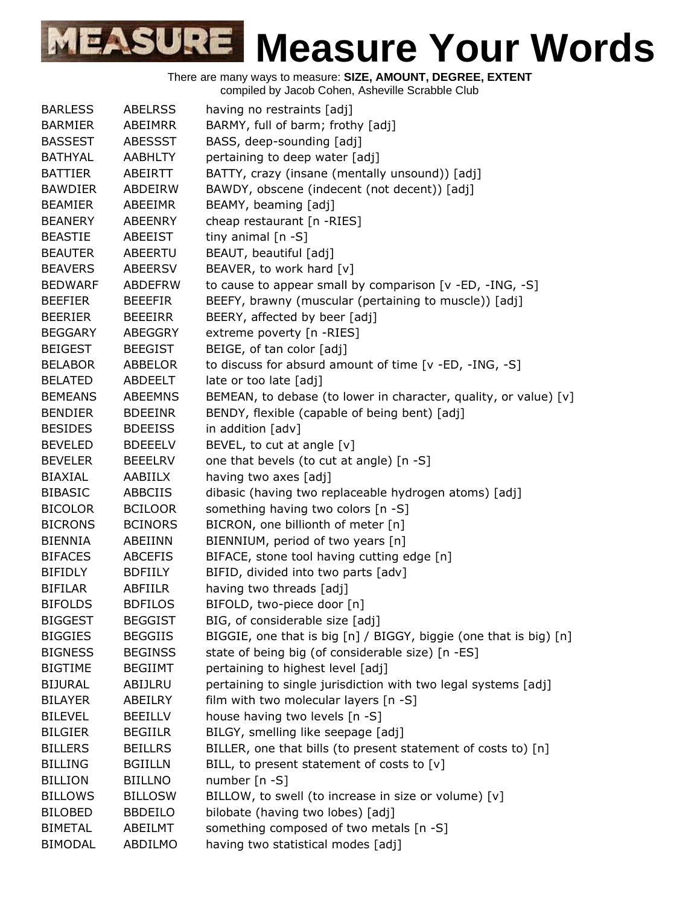There are many ways to measure: **SIZE, AMOUNT, DEGREE, EXTENT**

compiled by Jacob Cohen, Asheville Scrabble Club

| <b>BARLESS</b> | <b>ABELRSS</b> | having no restraints [adj]                                        |
|----------------|----------------|-------------------------------------------------------------------|
| <b>BARMIER</b> | ABEIMRR        | BARMY, full of barm; frothy [adj]                                 |
| <b>BASSEST</b> | <b>ABESSST</b> | BASS, deep-sounding [adj]                                         |
| <b>BATHYAL</b> | <b>AABHLTY</b> | pertaining to deep water [adj]                                    |
| <b>BATTIER</b> | ABEIRTT        | BATTY, crazy (insane (mentally unsound)) [adj]                    |
| <b>BAWDIER</b> | ABDEIRW        | BAWDY, obscene (indecent (not decent)) [adj]                      |
| <b>BEAMIER</b> | ABEEIMR        | BEAMY, beaming [adj]                                              |
| <b>BEANERY</b> | ABEENRY        | cheap restaurant [n -RIES]                                        |
| <b>BEASTIE</b> | <b>ABEEIST</b> | tiny animal [n -S]                                                |
| <b>BEAUTER</b> | <b>ABEERTU</b> | BEAUT, beautiful [adj]                                            |
| <b>BEAVERS</b> | <b>ABEERSV</b> | BEAVER, to work hard [v]                                          |
| <b>BEDWARF</b> | <b>ABDEFRW</b> | to cause to appear small by comparison [v -ED, -ING, -S]          |
| <b>BEEFIER</b> | <b>BEEEFIR</b> | BEEFY, brawny (muscular (pertaining to muscle)) [adj]             |
| <b>BEERIER</b> | <b>BEEEIRR</b> | BEERY, affected by beer [adj]                                     |
| <b>BEGGARY</b> | ABEGGRY        | extreme poverty [n -RIES]                                         |
| <b>BEIGEST</b> | <b>BEEGIST</b> | BEIGE, of tan color [adj]                                         |
| <b>BELABOR</b> | ABBELOR        | to discuss for absurd amount of time [v -ED, -ING, -S]            |
| <b>BELATED</b> | ABDEELT        | late or too late [adj]                                            |
| <b>BEMEANS</b> | <b>ABEEMNS</b> | BEMEAN, to debase (to lower in character, quality, or value) [v]  |
| <b>BENDIER</b> | <b>BDEEINR</b> | BENDY, flexible (capable of being bent) [adj]                     |
| <b>BESIDES</b> | <b>BDEEISS</b> | in addition [adv]                                                 |
| <b>BEVELED</b> | <b>BDEEELV</b> | BEVEL, to cut at angle [v]                                        |
| <b>BEVELER</b> | <b>BEEELRV</b> | one that bevels (to cut at angle) [n -S]                          |
| <b>BIAXIAL</b> | AABIILX        | having two axes [adj]                                             |
| <b>BIBASIC</b> | ABBCIIS        | dibasic (having two replaceable hydrogen atoms) [adj]             |
| <b>BICOLOR</b> | <b>BCILOOR</b> | something having two colors [n -S]                                |
| <b>BICRONS</b> | <b>BCINORS</b> | BICRON, one billionth of meter [n]                                |
| <b>BIENNIA</b> | ABEIINN        | BIENNIUM, period of two years [n]                                 |
| <b>BIFACES</b> | ABCEFIS        | BIFACE, stone tool having cutting edge [n]                        |
| <b>BIFIDLY</b> | <b>BDFIILY</b> | BIFID, divided into two parts [adv]                               |
| <b>BIFILAR</b> | ABFIILR        | having two threads [adj]                                          |
| <b>BIFOLDS</b> | <b>BDFILOS</b> | BIFOLD, two-piece door [n]                                        |
| <b>BIGGEST</b> | <b>BEGGIST</b> | BIG, of considerable size [adj]                                   |
| <b>BIGGIES</b> | <b>BEGGIIS</b> | BIGGIE, one that is big [n] / BIGGY, biggie (one that is big) [n] |
| <b>BIGNESS</b> | <b>BEGINSS</b> | state of being big (of considerable size) [n -ES]                 |
| <b>BIGTIME</b> | <b>BEGIIMT</b> | pertaining to highest level [adj]                                 |
| <b>BIJURAL</b> | ABIJLRU        | pertaining to single jurisdiction with two legal systems [adj]    |
| <b>BILAYER</b> | ABEILRY        | film with two molecular layers $[n -S]$                           |
| <b>BILEVEL</b> | <b>BEEILLV</b> | house having two levels [n -S]                                    |
| <b>BILGIER</b> | <b>BEGIILR</b> | BILGY, smelling like seepage [adj]                                |
| <b>BILLERS</b> | <b>BEILLRS</b> | BILLER, one that bills (to present statement of costs to) [n]     |
| <b>BILLING</b> | <b>BGIILLN</b> | BILL, to present statement of costs to [v]                        |
| <b>BILLION</b> | <b>BIILLNO</b> | number $[n - S]$                                                  |
| <b>BILLOWS</b> | <b>BILLOSW</b> | BILLOW, to swell (to increase in size or volume) [v]              |
| <b>BILOBED</b> | <b>BBDEILO</b> | bilobate (having two lobes) [adj]                                 |
| <b>BIMETAL</b> | ABEILMT        | something composed of two metals [n -S]                           |
| <b>BIMODAL</b> | ABDILMO        | having two statistical modes [adj]                                |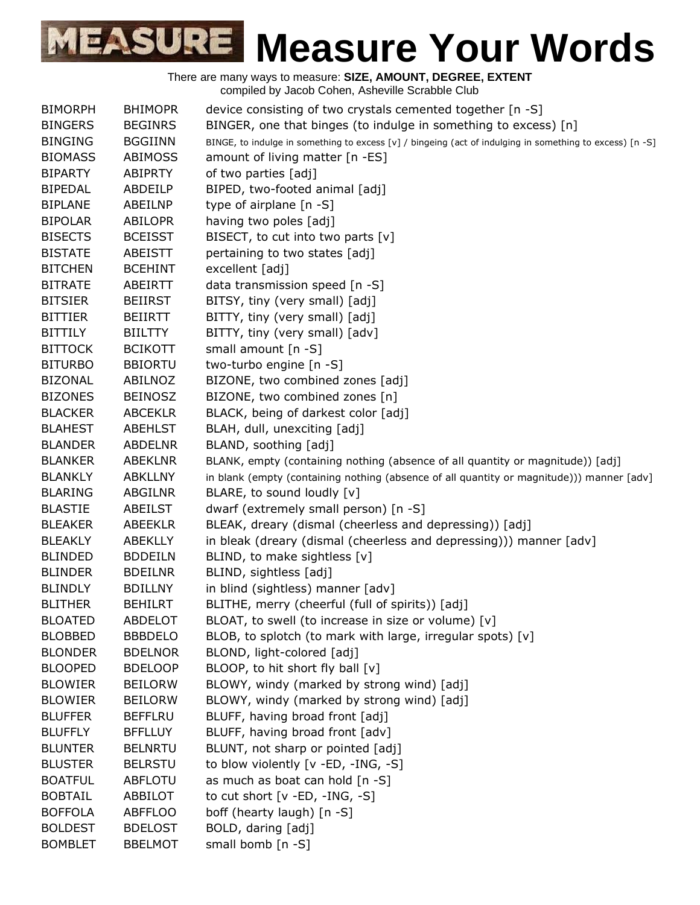

| <b>BIMORPH</b> | <b>BHIMOPR</b> | device consisting of two crystals cemented together [n -S]                                               |
|----------------|----------------|----------------------------------------------------------------------------------------------------------|
| <b>BINGERS</b> | <b>BEGINRS</b> | BINGER, one that binges (to indulge in something to excess) [n]                                          |
| <b>BINGING</b> | <b>BGGIINN</b> | BINGE, to indulge in something to excess [v] / bingeing (act of indulging in something to excess) [n -S] |
| <b>BIOMASS</b> | <b>ABIMOSS</b> | amount of living matter [n -ES]                                                                          |
| <b>BIPARTY</b> | <b>ABIPRTY</b> | of two parties [adj]                                                                                     |
| <b>BIPEDAL</b> | ABDEILP        | BIPED, two-footed animal [adj]                                                                           |
| <b>BIPLANE</b> | ABEILNP        | type of airplane [n -S]                                                                                  |
| <b>BIPOLAR</b> | <b>ABILOPR</b> | having two poles [adj]                                                                                   |
| <b>BISECTS</b> | <b>BCEISST</b> | BISECT, to cut into two parts $[v]$                                                                      |
| <b>BISTATE</b> | <b>ABEISTT</b> | pertaining to two states [adj]                                                                           |
| <b>BITCHEN</b> | <b>BCEHINT</b> | excellent [adj]                                                                                          |
| <b>BITRATE</b> | ABEIRTT        | data transmission speed [n -S]                                                                           |
| <b>BITSIER</b> | <b>BEIIRST</b> | BITSY, tiny (very small) [adj]                                                                           |
| <b>BITTIER</b> | <b>BEIIRTT</b> | BITTY, tiny (very small) [adj]                                                                           |
| <b>BITTILY</b> | <b>BIILTTY</b> | BITTY, tiny (very small) [adv]                                                                           |
| <b>BITTOCK</b> | <b>BCIKOTT</b> | small amount [n -S]                                                                                      |
| <b>BITURBO</b> | <b>BBIORTU</b> | two-turbo engine [n -S]                                                                                  |
| <b>BIZONAL</b> | ABILNOZ        | BIZONE, two combined zones [adj]                                                                         |
| <b>BIZONES</b> | <b>BEINOSZ</b> | BIZONE, two combined zones [n]                                                                           |
| <b>BLACKER</b> | <b>ABCEKLR</b> | BLACK, being of darkest color [adj]                                                                      |
| <b>BLAHEST</b> | <b>ABEHLST</b> | BLAH, dull, unexciting [adj]                                                                             |
| <b>BLANDER</b> | <b>ABDELNR</b> | BLAND, soothing [adj]                                                                                    |
| <b>BLANKER</b> | <b>ABEKLNR</b> | BLANK, empty (containing nothing (absence of all quantity or magnitude)) [adj]                           |
| <b>BLANKLY</b> | <b>ABKLLNY</b> | in blank (empty (containing nothing (absence of all quantity or magnitude))) manner [adv]                |
| <b>BLARING</b> | ABGILNR        | BLARE, to sound loudly [v]                                                                               |
| <b>BLASTIE</b> | ABEILST        | dwarf (extremely small person) [n -S]                                                                    |
| <b>BLEAKER</b> | <b>ABEEKLR</b> | BLEAK, dreary (dismal (cheerless and depressing)) [adj]                                                  |
| <b>BLEAKLY</b> | <b>ABEKLLY</b> | in bleak (dreary (dismal (cheerless and depressing))) manner [adv]                                       |
| <b>BLINDED</b> | <b>BDDEILN</b> | BLIND, to make sightless [v]                                                                             |
| <b>BLINDER</b> | <b>BDEILNR</b> | BLIND, sightless [adj]                                                                                   |
| <b>BLINDLY</b> | <b>BDILLNY</b> | in blind (sightless) manner [adv]                                                                        |
| <b>BLITHER</b> | <b>BEHILRT</b> | BLITHE, merry (cheerful (full of spirits)) [adj]                                                         |
| <b>BLOATED</b> | ABDELOT        | BLOAT, to swell (to increase in size or volume) [v]                                                      |
| <b>BLOBBED</b> | <b>BBBDELO</b> | BLOB, to splotch (to mark with large, irregular spots) [v]                                               |
| <b>BLONDER</b> | <b>BDELNOR</b> | BLOND, light-colored [adj]                                                                               |
| <b>BLOOPED</b> | <b>BDELOOP</b> | BLOOP, to hit short fly ball [v]                                                                         |
| <b>BLOWIER</b> | <b>BEILORW</b> | BLOWY, windy (marked by strong wind) [adj]                                                               |
| <b>BLOWIER</b> | <b>BEILORW</b> | BLOWY, windy (marked by strong wind) [adj]                                                               |
| <b>BLUFFER</b> | <b>BEFFLRU</b> | BLUFF, having broad front [adj]                                                                          |
| <b>BLUFFLY</b> | <b>BFFLLUY</b> | BLUFF, having broad front [adv]                                                                          |
| <b>BLUNTER</b> | <b>BELNRTU</b> | BLUNT, not sharp or pointed [adj]                                                                        |
| <b>BLUSTER</b> | <b>BELRSTU</b> | to blow violently [v -ED, -ING, -S]                                                                      |
| <b>BOATFUL</b> | <b>ABFLOTU</b> | as much as boat can hold [n -S]                                                                          |
| <b>BOBTAIL</b> | ABBILOT        | to cut short $[v - ED, -ING, -S]$                                                                        |
| <b>BOFFOLA</b> | <b>ABFFLOO</b> | boff (hearty laugh) [n -S]                                                                               |
| <b>BOLDEST</b> | <b>BDELOST</b> | BOLD, daring [adj]                                                                                       |
| <b>BOMBLET</b> | <b>BBELMOT</b> | small bomb [n -S]                                                                                        |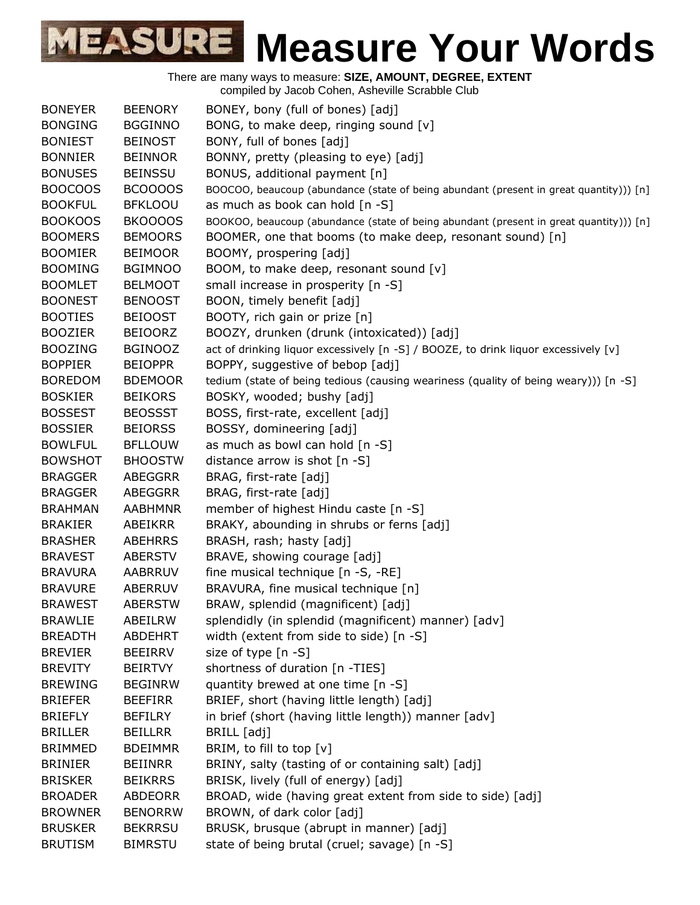| <b>BONEYER</b> | <b>BEENORY</b> | BONEY, bony (full of bones) [adj]                                                      |
|----------------|----------------|----------------------------------------------------------------------------------------|
| <b>BONGING</b> | <b>BGGINNO</b> | BONG, to make deep, ringing sound [v]                                                  |
| <b>BONIEST</b> | <b>BEINOST</b> | BONY, full of bones [adj]                                                              |
| <b>BONNIER</b> | <b>BEINNOR</b> | BONNY, pretty (pleasing to eye) [adj]                                                  |
| <b>BONUSES</b> | <b>BEINSSU</b> | BONUS, additional payment [n]                                                          |
| <b>BOOCOOS</b> | BCOOOOS        | BOOCOO, beaucoup (abundance (state of being abundant (present in great quantity))) [n] |
| <b>BOOKFUL</b> | <b>BFKLOOU</b> | as much as book can hold [n -S]                                                        |
| <b>BOOKOOS</b> | BKOOOOS        | BOOKOO, beaucoup (abundance (state of being abundant (present in great quantity))) [n] |
| <b>BOOMERS</b> | <b>BEMOORS</b> | BOOMER, one that booms (to make deep, resonant sound) [n]                              |
| <b>BOOMIER</b> | <b>BEIMOOR</b> | BOOMY, prospering [adj]                                                                |
| <b>BOOMING</b> | <b>BGIMNOO</b> | BOOM, to make deep, resonant sound [v]                                                 |
| <b>BOOMLET</b> | <b>BELMOOT</b> | small increase in prosperity [n -S]                                                    |
| <b>BOONEST</b> | <b>BENOOST</b> | BOON, timely benefit [adj]                                                             |
| <b>BOOTIES</b> | <b>BEIOOST</b> | BOOTY, rich gain or prize [n]                                                          |
| <b>BOOZIER</b> | <b>BEIOORZ</b> | BOOZY, drunken (drunk (intoxicated)) [adj]                                             |
| <b>BOOZING</b> | <b>BGINOOZ</b> | act of drinking liquor excessively [n -S] / BOOZE, to drink liquor excessively [v]     |
| <b>BOPPIER</b> | <b>BEIOPPR</b> | BOPPY, suggestive of bebop [adj]                                                       |
| <b>BOREDOM</b> | <b>BDEMOOR</b> | tedium (state of being tedious (causing weariness (quality of being weary))) [n -S]    |
| <b>BOSKIER</b> | <b>BEIKORS</b> | BOSKY, wooded; bushy [adj]                                                             |
| <b>BOSSEST</b> | <b>BEOSSST</b> | BOSS, first-rate, excellent [adj]                                                      |
| <b>BOSSIER</b> | <b>BEIORSS</b> | BOSSY, domineering [adj]                                                               |
| <b>BOWLFUL</b> | <b>BFLLOUW</b> | as much as bowl can hold [n -S]                                                        |
| <b>BOWSHOT</b> | <b>BHOOSTW</b> | distance arrow is shot [n -S]                                                          |
| <b>BRAGGER</b> | ABEGGRR        | BRAG, first-rate [adj]                                                                 |
| <b>BRAGGER</b> | <b>ABEGGRR</b> | BRAG, first-rate [adj]                                                                 |
| <b>BRAHMAN</b> | <b>AABHMNR</b> | member of highest Hindu caste [n -S]                                                   |
| <b>BRAKIER</b> | ABEIKRR        | BRAKY, abounding in shrubs or ferns [adj]                                              |
| <b>BRASHER</b> | <b>ABEHRRS</b> | BRASH, rash; hasty [adj]                                                               |
| <b>BRAVEST</b> | ABERSTV        | BRAVE, showing courage [adj]                                                           |
| <b>BRAVURA</b> | <b>AABRRUV</b> | fine musical technique [n -S, -RE]                                                     |
| <b>BRAVURE</b> | ABERRUV        | BRAVURA, fine musical technique [n]                                                    |
| <b>BRAWEST</b> | ABERSTW        | BRAW, splendid (magnificent) [adj]                                                     |
| <b>BRAWLIE</b> | ABEILRW        | splendidly (in splendid (magnificent) manner) [adv]                                    |
| <b>BREADTH</b> | <b>ABDEHRT</b> | width (extent from side to side) [n -S]                                                |
| <b>BREVIER</b> | BEEIRRV        | size of type [n -S]                                                                    |
| <b>BREVITY</b> | <b>BEIRTVY</b> | shortness of duration [n -TIES]                                                        |
| <b>BREWING</b> | <b>BEGINRW</b> | quantity brewed at one time [n -S]                                                     |
| <b>BRIEFER</b> | <b>BEEFIRR</b> | BRIEF, short (having little length) [adj]                                              |
| <b>BRIEFLY</b> | <b>BEFILRY</b> | in brief (short (having little length)) manner [adv]                                   |
| <b>BRILLER</b> | <b>BEILLRR</b> | BRILL [adj]                                                                            |
| <b>BRIMMED</b> | <b>BDEIMMR</b> | BRIM, to fill to top [v]                                                               |
| <b>BRINIER</b> | <b>BEIINRR</b> | BRINY, salty (tasting of or containing salt) [adj]                                     |
| <b>BRISKER</b> | <b>BEIKRRS</b> | BRISK, lively (full of energy) [adj]                                                   |
| <b>BROADER</b> | <b>ABDEORR</b> | BROAD, wide (having great extent from side to side) [adj]                              |
| <b>BROWNER</b> | <b>BENORRW</b> | BROWN, of dark color [adj]                                                             |
| <b>BRUSKER</b> | <b>BEKRRSU</b> | BRUSK, brusque (abrupt in manner) [adj]                                                |
| <b>BRUTISM</b> | <b>BIMRSTU</b> | state of being brutal (cruel; savage) [n -S]                                           |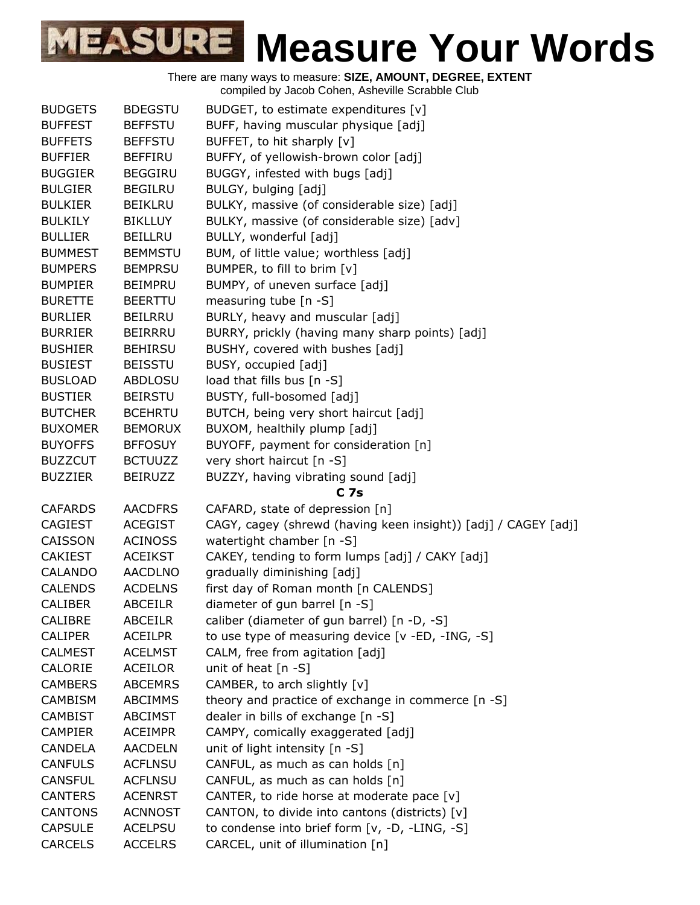| <b>BUDGETS</b> | <b>BDEGSTU</b> | BUDGET, to estimate expenditures [v]                           |
|----------------|----------------|----------------------------------------------------------------|
| <b>BUFFEST</b> | <b>BEFFSTU</b> | BUFF, having muscular physique [adj]                           |
| <b>BUFFETS</b> | <b>BEFFSTU</b> | BUFFET, to hit sharply [v]                                     |
| <b>BUFFIER</b> | <b>BEFFIRU</b> | BUFFY, of yellowish-brown color [adj]                          |
| <b>BUGGIER</b> | <b>BEGGIRU</b> | BUGGY, infested with bugs [adj]                                |
| <b>BULGIER</b> | <b>BEGILRU</b> | BULGY, bulging [adj]                                           |
| <b>BULKIER</b> | <b>BEIKLRU</b> | BULKY, massive (of considerable size) [adj]                    |
| <b>BULKILY</b> | <b>BIKLLUY</b> | BULKY, massive (of considerable size) [adv]                    |
| <b>BULLIER</b> | <b>BEILLRU</b> | BULLY, wonderful [adj]                                         |
| <b>BUMMEST</b> | <b>BEMMSTU</b> | BUM, of little value; worthless [adj]                          |
| <b>BUMPERS</b> | <b>BEMPRSU</b> | BUMPER, to fill to brim [v]                                    |
| <b>BUMPIER</b> | <b>BEIMPRU</b> | BUMPY, of uneven surface [adj]                                 |
| <b>BURETTE</b> | <b>BEERTTU</b> | measuring tube [n -S]                                          |
| <b>BURLIER</b> | <b>BEILRRU</b> | BURLY, heavy and muscular [adj]                                |
| <b>BURRIER</b> | <b>BEIRRRU</b> | BURRY, prickly (having many sharp points) [adj]                |
| <b>BUSHIER</b> | <b>BEHIRSU</b> | BUSHY, covered with bushes [adj]                               |
| <b>BUSIEST</b> | <b>BEISSTU</b> | BUSY, occupied [adj]                                           |
| <b>BUSLOAD</b> | ABDLOSU        | load that fills bus [n -S]                                     |
| <b>BUSTIER</b> | <b>BEIRSTU</b> | BUSTY, full-bosomed [adj]                                      |
| <b>BUTCHER</b> | <b>BCEHRTU</b> | BUTCH, being very short haircut [adj]                          |
| <b>BUXOMER</b> | <b>BEMORUX</b> | BUXOM, healthily plump [adj]                                   |
| <b>BUYOFFS</b> | <b>BFFOSUY</b> | BUYOFF, payment for consideration [n]                          |
| <b>BUZZCUT</b> | <b>BCTUUZZ</b> | very short haircut [n -S]                                      |
| <b>BUZZIER</b> | <b>BEIRUZZ</b> | BUZZY, having vibrating sound [adj]                            |
|                |                | C <sub>7s</sub>                                                |
| <b>CAFARDS</b> | <b>AACDFRS</b> | CAFARD, state of depression [n]                                |
| <b>CAGIEST</b> | <b>ACEGIST</b> | CAGY, cagey (shrewd (having keen insight)) [adj] / CAGEY [adj] |
| CAISSON        | <b>ACINOSS</b> | watertight chamber [n -S]                                      |
| <b>CAKIEST</b> | <b>ACEIKST</b> | CAKEY, tending to form lumps [adj] / CAKY [adj]                |
| <b>CALANDO</b> | <b>AACDLNO</b> | gradually diminishing [adj]                                    |
| <b>CALENDS</b> | <b>ACDELNS</b> | first day of Roman month [n CALENDS]                           |
| CALIBER        | <b>ABCEILR</b> | diameter of gun barrel [n -S]                                  |
| <b>CALIBRE</b> | <b>ABCEILR</b> | caliber (diameter of gun barrel) [n -D, -S]                    |
| CALIPER        | <b>ACEILPR</b> | to use type of measuring device [v -ED, -ING, -S]              |
| <b>CALMEST</b> | <b>ACELMST</b> | CALM, free from agitation [adj]                                |
| CALORIE        | <b>ACEILOR</b> | unit of heat $[n -S]$                                          |
| <b>CAMBERS</b> | <b>ABCEMRS</b> | CAMBER, to arch slightly [v]                                   |
| <b>CAMBISM</b> | <b>ABCIMMS</b> | theory and practice of exchange in commerce [n -S]             |
| <b>CAMBIST</b> | <b>ABCIMST</b> | dealer in bills of exchange [n -S]                             |
| <b>CAMPIER</b> | <b>ACEIMPR</b> | CAMPY, comically exaggerated [adj]                             |
| <b>CANDELA</b> | <b>AACDELN</b> | unit of light intensity [n -S]                                 |
| <b>CANFULS</b> | <b>ACFLNSU</b> | CANFUL, as much as can holds [n]                               |
| <b>CANSFUL</b> | <b>ACFLNSU</b> | CANFUL, as much as can holds [n]                               |
| <b>CANTERS</b> | <b>ACENRST</b> | CANTER, to ride horse at moderate pace [v]                     |
| <b>CANTONS</b> | <b>ACNNOST</b> | CANTON, to divide into cantons (districts) [v]                 |
| <b>CAPSULE</b> | <b>ACELPSU</b> | to condense into brief form [v, -D, -LING, -S]                 |
| <b>CARCELS</b> | <b>ACCELRS</b> | CARCEL, unit of illumination [n]                               |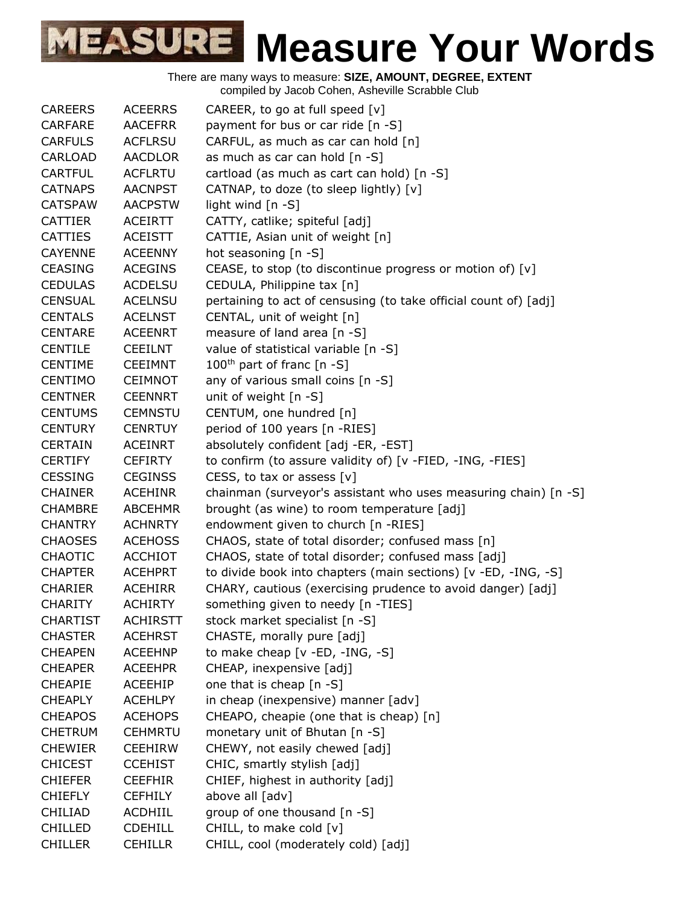| <b>CAREERS</b>  | <b>ACEERRS</b>  | CAREER, to go at full speed $[v]$                                |
|-----------------|-----------------|------------------------------------------------------------------|
| <b>CARFARE</b>  | <b>AACEFRR</b>  | payment for bus or car ride [n -S]                               |
| <b>CARFULS</b>  | <b>ACFLRSU</b>  | CARFUL, as much as car can hold [n]                              |
| <b>CARLOAD</b>  | <b>AACDLOR</b>  | as much as car can hold [n -S]                                   |
| <b>CARTFUL</b>  | <b>ACFLRTU</b>  | cartload (as much as cart can hold) [n -S]                       |
| <b>CATNAPS</b>  | <b>AACNPST</b>  | CATNAP, to doze (to sleep lightly) [v]                           |
| <b>CATSPAW</b>  | <b>AACPSTW</b>  | light wind [n -S]                                                |
| <b>CATTIER</b>  | <b>ACEIRTT</b>  | CATTY, catlike; spiteful [adj]                                   |
| <b>CATTIES</b>  | <b>ACEISTT</b>  | CATTIE, Asian unit of weight [n]                                 |
| <b>CAYENNE</b>  | <b>ACEENNY</b>  | hot seasoning [n -S]                                             |
| <b>CEASING</b>  | <b>ACEGINS</b>  | CEASE, to stop (to discontinue progress or motion of) [v]        |
| <b>CEDULAS</b>  | <b>ACDELSU</b>  | CEDULA, Philippine tax [n]                                       |
| <b>CENSUAL</b>  | <b>ACELNSU</b>  | pertaining to act of censusing (to take official count of) [adj] |
| <b>CENTALS</b>  | <b>ACELNST</b>  | CENTAL, unit of weight [n]                                       |
| <b>CENTARE</b>  | <b>ACEENRT</b>  | measure of land area [n -S]                                      |
| <b>CENTILE</b>  | <b>CEEILNT</b>  | value of statistical variable [n -S]                             |
| <b>CENTIME</b>  | <b>CEEIMNT</b>  | $100^{\text{th}}$ part of franc [n -S]                           |
| <b>CENTIMO</b>  | <b>CEIMNOT</b>  | any of various small coins [n -S]                                |
| <b>CENTNER</b>  | <b>CEENNRT</b>  | unit of weight [n -S]                                            |
| <b>CENTUMS</b>  | <b>CEMNSTU</b>  | CENTUM, one hundred [n]                                          |
| <b>CENTURY</b>  | <b>CENRTUY</b>  | period of 100 years [n -RIES]                                    |
| <b>CERTAIN</b>  | <b>ACEINRT</b>  | absolutely confident [adj -ER, -EST]                             |
| <b>CERTIFY</b>  | <b>CEFIRTY</b>  | to confirm (to assure validity of) [v -FIED, -ING, -FIES]        |
| <b>CESSING</b>  | <b>CEGINSS</b>  | CESS, to tax or assess $[v]$                                     |
| <b>CHAINER</b>  | <b>ACEHINR</b>  | chainman (surveyor's assistant who uses measuring chain) [n -S]  |
| <b>CHAMBRE</b>  | <b>ABCEHMR</b>  | brought (as wine) to room temperature [adj]                      |
| <b>CHANTRY</b>  | <b>ACHNRTY</b>  | endowment given to church [n -RIES]                              |
| <b>CHAOSES</b>  | <b>ACEHOSS</b>  | CHAOS, state of total disorder; confused mass [n]                |
| <b>CHAOTIC</b>  | <b>ACCHIOT</b>  | CHAOS, state of total disorder; confused mass [adj]              |
| <b>CHAPTER</b>  | <b>ACEHPRT</b>  | to divide book into chapters (main sections) [v -ED, -ING, -S]   |
| <b>CHARIER</b>  | <b>ACEHIRR</b>  | CHARY, cautious (exercising prudence to avoid danger) [adj]      |
| <b>CHARITY</b>  | <b>ACHIRTY</b>  | something given to needy [n -TIES]                               |
| <b>CHARTIST</b> | <b>ACHIRSTT</b> | stock market specialist [n -S]                                   |
| <b>CHASTER</b>  | <b>ACEHRST</b>  | CHASTE, morally pure [adj]                                       |
| <b>CHEAPEN</b>  | <b>ACEEHNP</b>  | to make cheap [v -ED, -ING, -S]                                  |
| <b>CHEAPER</b>  | <b>ACEEHPR</b>  | CHEAP, inexpensive [adj]                                         |
| <b>CHEAPIE</b>  | ACEEHIP         | one that is cheap [n -S]                                         |
| <b>CHEAPLY</b>  | <b>ACEHLPY</b>  | in cheap (inexpensive) manner [adv]                              |
| <b>CHEAPOS</b>  | <b>ACEHOPS</b>  | CHEAPO, cheapie (one that is cheap) [n]                          |
| <b>CHETRUM</b>  | <b>CEHMRTU</b>  | monetary unit of Bhutan [n -S]                                   |
| <b>CHEWIER</b>  | <b>CEEHIRW</b>  | CHEWY, not easily chewed [adj]                                   |
| <b>CHICEST</b>  | <b>CCEHIST</b>  | CHIC, smartly stylish [adj]                                      |
| <b>CHIEFER</b>  | <b>CEEFHIR</b>  | CHIEF, highest in authority [adj]                                |
| <b>CHIEFLY</b>  | <b>CEFHILY</b>  | above all [adv]                                                  |
| <b>CHILIAD</b>  | ACDHIIL         | group of one thousand [n -S]                                     |
| <b>CHILLED</b>  | <b>CDEHILL</b>  | CHILL, to make cold [v]                                          |
| <b>CHILLER</b>  | <b>CEHILLR</b>  | CHILL, cool (moderately cold) [adj]                              |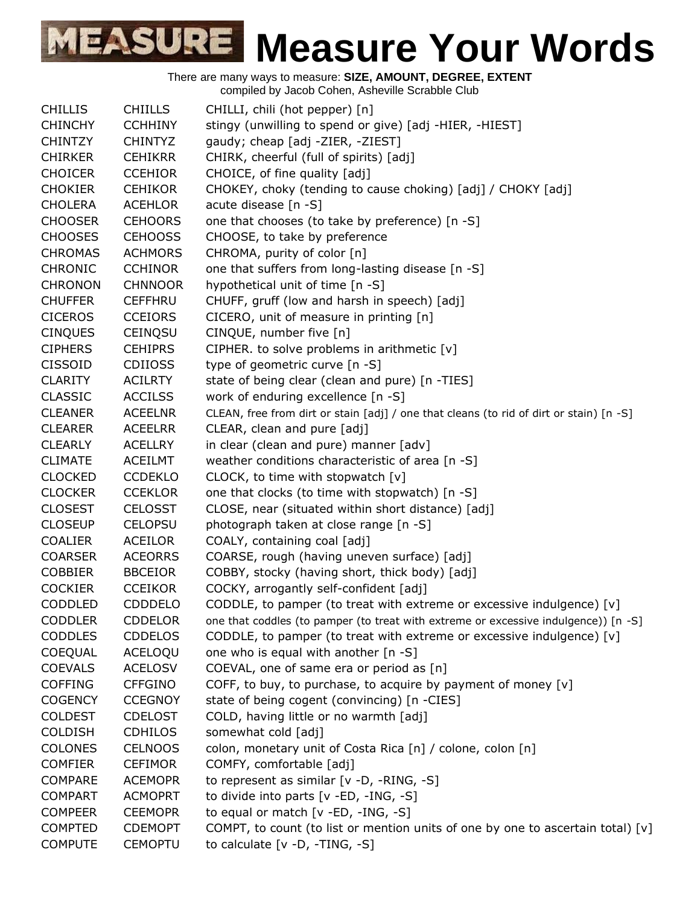|                |                | complied by Jacob Coriem, Asheville Scrabble Club                                       |
|----------------|----------------|-----------------------------------------------------------------------------------------|
| <b>CHILLIS</b> | <b>CHIILLS</b> | CHILLI, chili (hot pepper) [n]                                                          |
| <b>CHINCHY</b> | <b>CCHHINY</b> | stingy (unwilling to spend or give) [adj -HIER, -HIEST]                                 |
| <b>CHINTZY</b> | <b>CHINTYZ</b> | gaudy; cheap [adj -ZIER, -ZIEST]                                                        |
| <b>CHIRKER</b> | <b>CEHIKRR</b> | CHIRK, cheerful (full of spirits) [adj]                                                 |
| <b>CHOICER</b> | <b>CCEHIOR</b> | CHOICE, of fine quality [adj]                                                           |
| <b>CHOKIER</b> | <b>CEHIKOR</b> | CHOKEY, choky (tending to cause choking) [adj] / CHOKY [adj]                            |
| <b>CHOLERA</b> | <b>ACEHLOR</b> | acute disease [n -S]                                                                    |
| <b>CHOOSER</b> | <b>CEHOORS</b> | one that chooses (to take by preference) [n -S]                                         |
| <b>CHOOSES</b> | <b>CEHOOSS</b> | CHOOSE, to take by preference                                                           |
| <b>CHROMAS</b> | <b>ACHMORS</b> | CHROMA, purity of color [n]                                                             |
| <b>CHRONIC</b> | <b>CCHINOR</b> | one that suffers from long-lasting disease [n -S]                                       |
| <b>CHRONON</b> | <b>CHNNOOR</b> | hypothetical unit of time [n -S]                                                        |
| <b>CHUFFER</b> | <b>CEFFHRU</b> | CHUFF, gruff (low and harsh in speech) [adj]                                            |
| <b>CICEROS</b> | <b>CCEIORS</b> | CICERO, unit of measure in printing [n]                                                 |
| <b>CINQUES</b> | CEINQSU        | CINQUE, number five [n]                                                                 |
| <b>CIPHERS</b> | <b>CEHIPRS</b> | CIPHER. to solve problems in arithmetic [v]                                             |
| <b>CISSOID</b> | <b>CDIIOSS</b> | type of geometric curve [n -S]                                                          |
| <b>CLARITY</b> | <b>ACILRTY</b> | state of being clear (clean and pure) [n -TIES]                                         |
| <b>CLASSIC</b> | <b>ACCILSS</b> | work of enduring excellence [n -S]                                                      |
| <b>CLEANER</b> | <b>ACEELNR</b> | CLEAN, free from dirt or stain [adj] / one that cleans (to rid of dirt or stain) [n -S] |
| <b>CLEARER</b> | <b>ACEELRR</b> | CLEAR, clean and pure [adj]                                                             |
| <b>CLEARLY</b> | <b>ACELLRY</b> | in clear (clean and pure) manner [adv]                                                  |
| <b>CLIMATE</b> | <b>ACEILMT</b> | weather conditions characteristic of area [n -S]                                        |
| <b>CLOCKED</b> | <b>CCDEKLO</b> | CLOCK, to time with stopwatch [v]                                                       |
| <b>CLOCKER</b> | <b>CCEKLOR</b> | one that clocks (to time with stopwatch) [n -S]                                         |
| <b>CLOSEST</b> | <b>CELOSST</b> | CLOSE, near (situated within short distance) [adj]                                      |
| <b>CLOSEUP</b> | <b>CELOPSU</b> | photograph taken at close range [n -S]                                                  |
| <b>COALIER</b> | <b>ACEILOR</b> | COALY, containing coal [adj]                                                            |
| <b>COARSER</b> | <b>ACEORRS</b> | COARSE, rough (having uneven surface) [adj]                                             |
| COBBIER        | <b>BBCEIOR</b> | COBBY, stocky (having short, thick body) [adj]                                          |
| <b>COCKIER</b> | <b>CCEIKOR</b> | COCKY, arrogantly self-confident [adj]                                                  |
| CODDLED        | <b>CDDDELO</b> | CODDLE, to pamper (to treat with extreme or excessive indulgence) [v]                   |
| <b>CODDLER</b> | <b>CDDELOR</b> | one that coddles (to pamper (to treat with extreme or excessive indulgence)) [n -S]     |
| <b>CODDLES</b> | <b>CDDELOS</b> | CODDLE, to pamper (to treat with extreme or excessive indulgence) $[v]$                 |
| COEQUAL        | ACELOQU        | one who is equal with another [n -S]                                                    |
| <b>COEVALS</b> | <b>ACELOSV</b> | COEVAL, one of same era or period as [n]                                                |
| <b>COFFING</b> | <b>CFFGINO</b> | COFF, to buy, to purchase, to acquire by payment of money $[v]$                         |
| <b>COGENCY</b> | <b>CCEGNOY</b> | state of being cogent (convincing) [n -CIES]                                            |
| <b>COLDEST</b> | <b>CDELOST</b> | COLD, having little or no warmth [adj]                                                  |
| <b>COLDISH</b> | <b>CDHILOS</b> | somewhat cold [adj]                                                                     |
| <b>COLONES</b> | <b>CELNOOS</b> | colon, monetary unit of Costa Rica [n] / colone, colon [n]                              |
| <b>COMFIER</b> | <b>CEFIMOR</b> | COMFY, comfortable [adj]                                                                |
| <b>COMPARE</b> | <b>ACEMOPR</b> | to represent as similar [v -D, -RING, -S]                                               |
| <b>COMPART</b> | <b>ACMOPRT</b> | to divide into parts [v -ED, -ING, -S]                                                  |
| <b>COMPEER</b> | <b>CEEMOPR</b> | to equal or match [v -ED, -ING, -S]                                                     |
| <b>COMPTED</b> | <b>CDEMOPT</b> | COMPT, to count (to list or mention units of one by one to ascertain total) [v]         |
| <b>COMPUTE</b> | <b>CEMOPTU</b> | to calculate $[v -D, -TING, -S]$                                                        |
|                |                |                                                                                         |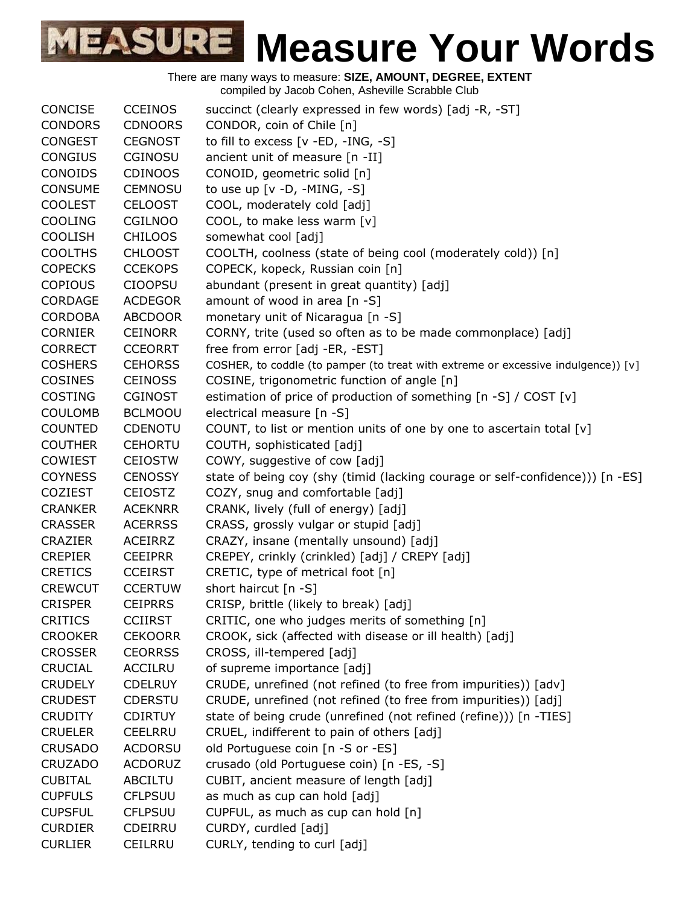| <b>CONCISE</b> | <b>CCEINOS</b> |                                                                                   |
|----------------|----------------|-----------------------------------------------------------------------------------|
|                |                | succinct (clearly expressed in few words) [adj -R, -ST]                           |
| <b>CONDORS</b> | <b>CDNOORS</b> | CONDOR, coin of Chile [n]                                                         |
| <b>CONGEST</b> | <b>CEGNOST</b> | to fill to excess [v -ED, -ING, -S]                                               |
| <b>CONGIUS</b> | CGINOSU        | ancient unit of measure [n -II]                                                   |
| <b>CONOIDS</b> | <b>CDINOOS</b> | CONOID, geometric solid [n]                                                       |
| <b>CONSUME</b> | <b>CEMNOSU</b> | to use up $[v -D, -MING, -S]$                                                     |
| <b>COOLEST</b> | <b>CELOOST</b> | COOL, moderately cold [adj]                                                       |
| <b>COOLING</b> | CGILNOO        | COOL, to make less warm [v]                                                       |
| <b>COOLISH</b> | <b>CHILOOS</b> | somewhat cool [adj]                                                               |
| <b>COOLTHS</b> | <b>CHLOOST</b> | COOLTH, coolness (state of being cool (moderately cold)) [n]                      |
| <b>COPECKS</b> | <b>CCEKOPS</b> | COPECK, kopeck, Russian coin [n]                                                  |
| <b>COPIOUS</b> | <b>CIOOPSU</b> | abundant (present in great quantity) [adj]                                        |
| <b>CORDAGE</b> | <b>ACDEGOR</b> | amount of wood in area [n -S]                                                     |
| <b>CORDOBA</b> | <b>ABCDOOR</b> | monetary unit of Nicaragua [n -S]                                                 |
| <b>CORNIER</b> | <b>CEINORR</b> | CORNY, trite (used so often as to be made commonplace) [adj]                      |
| <b>CORRECT</b> | <b>CCEORRT</b> | free from error [adj -ER, -EST]                                                   |
| <b>COSHERS</b> | <b>CEHORSS</b> | COSHER, to coddle (to pamper (to treat with extreme or excessive indulgence)) [v] |
| COSINES        | <b>CEINOSS</b> | COSINE, trigonometric function of angle [n]                                       |
| <b>COSTING</b> | <b>CGINOST</b> | estimation of price of production of something [n -S] / COST [v]                  |
| <b>COULOMB</b> | <b>BCLMOOU</b> | electrical measure [n -S]                                                         |
| <b>COUNTED</b> | CDENOTU        | COUNT, to list or mention units of one by one to ascertain total [v]              |
| <b>COUTHER</b> | <b>CEHORTU</b> | COUTH, sophisticated [adj]                                                        |
| <b>COWIEST</b> | <b>CEIOSTW</b> | COWY, suggestive of cow [adj]                                                     |
|                |                |                                                                                   |
| <b>COYNESS</b> | <b>CENOSSY</b> | state of being coy (shy (timid (lacking courage or self-confidence))) [n -ES]     |
| <b>COZIEST</b> | <b>CEIOSTZ</b> | COZY, snug and comfortable [adj]                                                  |
| <b>CRANKER</b> | <b>ACEKNRR</b> | CRANK, lively (full of energy) [adj]                                              |
| <b>CRASSER</b> | <b>ACERRSS</b> | CRASS, grossly vulgar or stupid [adj]                                             |
| <b>CRAZIER</b> | <b>ACEIRRZ</b> | CRAZY, insane (mentally unsound) [adj]                                            |
| <b>CREPIER</b> | <b>CEEIPRR</b> | CREPEY, crinkly (crinkled) [adj] / CREPY [adj]                                    |
| <b>CRETICS</b> | <b>CCEIRST</b> | CRETIC, type of metrical foot [n]                                                 |
| <b>CREWCUT</b> | <b>CCERTUW</b> | short haircut [n -S]                                                              |
| <b>CRISPER</b> | <b>CEIPRRS</b> | CRISP, brittle (likely to break) [adj]                                            |
| <b>CRITICS</b> | <b>CCIIRST</b> | CRITIC, one who judges merits of something [n]                                    |
| <b>CROOKER</b> | <b>CEKOORR</b> | CROOK, sick (affected with disease or ill health) [adj]                           |
| <b>CROSSER</b> | <b>CEORRSS</b> | CROSS, ill-tempered [adj]                                                         |
| <b>CRUCIAL</b> | <b>ACCILRU</b> | of supreme importance [adj]                                                       |
| <b>CRUDELY</b> | <b>CDELRUY</b> | CRUDE, unrefined (not refined (to free from impurities)) [adv]                    |
| <b>CRUDEST</b> | <b>CDERSTU</b> | CRUDE, unrefined (not refined (to free from impurities)) [adj]                    |
| <b>CRUDITY</b> | <b>CDIRTUY</b> | state of being crude (unrefined (not refined (refine))) [n -TIES]                 |
| <b>CRUELER</b> | <b>CEELRRU</b> | CRUEL, indifferent to pain of others [adj]                                        |
| <b>CRUSADO</b> | <b>ACDORSU</b> | old Portuguese coin [n -S or -ES]                                                 |
| <b>CRUZADO</b> | <b>ACDORUZ</b> | crusado (old Portuguese coin) [n -ES, -S]                                         |
| <b>CUBITAL</b> | <b>ABCILTU</b> | CUBIT, ancient measure of length [adj]                                            |
| <b>CUPFULS</b> | <b>CFLPSUU</b> | as much as cup can hold [adj]                                                     |
| <b>CUPSFUL</b> | <b>CFLPSUU</b> | CUPFUL, as much as cup can hold [n]                                               |
| <b>CURDIER</b> | <b>CDEIRRU</b> | CURDY, curdled [adj]                                                              |
| <b>CURLIER</b> | <b>CEILRRU</b> | CURLY, tending to curl [adj]                                                      |
|                |                |                                                                                   |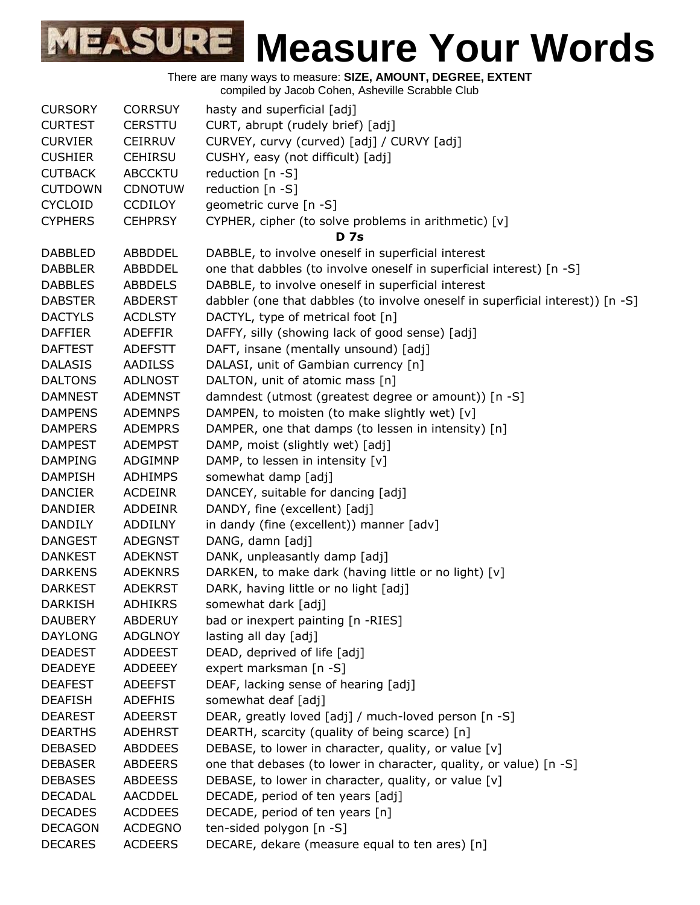There are many ways to measure: **SIZE, AMOUNT, DEGREE, EXTENT**

compiled by Jacob Cohen, Asheville Scrabble Club

| <b>CURSORY</b> | <b>CORRSUY</b> | hasty and superficial [adj]                                                    |
|----------------|----------------|--------------------------------------------------------------------------------|
| <b>CURTEST</b> | <b>CERSTTU</b> | CURT, abrupt (rudely brief) [adj]                                              |
| <b>CURVIER</b> | <b>CEIRRUV</b> | CURVEY, curvy (curved) [adj] / CURVY [adj]                                     |
| <b>CUSHIER</b> | <b>CEHIRSU</b> | CUSHY, easy (not difficult) [adj]                                              |
| <b>CUTBACK</b> | <b>ABCCKTU</b> | reduction [n -S]                                                               |
| <b>CUTDOWN</b> | <b>CDNOTUW</b> | reduction [n -S]                                                               |
| <b>CYCLOID</b> | <b>CCDILOY</b> | geometric curve [n -S]                                                         |
| <b>CYPHERS</b> | <b>CEHPRSY</b> | CYPHER, cipher (to solve problems in arithmetic) [v]                           |
|                |                | <b>D</b> 7s                                                                    |
| <b>DABBLED</b> | ABBDDEL        | DABBLE, to involve oneself in superficial interest                             |
| <b>DABBLER</b> | ABBDDEL        | one that dabbles (to involve oneself in superficial interest) [n -S]           |
| <b>DABBLES</b> | <b>ABBDELS</b> | DABBLE, to involve oneself in superficial interest                             |
| <b>DABSTER</b> | <b>ABDERST</b> | dabbler (one that dabbles (to involve oneself in superficial interest)) [n -S] |
| <b>DACTYLS</b> | <b>ACDLSTY</b> | DACTYL, type of metrical foot [n]                                              |
| <b>DAFFIER</b> | <b>ADEFFIR</b> | DAFFY, silly (showing lack of good sense) [adj]                                |
| <b>DAFTEST</b> | <b>ADEFSTT</b> | DAFT, insane (mentally unsound) [adj]                                          |
| <b>DALASIS</b> | <b>AADILSS</b> | DALASI, unit of Gambian currency [n]                                           |
| <b>DALTONS</b> | <b>ADLNOST</b> | DALTON, unit of atomic mass [n]                                                |
| <b>DAMNEST</b> | <b>ADEMNST</b> | damndest (utmost (greatest degree or amount)) [n -S]                           |
| <b>DAMPENS</b> | <b>ADEMNPS</b> | DAMPEN, to moisten (to make slightly wet) [v]                                  |
| <b>DAMPERS</b> | <b>ADEMPRS</b> | DAMPER, one that damps (to lessen in intensity) [n]                            |
| <b>DAMPEST</b> | <b>ADEMPST</b> | DAMP, moist (slightly wet) [adj]                                               |
| <b>DAMPING</b> | ADGIMNP        | DAMP, to lessen in intensity [v]                                               |
| <b>DAMPISH</b> | <b>ADHIMPS</b> | somewhat damp [adj]                                                            |
| <b>DANCIER</b> | <b>ACDEINR</b> | DANCEY, suitable for dancing [adj]                                             |
| <b>DANDIER</b> | <b>ADDEINR</b> | DANDY, fine (excellent) [adj]                                                  |
| <b>DANDILY</b> | <b>ADDILNY</b> | in dandy (fine (excellent)) manner [adv]                                       |
| <b>DANGEST</b> | <b>ADEGNST</b> | DANG, damn [adj]                                                               |
| <b>DANKEST</b> | <b>ADEKNST</b> | DANK, unpleasantly damp [adj]                                                  |
| <b>DARKENS</b> | <b>ADEKNRS</b> | DARKEN, to make dark (having little or no light) [v]                           |
| <b>DARKEST</b> | <b>ADEKRST</b> | DARK, having little or no light [adj]                                          |
| <b>DARKISH</b> | <b>ADHIKRS</b> | somewhat dark [adj]                                                            |
| <b>DAUBERY</b> | <b>ABDERUY</b> | bad or inexpert painting [n -RIES]                                             |
| <b>DAYLONG</b> | <b>ADGLNOY</b> | lasting all day [adj]                                                          |
| <b>DEADEST</b> | <b>ADDEEST</b> | DEAD, deprived of life [adj]                                                   |
| <b>DEADEYE</b> | <b>ADDEEEY</b> | expert marksman [n -S]                                                         |
| <b>DEAFEST</b> | <b>ADEEFST</b> | DEAF, lacking sense of hearing [adj]                                           |
| <b>DEAFISH</b> | <b>ADEFHIS</b> | somewhat deaf [adj]                                                            |
| <b>DEAREST</b> | <b>ADEERST</b> | DEAR, greatly loved [adj] / much-loved person [n -S]                           |
| <b>DEARTHS</b> | <b>ADEHRST</b> | DEARTH, scarcity (quality of being scarce) [n]                                 |
| <b>DEBASED</b> | <b>ABDDEES</b> | DEBASE, to lower in character, quality, or value [v]                           |
| <b>DEBASER</b> | <b>ABDEERS</b> | one that debases (to lower in character, quality, or value) [n -S]             |
| <b>DEBASES</b> | <b>ABDEESS</b> | DEBASE, to lower in character, quality, or value [v]                           |
| <b>DECADAL</b> | <b>AACDDEL</b> | DECADE, period of ten years [adj]                                              |
| <b>DECADES</b> | <b>ACDDEES</b> | DECADE, period of ten years [n]                                                |
| <b>DECAGON</b> | <b>ACDEGNO</b> | ten-sided polygon [n -S]                                                       |
| <b>DECARES</b> | <b>ACDEERS</b> | DECARE, dekare (measure equal to ten ares) [n]                                 |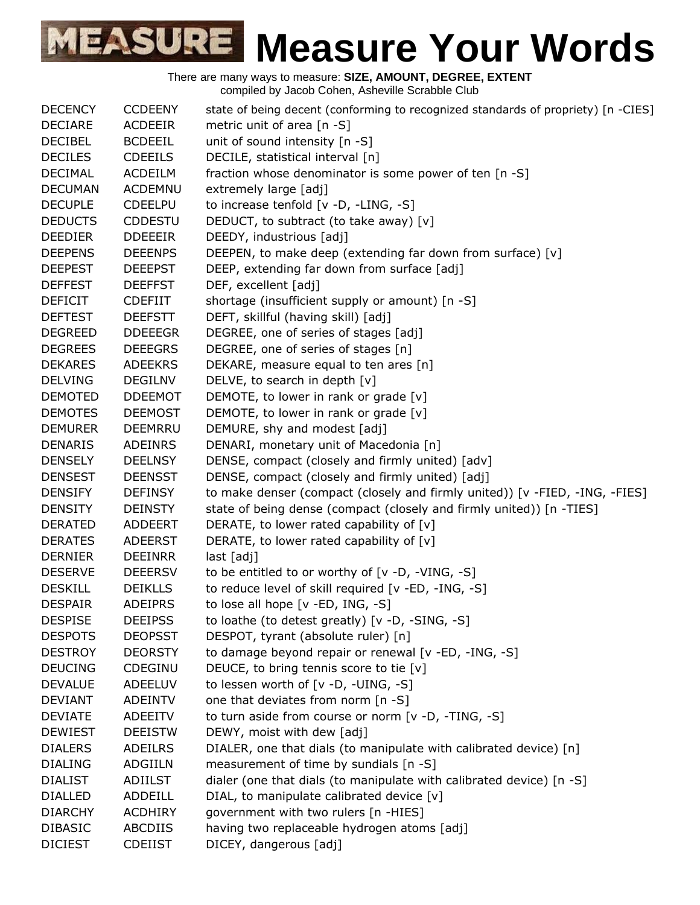| <b>DECENCY</b> | <b>CCDEENY</b> | state of being decent (conforming to recognized standards of propriety) [n -CIES] |
|----------------|----------------|-----------------------------------------------------------------------------------|
| <b>DECIARE</b> | <b>ACDEEIR</b> | metric unit of area $[n - S]$                                                     |
| <b>DECIBEL</b> | <b>BCDEEIL</b> | unit of sound intensity [n -S]                                                    |
| <b>DECILES</b> | <b>CDEEILS</b> | DECILE, statistical interval [n]                                                  |
| <b>DECIMAL</b> | <b>ACDEILM</b> | fraction whose denominator is some power of ten [n -S]                            |
| <b>DECUMAN</b> | ACDEMNU        | extremely large [adj]                                                             |
| <b>DECUPLE</b> | <b>CDEELPU</b> | to increase tenfold [v -D, -LING, -S]                                             |
| <b>DEDUCTS</b> | <b>CDDESTU</b> | DEDUCT, to subtract (to take away) [v]                                            |
| <b>DEEDIER</b> | <b>DDEEEIR</b> | DEEDY, industrious [adj]                                                          |
| <b>DEEPENS</b> | <b>DEEENPS</b> | DEEPEN, to make deep (extending far down from surface) [v]                        |
| <b>DEEPEST</b> | <b>DEEEPST</b> | DEEP, extending far down from surface [adj]                                       |
| <b>DEFFEST</b> | <b>DEEFFST</b> | DEF, excellent [adj]                                                              |
| <b>DEFICIT</b> | <b>CDEFIIT</b> | shortage (insufficient supply or amount) [n -S]                                   |
| <b>DEFTEST</b> | <b>DEEFSTT</b> | DEFT, skillful (having skill) [adj]                                               |
| <b>DEGREED</b> | <b>DDEEEGR</b> | DEGREE, one of series of stages [adj]                                             |
| <b>DEGREES</b> | <b>DEEEGRS</b> | DEGREE, one of series of stages [n]                                               |
| <b>DEKARES</b> | <b>ADEEKRS</b> | DEKARE, measure equal to ten ares [n]                                             |
| <b>DELVING</b> | <b>DEGILNV</b> | DELVE, to search in depth [v]                                                     |
| <b>DEMOTED</b> | <b>DDEEMOT</b> | DEMOTE, to lower in rank or grade [v]                                             |
| <b>DEMOTES</b> | <b>DEEMOST</b> | DEMOTE, to lower in rank or grade [v]                                             |
| <b>DEMURER</b> | <b>DEEMRRU</b> | DEMURE, shy and modest [adj]                                                      |
| <b>DENARIS</b> | <b>ADEINRS</b> | DENARI, monetary unit of Macedonia [n]                                            |
| <b>DENSELY</b> | <b>DEELNSY</b> | DENSE, compact (closely and firmly united) [adv]                                  |
| <b>DENSEST</b> | <b>DEENSST</b> | DENSE, compact (closely and firmly united) [adj]                                  |
| <b>DENSIFY</b> | <b>DEFINSY</b> | to make denser (compact (closely and firmly united)) [v -FIED, -ING, -FIES]       |
| <b>DENSITY</b> | <b>DEINSTY</b> | state of being dense (compact (closely and firmly united)) [n -TIES]              |
| <b>DERATED</b> | ADDEERT        | DERATE, to lower rated capability of [v]                                          |
| <b>DERATES</b> | <b>ADEERST</b> | DERATE, to lower rated capability of [v]                                          |
| <b>DERNIER</b> | <b>DEEINRR</b> | last [adj]                                                                        |
| <b>DESERVE</b> | <b>DEEERSV</b> | to be entitled to or worthy of $[v -D, -VING, -S]$                                |
| <b>DESKILL</b> | <b>DEIKLLS</b> | to reduce level of skill required [v -ED, -ING, -S]                               |
| <b>DESPAIR</b> | <b>ADEIPRS</b> | to lose all hope $[v - ED, ING, -S]$                                              |
| <b>DESPISE</b> | <b>DEEIPSS</b> | to loathe (to detest greatly) [v -D, -SING, -S]                                   |
| <b>DESPOTS</b> | <b>DEOPSST</b> | DESPOT, tyrant (absolute ruler) [n]                                               |
| <b>DESTROY</b> | <b>DEORSTY</b> | to damage beyond repair or renewal [v -ED, -ING, -S]                              |
| <b>DEUCING</b> | CDEGINU        | DEUCE, to bring tennis score to tie [v]                                           |
| <b>DEVALUE</b> | ADEELUV        | to lessen worth of [v -D, -UING, -S]                                              |
| <b>DEVIANT</b> | <b>ADEINTV</b> | one that deviates from norm [n -S]                                                |
| <b>DEVIATE</b> | ADEEITV        | to turn aside from course or norm [v -D, -TING, -S]                               |
| <b>DEWIEST</b> | <b>DEEISTW</b> | DEWY, moist with dew [adj]                                                        |
| <b>DIALERS</b> | ADEILRS        | DIALER, one that dials (to manipulate with calibrated device) [n]                 |
| <b>DIALING</b> | ADGIILN        | measurement of time by sundials [n -S]                                            |
| <b>DIALIST</b> | ADIILST        | dialer (one that dials (to manipulate with calibrated device) [n -S]              |
| <b>DIALLED</b> | ADDEILL        | DIAL, to manipulate calibrated device [v]                                         |
| <b>DIARCHY</b> | <b>ACDHIRY</b> | government with two rulers [n -HIES]                                              |
| <b>DIBASIC</b> | ABCDIIS        | having two replaceable hydrogen atoms [adj]                                       |
| <b>DICIEST</b> | <b>CDEIIST</b> | DICEY, dangerous [adj]                                                            |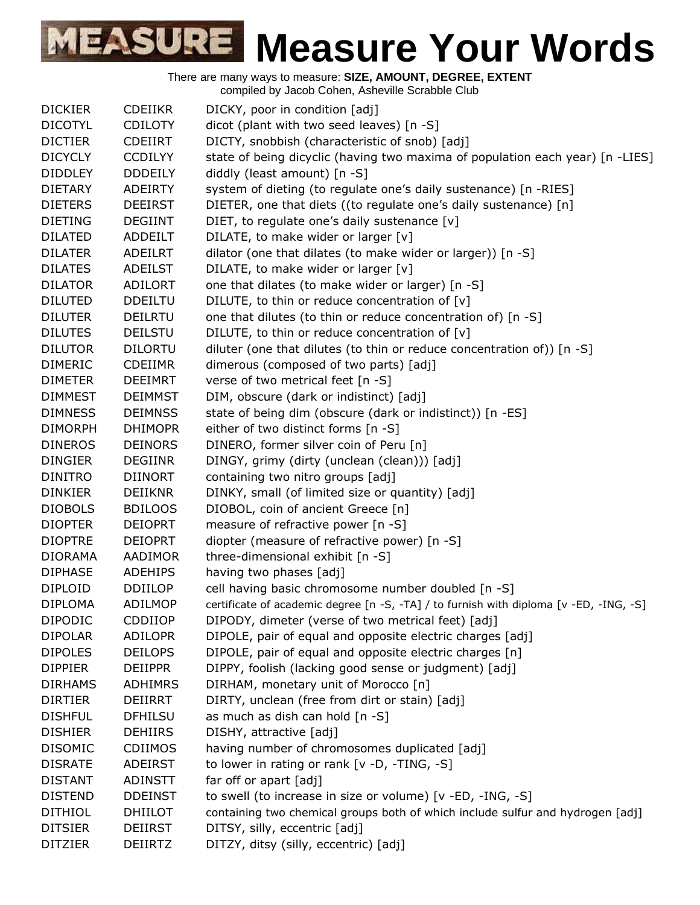|                |                | complied by Jacob Conen, Asheville Octabble Club                                       |
|----------------|----------------|----------------------------------------------------------------------------------------|
| <b>DICKIER</b> | <b>CDEIIKR</b> | DICKY, poor in condition [adj]                                                         |
| <b>DICOTYL</b> | <b>CDILOTY</b> | dicot (plant with two seed leaves) [n -S]                                              |
| <b>DICTIER</b> | <b>CDEIIRT</b> | DICTY, snobbish (characteristic of snob) [adj]                                         |
| <b>DICYCLY</b> | <b>CCDILYY</b> | state of being dicyclic (having two maxima of population each year) [n -LIES]          |
| <b>DIDDLEY</b> | <b>DDDEILY</b> | diddly (least amount) [n -S]                                                           |
| <b>DIETARY</b> | <b>ADEIRTY</b> | system of dieting (to regulate one's daily sustenance) [n -RIES]                       |
| <b>DIETERS</b> | <b>DEEIRST</b> | DIETER, one that diets ((to regulate one's daily sustenance) [n]                       |
| <b>DIETING</b> | <b>DEGIINT</b> | DIET, to regulate one's daily sustenance [v]                                           |
| <b>DILATED</b> | <b>ADDEILT</b> | DILATE, to make wider or larger [v]                                                    |
| <b>DILATER</b> | ADEILRT        | dilator (one that dilates (to make wider or larger)) [n -S]                            |
| <b>DILATES</b> | ADEILST        | DILATE, to make wider or larger [v]                                                    |
| <b>DILATOR</b> | <b>ADILORT</b> | one that dilates (to make wider or larger) [n -S]                                      |
| <b>DILUTED</b> | <b>DDEILTU</b> | DILUTE, to thin or reduce concentration of [v]                                         |
| <b>DILUTER</b> | <b>DEILRTU</b> | one that dilutes (to thin or reduce concentration of) [n -S]                           |
| <b>DILUTES</b> | <b>DEILSTU</b> | DILUTE, to thin or reduce concentration of [v]                                         |
| <b>DILUTOR</b> | <b>DILORTU</b> | diluter (one that dilutes (to thin or reduce concentration of)) [n -S]                 |
| <b>DIMERIC</b> | <b>CDEIIMR</b> | dimerous (composed of two parts) [adj]                                                 |
| <b>DIMETER</b> | <b>DEEIMRT</b> | verse of two metrical feet [n -S]                                                      |
| <b>DIMMEST</b> | <b>DEIMMST</b> | DIM, obscure (dark or indistinct) [adj]                                                |
| <b>DIMNESS</b> | <b>DEIMNSS</b> | state of being dim (obscure (dark or indistinct)) [n -ES]                              |
| <b>DIMORPH</b> | <b>DHIMOPR</b> | either of two distinct forms [n -S]                                                    |
| <b>DINEROS</b> | <b>DEINORS</b> | DINERO, former silver coin of Peru [n]                                                 |
| <b>DINGIER</b> | <b>DEGIINR</b> | DINGY, grimy (dirty (unclean (clean))) [adj]                                           |
| <b>DINITRO</b> | <b>DIINORT</b> | containing two nitro groups [adj]                                                      |
| <b>DINKIER</b> | <b>DEIIKNR</b> | DINKY, small (of limited size or quantity) [adj]                                       |
| <b>DIOBOLS</b> | <b>BDILOOS</b> | DIOBOL, coin of ancient Greece [n]                                                     |
| <b>DIOPTER</b> | <b>DEIOPRT</b> | measure of refractive power [n -S]                                                     |
| <b>DIOPTRE</b> | <b>DEIOPRT</b> | diopter (measure of refractive power) [n -S]                                           |
| <b>DIORAMA</b> | AADIMOR        | three-dimensional exhibit [n -S]                                                       |
| <b>DIPHASE</b> | <b>ADEHIPS</b> | having two phases [adj]                                                                |
| <b>DIPLOID</b> | <b>DDIILOP</b> | cell having basic chromosome number doubled [n -S]                                     |
| <b>DIPLOMA</b> | ADILMOP        | certificate of academic degree [n -S, -TA] / to furnish with diploma [v -ED, -ING, -S] |
| <b>DIPODIC</b> | <b>CDDIIOP</b> | DIPODY, dimeter (verse of two metrical feet) [adj]                                     |
| <b>DIPOLAR</b> | <b>ADILOPR</b> | DIPOLE, pair of equal and opposite electric charges [adj]                              |
| <b>DIPOLES</b> | <b>DEILOPS</b> | DIPOLE, pair of equal and opposite electric charges [n]                                |
| <b>DIPPIER</b> | <b>DEIIPPR</b> | DIPPY, foolish (lacking good sense or judgment) [adj]                                  |
| <b>DIRHAMS</b> | <b>ADHIMRS</b> | DIRHAM, monetary unit of Morocco [n]                                                   |
| <b>DIRTIER</b> | DEIIRRT        | DIRTY, unclean (free from dirt or stain) [adj]                                         |
| <b>DISHFUL</b> | <b>DFHILSU</b> | as much as dish can hold [n -S]                                                        |
| <b>DISHIER</b> | <b>DEHIIRS</b> | DISHY, attractive [adj]                                                                |
| <b>DISOMIC</b> | CDIIMOS        | having number of chromosomes duplicated [adj]                                          |
| <b>DISRATE</b> | <b>ADEIRST</b> | to lower in rating or rank [v -D, -TING, -S]                                           |
| <b>DISTANT</b> | <b>ADINSTT</b> | far off or apart [adj]                                                                 |
| <b>DISTEND</b> | <b>DDEINST</b> | to swell (to increase in size or volume) [v -ED, -ING, -S]                             |
| <b>DITHIOL</b> | <b>DHIILOT</b> | containing two chemical groups both of which include sulfur and hydrogen [adj]         |
| <b>DITSIER</b> | <b>DEIIRST</b> | DITSY, silly, eccentric [adj]                                                          |
| <b>DITZIER</b> | <b>DEIIRTZ</b> | DITZY, ditsy (silly, eccentric) [adj]                                                  |
|                |                |                                                                                        |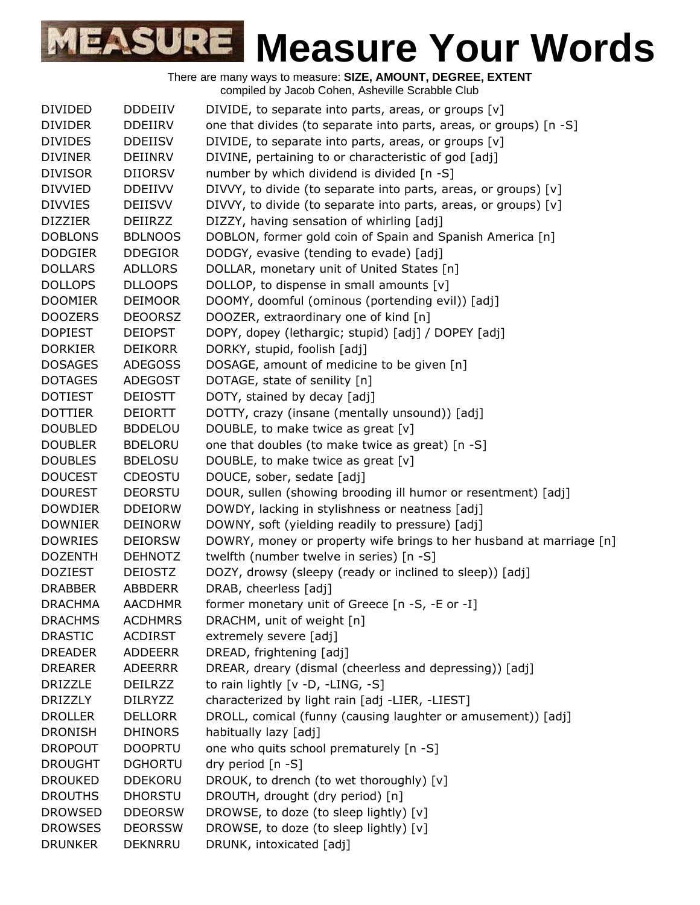| <b>DIVIDED</b><br><b>DDDEIIV</b><br>DIVIDE, to separate into parts, areas, or groups [v]<br><b>DIVIDER</b><br>one that divides (to separate into parts, areas, or groups) [n -S]<br><b>DDEIIRV</b><br><b>DIVIDES</b><br>DIVIDE, to separate into parts, areas, or groups [v]<br><b>DDEIISV</b><br>DIVINE, pertaining to or characteristic of god [adj]<br><b>DIVINER</b><br><b>DEIINRV</b><br><b>DIVISOR</b><br><b>DIIORSV</b><br>number by which dividend is divided [n -S]<br><b>DIVVIED</b><br><b>DDEIIVV</b><br>DIVVY, to divide (to separate into parts, areas, or groups) [v]<br>DIVVY, to divide (to separate into parts, areas, or groups) [v]<br><b>DIVVIES</b><br><b>DEIISVV</b><br><b>DIZZIER</b><br>DIZZY, having sensation of whirling [adj]<br><b>DEIIRZZ</b><br><b>DOBLONS</b><br><b>BDLNOOS</b><br>DOBLON, former gold coin of Spain and Spanish America [n]<br><b>DODGIER</b><br><b>DDEGIOR</b><br>DODGY, evasive (tending to evade) [adj]<br>DOLLAR, monetary unit of United States [n]<br><b>DOLLARS</b><br><b>ADLLORS</b><br><b>DOLLOPS</b><br><b>DLLOOPS</b><br>DOLLOP, to dispense in small amounts [v]<br>DOOMY, doomful (ominous (portending evil)) [adj]<br><b>DOOMIER</b><br><b>DEIMOOR</b><br><b>DOOZERS</b><br><b>DEOORSZ</b><br>DOOZER, extraordinary one of kind [n]<br><b>DOPIEST</b><br><b>DEIOPST</b><br>DOPY, dopey (lethargic; stupid) [adj] / DOPEY [adj]<br>DORKY, stupid, foolish [adj]<br><b>DORKIER</b><br><b>DEIKORR</b><br>DOSAGE, amount of medicine to be given [n]<br><b>DOSAGES</b><br><b>ADEGOSS</b><br>DOTAGE, state of senility [n]<br><b>DOTAGES</b><br><b>ADEGOST</b><br><b>DOTIEST</b><br>DOTY, stained by decay [adj]<br>DEIOSTT<br><b>DOTTIER</b><br><b>DEIORTT</b><br>DOTTY, crazy (insane (mentally unsound)) [adj]<br><b>DOUBLED</b><br>DOUBLE, to make twice as great [v]<br><b>BDDELOU</b><br>one that doubles (to make twice as great) [n -S]<br><b>DOUBLER</b><br><b>BDELORU</b><br><b>DOUBLES</b><br><b>BDELOSU</b><br>DOUBLE, to make twice as great [v]<br>DOUCE, sober, sedate [adj]<br><b>DOUCEST</b><br><b>CDEOSTU</b><br><b>DOUREST</b><br>DOUR, sullen (showing brooding ill humor or resentment) [adj]<br><b>DEORSTU</b><br><b>DOWDIER</b><br>DOWDY, lacking in stylishness or neatness [adj]<br><b>DDEIORW</b><br><b>DOWNIER</b><br>DOWNY, soft (yielding readily to pressure) [adj]<br><b>DEINORW</b><br>DOWRY, money or property wife brings to her husband at marriage [n]<br><b>DOWRIES</b><br><b>DEIORSW</b><br>twelfth (number twelve in series) [n -S]<br><b>DOZENTH</b><br><b>DEHNOTZ</b><br><b>DOZIEST</b><br><b>DEIOSTZ</b><br>DOZY, drowsy (sleepy (ready or inclined to sleep)) [adj]<br>DRAB, cheerless [adj]<br><b>DRABBER</b><br><b>ABBDERR</b><br><b>DRACHMA</b><br><b>AACDHMR</b><br>former monetary unit of Greece [n -S, -E or -I]<br><b>ACDHMRS</b><br>DRACHM, unit of weight [n]<br><b>DRACHMS</b><br>extremely severe [adj]<br><b>DRASTIC</b><br><b>ACDIRST</b><br>DREAD, frightening [adj]<br><b>DREADER</b><br><b>ADDEERR</b><br><b>DREARER</b><br><b>ADEERRR</b><br>DREAR, dreary (dismal (cheerless and depressing)) [adj]<br>to rain lightly [v -D, -LING, -S]<br><b>DRIZZLE</b><br>DEILRZZ<br>characterized by light rain [adj -LIER, -LIEST]<br><b>DRIZZLY</b><br><b>DILRYZZ</b><br>DROLL, comical (funny (causing laughter or amusement)) [adj]<br><b>DROLLER</b><br><b>DELLORR</b><br>habitually lazy [adj]<br><b>DRONISH</b><br><b>DHINORS</b><br><b>DROPOUT</b><br><b>DOOPRTU</b><br>one who quits school prematurely [n -S]<br><b>DROUGHT</b><br><b>DGHORTU</b><br>dry period [n -S]<br>DROUK, to drench (to wet thoroughly) [v]<br><b>DROUKED</b><br><b>DDEKORU</b><br>DROUTH, drought (dry period) [n]<br><b>DROUTHS</b><br><b>DHORSTU</b><br>DROWSE, to doze (to sleep lightly) [v]<br><b>DROWSED</b><br><b>DDEORSW</b><br>DROWSE, to doze (to sleep lightly) [v]<br><b>DROWSES</b><br><b>DEORSSW</b><br><b>DRUNKER</b><br>DRUNK, intoxicated [adj]<br><b>DEKNRRU</b> |  |  |
|-----------------------------------------------------------------------------------------------------------------------------------------------------------------------------------------------------------------------------------------------------------------------------------------------------------------------------------------------------------------------------------------------------------------------------------------------------------------------------------------------------------------------------------------------------------------------------------------------------------------------------------------------------------------------------------------------------------------------------------------------------------------------------------------------------------------------------------------------------------------------------------------------------------------------------------------------------------------------------------------------------------------------------------------------------------------------------------------------------------------------------------------------------------------------------------------------------------------------------------------------------------------------------------------------------------------------------------------------------------------------------------------------------------------------------------------------------------------------------------------------------------------------------------------------------------------------------------------------------------------------------------------------------------------------------------------------------------------------------------------------------------------------------------------------------------------------------------------------------------------------------------------------------------------------------------------------------------------------------------------------------------------------------------------------------------------------------------------------------------------------------------------------------------------------------------------------------------------------------------------------------------------------------------------------------------------------------------------------------------------------------------------------------------------------------------------------------------------------------------------------------------------------------------------------------------------------------------------------------------------------------------------------------------------------------------------------------------------------------------------------------------------------------------------------------------------------------------------------------------------------------------------------------------------------------------------------------------------------------------------------------------------------------------------------------------------------------------------------------------------------------------------------------------------------------------------------------------------------------------------------------------------------------------------------------------------------------------------------------------------------------------------------------------------------------------------------------------------------------------------------------------------------------------------------------------------------------------------------------------------------------------------------------------------------------------------------------------------------------------------------------------------------------------------------------------------------------------------------------------------------------------------------------------------------------------------------------------------------------------|--|--|
|                                                                                                                                                                                                                                                                                                                                                                                                                                                                                                                                                                                                                                                                                                                                                                                                                                                                                                                                                                                                                                                                                                                                                                                                                                                                                                                                                                                                                                                                                                                                                                                                                                                                                                                                                                                                                                                                                                                                                                                                                                                                                                                                                                                                                                                                                                                                                                                                                                                                                                                                                                                                                                                                                                                                                                                                                                                                                                                                                                                                                                                                                                                                                                                                                                                                                                                                                                                                                                                                                                                                                                                                                                                                                                                                                                                                                                                                                                                                                                                   |  |  |
|                                                                                                                                                                                                                                                                                                                                                                                                                                                                                                                                                                                                                                                                                                                                                                                                                                                                                                                                                                                                                                                                                                                                                                                                                                                                                                                                                                                                                                                                                                                                                                                                                                                                                                                                                                                                                                                                                                                                                                                                                                                                                                                                                                                                                                                                                                                                                                                                                                                                                                                                                                                                                                                                                                                                                                                                                                                                                                                                                                                                                                                                                                                                                                                                                                                                                                                                                                                                                                                                                                                                                                                                                                                                                                                                                                                                                                                                                                                                                                                   |  |  |
|                                                                                                                                                                                                                                                                                                                                                                                                                                                                                                                                                                                                                                                                                                                                                                                                                                                                                                                                                                                                                                                                                                                                                                                                                                                                                                                                                                                                                                                                                                                                                                                                                                                                                                                                                                                                                                                                                                                                                                                                                                                                                                                                                                                                                                                                                                                                                                                                                                                                                                                                                                                                                                                                                                                                                                                                                                                                                                                                                                                                                                                                                                                                                                                                                                                                                                                                                                                                                                                                                                                                                                                                                                                                                                                                                                                                                                                                                                                                                                                   |  |  |
|                                                                                                                                                                                                                                                                                                                                                                                                                                                                                                                                                                                                                                                                                                                                                                                                                                                                                                                                                                                                                                                                                                                                                                                                                                                                                                                                                                                                                                                                                                                                                                                                                                                                                                                                                                                                                                                                                                                                                                                                                                                                                                                                                                                                                                                                                                                                                                                                                                                                                                                                                                                                                                                                                                                                                                                                                                                                                                                                                                                                                                                                                                                                                                                                                                                                                                                                                                                                                                                                                                                                                                                                                                                                                                                                                                                                                                                                                                                                                                                   |  |  |
|                                                                                                                                                                                                                                                                                                                                                                                                                                                                                                                                                                                                                                                                                                                                                                                                                                                                                                                                                                                                                                                                                                                                                                                                                                                                                                                                                                                                                                                                                                                                                                                                                                                                                                                                                                                                                                                                                                                                                                                                                                                                                                                                                                                                                                                                                                                                                                                                                                                                                                                                                                                                                                                                                                                                                                                                                                                                                                                                                                                                                                                                                                                                                                                                                                                                                                                                                                                                                                                                                                                                                                                                                                                                                                                                                                                                                                                                                                                                                                                   |  |  |
|                                                                                                                                                                                                                                                                                                                                                                                                                                                                                                                                                                                                                                                                                                                                                                                                                                                                                                                                                                                                                                                                                                                                                                                                                                                                                                                                                                                                                                                                                                                                                                                                                                                                                                                                                                                                                                                                                                                                                                                                                                                                                                                                                                                                                                                                                                                                                                                                                                                                                                                                                                                                                                                                                                                                                                                                                                                                                                                                                                                                                                                                                                                                                                                                                                                                                                                                                                                                                                                                                                                                                                                                                                                                                                                                                                                                                                                                                                                                                                                   |  |  |
|                                                                                                                                                                                                                                                                                                                                                                                                                                                                                                                                                                                                                                                                                                                                                                                                                                                                                                                                                                                                                                                                                                                                                                                                                                                                                                                                                                                                                                                                                                                                                                                                                                                                                                                                                                                                                                                                                                                                                                                                                                                                                                                                                                                                                                                                                                                                                                                                                                                                                                                                                                                                                                                                                                                                                                                                                                                                                                                                                                                                                                                                                                                                                                                                                                                                                                                                                                                                                                                                                                                                                                                                                                                                                                                                                                                                                                                                                                                                                                                   |  |  |
|                                                                                                                                                                                                                                                                                                                                                                                                                                                                                                                                                                                                                                                                                                                                                                                                                                                                                                                                                                                                                                                                                                                                                                                                                                                                                                                                                                                                                                                                                                                                                                                                                                                                                                                                                                                                                                                                                                                                                                                                                                                                                                                                                                                                                                                                                                                                                                                                                                                                                                                                                                                                                                                                                                                                                                                                                                                                                                                                                                                                                                                                                                                                                                                                                                                                                                                                                                                                                                                                                                                                                                                                                                                                                                                                                                                                                                                                                                                                                                                   |  |  |
|                                                                                                                                                                                                                                                                                                                                                                                                                                                                                                                                                                                                                                                                                                                                                                                                                                                                                                                                                                                                                                                                                                                                                                                                                                                                                                                                                                                                                                                                                                                                                                                                                                                                                                                                                                                                                                                                                                                                                                                                                                                                                                                                                                                                                                                                                                                                                                                                                                                                                                                                                                                                                                                                                                                                                                                                                                                                                                                                                                                                                                                                                                                                                                                                                                                                                                                                                                                                                                                                                                                                                                                                                                                                                                                                                                                                                                                                                                                                                                                   |  |  |
|                                                                                                                                                                                                                                                                                                                                                                                                                                                                                                                                                                                                                                                                                                                                                                                                                                                                                                                                                                                                                                                                                                                                                                                                                                                                                                                                                                                                                                                                                                                                                                                                                                                                                                                                                                                                                                                                                                                                                                                                                                                                                                                                                                                                                                                                                                                                                                                                                                                                                                                                                                                                                                                                                                                                                                                                                                                                                                                                                                                                                                                                                                                                                                                                                                                                                                                                                                                                                                                                                                                                                                                                                                                                                                                                                                                                                                                                                                                                                                                   |  |  |
|                                                                                                                                                                                                                                                                                                                                                                                                                                                                                                                                                                                                                                                                                                                                                                                                                                                                                                                                                                                                                                                                                                                                                                                                                                                                                                                                                                                                                                                                                                                                                                                                                                                                                                                                                                                                                                                                                                                                                                                                                                                                                                                                                                                                                                                                                                                                                                                                                                                                                                                                                                                                                                                                                                                                                                                                                                                                                                                                                                                                                                                                                                                                                                                                                                                                                                                                                                                                                                                                                                                                                                                                                                                                                                                                                                                                                                                                                                                                                                                   |  |  |
|                                                                                                                                                                                                                                                                                                                                                                                                                                                                                                                                                                                                                                                                                                                                                                                                                                                                                                                                                                                                                                                                                                                                                                                                                                                                                                                                                                                                                                                                                                                                                                                                                                                                                                                                                                                                                                                                                                                                                                                                                                                                                                                                                                                                                                                                                                                                                                                                                                                                                                                                                                                                                                                                                                                                                                                                                                                                                                                                                                                                                                                                                                                                                                                                                                                                                                                                                                                                                                                                                                                                                                                                                                                                                                                                                                                                                                                                                                                                                                                   |  |  |
|                                                                                                                                                                                                                                                                                                                                                                                                                                                                                                                                                                                                                                                                                                                                                                                                                                                                                                                                                                                                                                                                                                                                                                                                                                                                                                                                                                                                                                                                                                                                                                                                                                                                                                                                                                                                                                                                                                                                                                                                                                                                                                                                                                                                                                                                                                                                                                                                                                                                                                                                                                                                                                                                                                                                                                                                                                                                                                                                                                                                                                                                                                                                                                                                                                                                                                                                                                                                                                                                                                                                                                                                                                                                                                                                                                                                                                                                                                                                                                                   |  |  |
|                                                                                                                                                                                                                                                                                                                                                                                                                                                                                                                                                                                                                                                                                                                                                                                                                                                                                                                                                                                                                                                                                                                                                                                                                                                                                                                                                                                                                                                                                                                                                                                                                                                                                                                                                                                                                                                                                                                                                                                                                                                                                                                                                                                                                                                                                                                                                                                                                                                                                                                                                                                                                                                                                                                                                                                                                                                                                                                                                                                                                                                                                                                                                                                                                                                                                                                                                                                                                                                                                                                                                                                                                                                                                                                                                                                                                                                                                                                                                                                   |  |  |
|                                                                                                                                                                                                                                                                                                                                                                                                                                                                                                                                                                                                                                                                                                                                                                                                                                                                                                                                                                                                                                                                                                                                                                                                                                                                                                                                                                                                                                                                                                                                                                                                                                                                                                                                                                                                                                                                                                                                                                                                                                                                                                                                                                                                                                                                                                                                                                                                                                                                                                                                                                                                                                                                                                                                                                                                                                                                                                                                                                                                                                                                                                                                                                                                                                                                                                                                                                                                                                                                                                                                                                                                                                                                                                                                                                                                                                                                                                                                                                                   |  |  |
|                                                                                                                                                                                                                                                                                                                                                                                                                                                                                                                                                                                                                                                                                                                                                                                                                                                                                                                                                                                                                                                                                                                                                                                                                                                                                                                                                                                                                                                                                                                                                                                                                                                                                                                                                                                                                                                                                                                                                                                                                                                                                                                                                                                                                                                                                                                                                                                                                                                                                                                                                                                                                                                                                                                                                                                                                                                                                                                                                                                                                                                                                                                                                                                                                                                                                                                                                                                                                                                                                                                                                                                                                                                                                                                                                                                                                                                                                                                                                                                   |  |  |
|                                                                                                                                                                                                                                                                                                                                                                                                                                                                                                                                                                                                                                                                                                                                                                                                                                                                                                                                                                                                                                                                                                                                                                                                                                                                                                                                                                                                                                                                                                                                                                                                                                                                                                                                                                                                                                                                                                                                                                                                                                                                                                                                                                                                                                                                                                                                                                                                                                                                                                                                                                                                                                                                                                                                                                                                                                                                                                                                                                                                                                                                                                                                                                                                                                                                                                                                                                                                                                                                                                                                                                                                                                                                                                                                                                                                                                                                                                                                                                                   |  |  |
|                                                                                                                                                                                                                                                                                                                                                                                                                                                                                                                                                                                                                                                                                                                                                                                                                                                                                                                                                                                                                                                                                                                                                                                                                                                                                                                                                                                                                                                                                                                                                                                                                                                                                                                                                                                                                                                                                                                                                                                                                                                                                                                                                                                                                                                                                                                                                                                                                                                                                                                                                                                                                                                                                                                                                                                                                                                                                                                                                                                                                                                                                                                                                                                                                                                                                                                                                                                                                                                                                                                                                                                                                                                                                                                                                                                                                                                                                                                                                                                   |  |  |
|                                                                                                                                                                                                                                                                                                                                                                                                                                                                                                                                                                                                                                                                                                                                                                                                                                                                                                                                                                                                                                                                                                                                                                                                                                                                                                                                                                                                                                                                                                                                                                                                                                                                                                                                                                                                                                                                                                                                                                                                                                                                                                                                                                                                                                                                                                                                                                                                                                                                                                                                                                                                                                                                                                                                                                                                                                                                                                                                                                                                                                                                                                                                                                                                                                                                                                                                                                                                                                                                                                                                                                                                                                                                                                                                                                                                                                                                                                                                                                                   |  |  |
|                                                                                                                                                                                                                                                                                                                                                                                                                                                                                                                                                                                                                                                                                                                                                                                                                                                                                                                                                                                                                                                                                                                                                                                                                                                                                                                                                                                                                                                                                                                                                                                                                                                                                                                                                                                                                                                                                                                                                                                                                                                                                                                                                                                                                                                                                                                                                                                                                                                                                                                                                                                                                                                                                                                                                                                                                                                                                                                                                                                                                                                                                                                                                                                                                                                                                                                                                                                                                                                                                                                                                                                                                                                                                                                                                                                                                                                                                                                                                                                   |  |  |
|                                                                                                                                                                                                                                                                                                                                                                                                                                                                                                                                                                                                                                                                                                                                                                                                                                                                                                                                                                                                                                                                                                                                                                                                                                                                                                                                                                                                                                                                                                                                                                                                                                                                                                                                                                                                                                                                                                                                                                                                                                                                                                                                                                                                                                                                                                                                                                                                                                                                                                                                                                                                                                                                                                                                                                                                                                                                                                                                                                                                                                                                                                                                                                                                                                                                                                                                                                                                                                                                                                                                                                                                                                                                                                                                                                                                                                                                                                                                                                                   |  |  |
|                                                                                                                                                                                                                                                                                                                                                                                                                                                                                                                                                                                                                                                                                                                                                                                                                                                                                                                                                                                                                                                                                                                                                                                                                                                                                                                                                                                                                                                                                                                                                                                                                                                                                                                                                                                                                                                                                                                                                                                                                                                                                                                                                                                                                                                                                                                                                                                                                                                                                                                                                                                                                                                                                                                                                                                                                                                                                                                                                                                                                                                                                                                                                                                                                                                                                                                                                                                                                                                                                                                                                                                                                                                                                                                                                                                                                                                                                                                                                                                   |  |  |
|                                                                                                                                                                                                                                                                                                                                                                                                                                                                                                                                                                                                                                                                                                                                                                                                                                                                                                                                                                                                                                                                                                                                                                                                                                                                                                                                                                                                                                                                                                                                                                                                                                                                                                                                                                                                                                                                                                                                                                                                                                                                                                                                                                                                                                                                                                                                                                                                                                                                                                                                                                                                                                                                                                                                                                                                                                                                                                                                                                                                                                                                                                                                                                                                                                                                                                                                                                                                                                                                                                                                                                                                                                                                                                                                                                                                                                                                                                                                                                                   |  |  |
|                                                                                                                                                                                                                                                                                                                                                                                                                                                                                                                                                                                                                                                                                                                                                                                                                                                                                                                                                                                                                                                                                                                                                                                                                                                                                                                                                                                                                                                                                                                                                                                                                                                                                                                                                                                                                                                                                                                                                                                                                                                                                                                                                                                                                                                                                                                                                                                                                                                                                                                                                                                                                                                                                                                                                                                                                                                                                                                                                                                                                                                                                                                                                                                                                                                                                                                                                                                                                                                                                                                                                                                                                                                                                                                                                                                                                                                                                                                                                                                   |  |  |
|                                                                                                                                                                                                                                                                                                                                                                                                                                                                                                                                                                                                                                                                                                                                                                                                                                                                                                                                                                                                                                                                                                                                                                                                                                                                                                                                                                                                                                                                                                                                                                                                                                                                                                                                                                                                                                                                                                                                                                                                                                                                                                                                                                                                                                                                                                                                                                                                                                                                                                                                                                                                                                                                                                                                                                                                                                                                                                                                                                                                                                                                                                                                                                                                                                                                                                                                                                                                                                                                                                                                                                                                                                                                                                                                                                                                                                                                                                                                                                                   |  |  |
|                                                                                                                                                                                                                                                                                                                                                                                                                                                                                                                                                                                                                                                                                                                                                                                                                                                                                                                                                                                                                                                                                                                                                                                                                                                                                                                                                                                                                                                                                                                                                                                                                                                                                                                                                                                                                                                                                                                                                                                                                                                                                                                                                                                                                                                                                                                                                                                                                                                                                                                                                                                                                                                                                                                                                                                                                                                                                                                                                                                                                                                                                                                                                                                                                                                                                                                                                                                                                                                                                                                                                                                                                                                                                                                                                                                                                                                                                                                                                                                   |  |  |
|                                                                                                                                                                                                                                                                                                                                                                                                                                                                                                                                                                                                                                                                                                                                                                                                                                                                                                                                                                                                                                                                                                                                                                                                                                                                                                                                                                                                                                                                                                                                                                                                                                                                                                                                                                                                                                                                                                                                                                                                                                                                                                                                                                                                                                                                                                                                                                                                                                                                                                                                                                                                                                                                                                                                                                                                                                                                                                                                                                                                                                                                                                                                                                                                                                                                                                                                                                                                                                                                                                                                                                                                                                                                                                                                                                                                                                                                                                                                                                                   |  |  |
|                                                                                                                                                                                                                                                                                                                                                                                                                                                                                                                                                                                                                                                                                                                                                                                                                                                                                                                                                                                                                                                                                                                                                                                                                                                                                                                                                                                                                                                                                                                                                                                                                                                                                                                                                                                                                                                                                                                                                                                                                                                                                                                                                                                                                                                                                                                                                                                                                                                                                                                                                                                                                                                                                                                                                                                                                                                                                                                                                                                                                                                                                                                                                                                                                                                                                                                                                                                                                                                                                                                                                                                                                                                                                                                                                                                                                                                                                                                                                                                   |  |  |
|                                                                                                                                                                                                                                                                                                                                                                                                                                                                                                                                                                                                                                                                                                                                                                                                                                                                                                                                                                                                                                                                                                                                                                                                                                                                                                                                                                                                                                                                                                                                                                                                                                                                                                                                                                                                                                                                                                                                                                                                                                                                                                                                                                                                                                                                                                                                                                                                                                                                                                                                                                                                                                                                                                                                                                                                                                                                                                                                                                                                                                                                                                                                                                                                                                                                                                                                                                                                                                                                                                                                                                                                                                                                                                                                                                                                                                                                                                                                                                                   |  |  |
|                                                                                                                                                                                                                                                                                                                                                                                                                                                                                                                                                                                                                                                                                                                                                                                                                                                                                                                                                                                                                                                                                                                                                                                                                                                                                                                                                                                                                                                                                                                                                                                                                                                                                                                                                                                                                                                                                                                                                                                                                                                                                                                                                                                                                                                                                                                                                                                                                                                                                                                                                                                                                                                                                                                                                                                                                                                                                                                                                                                                                                                                                                                                                                                                                                                                                                                                                                                                                                                                                                                                                                                                                                                                                                                                                                                                                                                                                                                                                                                   |  |  |
|                                                                                                                                                                                                                                                                                                                                                                                                                                                                                                                                                                                                                                                                                                                                                                                                                                                                                                                                                                                                                                                                                                                                                                                                                                                                                                                                                                                                                                                                                                                                                                                                                                                                                                                                                                                                                                                                                                                                                                                                                                                                                                                                                                                                                                                                                                                                                                                                                                                                                                                                                                                                                                                                                                                                                                                                                                                                                                                                                                                                                                                                                                                                                                                                                                                                                                                                                                                                                                                                                                                                                                                                                                                                                                                                                                                                                                                                                                                                                                                   |  |  |
|                                                                                                                                                                                                                                                                                                                                                                                                                                                                                                                                                                                                                                                                                                                                                                                                                                                                                                                                                                                                                                                                                                                                                                                                                                                                                                                                                                                                                                                                                                                                                                                                                                                                                                                                                                                                                                                                                                                                                                                                                                                                                                                                                                                                                                                                                                                                                                                                                                                                                                                                                                                                                                                                                                                                                                                                                                                                                                                                                                                                                                                                                                                                                                                                                                                                                                                                                                                                                                                                                                                                                                                                                                                                                                                                                                                                                                                                                                                                                                                   |  |  |
|                                                                                                                                                                                                                                                                                                                                                                                                                                                                                                                                                                                                                                                                                                                                                                                                                                                                                                                                                                                                                                                                                                                                                                                                                                                                                                                                                                                                                                                                                                                                                                                                                                                                                                                                                                                                                                                                                                                                                                                                                                                                                                                                                                                                                                                                                                                                                                                                                                                                                                                                                                                                                                                                                                                                                                                                                                                                                                                                                                                                                                                                                                                                                                                                                                                                                                                                                                                                                                                                                                                                                                                                                                                                                                                                                                                                                                                                                                                                                                                   |  |  |
|                                                                                                                                                                                                                                                                                                                                                                                                                                                                                                                                                                                                                                                                                                                                                                                                                                                                                                                                                                                                                                                                                                                                                                                                                                                                                                                                                                                                                                                                                                                                                                                                                                                                                                                                                                                                                                                                                                                                                                                                                                                                                                                                                                                                                                                                                                                                                                                                                                                                                                                                                                                                                                                                                                                                                                                                                                                                                                                                                                                                                                                                                                                                                                                                                                                                                                                                                                                                                                                                                                                                                                                                                                                                                                                                                                                                                                                                                                                                                                                   |  |  |
|                                                                                                                                                                                                                                                                                                                                                                                                                                                                                                                                                                                                                                                                                                                                                                                                                                                                                                                                                                                                                                                                                                                                                                                                                                                                                                                                                                                                                                                                                                                                                                                                                                                                                                                                                                                                                                                                                                                                                                                                                                                                                                                                                                                                                                                                                                                                                                                                                                                                                                                                                                                                                                                                                                                                                                                                                                                                                                                                                                                                                                                                                                                                                                                                                                                                                                                                                                                                                                                                                                                                                                                                                                                                                                                                                                                                                                                                                                                                                                                   |  |  |
|                                                                                                                                                                                                                                                                                                                                                                                                                                                                                                                                                                                                                                                                                                                                                                                                                                                                                                                                                                                                                                                                                                                                                                                                                                                                                                                                                                                                                                                                                                                                                                                                                                                                                                                                                                                                                                                                                                                                                                                                                                                                                                                                                                                                                                                                                                                                                                                                                                                                                                                                                                                                                                                                                                                                                                                                                                                                                                                                                                                                                                                                                                                                                                                                                                                                                                                                                                                                                                                                                                                                                                                                                                                                                                                                                                                                                                                                                                                                                                                   |  |  |
|                                                                                                                                                                                                                                                                                                                                                                                                                                                                                                                                                                                                                                                                                                                                                                                                                                                                                                                                                                                                                                                                                                                                                                                                                                                                                                                                                                                                                                                                                                                                                                                                                                                                                                                                                                                                                                                                                                                                                                                                                                                                                                                                                                                                                                                                                                                                                                                                                                                                                                                                                                                                                                                                                                                                                                                                                                                                                                                                                                                                                                                                                                                                                                                                                                                                                                                                                                                                                                                                                                                                                                                                                                                                                                                                                                                                                                                                                                                                                                                   |  |  |
|                                                                                                                                                                                                                                                                                                                                                                                                                                                                                                                                                                                                                                                                                                                                                                                                                                                                                                                                                                                                                                                                                                                                                                                                                                                                                                                                                                                                                                                                                                                                                                                                                                                                                                                                                                                                                                                                                                                                                                                                                                                                                                                                                                                                                                                                                                                                                                                                                                                                                                                                                                                                                                                                                                                                                                                                                                                                                                                                                                                                                                                                                                                                                                                                                                                                                                                                                                                                                                                                                                                                                                                                                                                                                                                                                                                                                                                                                                                                                                                   |  |  |
|                                                                                                                                                                                                                                                                                                                                                                                                                                                                                                                                                                                                                                                                                                                                                                                                                                                                                                                                                                                                                                                                                                                                                                                                                                                                                                                                                                                                                                                                                                                                                                                                                                                                                                                                                                                                                                                                                                                                                                                                                                                                                                                                                                                                                                                                                                                                                                                                                                                                                                                                                                                                                                                                                                                                                                                                                                                                                                                                                                                                                                                                                                                                                                                                                                                                                                                                                                                                                                                                                                                                                                                                                                                                                                                                                                                                                                                                                                                                                                                   |  |  |
|                                                                                                                                                                                                                                                                                                                                                                                                                                                                                                                                                                                                                                                                                                                                                                                                                                                                                                                                                                                                                                                                                                                                                                                                                                                                                                                                                                                                                                                                                                                                                                                                                                                                                                                                                                                                                                                                                                                                                                                                                                                                                                                                                                                                                                                                                                                                                                                                                                                                                                                                                                                                                                                                                                                                                                                                                                                                                                                                                                                                                                                                                                                                                                                                                                                                                                                                                                                                                                                                                                                                                                                                                                                                                                                                                                                                                                                                                                                                                                                   |  |  |
|                                                                                                                                                                                                                                                                                                                                                                                                                                                                                                                                                                                                                                                                                                                                                                                                                                                                                                                                                                                                                                                                                                                                                                                                                                                                                                                                                                                                                                                                                                                                                                                                                                                                                                                                                                                                                                                                                                                                                                                                                                                                                                                                                                                                                                                                                                                                                                                                                                                                                                                                                                                                                                                                                                                                                                                                                                                                                                                                                                                                                                                                                                                                                                                                                                                                                                                                                                                                                                                                                                                                                                                                                                                                                                                                                                                                                                                                                                                                                                                   |  |  |
|                                                                                                                                                                                                                                                                                                                                                                                                                                                                                                                                                                                                                                                                                                                                                                                                                                                                                                                                                                                                                                                                                                                                                                                                                                                                                                                                                                                                                                                                                                                                                                                                                                                                                                                                                                                                                                                                                                                                                                                                                                                                                                                                                                                                                                                                                                                                                                                                                                                                                                                                                                                                                                                                                                                                                                                                                                                                                                                                                                                                                                                                                                                                                                                                                                                                                                                                                                                                                                                                                                                                                                                                                                                                                                                                                                                                                                                                                                                                                                                   |  |  |
|                                                                                                                                                                                                                                                                                                                                                                                                                                                                                                                                                                                                                                                                                                                                                                                                                                                                                                                                                                                                                                                                                                                                                                                                                                                                                                                                                                                                                                                                                                                                                                                                                                                                                                                                                                                                                                                                                                                                                                                                                                                                                                                                                                                                                                                                                                                                                                                                                                                                                                                                                                                                                                                                                                                                                                                                                                                                                                                                                                                                                                                                                                                                                                                                                                                                                                                                                                                                                                                                                                                                                                                                                                                                                                                                                                                                                                                                                                                                                                                   |  |  |
|                                                                                                                                                                                                                                                                                                                                                                                                                                                                                                                                                                                                                                                                                                                                                                                                                                                                                                                                                                                                                                                                                                                                                                                                                                                                                                                                                                                                                                                                                                                                                                                                                                                                                                                                                                                                                                                                                                                                                                                                                                                                                                                                                                                                                                                                                                                                                                                                                                                                                                                                                                                                                                                                                                                                                                                                                                                                                                                                                                                                                                                                                                                                                                                                                                                                                                                                                                                                                                                                                                                                                                                                                                                                                                                                                                                                                                                                                                                                                                                   |  |  |
|                                                                                                                                                                                                                                                                                                                                                                                                                                                                                                                                                                                                                                                                                                                                                                                                                                                                                                                                                                                                                                                                                                                                                                                                                                                                                                                                                                                                                                                                                                                                                                                                                                                                                                                                                                                                                                                                                                                                                                                                                                                                                                                                                                                                                                                                                                                                                                                                                                                                                                                                                                                                                                                                                                                                                                                                                                                                                                                                                                                                                                                                                                                                                                                                                                                                                                                                                                                                                                                                                                                                                                                                                                                                                                                                                                                                                                                                                                                                                                                   |  |  |
|                                                                                                                                                                                                                                                                                                                                                                                                                                                                                                                                                                                                                                                                                                                                                                                                                                                                                                                                                                                                                                                                                                                                                                                                                                                                                                                                                                                                                                                                                                                                                                                                                                                                                                                                                                                                                                                                                                                                                                                                                                                                                                                                                                                                                                                                                                                                                                                                                                                                                                                                                                                                                                                                                                                                                                                                                                                                                                                                                                                                                                                                                                                                                                                                                                                                                                                                                                                                                                                                                                                                                                                                                                                                                                                                                                                                                                                                                                                                                                                   |  |  |
|                                                                                                                                                                                                                                                                                                                                                                                                                                                                                                                                                                                                                                                                                                                                                                                                                                                                                                                                                                                                                                                                                                                                                                                                                                                                                                                                                                                                                                                                                                                                                                                                                                                                                                                                                                                                                                                                                                                                                                                                                                                                                                                                                                                                                                                                                                                                                                                                                                                                                                                                                                                                                                                                                                                                                                                                                                                                                                                                                                                                                                                                                                                                                                                                                                                                                                                                                                                                                                                                                                                                                                                                                                                                                                                                                                                                                                                                                                                                                                                   |  |  |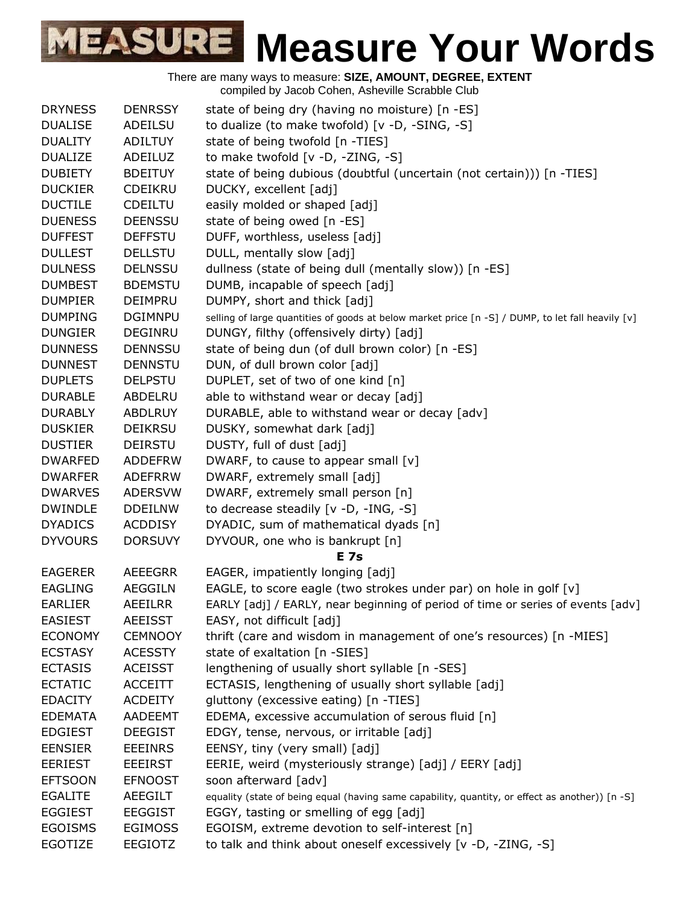There are many ways to measure: **SIZE, AMOUNT, DEGREE, EXTENT** compiled by Jacob Cohen, Asheville Scrabble Club DRYNESS DENRSSY state of being dry (having no moisture) [n -ES] DUALISE ADEILSU to dualize (to make twofold) [v -D, -SING, -S] DUALITY ADILTUY state of being twofold [n -TIES] DUALIZE ADEILUZ to make twofold [v -D, -ZING, -S] DUBIETY BDEITUY state of being dubious (doubtful (uncertain (not certain))) [n -TIES] DUCKIER CDEIKRU DUCKY, excellent [adj] DUCTILE CDEILTU easily molded or shaped [adj] DUENESS DEENSSU state of being owed [n -ES] DUFFEST DEFFSTU DUFF, worthless, useless [adj] DULLEST DELLSTU DULL, mentally slow [adj] DULNESS DELNSSU dullness (state of being dull (mentally slow)) [n -ES] DUMBEST BDEMSTU DUMB, incapable of speech [adj] DUMPIER DEIMPRU DUMPY, short and thick [adj] DUMPING DGIMNPU selling of large quantities of goods at below market price [n -S] / DUMP, to let fall heavily [v] DUNGIER DEGINRU DUNGY, filthy (offensively dirty) [adj] DUNNESS DENNSSU state of being dun (of dull brown color) [n -ES] DUNNEST DENNSTU DUN, of dull brown color [adj] DUPLETS DELPSTU DUPLET, set of two of one kind [n] DURABLE ABDELRU able to withstand wear or decay [adj] DURABLY ABDLRUY DURABLE, able to withstand wear or decay [adv] DUSKIER DEIKRSU DUSKY, somewhat dark [adj] DUSTIER DEIRSTU DUSTY, full of dust [adj] DWARFED ADDEFRW DWARF, to cause to appear small [v] DWARFER ADEFRRW DWARF, extremely small [adj] DWARVES ADERSVW DWARF, extremely small person [n] DWINDLE DDEILNW to decrease steadily [v -D, -ING, -S] DYADICS ACDDISY DYADIC, sum of mathematical dyads [n] DYVOURS DORSUVY DYVOUR, one who is bankrupt [n] **E 7s** EAGERER AEEEGRR EAGER, impatiently longing [adj] EAGLING AEGGILN EAGLE, to score eagle (two strokes under par) on hole in golf [v] EARLIER AEEILRR EARLY [adj] / EARLY, near beginning of period of time or series of events [adv] EASIEST AEEISST EASY, not difficult [adj] ECONOMY CEMNOOY thrift (care and wisdom in management of one's resources) [n -MIES] ECSTASY ACESSTY state of exaltation [n -SIES] ECTASIS ACEISST lengthening of usually short syllable [n -SES] ECTATIC ACCEITT ECTASIS, lengthening of usually short syllable [adj] EDACITY ACDEITY gluttony (excessive eating) [n -TIES] EDEMATA AADEEMT EDEMA, excessive accumulation of serous fluid [n] EDGIEST DEEGIST EDGY, tense, nervous, or irritable [adj] EENSIER EEEINRS EENSY, tiny (very small) [adj] EERIEST EEEIRST EERIE, weird (mysteriously strange) [adj] / EERY [adj] EFTSOON EFNOOST soon afterward [adv] EGALITE AEEGILT equality (state of being equal (having same capability, quantity, or effect as another)) [n -S] EGGIEST EEGGIST EGGY, tasting or smelling of egg [adj] EGOISMS EGIMOSS EGOISM, extreme devotion to self-interest [n] EGOTIZE EEGIOTZ to talk and think about oneself excessively [v -D, -ZING, -S]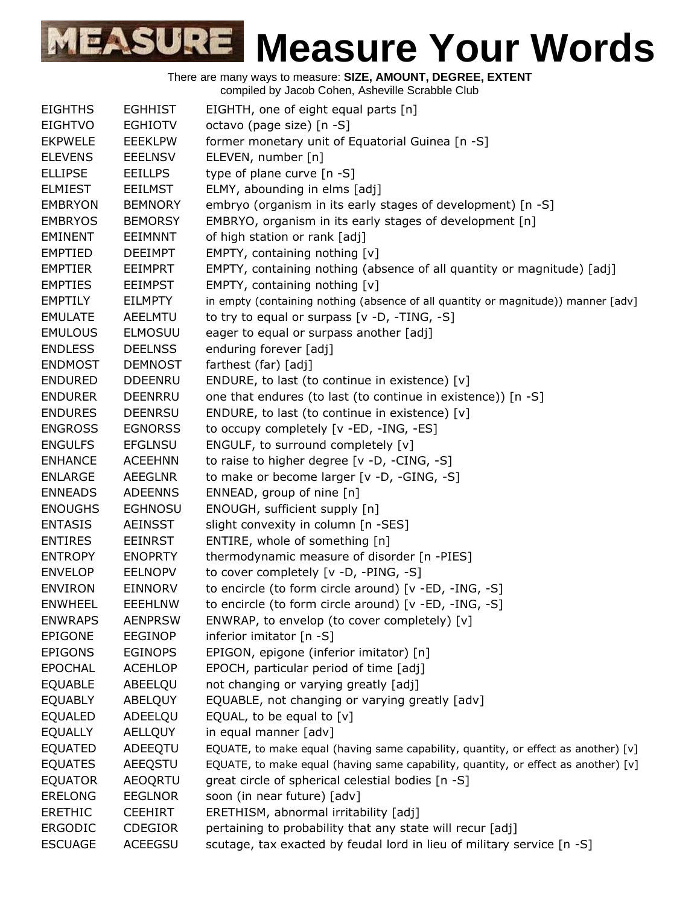| <b>EIGHTHS</b> | <b>EGHHIST</b> | EIGHTH, one of eight equal parts [n]                                               |
|----------------|----------------|------------------------------------------------------------------------------------|
| <b>EIGHTVO</b> | <b>EGHIOTV</b> | octavo (page size) [n -S]                                                          |
| <b>EKPWELE</b> | <b>EEEKLPW</b> | former monetary unit of Equatorial Guinea [n -S]                                   |
| <b>ELEVENS</b> | <b>EEELNSV</b> | ELEVEN, number [n]                                                                 |
| <b>ELLIPSE</b> | <b>EEILLPS</b> | type of plane curve [n -S]                                                         |
| <b>ELMIEST</b> | <b>EEILMST</b> | ELMY, abounding in elms [adj]                                                      |
| <b>EMBRYON</b> | <b>BEMNORY</b> | embryo (organism in its early stages of development) [n -S]                        |
| <b>EMBRYOS</b> | <b>BEMORSY</b> | EMBRYO, organism in its early stages of development [n]                            |
| <b>EMINENT</b> | <b>EEIMNNT</b> | of high station or rank [adj]                                                      |
| <b>EMPTIED</b> | <b>DEEIMPT</b> | EMPTY, containing nothing [v]                                                      |
| <b>EMPTIER</b> | <b>EEIMPRT</b> | EMPTY, containing nothing (absence of all quantity or magnitude) [adj]             |
| <b>EMPTIES</b> | <b>EEIMPST</b> | EMPTY, containing nothing [v]                                                      |
| <b>EMPTILY</b> | EILMPTY        | in empty (containing nothing (absence of all quantity or magnitude)) manner [adv]  |
| <b>EMULATE</b> | AEELMTU        | to try to equal or surpass [v -D, -TING, -S]                                       |
| <b>EMULOUS</b> | <b>ELMOSUU</b> | eager to equal or surpass another [adj]                                            |
| <b>ENDLESS</b> | <b>DEELNSS</b> | enduring forever [adj]                                                             |
| <b>ENDMOST</b> | <b>DEMNOST</b> | farthest (far) [adj]                                                               |
|                |                |                                                                                    |
| <b>ENDURED</b> | <b>DDEENRU</b> | ENDURE, to last (to continue in existence) [v]                                     |
| <b>ENDURER</b> | <b>DEENRRU</b> | one that endures (to last (to continue in existence)) [n -S]                       |
| <b>ENDURES</b> | <b>DEENRSU</b> | ENDURE, to last (to continue in existence) [v]                                     |
| <b>ENGROSS</b> | <b>EGNORSS</b> | to occupy completely [v -ED, -ING, -ES]                                            |
| <b>ENGULFS</b> | <b>EFGLNSU</b> | ENGULF, to surround completely [v]                                                 |
| <b>ENHANCE</b> | <b>ACEEHNN</b> | to raise to higher degree [v -D, -CING, -S]                                        |
| <b>ENLARGE</b> | <b>AEEGLNR</b> | to make or become larger [v -D, -GING, -S]                                         |
| <b>ENNEADS</b> | <b>ADEENNS</b> | ENNEAD, group of nine [n]                                                          |
| <b>ENOUGHS</b> | <b>EGHNOSU</b> | ENOUGH, sufficient supply [n]                                                      |
| <b>ENTASIS</b> | <b>AEINSST</b> | slight convexity in column [n -SES]                                                |
| <b>ENTIRES</b> | <b>EEINRST</b> | ENTIRE, whole of something [n]                                                     |
| <b>ENTROPY</b> | <b>ENOPRTY</b> | thermodynamic measure of disorder [n -PIES]                                        |
| <b>ENVELOP</b> | <b>EELNOPV</b> | to cover completely [v -D, -PING, -S]                                              |
| <b>ENVIRON</b> | <b>EINNORV</b> | to encircle (to form circle around) [v -ED, -ING, -S]                              |
| <b>ENWHEEL</b> | <b>EEEHLNW</b> | to encircle (to form circle around) [v -ED, -ING, -S]                              |
| <b>ENWRAPS</b> | <b>AENPRSW</b> | ENWRAP, to envelop (to cover completely) [v]                                       |
| <b>EPIGONE</b> | <b>EEGINOP</b> | inferior imitator [n -S]                                                           |
| <b>EPIGONS</b> | <b>EGINOPS</b> | EPIGON, epigone (inferior imitator) [n]                                            |
| <b>EPOCHAL</b> | <b>ACEHLOP</b> | EPOCH, particular period of time [adj]                                             |
| <b>EQUABLE</b> | ABEELQU        | not changing or varying greatly [adj]                                              |
| <b>EQUABLY</b> | <b>ABELQUY</b> | EQUABLE, not changing or varying greatly [adv]                                     |
| <b>EQUALED</b> | ADEELQU        | EQUAL, to be equal to $[v]$                                                        |
| <b>EQUALLY</b> |                | in equal manner [adv]                                                              |
|                | <b>AELLQUY</b> |                                                                                    |
| <b>EQUATED</b> | ADEEQTU        | EQUATE, to make equal (having same capability, quantity, or effect as another) [v] |
| <b>EQUATES</b> | AEEQSTU        | EQUATE, to make equal (having same capability, quantity, or effect as another) [v] |
| <b>EQUATOR</b> | <b>AEOQRTU</b> | great circle of spherical celestial bodies [n -S]                                  |
| <b>ERELONG</b> | <b>EEGLNOR</b> | soon (in near future) [adv]                                                        |
| <b>ERETHIC</b> | <b>CEEHIRT</b> | ERETHISM, abnormal irritability [adj]                                              |
| <b>ERGODIC</b> | <b>CDEGIOR</b> | pertaining to probability that any state will recur [adj]                          |
| <b>ESCUAGE</b> | <b>ACEEGSU</b> | scutage, tax exacted by feudal lord in lieu of military service [n -S]             |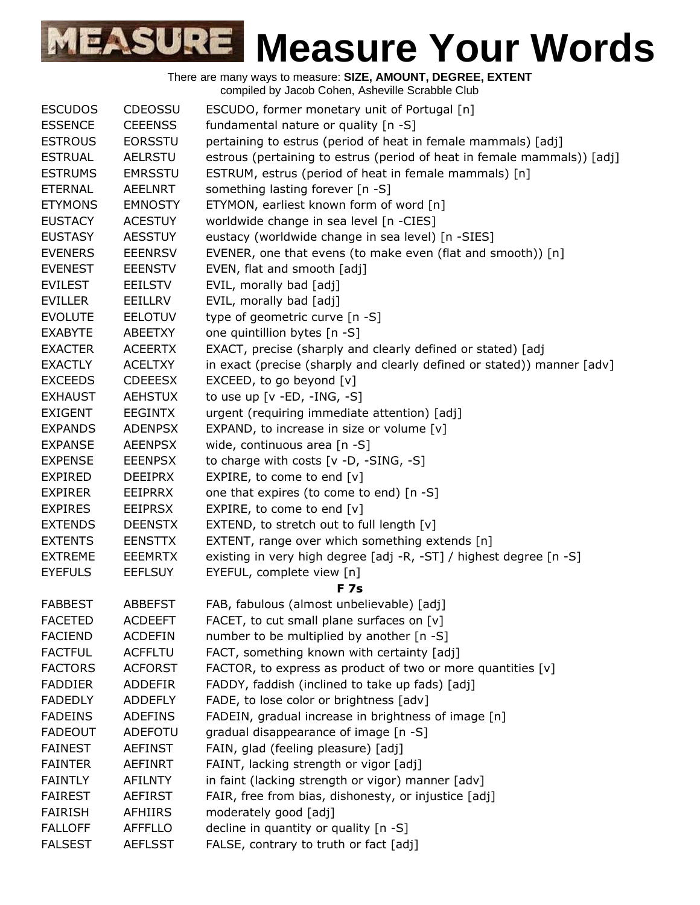| <b>ESCUDOS</b> | <b>CDEOSSU</b> | ESCUDO, former monetary unit of Portugal [n]                            |
|----------------|----------------|-------------------------------------------------------------------------|
| <b>ESSENCE</b> | <b>CEEENSS</b> | fundamental nature or quality [n -S]                                    |
| <b>ESTROUS</b> | <b>EORSSTU</b> | pertaining to estrus (period of heat in female mammals) [adj]           |
| <b>ESTRUAL</b> | <b>AELRSTU</b> | estrous (pertaining to estrus (period of heat in female mammals)) [adj] |
| <b>ESTRUMS</b> | <b>EMRSSTU</b> | ESTRUM, estrus (period of heat in female mammals) [n]                   |
| <b>ETERNAL</b> | AEELNRT        | something lasting forever [n -S]                                        |
| <b>ETYMONS</b> | <b>EMNOSTY</b> | ETYMON, earliest known form of word [n]                                 |
| <b>EUSTACY</b> | <b>ACESTUY</b> | worldwide change in sea level [n -CIES]                                 |
| <b>EUSTASY</b> | <b>AESSTUY</b> | eustacy (worldwide change in sea level) [n -SIES]                       |
| <b>EVENERS</b> | <b>EEENRSV</b> | EVENER, one that evens (to make even (flat and smooth)) [n]             |
| <b>EVENEST</b> | <b>EEENSTV</b> | EVEN, flat and smooth [adj]                                             |
| <b>EVILEST</b> | <b>EEILSTV</b> | EVIL, morally bad [adj]                                                 |
| <b>EVILLER</b> | EEILLRV        | EVIL, morally bad [adj]                                                 |
| <b>EVOLUTE</b> | <b>EELOTUV</b> | type of geometric curve [n -S]                                          |
| <b>EXABYTE</b> | ABEETXY        | one quintillion bytes [n -S]                                            |
| <b>EXACTER</b> | <b>ACEERTX</b> | EXACT, precise (sharply and clearly defined or stated) [adj             |
| <b>EXACTLY</b> | <b>ACELTXY</b> | in exact (precise (sharply and clearly defined or stated)) manner [adv] |
| <b>EXCEEDS</b> | <b>CDEEESX</b> | EXCEED, to go beyond [v]                                                |
| <b>EXHAUST</b> | <b>AEHSTUX</b> | to use up $[v - ED, -ING, -S]$                                          |
| <b>EXIGENT</b> | <b>EEGINTX</b> | urgent (requiring immediate attention) [adj]                            |
| <b>EXPANDS</b> | <b>ADENPSX</b> | EXPAND, to increase in size or volume $[v]$                             |
| <b>EXPANSE</b> | <b>AEENPSX</b> | wide, continuous area [n -S]                                            |
| <b>EXPENSE</b> | <b>EEENPSX</b> | to charge with costs [v -D, -SING, -S]                                  |
| <b>EXPIRED</b> | <b>DEEIPRX</b> | EXPIRE, to come to end $[v]$                                            |
| <b>EXPIRER</b> | <b>EEIPRRX</b> | one that expires (to come to end) [n -S]                                |
| <b>EXPIRES</b> | <b>EEIPRSX</b> | EXPIRE, to come to end [v]                                              |
| <b>EXTENDS</b> | <b>DEENSTX</b> | EXTEND, to stretch out to full length [v]                               |
| <b>EXTENTS</b> | <b>EENSTTX</b> | EXTENT, range over which something extends [n]                          |
| <b>EXTREME</b> | <b>EEEMRTX</b> | existing in very high degree [adj -R, -ST] / highest degree [n -S]      |
| <b>EYEFULS</b> | <b>EEFLSUY</b> | EYEFUL, complete view [n]                                               |
|                |                | <b>F7s</b>                                                              |
| <b>FABBEST</b> | <b>ABBEFST</b> | FAB, fabulous (almost unbelievable) [adj]                               |
| <b>FACETED</b> | <b>ACDEEFT</b> | FACET, to cut small plane surfaces on $[v]$                             |
| <b>FACIEND</b> | <b>ACDEFIN</b> | number to be multiplied by another [n -S]                               |
| <b>FACTFUL</b> | <b>ACFFLTU</b> | FACT, something known with certainty [adj]                              |
| <b>FACTORS</b> | <b>ACFORST</b> | FACTOR, to express as product of two or more quantities [v]             |
| <b>FADDIER</b> | <b>ADDEFIR</b> | FADDY, faddish (inclined to take up fads) [adj]                         |
| <b>FADEDLY</b> | <b>ADDEFLY</b> | FADE, to lose color or brightness [adv]                                 |
| <b>FADEINS</b> | <b>ADEFINS</b> | FADEIN, gradual increase in brightness of image [n]                     |
| <b>FADEOUT</b> | <b>ADEFOTU</b> | gradual disappearance of image [n -S]                                   |
| <b>FAINEST</b> | <b>AEFINST</b> | FAIN, glad (feeling pleasure) [adj]                                     |
| <b>FAINTER</b> | <b>AEFINRT</b> | FAINT, lacking strength or vigor [adj]                                  |
| <b>FAINTLY</b> | <b>AFILNTY</b> | in faint (lacking strength or vigor) manner [adv]                       |
| <b>FAIREST</b> | <b>AEFIRST</b> | FAIR, free from bias, dishonesty, or injustice [adj]                    |
| <b>FAIRISH</b> | <b>AFHIIRS</b> | moderately good [adj]                                                   |
| <b>FALLOFF</b> | <b>AFFFLLO</b> | decline in quantity or quality [n -S]                                   |
| <b>FALSEST</b> | <b>AEFLSST</b> | FALSE, contrary to truth or fact [adj]                                  |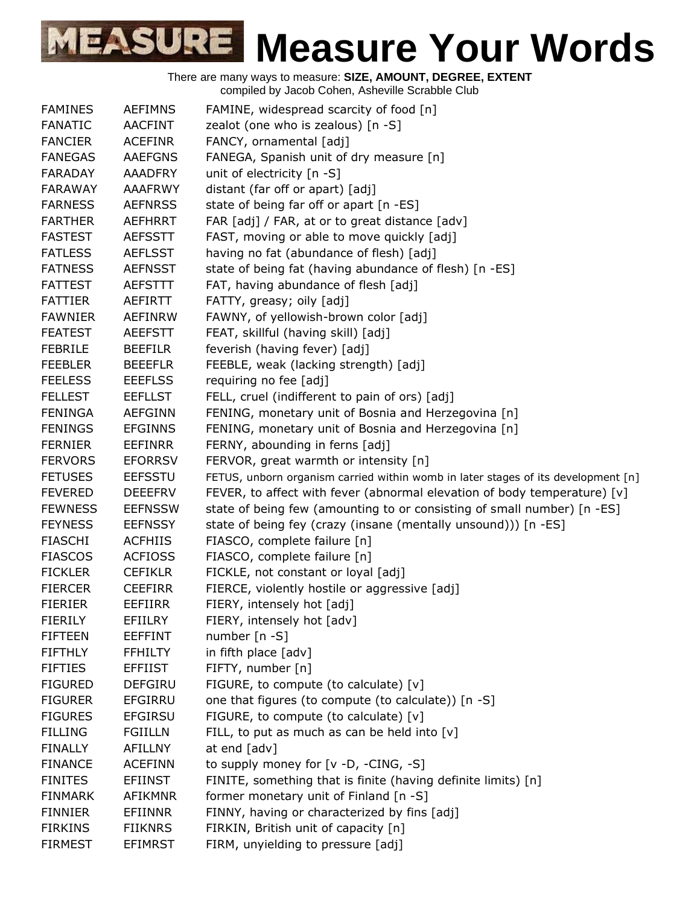| <b>FAMINES</b> | <b>AEFIMNS</b> | FAMINE, widespread scarcity of food [n]                                           |
|----------------|----------------|-----------------------------------------------------------------------------------|
| <b>FANATIC</b> | <b>AACFINT</b> | zealot (one who is zealous) [n -S]                                                |
| <b>FANCIER</b> | <b>ACEFINR</b> | FANCY, ornamental [adj]                                                           |
| <b>FANEGAS</b> | <b>AAEFGNS</b> | FANEGA, Spanish unit of dry measure [n]                                           |
| <b>FARADAY</b> | <b>AAADFRY</b> | unit of electricity $[n - S]$                                                     |
| <b>FARAWAY</b> | <b>AAAFRWY</b> | distant (far off or apart) [adj]                                                  |
| <b>FARNESS</b> | <b>AEFNRSS</b> | state of being far off or apart [n -ES]                                           |
| <b>FARTHER</b> | <b>AEFHRRT</b> | FAR [adj] / FAR, at or to great distance [adv]                                    |
| <b>FASTEST</b> | <b>AEFSSTT</b> | FAST, moving or able to move quickly [adj]                                        |
| <b>FATLESS</b> | <b>AEFLSST</b> | having no fat (abundance of flesh) [adj]                                          |
| <b>FATNESS</b> | <b>AEFNSST</b> | state of being fat (having abundance of flesh) [n -ES]                            |
| <b>FATTEST</b> | <b>AEFSTTT</b> | FAT, having abundance of flesh [adj]                                              |
| <b>FATTIER</b> | AEFIRTT        | FATTY, greasy; oily [adj]                                                         |
| <b>FAWNIER</b> | <b>AEFINRW</b> | FAWNY, of yellowish-brown color [adj]                                             |
| <b>FEATEST</b> | <b>AEEFSTT</b> | FEAT, skillful (having skill) [adj]                                               |
| <b>FEBRILE</b> | <b>BEEFILR</b> | feverish (having fever) [adj]                                                     |
| <b>FEEBLER</b> | <b>BEEEFLR</b> | FEEBLE, weak (lacking strength) [adj]                                             |
| <b>FEELESS</b> | <b>EEEFLSS</b> | requiring no fee [adj]                                                            |
| <b>FELLEST</b> | <b>EEFLLST</b> | FELL, cruel (indifferent to pain of ors) [adj]                                    |
| <b>FENINGA</b> | <b>AEFGINN</b> | FENING, monetary unit of Bosnia and Herzegovina [n]                               |
| <b>FENINGS</b> | <b>EFGINNS</b> | FENING, monetary unit of Bosnia and Herzegovina [n]                               |
| <b>FERNIER</b> | <b>EEFINRR</b> | FERNY, abounding in ferns [adj]                                                   |
| <b>FERVORS</b> | <b>EFORRSV</b> | FERVOR, great warmth or intensity [n]                                             |
| <b>FETUSES</b> | <b>EEFSSTU</b> | FETUS, unborn organism carried within womb in later stages of its development [n] |
| <b>FEVERED</b> | <b>DEEEFRV</b> | FEVER, to affect with fever (abnormal elevation of body temperature) [v]          |
| <b>FEWNESS</b> | <b>EEFNSSW</b> | state of being few (amounting to or consisting of small number) [n -ES]           |
| <b>FEYNESS</b> | <b>EEFNSSY</b> | state of being fey (crazy (insane (mentally unsound))) [n -ES]                    |
| <b>FIASCHI</b> | <b>ACFHIIS</b> | FIASCO, complete failure [n]                                                      |
| <b>FIASCOS</b> | <b>ACFIOSS</b> | FIASCO, complete failure [n]                                                      |
| <b>FICKLER</b> | <b>CEFIKLR</b> | FICKLE, not constant or loyal [adj]                                               |
| <b>FIERCER</b> | <b>CEEFIRR</b> | FIERCE, violently hostile or aggressive [adj]                                     |
| <b>FIERIER</b> | EEFIIRR        | FIERY, intensely hot [adj]                                                        |
| <b>FIERILY</b> | <b>EFIILRY</b> |                                                                                   |
| <b>FIFTEEN</b> | EEFFINT        | FIERY, intensely hot [adv]<br>number [n -S]                                       |
| <b>FIFTHLY</b> |                | in fifth place [adv]                                                              |
|                | <b>FFHILTY</b> |                                                                                   |
| <b>FIFTIES</b> | <b>EFFIIST</b> | FIFTY, number [n]                                                                 |
| <b>FIGURED</b> | <b>DEFGIRU</b> | FIGURE, to compute (to calculate) [v]                                             |
| <b>FIGURER</b> | <b>EFGIRRU</b> | one that figures (to compute (to calculate)) [n -S]                               |
| <b>FIGURES</b> | <b>EFGIRSU</b> | FIGURE, to compute (to calculate) [v]                                             |
| <b>FILLING</b> | <b>FGIILLN</b> | FILL, to put as much as can be held into $[v]$                                    |
| <b>FINALLY</b> | <b>AFILLNY</b> | at end [adv]                                                                      |
| <b>FINANCE</b> | <b>ACEFINN</b> | to supply money for [v -D, -CING, -S]                                             |
| <b>FINITES</b> | <b>EFIINST</b> | FINITE, something that is finite (having definite limits) [n]                     |
| <b>FINMARK</b> | <b>AFIKMNR</b> | former monetary unit of Finland [n -S]                                            |
| <b>FINNIER</b> | <b>EFIINNR</b> | FINNY, having or characterized by fins [adj]                                      |
| <b>FIRKINS</b> | <b>FIIKNRS</b> | FIRKIN, British unit of capacity [n]                                              |
| <b>FIRMEST</b> | <b>EFIMRST</b> | FIRM, unyielding to pressure [adj]                                                |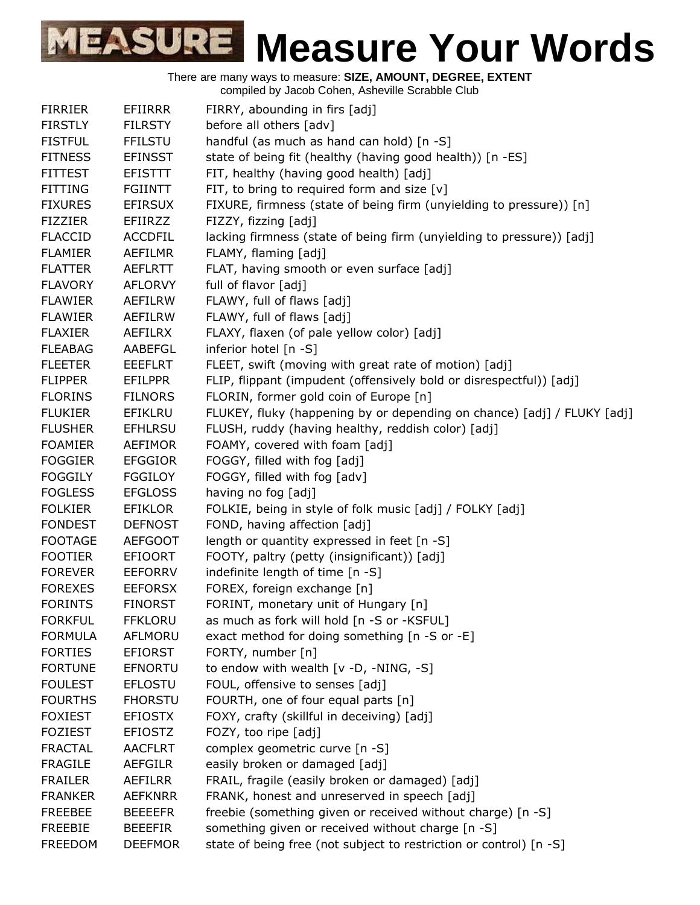| <b>FIRRIER</b> | EFIIRRR        | FIRRY, abounding in firs [adj]                                          |
|----------------|----------------|-------------------------------------------------------------------------|
| <b>FIRSTLY</b> | <b>FILRSTY</b> | before all others [adv]                                                 |
| <b>FISTFUL</b> | <b>FFILSTU</b> | handful (as much as hand can hold) [n -S]                               |
| <b>FITNESS</b> | <b>EFINSST</b> | state of being fit (healthy (having good health)) [n -ES]               |
| <b>FITTEST</b> | <b>EFISTTT</b> | FIT, healthy (having good health) [adj]                                 |
| <b>FITTING</b> | <b>FGIINTT</b> | FIT, to bring to required form and size $[v]$                           |
| <b>FIXURES</b> | <b>EFIRSUX</b> | FIXURE, firmness (state of being firm (unyielding to pressure)) [n]     |
| <b>FIZZIER</b> | <b>EFIIRZZ</b> | FIZZY, fizzing [adj]                                                    |
| <b>FLACCID</b> | <b>ACCDFIL</b> | lacking firmness (state of being firm (unyielding to pressure)) [adj]   |
| <b>FLAMIER</b> | AEFILMR        | FLAMY, flaming [adj]                                                    |
| <b>FLATTER</b> | <b>AEFLRTT</b> | FLAT, having smooth or even surface [adj]                               |
| <b>FLAVORY</b> |                | full of flavor [adj]                                                    |
|                | <b>AFLORVY</b> |                                                                         |
| <b>FLAWIER</b> | AEFILRW        | FLAWY, full of flaws [adj]                                              |
| <b>FLAWIER</b> | <b>AEFILRW</b> | FLAWY, full of flaws [adj]                                              |
| <b>FLAXIER</b> | <b>AEFILRX</b> | FLAXY, flaxen (of pale yellow color) [adj]                              |
| <b>FLEABAG</b> | AABEFGL        | inferior hotel [n -S]                                                   |
| <b>FLEETER</b> | <b>EEEFLRT</b> | FLEET, swift (moving with great rate of motion) [adj]                   |
| <b>FLIPPER</b> | EFILPPR        | FLIP, flippant (impudent (offensively bold or disrespectful)) [adj]     |
| <b>FLORINS</b> | <b>FILNORS</b> | FLORIN, former gold coin of Europe [n]                                  |
| <b>FLUKIER</b> | <b>EFIKLRU</b> | FLUKEY, fluky (happening by or depending on chance) [adj] / FLUKY [adj] |
| <b>FLUSHER</b> | <b>EFHLRSU</b> | FLUSH, ruddy (having healthy, reddish color) [adj]                      |
| <b>FOAMIER</b> | <b>AEFIMOR</b> | FOAMY, covered with foam [adj]                                          |
| <b>FOGGIER</b> | <b>EFGGIOR</b> | FOGGY, filled with fog [adj]                                            |
| <b>FOGGILY</b> | <b>FGGILOY</b> | FOGGY, filled with fog [adv]                                            |
| <b>FOGLESS</b> | <b>EFGLOSS</b> | having no fog [adj]                                                     |
| <b>FOLKIER</b> | <b>EFIKLOR</b> | FOLKIE, being in style of folk music [adj] / FOLKY [adj]                |
| <b>FONDEST</b> | <b>DEFNOST</b> | FOND, having affection [adj]                                            |
| <b>FOOTAGE</b> | <b>AEFGOOT</b> | length or quantity expressed in feet [n -S]                             |
| <b>FOOTIER</b> | <b>EFIOORT</b> | FOOTY, paltry (petty (insignificant)) [adj]                             |
| <b>FOREVER</b> | <b>EEFORRV</b> | indefinite length of time [n -S]                                        |
| <b>FOREXES</b> | <b>EEFORSX</b> | FOREX, foreign exchange [n]                                             |
| <b>FORINTS</b> | <b>FINORST</b> | FORINT, monetary unit of Hungary [n]                                    |
| <b>FORKFUL</b> | <b>FFKLORU</b> | as much as fork will hold [n -S or -KSFUL]                              |
| <b>FORMULA</b> | <b>AFLMORU</b> | exact method for doing something [n -S or -E]                           |
| <b>FORTIES</b> | <b>EFIORST</b> | FORTY, number [n]                                                       |
| <b>FORTUNE</b> | <b>EFNORTU</b> | to endow with wealth [v -D, -NING, -S]                                  |
| <b>FOULEST</b> | <b>EFLOSTU</b> | FOUL, offensive to senses [adj]                                         |
| <b>FOURTHS</b> | <b>FHORSTU</b> | FOURTH, one of four equal parts [n]                                     |
| <b>FOXIEST</b> | <b>EFIOSTX</b> | FOXY, crafty (skillful in deceiving) [adj]                              |
| <b>FOZIEST</b> | <b>EFIOSTZ</b> | FOZY, too ripe [adj]                                                    |
| <b>FRACTAL</b> | <b>AACFLRT</b> | complex geometric curve [n -S]                                          |
| <b>FRAGILE</b> | <b>AEFGILR</b> | easily broken or damaged [adj]                                          |
| <b>FRAILER</b> | <b>AEFILRR</b> | FRAIL, fragile (easily broken or damaged) [adj]                         |
| <b>FRANKER</b> | <b>AEFKNRR</b> | FRANK, honest and unreserved in speech [adj]                            |
|                |                |                                                                         |
| <b>FREEBEE</b> | <b>BEEEEFR</b> | freebie (something given or received without charge) [n -S]             |
| <b>FREEBIE</b> | <b>BEEEFIR</b> | something given or received without charge [n -S]                       |
| <b>FREEDOM</b> | <b>DEEFMOR</b> | state of being free (not subject to restriction or control) [n -S]      |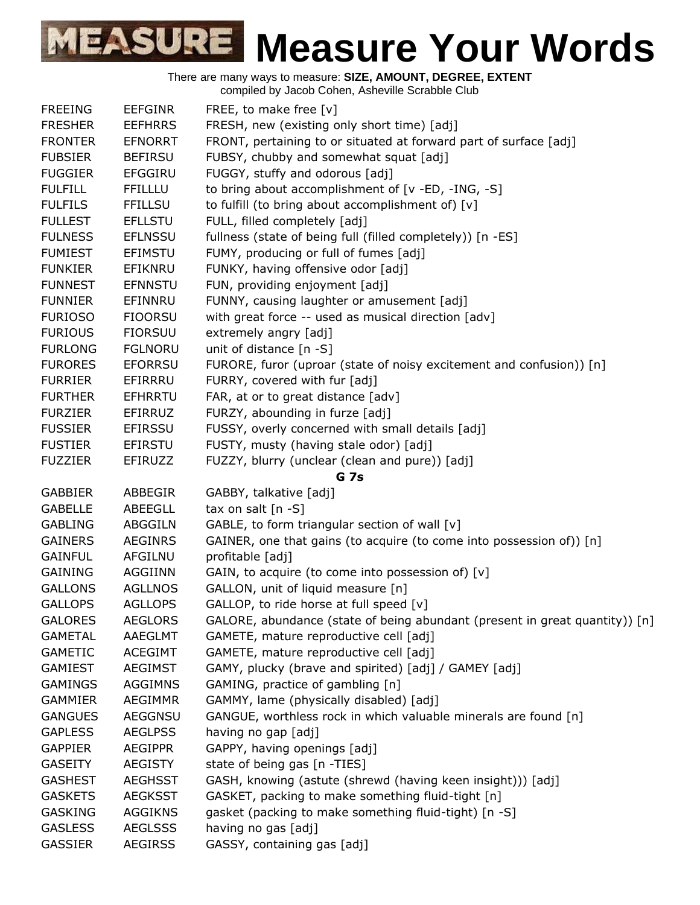There are many ways to measure: **SIZE, AMOUNT, DEGREE, EXTENT**

compiled by Jacob Cohen, Asheville Scrabble Club

| <b>FREEING</b> | <b>EEFGINR</b> | FREE, to make free [v]                                                      |
|----------------|----------------|-----------------------------------------------------------------------------|
| <b>FRESHER</b> | <b>EEFHRRS</b> | FRESH, new (existing only short time) [adj]                                 |
| <b>FRONTER</b> | <b>EFNORRT</b> | FRONT, pertaining to or situated at forward part of surface [adj]           |
| <b>FUBSIER</b> | <b>BEFIRSU</b> | FUBSY, chubby and somewhat squat [adj]                                      |
| <b>FUGGIER</b> | <b>EFGGIRU</b> | FUGGY, stuffy and odorous [adj]                                             |
| <b>FULFILL</b> | <b>FFILLLU</b> | to bring about accomplishment of [v -ED, -ING, -S]                          |
| <b>FULFILS</b> | <b>FFILLSU</b> | to fulfill (to bring about accomplishment of) [v]                           |
| <b>FULLEST</b> | <b>EFLLSTU</b> | FULL, filled completely [adj]                                               |
| <b>FULNESS</b> | <b>EFLNSSU</b> | fullness (state of being full (filled completely)) [n -ES]                  |
| <b>FUMIEST</b> | <b>EFIMSTU</b> | FUMY, producing or full of fumes [adj]                                      |
| <b>FUNKIER</b> | EFIKNRU        | FUNKY, having offensive odor [adj]                                          |
| <b>FUNNEST</b> | <b>EFNNSTU</b> | FUN, providing enjoyment [adj]                                              |
| <b>FUNNIER</b> | EFINNRU        | FUNNY, causing laughter or amusement [adj]                                  |
| <b>FURIOSO</b> | <b>FIOORSU</b> | with great force -- used as musical direction [adv]                         |
| <b>FURIOUS</b> | <b>FIORSUU</b> | extremely angry [adj]                                                       |
| <b>FURLONG</b> | <b>FGLNORU</b> | unit of distance [n -S]                                                     |
| <b>FURORES</b> | <b>EFORRSU</b> | FURORE, furor (uproar (state of noisy excitement and confusion)) [n]        |
| <b>FURRIER</b> | EFIRRRU        | FURRY, covered with fur [adj]                                               |
| <b>FURTHER</b> | <b>EFHRRTU</b> | FAR, at or to great distance [adv]                                          |
|                | EFIRRUZ        | FURZY, abounding in furze [adj]                                             |
| <b>FURZIER</b> |                |                                                                             |
| <b>FUSSIER</b> | <b>EFIRSSU</b> | FUSSY, overly concerned with small details [adj]                            |
| <b>FUSTIER</b> | EFIRSTU        | FUSTY, musty (having stale odor) [adj]                                      |
| <b>FUZZIER</b> | EFIRUZZ        | FUZZY, blurry (unclear (clean and pure)) [adj]                              |
|                |                | G 7s                                                                        |
| <b>GABBIER</b> | ABBEGIR        | GABBY, talkative [adj]                                                      |
| <b>GABELLE</b> | <b>ABEEGLL</b> | tax on salt $[n -S]$                                                        |
| <b>GABLING</b> | ABGGILN        | GABLE, to form triangular section of wall [v]                               |
| <b>GAINERS</b> | <b>AEGINRS</b> | GAINER, one that gains (to acquire (to come into possession of)) [n]        |
| <b>GAINFUL</b> | AFGILNU        | profitable [adj]                                                            |
| <b>GAINING</b> | <b>AGGIINN</b> | GAIN, to acquire (to come into possession of) [v]                           |
| <b>GALLONS</b> | <b>AGLLNOS</b> | GALLON, unit of liquid measure [n]                                          |
| <b>GALLOPS</b> | <b>AGLLOPS</b> | GALLOP, to ride horse at full speed [v]                                     |
| <b>GALORES</b> | <b>AEGLORS</b> | GALORE, abundance (state of being abundant (present in great quantity)) [n] |
| <b>GAMETAL</b> | AAEGLMT        | GAMETE, mature reproductive cell [adj]                                      |
| <b>GAMETIC</b> | <b>ACEGIMT</b> | GAMETE, mature reproductive cell [adj]                                      |
| <b>GAMIEST</b> | <b>AEGIMST</b> | GAMY, plucky (brave and spirited) [adj] / GAMEY [adj]                       |
| <b>GAMINGS</b> | <b>AGGIMNS</b> | GAMING, practice of gambling [n]                                            |
| <b>GAMMIER</b> | <b>AEGIMMR</b> | GAMMY, lame (physically disabled) [adj]                                     |
| <b>GANGUES</b> | <b>AEGGNSU</b> | GANGUE, worthless rock in which valuable minerals are found [n]             |
| <b>GAPLESS</b> | <b>AEGLPSS</b> | having no gap [adj]                                                         |
| <b>GAPPIER</b> | <b>AEGIPPR</b> | GAPPY, having openings [adj]                                                |
| <b>GASEITY</b> | <b>AEGISTY</b> | state of being gas [n -TIES]                                                |
| <b>GASHEST</b> | <b>AEGHSST</b> | GASH, knowing (astute (shrewd (having keen insight))) [adj]                 |
| <b>GASKETS</b> | <b>AEGKSST</b> | GASKET, packing to make something fluid-tight [n]                           |
| <b>GASKING</b> | <b>AGGIKNS</b> | gasket (packing to make something fluid-tight) [n -S]                       |
| <b>GASLESS</b> | <b>AEGLSSS</b> | having no gas [adj]                                                         |
| <b>GASSIER</b> | <b>AEGIRSS</b> | GASSY, containing gas [adj]                                                 |
|                |                |                                                                             |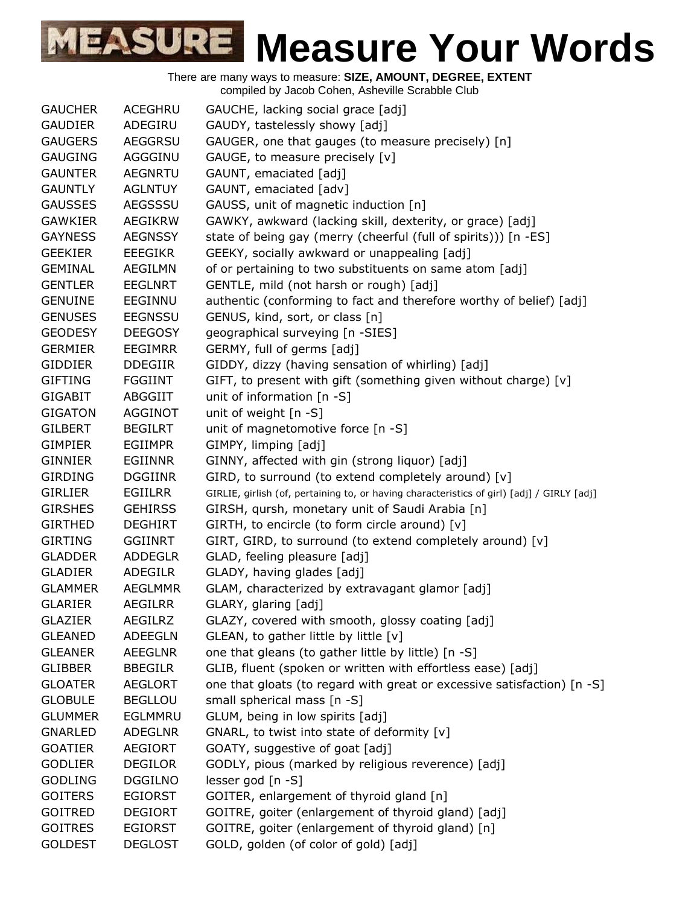| <b>GAUCHER</b> | <b>ACEGHRU</b> | GAUCHE, lacking social grace [adj]                                                         |
|----------------|----------------|--------------------------------------------------------------------------------------------|
| <b>GAUDIER</b> | ADEGIRU        | GAUDY, tastelessly showy [adj]                                                             |
| <b>GAUGERS</b> | AEGGRSU        | GAUGER, one that gauges (to measure precisely) [n]                                         |
| <b>GAUGING</b> | AGGGINU        | GAUGE, to measure precisely [v]                                                            |
| <b>GAUNTER</b> | <b>AEGNRTU</b> | GAUNT, emaciated [adj]                                                                     |
| <b>GAUNTLY</b> | <b>AGLNTUY</b> | GAUNT, emaciated [adv]                                                                     |
| <b>GAUSSES</b> | AEGSSSU        | GAUSS, unit of magnetic induction [n]                                                      |
| <b>GAWKIER</b> | <b>AEGIKRW</b> | GAWKY, awkward (lacking skill, dexterity, or grace) [adj]                                  |
| <b>GAYNESS</b> | <b>AEGNSSY</b> | state of being gay (merry (cheerful (full of spirits))) [n -ES]                            |
| <b>GEEKIER</b> | <b>EEEGIKR</b> | GEEKY, socially awkward or unappealing [adj]                                               |
| <b>GEMINAL</b> | <b>AEGILMN</b> | of or pertaining to two substituents on same atom [adj]                                    |
| <b>GENTLER</b> | <b>EEGLNRT</b> | GENTLE, mild (not harsh or rough) [adj]                                                    |
| <b>GENUINE</b> | EEGINNU        | authentic (conforming to fact and therefore worthy of belief) [adj]                        |
| <b>GENUSES</b> | <b>EEGNSSU</b> | GENUS, kind, sort, or class [n]                                                            |
| <b>GEODESY</b> | <b>DEEGOSY</b> | geographical surveying [n -SIES]                                                           |
| <b>GERMIER</b> | <b>EEGIMRR</b> | GERMY, full of germs [adj]                                                                 |
| <b>GIDDIER</b> | <b>DDEGIIR</b> | GIDDY, dizzy (having sensation of whirling) [adj]                                          |
| <b>GIFTING</b> | <b>FGGIINT</b> | GIFT, to present with gift (something given without charge) [v]                            |
| <b>GIGABIT</b> | <b>ABGGIIT</b> | unit of information $[n -S]$                                                               |
| <b>GIGATON</b> | AGGINOT        | unit of weight [n -S]                                                                      |
| <b>GILBERT</b> | <b>BEGILRT</b> | unit of magnetomotive force [n -S]                                                         |
| <b>GIMPIER</b> | <b>EGIIMPR</b> | GIMPY, limping [adj]                                                                       |
| <b>GINNIER</b> | <b>EGIINNR</b> | GINNY, affected with gin (strong liquor) [adj]                                             |
| <b>GIRDING</b> | <b>DGGIINR</b> | GIRD, to surround (to extend completely around) [v]                                        |
| <b>GIRLIER</b> | <b>EGIILRR</b> | GIRLIE, girlish (of, pertaining to, or having characteristics of girl) [adj] / GIRLY [adj] |
| <b>GIRSHES</b> | <b>GEHIRSS</b> | GIRSH, qursh, monetary unit of Saudi Arabia [n]                                            |
| <b>GIRTHED</b> | <b>DEGHIRT</b> | GIRTH, to encircle (to form circle around) [v]                                             |
| <b>GIRTING</b> | <b>GGIINRT</b> | GIRT, GIRD, to surround (to extend completely around) [v]                                  |
| <b>GLADDER</b> | <b>ADDEGLR</b> | GLAD, feeling pleasure [adj]                                                               |
| <b>GLADIER</b> | <b>ADEGILR</b> | GLADY, having glades [adj]                                                                 |
| <b>GLAMMER</b> | <b>AEGLMMR</b> | GLAM, characterized by extravagant glamor [adj]                                            |
| <b>GLARIER</b> | <b>AEGILRR</b> | GLARY, glaring [adj]                                                                       |
| <b>GLAZIER</b> | <b>AEGILRZ</b> | GLAZY, covered with smooth, glossy coating [adj]                                           |
| <b>GLEANED</b> | <b>ADEEGLN</b> | GLEAN, to gather little by little [v]                                                      |
| <b>GLEANER</b> | <b>AEEGLNR</b> | one that gleans (to gather little by little) [n -S]                                        |
| <b>GLIBBER</b> | <b>BBEGILR</b> | GLIB, fluent (spoken or written with effortless ease) [adj]                                |
| <b>GLOATER</b> | <b>AEGLORT</b> | one that gloats (to regard with great or excessive satisfaction) [n -S]                    |
| <b>GLOBULE</b> | <b>BEGLLOU</b> | small spherical mass [n -S]                                                                |
| <b>GLUMMER</b> | EGLMMRU        | GLUM, being in low spirits [adj]                                                           |
| <b>GNARLED</b> | <b>ADEGLNR</b> | GNARL, to twist into state of deformity [v]                                                |
| <b>GOATIER</b> | <b>AEGIORT</b> | GOATY, suggestive of goat [adj]                                                            |
| <b>GODLIER</b> | <b>DEGILOR</b> | GODLY, pious (marked by religious reverence) [adj]                                         |
| <b>GODLING</b> | <b>DGGILNO</b> | lesser god $[n -S]$                                                                        |
| <b>GOITERS</b> | <b>EGIORST</b> | GOITER, enlargement of thyroid gland [n]                                                   |
| <b>GOITRED</b> | <b>DEGIORT</b> | GOITRE, goiter (enlargement of thyroid gland) [adj]                                        |
| <b>GOITRES</b> | <b>EGIORST</b> | GOITRE, goiter (enlargement of thyroid gland) [n]                                          |
| <b>GOLDEST</b> | <b>DEGLOST</b> | GOLD, golden (of color of gold) [adj]                                                      |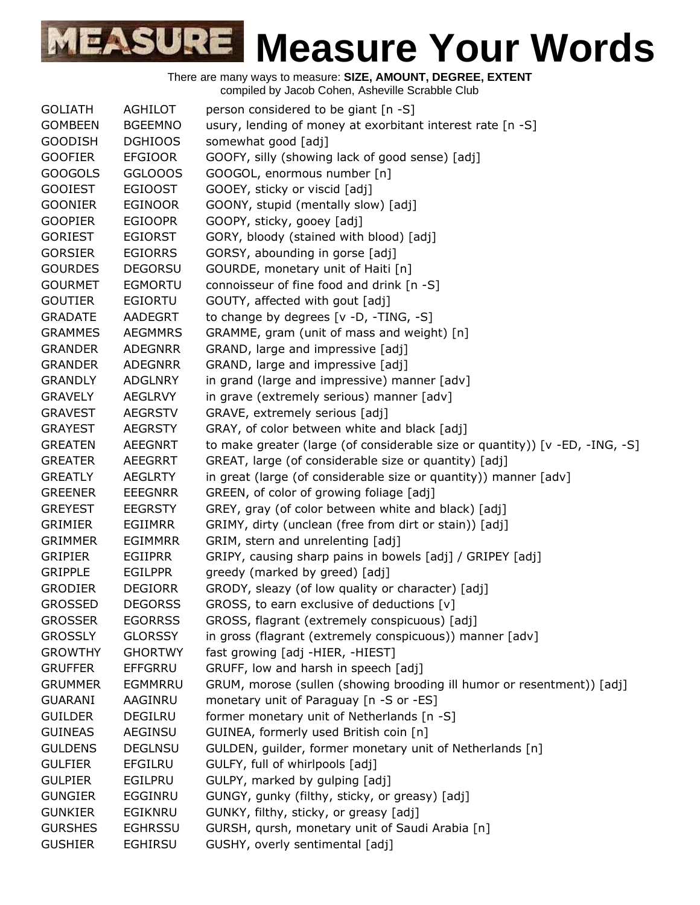| <b>GOLIATH</b> | <b>AGHILOT</b> | person considered to be giant [n -S]                                         |
|----------------|----------------|------------------------------------------------------------------------------|
| <b>GOMBEEN</b> | <b>BGEEMNO</b> | usury, lending of money at exorbitant interest rate [n -S]                   |
| <b>GOODISH</b> | <b>DGHIOOS</b> | somewhat good [adj]                                                          |
| <b>GOOFIER</b> | <b>EFGIOOR</b> | GOOFY, silly (showing lack of good sense) [adj]                              |
| <b>GOOGOLS</b> | GGLOOOS        | GOOGOL, enormous number [n]                                                  |
| <b>GOOIEST</b> | <b>EGIOOST</b> | GOOEY, sticky or viscid [adj]                                                |
| <b>GOONIER</b> | <b>EGINOOR</b> | GOONY, stupid (mentally slow) [adj]                                          |
| <b>GOOPIER</b> | <b>EGIOOPR</b> | GOOPY, sticky, gooey [adj]                                                   |
| <b>GORIEST</b> | <b>EGIORST</b> | GORY, bloody (stained with blood) [adj]                                      |
| <b>GORSIER</b> | <b>EGIORRS</b> | GORSY, abounding in gorse [adj]                                              |
| <b>GOURDES</b> | <b>DEGORSU</b> | GOURDE, monetary unit of Haiti [n]                                           |
| <b>GOURMET</b> | <b>EGMORTU</b> | connoisseur of fine food and drink [n -S]                                    |
| <b>GOUTIER</b> | EGIORTU        | GOUTY, affected with gout [adj]                                              |
| <b>GRADATE</b> | AADEGRT        | to change by degrees [v -D, -TING, -S]                                       |
| <b>GRAMMES</b> | <b>AEGMMRS</b> | GRAMME, gram (unit of mass and weight) [n]                                   |
| <b>GRANDER</b> | <b>ADEGNRR</b> | GRAND, large and impressive [adj]                                            |
| <b>GRANDER</b> | <b>ADEGNRR</b> | GRAND, large and impressive [adj]                                            |
| <b>GRANDLY</b> | <b>ADGLNRY</b> | in grand (large and impressive) manner [adv]                                 |
| <b>GRAVELY</b> | <b>AEGLRVY</b> | in grave (extremely serious) manner [adv]                                    |
| <b>GRAVEST</b> | <b>AEGRSTV</b> | GRAVE, extremely serious [adj]                                               |
| <b>GRAYEST</b> | <b>AEGRSTY</b> | GRAY, of color between white and black [adj]                                 |
| <b>GREATEN</b> | <b>AEEGNRT</b> | to make greater (large (of considerable size or quantity)) [v -ED, -ING, -S] |
| <b>GREATER</b> | <b>AEEGRRT</b> | GREAT, large (of considerable size or quantity) [adj]                        |
| <b>GREATLY</b> | <b>AEGLRTY</b> | in great (large (of considerable size or quantity)) manner [adv]             |
| <b>GREENER</b> | <b>EEEGNRR</b> | GREEN, of color of growing foliage [adj]                                     |
| <b>GREYEST</b> | <b>EEGRSTY</b> | GREY, gray (of color between white and black) [adj]                          |
| <b>GRIMIER</b> | <b>EGIIMRR</b> | GRIMY, dirty (unclean (free from dirt or stain)) [adj]                       |
| <b>GRIMMER</b> | <b>EGIMMRR</b> | GRIM, stern and unrelenting [adj]                                            |
| <b>GRIPIER</b> | EGIIPRR        | GRIPY, causing sharp pains in bowels [adj] / GRIPEY [adj]                    |
| <b>GRIPPLE</b> | <b>EGILPPR</b> | greedy (marked by greed) [adj]                                               |
| <b>GRODIER</b> | <b>DEGIORR</b> | GRODY, sleazy (of low quality or character) [adj]                            |
| <b>GROSSED</b> | <b>DEGORSS</b> | GROSS, to earn exclusive of deductions [v]                                   |
| <b>GROSSER</b> | <b>EGORRSS</b> | GROSS, flagrant (extremely conspicuous) [adj]                                |
| <b>GROSSLY</b> | <b>GLORSSY</b> | in gross (flagrant (extremely conspicuous)) manner [adv]                     |
| <b>GROWTHY</b> | <b>GHORTWY</b> | fast growing [adj -HIER, -HIEST]                                             |
| <b>GRUFFER</b> | <b>EFFGRRU</b> | GRUFF, low and harsh in speech [adj]                                         |
| <b>GRUMMER</b> | EGMMRRU        | GRUM, morose (sullen (showing brooding ill humor or resentment)) [adj]       |
| <b>GUARANI</b> | AAGINRU        | monetary unit of Paraguay [n -S or -ES]                                      |
| <b>GUILDER</b> | <b>DEGILRU</b> | former monetary unit of Netherlands [n -S]                                   |
| <b>GUINEAS</b> | AEGINSU        | GUINEA, formerly used British coin [n]                                       |
| <b>GULDENS</b> | <b>DEGLNSU</b> | GULDEN, guilder, former monetary unit of Netherlands [n]                     |
| <b>GULFIER</b> | <b>EFGILRU</b> | GULFY, full of whirlpools [adj]                                              |
| <b>GULPIER</b> | EGILPRU        | GULPY, marked by gulping [adj]                                               |
| <b>GUNGIER</b> | EGGINRU        | GUNGY, gunky (filthy, sticky, or greasy) [adj]                               |
| <b>GUNKIER</b> | EGIKNRU        | GUNKY, filthy, sticky, or greasy [adj]                                       |
| <b>GURSHES</b> | <b>EGHRSSU</b> | GURSH, qursh, monetary unit of Saudi Arabia [n]                              |
| <b>GUSHIER</b> | <b>EGHIRSU</b> | GUSHY, overly sentimental [adj]                                              |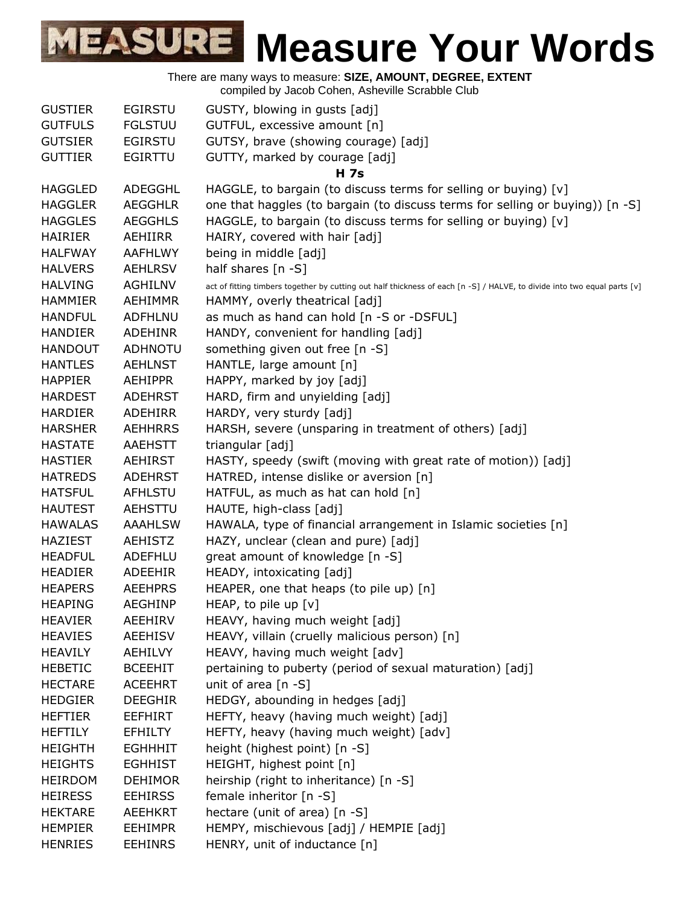| <b>GUSTIER</b> | <b>EGIRSTU</b> | GUSTY, blowing in gusts [adj]                                                                                            |
|----------------|----------------|--------------------------------------------------------------------------------------------------------------------------|
| <b>GUTFULS</b> | <b>FGLSTUU</b> | GUTFUL, excessive amount [n]                                                                                             |
| <b>GUTSIER</b> | <b>EGIRSTU</b> | GUTSY, brave (showing courage) [adj]                                                                                     |
| <b>GUTTIER</b> | <b>EGIRTTU</b> | GUTTY, marked by courage [adj]                                                                                           |
|                |                | <b>H</b> 7s                                                                                                              |
| <b>HAGGLED</b> | ADEGGHL        | HAGGLE, to bargain (to discuss terms for selling or buying) [v]                                                          |
| <b>HAGGLER</b> | <b>AEGGHLR</b> | one that haggles (to bargain (to discuss terms for selling or buying)) [n -S]                                            |
| <b>HAGGLES</b> | <b>AEGGHLS</b> | HAGGLE, to bargain (to discuss terms for selling or buying) [v]                                                          |
| <b>HAIRIER</b> | AEHIIRR        | HAIRY, covered with hair [adj]                                                                                           |
| <b>HALFWAY</b> | <b>AAFHLWY</b> | being in middle [adj]                                                                                                    |
| <b>HALVERS</b> | <b>AEHLRSV</b> | half shares $[n -S]$                                                                                                     |
| <b>HALVING</b> | <b>AGHILNV</b> | act of fitting timbers together by cutting out half thickness of each [n -S] / HALVE, to divide into two equal parts [v] |
| <b>HAMMIER</b> | <b>AEHIMMR</b> | HAMMY, overly theatrical [adj]                                                                                           |
| <b>HANDFUL</b> | <b>ADFHLNU</b> | as much as hand can hold [n -S or -DSFUL]                                                                                |
| <b>HANDIER</b> | <b>ADEHINR</b> | HANDY, convenient for handling [adj]                                                                                     |
| <b>HANDOUT</b> | <b>ADHNOTU</b> | something given out free [n -S]                                                                                          |
| <b>HANTLES</b> | <b>AEHLNST</b> | HANTLE, large amount [n]                                                                                                 |
| <b>HAPPIER</b> | AEHIPPR        | HAPPY, marked by joy [adj]                                                                                               |
| <b>HARDEST</b> | <b>ADEHRST</b> | HARD, firm and unyielding [adj]                                                                                          |
| <b>HARDIER</b> | <b>ADEHIRR</b> | HARDY, very sturdy [adj]                                                                                                 |
| <b>HARSHER</b> | <b>AEHHRRS</b> | HARSH, severe (unsparing in treatment of others) [adj]                                                                   |
| <b>HASTATE</b> | <b>AAEHSTT</b> | triangular [adj]                                                                                                         |
| <b>HASTIER</b> | <b>AEHIRST</b> | HASTY, speedy (swift (moving with great rate of motion)) [adj]                                                           |
| <b>HATREDS</b> | ADEHRST        | HATRED, intense dislike or aversion [n]                                                                                  |
| <b>HATSFUL</b> | <b>AFHLSTU</b> | HATFUL, as much as hat can hold [n]                                                                                      |
| <b>HAUTEST</b> | <b>AEHSTTU</b> | HAUTE, high-class [adj]                                                                                                  |
| <b>HAWALAS</b> | <b>AAAHLSW</b> | HAWALA, type of financial arrangement in Islamic societies [n]                                                           |
| <b>HAZIEST</b> | <b>AEHISTZ</b> | HAZY, unclear (clean and pure) [adj]                                                                                     |
| <b>HEADFUL</b> | ADEFHLU        | great amount of knowledge [n -S]                                                                                         |
| <b>HEADIER</b> | ADEEHIR        | HEADY, intoxicating [adj]                                                                                                |
| <b>HEAPERS</b> | <b>AEEHPRS</b> | HEAPER, one that heaps (to pile up) [n]                                                                                  |
| <b>HEAPING</b> | AEGHINP        | HEAP, to pile up $[v]$                                                                                                   |
| <b>HEAVIER</b> | AEEHIRV        | HEAVY, having much weight [adj]                                                                                          |
| <b>HEAVIES</b> | <b>AEEHISV</b> | HEAVY, villain (cruelly malicious person) [n]                                                                            |
| <b>HEAVILY</b> | AEHILVY        | HEAVY, having much weight [adv]                                                                                          |
| <b>HEBETIC</b> | <b>BCEEHIT</b> | pertaining to puberty (period of sexual maturation) [adj]                                                                |
| <b>HECTARE</b> | <b>ACEEHRT</b> | unit of area [n -S]                                                                                                      |
| <b>HEDGIER</b> | <b>DEEGHIR</b> | HEDGY, abounding in hedges [adj]                                                                                         |
| <b>HEFTIER</b> | EEFHIRT        | HEFTY, heavy (having much weight) [adj]                                                                                  |
| <b>HEFTILY</b> | <b>EFHILTY</b> | HEFTY, heavy (having much weight) [adv]                                                                                  |
| <b>HEIGHTH</b> | <b>EGHHHIT</b> | height (highest point) [n -S]                                                                                            |
| <b>HEIGHTS</b> | <b>EGHHIST</b> | HEIGHT, highest point [n]                                                                                                |
| <b>HEIRDOM</b> | <b>DEHIMOR</b> | heirship (right to inheritance) [n -S]                                                                                   |
| <b>HEIRESS</b> | <b>EEHIRSS</b> | female inheritor [n -S]                                                                                                  |
| <b>HEKTARE</b> | AEEHKRT        | hectare (unit of area) [n -S]                                                                                            |
| <b>HEMPIER</b> | <b>EEHIMPR</b> | HEMPY, mischievous [adj] / HEMPIE [adj]                                                                                  |
| <b>HENRIES</b> | <b>EEHINRS</b> | HENRY, unit of inductance [n]                                                                                            |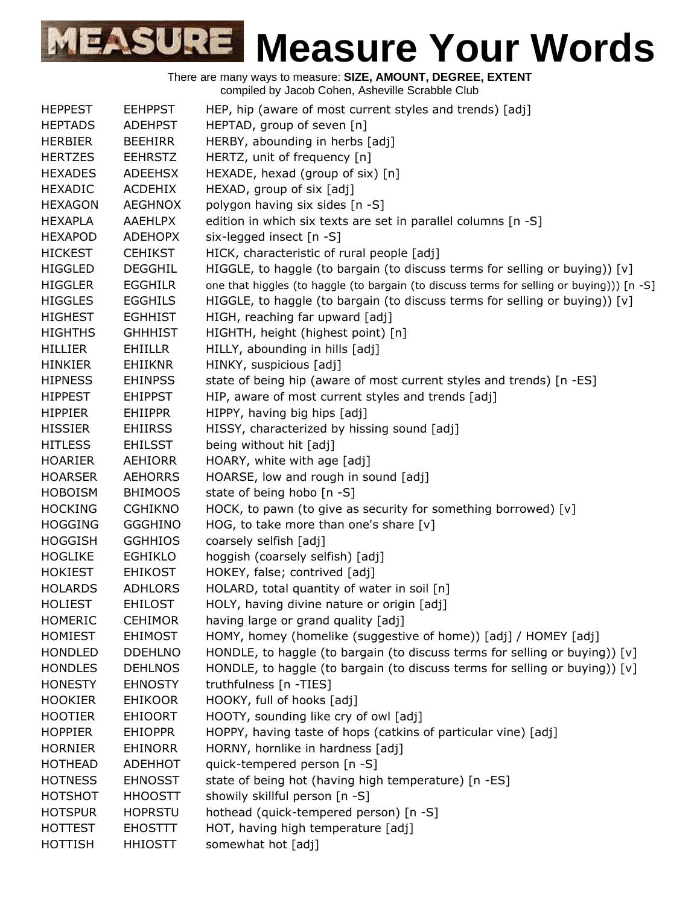| HEP, hip (aware of most current styles and trends) [adj]<br><b>HEPPEST</b><br><b>EEHPPST</b><br>HEPTAD, group of seven [n]<br><b>HEPTADS</b><br><b>ADEHPST</b><br>HERBY, abounding in herbs [adj]<br><b>HERBIER</b><br><b>BEEHIRR</b><br>HERTZ, unit of frequency [n]<br><b>HERTZES</b><br><b>EEHRSTZ</b><br>HEXADE, hexad (group of six) [n]<br><b>HEXADES</b><br><b>ADEEHSX</b><br>HEXAD, group of six [adj]<br><b>HEXADIC</b><br>ACDEHIX<br><b>HEXAGON</b><br><b>AEGHNOX</b><br>polygon having six sides [n -S]<br><b>AAEHLPX</b><br>edition in which six texts are set in parallel columns [n -S]<br><b>HEXAPLA</b><br>six-legged insect [n -S]<br><b>HEXAPOD</b><br><b>ADEHOPX</b><br>HICK, characteristic of rural people [adj]<br><b>HICKEST</b><br><b>CEHIKST</b><br>HIGGLE, to haggle (to bargain (to discuss terms for selling or buying)) [v]<br><b>HIGGLED</b><br><b>DEGGHIL</b><br><b>HIGGLER</b><br>one that higgles (to haggle (to bargain (to discuss terms for selling or buying))) [n -S]<br><b>EGGHILR</b><br>HIGGLE, to haggle (to bargain (to discuss terms for selling or buying)) $[v]$<br><b>HIGGLES</b><br><b>EGGHILS</b><br><b>HIGHEST</b><br><b>EGHHIST</b><br>HIGH, reaching far upward [adj]<br>HIGHTH, height (highest point) [n]<br><b>HIGHTHS</b><br><b>GHHHIST</b><br>HILLY, abounding in hills [adj]<br><b>HILLIER</b><br>EHIILLR<br>HINKY, suspicious [adj]<br><b>HINKIER</b><br><b>EHIIKNR</b><br>state of being hip (aware of most current styles and trends) [n -ES]<br><b>HIPNESS</b><br><b>EHINPSS</b><br>HIP, aware of most current styles and trends [adj]<br><b>HIPPEST</b><br><b>EHIPPST</b><br>HIPPY, having big hips [adj]<br><b>HIPPIER</b><br><b>EHIIPPR</b><br>HISSY, characterized by hissing sound [adj]<br><b>HISSIER</b><br><b>EHIIRSS</b><br>being without hit [adj]<br><b>HITLESS</b><br><b>EHILSST</b><br>HOARY, white with age [adj]<br><b>HOARIER</b><br>AEHIORR<br>HOARSE, low and rough in sound [adj]<br><b>HOARSER</b><br><b>AEHORRS</b><br>state of being hobo [n -S]<br><b>HOBOISM</b><br><b>BHIMOOS</b><br>HOCK, to pawn (to give as security for something borrowed) [v]<br><b>HOCKING</b><br><b>CGHIKNO</b><br>HOG, to take more than one's share $[v]$<br><b>HOGGING</b><br><b>GGGHINO</b><br><b>HOGGISH</b><br><b>GGHHIOS</b><br>coarsely selfish [adj]<br><b>HOGLIKE</b><br><b>EGHIKLO</b><br>hoggish (coarsely selfish) [adj]<br>HOKEY, false; contrived [adj]<br><b>HOKIEST</b><br><b>EHIKOST</b><br>HOLARD, total quantity of water in soil [n]<br><b>HOLARDS</b><br><b>ADHLORS</b><br><b>HOLIEST</b><br><b>EHILOST</b><br>HOLY, having divine nature or origin [adj]<br><b>HOMERIC</b><br><b>CEHIMOR</b><br>having large or grand quality [adj]<br><b>HOMIEST</b><br><b>EHIMOST</b><br>HOMY, homey (homelike (suggestive of home)) [adj] / HOMEY [adj]<br>HONDLE, to haggle (to bargain (to discuss terms for selling or buying)) [v]<br><b>HONDLED</b><br><b>DDEHLNO</b><br>HONDLE, to haggle (to bargain (to discuss terms for selling or buying)) $[v]$<br><b>HONDLES</b><br><b>DEHLNOS</b><br>truthfulness [n -TIES]<br><b>HONESTY</b><br><b>EHNOSTY</b><br>HOOKY, full of hooks [adj]<br><b>HOOKIER</b><br><b>EHIKOOR</b><br><b>HOOTIER</b><br><b>EHIOORT</b><br>HOOTY, sounding like cry of owl [adj]<br>HOPPY, having taste of hops (catkins of particular vine) [adj]<br><b>HOPPIER</b><br><b>EHIOPPR</b><br><b>HORNIER</b><br><b>EHINORR</b><br>HORNY, hornlike in hardness [adj]<br><b>HOTHEAD</b><br>ADEHHOT<br>quick-tempered person [n -S]<br>state of being hot (having high temperature) [n -ES]<br><b>HOTNESS</b><br><b>EHNOSST</b><br><b>HOTSHOT</b><br><b>HHOOSTT</b><br>showily skillful person [n -S]<br>hothead (quick-tempered person) [n -S]<br><b>HOTSPUR</b><br><b>HOPRSTU</b><br>HOT, having high temperature [adj]<br><b>HOTTEST</b><br><b>EHOSTTT</b><br><b>HOTTISH</b><br><b>HHIOSTT</b><br>somewhat hot [adj] |  |  |
|-----------------------------------------------------------------------------------------------------------------------------------------------------------------------------------------------------------------------------------------------------------------------------------------------------------------------------------------------------------------------------------------------------------------------------------------------------------------------------------------------------------------------------------------------------------------------------------------------------------------------------------------------------------------------------------------------------------------------------------------------------------------------------------------------------------------------------------------------------------------------------------------------------------------------------------------------------------------------------------------------------------------------------------------------------------------------------------------------------------------------------------------------------------------------------------------------------------------------------------------------------------------------------------------------------------------------------------------------------------------------------------------------------------------------------------------------------------------------------------------------------------------------------------------------------------------------------------------------------------------------------------------------------------------------------------------------------------------------------------------------------------------------------------------------------------------------------------------------------------------------------------------------------------------------------------------------------------------------------------------------------------------------------------------------------------------------------------------------------------------------------------------------------------------------------------------------------------------------------------------------------------------------------------------------------------------------------------------------------------------------------------------------------------------------------------------------------------------------------------------------------------------------------------------------------------------------------------------------------------------------------------------------------------------------------------------------------------------------------------------------------------------------------------------------------------------------------------------------------------------------------------------------------------------------------------------------------------------------------------------------------------------------------------------------------------------------------------------------------------------------------------------------------------------------------------------------------------------------------------------------------------------------------------------------------------------------------------------------------------------------------------------------------------------------------------------------------------------------------------------------------------------------------------------------------------------------------------------------------------------------------------------------------------------------------------------------------------------------------------------------------------------------------------------------------------------------------------------------------------------------------------------------------------------------|--|--|
|                                                                                                                                                                                                                                                                                                                                                                                                                                                                                                                                                                                                                                                                                                                                                                                                                                                                                                                                                                                                                                                                                                                                                                                                                                                                                                                                                                                                                                                                                                                                                                                                                                                                                                                                                                                                                                                                                                                                                                                                                                                                                                                                                                                                                                                                                                                                                                                                                                                                                                                                                                                                                                                                                                                                                                                                                                                                                                                                                                                                                                                                                                                                                                                                                                                                                                                                                                                                                                                                                                                                                                                                                                                                                                                                                                                                                                                                                                                       |  |  |
|                                                                                                                                                                                                                                                                                                                                                                                                                                                                                                                                                                                                                                                                                                                                                                                                                                                                                                                                                                                                                                                                                                                                                                                                                                                                                                                                                                                                                                                                                                                                                                                                                                                                                                                                                                                                                                                                                                                                                                                                                                                                                                                                                                                                                                                                                                                                                                                                                                                                                                                                                                                                                                                                                                                                                                                                                                                                                                                                                                                                                                                                                                                                                                                                                                                                                                                                                                                                                                                                                                                                                                                                                                                                                                                                                                                                                                                                                                                       |  |  |
|                                                                                                                                                                                                                                                                                                                                                                                                                                                                                                                                                                                                                                                                                                                                                                                                                                                                                                                                                                                                                                                                                                                                                                                                                                                                                                                                                                                                                                                                                                                                                                                                                                                                                                                                                                                                                                                                                                                                                                                                                                                                                                                                                                                                                                                                                                                                                                                                                                                                                                                                                                                                                                                                                                                                                                                                                                                                                                                                                                                                                                                                                                                                                                                                                                                                                                                                                                                                                                                                                                                                                                                                                                                                                                                                                                                                                                                                                                                       |  |  |
|                                                                                                                                                                                                                                                                                                                                                                                                                                                                                                                                                                                                                                                                                                                                                                                                                                                                                                                                                                                                                                                                                                                                                                                                                                                                                                                                                                                                                                                                                                                                                                                                                                                                                                                                                                                                                                                                                                                                                                                                                                                                                                                                                                                                                                                                                                                                                                                                                                                                                                                                                                                                                                                                                                                                                                                                                                                                                                                                                                                                                                                                                                                                                                                                                                                                                                                                                                                                                                                                                                                                                                                                                                                                                                                                                                                                                                                                                                                       |  |  |
|                                                                                                                                                                                                                                                                                                                                                                                                                                                                                                                                                                                                                                                                                                                                                                                                                                                                                                                                                                                                                                                                                                                                                                                                                                                                                                                                                                                                                                                                                                                                                                                                                                                                                                                                                                                                                                                                                                                                                                                                                                                                                                                                                                                                                                                                                                                                                                                                                                                                                                                                                                                                                                                                                                                                                                                                                                                                                                                                                                                                                                                                                                                                                                                                                                                                                                                                                                                                                                                                                                                                                                                                                                                                                                                                                                                                                                                                                                                       |  |  |
|                                                                                                                                                                                                                                                                                                                                                                                                                                                                                                                                                                                                                                                                                                                                                                                                                                                                                                                                                                                                                                                                                                                                                                                                                                                                                                                                                                                                                                                                                                                                                                                                                                                                                                                                                                                                                                                                                                                                                                                                                                                                                                                                                                                                                                                                                                                                                                                                                                                                                                                                                                                                                                                                                                                                                                                                                                                                                                                                                                                                                                                                                                                                                                                                                                                                                                                                                                                                                                                                                                                                                                                                                                                                                                                                                                                                                                                                                                                       |  |  |
|                                                                                                                                                                                                                                                                                                                                                                                                                                                                                                                                                                                                                                                                                                                                                                                                                                                                                                                                                                                                                                                                                                                                                                                                                                                                                                                                                                                                                                                                                                                                                                                                                                                                                                                                                                                                                                                                                                                                                                                                                                                                                                                                                                                                                                                                                                                                                                                                                                                                                                                                                                                                                                                                                                                                                                                                                                                                                                                                                                                                                                                                                                                                                                                                                                                                                                                                                                                                                                                                                                                                                                                                                                                                                                                                                                                                                                                                                                                       |  |  |
|                                                                                                                                                                                                                                                                                                                                                                                                                                                                                                                                                                                                                                                                                                                                                                                                                                                                                                                                                                                                                                                                                                                                                                                                                                                                                                                                                                                                                                                                                                                                                                                                                                                                                                                                                                                                                                                                                                                                                                                                                                                                                                                                                                                                                                                                                                                                                                                                                                                                                                                                                                                                                                                                                                                                                                                                                                                                                                                                                                                                                                                                                                                                                                                                                                                                                                                                                                                                                                                                                                                                                                                                                                                                                                                                                                                                                                                                                                                       |  |  |
|                                                                                                                                                                                                                                                                                                                                                                                                                                                                                                                                                                                                                                                                                                                                                                                                                                                                                                                                                                                                                                                                                                                                                                                                                                                                                                                                                                                                                                                                                                                                                                                                                                                                                                                                                                                                                                                                                                                                                                                                                                                                                                                                                                                                                                                                                                                                                                                                                                                                                                                                                                                                                                                                                                                                                                                                                                                                                                                                                                                                                                                                                                                                                                                                                                                                                                                                                                                                                                                                                                                                                                                                                                                                                                                                                                                                                                                                                                                       |  |  |
|                                                                                                                                                                                                                                                                                                                                                                                                                                                                                                                                                                                                                                                                                                                                                                                                                                                                                                                                                                                                                                                                                                                                                                                                                                                                                                                                                                                                                                                                                                                                                                                                                                                                                                                                                                                                                                                                                                                                                                                                                                                                                                                                                                                                                                                                                                                                                                                                                                                                                                                                                                                                                                                                                                                                                                                                                                                                                                                                                                                                                                                                                                                                                                                                                                                                                                                                                                                                                                                                                                                                                                                                                                                                                                                                                                                                                                                                                                                       |  |  |
|                                                                                                                                                                                                                                                                                                                                                                                                                                                                                                                                                                                                                                                                                                                                                                                                                                                                                                                                                                                                                                                                                                                                                                                                                                                                                                                                                                                                                                                                                                                                                                                                                                                                                                                                                                                                                                                                                                                                                                                                                                                                                                                                                                                                                                                                                                                                                                                                                                                                                                                                                                                                                                                                                                                                                                                                                                                                                                                                                                                                                                                                                                                                                                                                                                                                                                                                                                                                                                                                                                                                                                                                                                                                                                                                                                                                                                                                                                                       |  |  |
|                                                                                                                                                                                                                                                                                                                                                                                                                                                                                                                                                                                                                                                                                                                                                                                                                                                                                                                                                                                                                                                                                                                                                                                                                                                                                                                                                                                                                                                                                                                                                                                                                                                                                                                                                                                                                                                                                                                                                                                                                                                                                                                                                                                                                                                                                                                                                                                                                                                                                                                                                                                                                                                                                                                                                                                                                                                                                                                                                                                                                                                                                                                                                                                                                                                                                                                                                                                                                                                                                                                                                                                                                                                                                                                                                                                                                                                                                                                       |  |  |
|                                                                                                                                                                                                                                                                                                                                                                                                                                                                                                                                                                                                                                                                                                                                                                                                                                                                                                                                                                                                                                                                                                                                                                                                                                                                                                                                                                                                                                                                                                                                                                                                                                                                                                                                                                                                                                                                                                                                                                                                                                                                                                                                                                                                                                                                                                                                                                                                                                                                                                                                                                                                                                                                                                                                                                                                                                                                                                                                                                                                                                                                                                                                                                                                                                                                                                                                                                                                                                                                                                                                                                                                                                                                                                                                                                                                                                                                                                                       |  |  |
|                                                                                                                                                                                                                                                                                                                                                                                                                                                                                                                                                                                                                                                                                                                                                                                                                                                                                                                                                                                                                                                                                                                                                                                                                                                                                                                                                                                                                                                                                                                                                                                                                                                                                                                                                                                                                                                                                                                                                                                                                                                                                                                                                                                                                                                                                                                                                                                                                                                                                                                                                                                                                                                                                                                                                                                                                                                                                                                                                                                                                                                                                                                                                                                                                                                                                                                                                                                                                                                                                                                                                                                                                                                                                                                                                                                                                                                                                                                       |  |  |
|                                                                                                                                                                                                                                                                                                                                                                                                                                                                                                                                                                                                                                                                                                                                                                                                                                                                                                                                                                                                                                                                                                                                                                                                                                                                                                                                                                                                                                                                                                                                                                                                                                                                                                                                                                                                                                                                                                                                                                                                                                                                                                                                                                                                                                                                                                                                                                                                                                                                                                                                                                                                                                                                                                                                                                                                                                                                                                                                                                                                                                                                                                                                                                                                                                                                                                                                                                                                                                                                                                                                                                                                                                                                                                                                                                                                                                                                                                                       |  |  |
|                                                                                                                                                                                                                                                                                                                                                                                                                                                                                                                                                                                                                                                                                                                                                                                                                                                                                                                                                                                                                                                                                                                                                                                                                                                                                                                                                                                                                                                                                                                                                                                                                                                                                                                                                                                                                                                                                                                                                                                                                                                                                                                                                                                                                                                                                                                                                                                                                                                                                                                                                                                                                                                                                                                                                                                                                                                                                                                                                                                                                                                                                                                                                                                                                                                                                                                                                                                                                                                                                                                                                                                                                                                                                                                                                                                                                                                                                                                       |  |  |
|                                                                                                                                                                                                                                                                                                                                                                                                                                                                                                                                                                                                                                                                                                                                                                                                                                                                                                                                                                                                                                                                                                                                                                                                                                                                                                                                                                                                                                                                                                                                                                                                                                                                                                                                                                                                                                                                                                                                                                                                                                                                                                                                                                                                                                                                                                                                                                                                                                                                                                                                                                                                                                                                                                                                                                                                                                                                                                                                                                                                                                                                                                                                                                                                                                                                                                                                                                                                                                                                                                                                                                                                                                                                                                                                                                                                                                                                                                                       |  |  |
|                                                                                                                                                                                                                                                                                                                                                                                                                                                                                                                                                                                                                                                                                                                                                                                                                                                                                                                                                                                                                                                                                                                                                                                                                                                                                                                                                                                                                                                                                                                                                                                                                                                                                                                                                                                                                                                                                                                                                                                                                                                                                                                                                                                                                                                                                                                                                                                                                                                                                                                                                                                                                                                                                                                                                                                                                                                                                                                                                                                                                                                                                                                                                                                                                                                                                                                                                                                                                                                                                                                                                                                                                                                                                                                                                                                                                                                                                                                       |  |  |
|                                                                                                                                                                                                                                                                                                                                                                                                                                                                                                                                                                                                                                                                                                                                                                                                                                                                                                                                                                                                                                                                                                                                                                                                                                                                                                                                                                                                                                                                                                                                                                                                                                                                                                                                                                                                                                                                                                                                                                                                                                                                                                                                                                                                                                                                                                                                                                                                                                                                                                                                                                                                                                                                                                                                                                                                                                                                                                                                                                                                                                                                                                                                                                                                                                                                                                                                                                                                                                                                                                                                                                                                                                                                                                                                                                                                                                                                                                                       |  |  |
|                                                                                                                                                                                                                                                                                                                                                                                                                                                                                                                                                                                                                                                                                                                                                                                                                                                                                                                                                                                                                                                                                                                                                                                                                                                                                                                                                                                                                                                                                                                                                                                                                                                                                                                                                                                                                                                                                                                                                                                                                                                                                                                                                                                                                                                                                                                                                                                                                                                                                                                                                                                                                                                                                                                                                                                                                                                                                                                                                                                                                                                                                                                                                                                                                                                                                                                                                                                                                                                                                                                                                                                                                                                                                                                                                                                                                                                                                                                       |  |  |
|                                                                                                                                                                                                                                                                                                                                                                                                                                                                                                                                                                                                                                                                                                                                                                                                                                                                                                                                                                                                                                                                                                                                                                                                                                                                                                                                                                                                                                                                                                                                                                                                                                                                                                                                                                                                                                                                                                                                                                                                                                                                                                                                                                                                                                                                                                                                                                                                                                                                                                                                                                                                                                                                                                                                                                                                                                                                                                                                                                                                                                                                                                                                                                                                                                                                                                                                                                                                                                                                                                                                                                                                                                                                                                                                                                                                                                                                                                                       |  |  |
|                                                                                                                                                                                                                                                                                                                                                                                                                                                                                                                                                                                                                                                                                                                                                                                                                                                                                                                                                                                                                                                                                                                                                                                                                                                                                                                                                                                                                                                                                                                                                                                                                                                                                                                                                                                                                                                                                                                                                                                                                                                                                                                                                                                                                                                                                                                                                                                                                                                                                                                                                                                                                                                                                                                                                                                                                                                                                                                                                                                                                                                                                                                                                                                                                                                                                                                                                                                                                                                                                                                                                                                                                                                                                                                                                                                                                                                                                                                       |  |  |
|                                                                                                                                                                                                                                                                                                                                                                                                                                                                                                                                                                                                                                                                                                                                                                                                                                                                                                                                                                                                                                                                                                                                                                                                                                                                                                                                                                                                                                                                                                                                                                                                                                                                                                                                                                                                                                                                                                                                                                                                                                                                                                                                                                                                                                                                                                                                                                                                                                                                                                                                                                                                                                                                                                                                                                                                                                                                                                                                                                                                                                                                                                                                                                                                                                                                                                                                                                                                                                                                                                                                                                                                                                                                                                                                                                                                                                                                                                                       |  |  |
|                                                                                                                                                                                                                                                                                                                                                                                                                                                                                                                                                                                                                                                                                                                                                                                                                                                                                                                                                                                                                                                                                                                                                                                                                                                                                                                                                                                                                                                                                                                                                                                                                                                                                                                                                                                                                                                                                                                                                                                                                                                                                                                                                                                                                                                                                                                                                                                                                                                                                                                                                                                                                                                                                                                                                                                                                                                                                                                                                                                                                                                                                                                                                                                                                                                                                                                                                                                                                                                                                                                                                                                                                                                                                                                                                                                                                                                                                                                       |  |  |
|                                                                                                                                                                                                                                                                                                                                                                                                                                                                                                                                                                                                                                                                                                                                                                                                                                                                                                                                                                                                                                                                                                                                                                                                                                                                                                                                                                                                                                                                                                                                                                                                                                                                                                                                                                                                                                                                                                                                                                                                                                                                                                                                                                                                                                                                                                                                                                                                                                                                                                                                                                                                                                                                                                                                                                                                                                                                                                                                                                                                                                                                                                                                                                                                                                                                                                                                                                                                                                                                                                                                                                                                                                                                                                                                                                                                                                                                                                                       |  |  |
|                                                                                                                                                                                                                                                                                                                                                                                                                                                                                                                                                                                                                                                                                                                                                                                                                                                                                                                                                                                                                                                                                                                                                                                                                                                                                                                                                                                                                                                                                                                                                                                                                                                                                                                                                                                                                                                                                                                                                                                                                                                                                                                                                                                                                                                                                                                                                                                                                                                                                                                                                                                                                                                                                                                                                                                                                                                                                                                                                                                                                                                                                                                                                                                                                                                                                                                                                                                                                                                                                                                                                                                                                                                                                                                                                                                                                                                                                                                       |  |  |
|                                                                                                                                                                                                                                                                                                                                                                                                                                                                                                                                                                                                                                                                                                                                                                                                                                                                                                                                                                                                                                                                                                                                                                                                                                                                                                                                                                                                                                                                                                                                                                                                                                                                                                                                                                                                                                                                                                                                                                                                                                                                                                                                                                                                                                                                                                                                                                                                                                                                                                                                                                                                                                                                                                                                                                                                                                                                                                                                                                                                                                                                                                                                                                                                                                                                                                                                                                                                                                                                                                                                                                                                                                                                                                                                                                                                                                                                                                                       |  |  |
|                                                                                                                                                                                                                                                                                                                                                                                                                                                                                                                                                                                                                                                                                                                                                                                                                                                                                                                                                                                                                                                                                                                                                                                                                                                                                                                                                                                                                                                                                                                                                                                                                                                                                                                                                                                                                                                                                                                                                                                                                                                                                                                                                                                                                                                                                                                                                                                                                                                                                                                                                                                                                                                                                                                                                                                                                                                                                                                                                                                                                                                                                                                                                                                                                                                                                                                                                                                                                                                                                                                                                                                                                                                                                                                                                                                                                                                                                                                       |  |  |
|                                                                                                                                                                                                                                                                                                                                                                                                                                                                                                                                                                                                                                                                                                                                                                                                                                                                                                                                                                                                                                                                                                                                                                                                                                                                                                                                                                                                                                                                                                                                                                                                                                                                                                                                                                                                                                                                                                                                                                                                                                                                                                                                                                                                                                                                                                                                                                                                                                                                                                                                                                                                                                                                                                                                                                                                                                                                                                                                                                                                                                                                                                                                                                                                                                                                                                                                                                                                                                                                                                                                                                                                                                                                                                                                                                                                                                                                                                                       |  |  |
|                                                                                                                                                                                                                                                                                                                                                                                                                                                                                                                                                                                                                                                                                                                                                                                                                                                                                                                                                                                                                                                                                                                                                                                                                                                                                                                                                                                                                                                                                                                                                                                                                                                                                                                                                                                                                                                                                                                                                                                                                                                                                                                                                                                                                                                                                                                                                                                                                                                                                                                                                                                                                                                                                                                                                                                                                                                                                                                                                                                                                                                                                                                                                                                                                                                                                                                                                                                                                                                                                                                                                                                                                                                                                                                                                                                                                                                                                                                       |  |  |
|                                                                                                                                                                                                                                                                                                                                                                                                                                                                                                                                                                                                                                                                                                                                                                                                                                                                                                                                                                                                                                                                                                                                                                                                                                                                                                                                                                                                                                                                                                                                                                                                                                                                                                                                                                                                                                                                                                                                                                                                                                                                                                                                                                                                                                                                                                                                                                                                                                                                                                                                                                                                                                                                                                                                                                                                                                                                                                                                                                                                                                                                                                                                                                                                                                                                                                                                                                                                                                                                                                                                                                                                                                                                                                                                                                                                                                                                                                                       |  |  |
|                                                                                                                                                                                                                                                                                                                                                                                                                                                                                                                                                                                                                                                                                                                                                                                                                                                                                                                                                                                                                                                                                                                                                                                                                                                                                                                                                                                                                                                                                                                                                                                                                                                                                                                                                                                                                                                                                                                                                                                                                                                                                                                                                                                                                                                                                                                                                                                                                                                                                                                                                                                                                                                                                                                                                                                                                                                                                                                                                                                                                                                                                                                                                                                                                                                                                                                                                                                                                                                                                                                                                                                                                                                                                                                                                                                                                                                                                                                       |  |  |
|                                                                                                                                                                                                                                                                                                                                                                                                                                                                                                                                                                                                                                                                                                                                                                                                                                                                                                                                                                                                                                                                                                                                                                                                                                                                                                                                                                                                                                                                                                                                                                                                                                                                                                                                                                                                                                                                                                                                                                                                                                                                                                                                                                                                                                                                                                                                                                                                                                                                                                                                                                                                                                                                                                                                                                                                                                                                                                                                                                                                                                                                                                                                                                                                                                                                                                                                                                                                                                                                                                                                                                                                                                                                                                                                                                                                                                                                                                                       |  |  |
|                                                                                                                                                                                                                                                                                                                                                                                                                                                                                                                                                                                                                                                                                                                                                                                                                                                                                                                                                                                                                                                                                                                                                                                                                                                                                                                                                                                                                                                                                                                                                                                                                                                                                                                                                                                                                                                                                                                                                                                                                                                                                                                                                                                                                                                                                                                                                                                                                                                                                                                                                                                                                                                                                                                                                                                                                                                                                                                                                                                                                                                                                                                                                                                                                                                                                                                                                                                                                                                                                                                                                                                                                                                                                                                                                                                                                                                                                                                       |  |  |
|                                                                                                                                                                                                                                                                                                                                                                                                                                                                                                                                                                                                                                                                                                                                                                                                                                                                                                                                                                                                                                                                                                                                                                                                                                                                                                                                                                                                                                                                                                                                                                                                                                                                                                                                                                                                                                                                                                                                                                                                                                                                                                                                                                                                                                                                                                                                                                                                                                                                                                                                                                                                                                                                                                                                                                                                                                                                                                                                                                                                                                                                                                                                                                                                                                                                                                                                                                                                                                                                                                                                                                                                                                                                                                                                                                                                                                                                                                                       |  |  |
|                                                                                                                                                                                                                                                                                                                                                                                                                                                                                                                                                                                                                                                                                                                                                                                                                                                                                                                                                                                                                                                                                                                                                                                                                                                                                                                                                                                                                                                                                                                                                                                                                                                                                                                                                                                                                                                                                                                                                                                                                                                                                                                                                                                                                                                                                                                                                                                                                                                                                                                                                                                                                                                                                                                                                                                                                                                                                                                                                                                                                                                                                                                                                                                                                                                                                                                                                                                                                                                                                                                                                                                                                                                                                                                                                                                                                                                                                                                       |  |  |
|                                                                                                                                                                                                                                                                                                                                                                                                                                                                                                                                                                                                                                                                                                                                                                                                                                                                                                                                                                                                                                                                                                                                                                                                                                                                                                                                                                                                                                                                                                                                                                                                                                                                                                                                                                                                                                                                                                                                                                                                                                                                                                                                                                                                                                                                                                                                                                                                                                                                                                                                                                                                                                                                                                                                                                                                                                                                                                                                                                                                                                                                                                                                                                                                                                                                                                                                                                                                                                                                                                                                                                                                                                                                                                                                                                                                                                                                                                                       |  |  |
|                                                                                                                                                                                                                                                                                                                                                                                                                                                                                                                                                                                                                                                                                                                                                                                                                                                                                                                                                                                                                                                                                                                                                                                                                                                                                                                                                                                                                                                                                                                                                                                                                                                                                                                                                                                                                                                                                                                                                                                                                                                                                                                                                                                                                                                                                                                                                                                                                                                                                                                                                                                                                                                                                                                                                                                                                                                                                                                                                                                                                                                                                                                                                                                                                                                                                                                                                                                                                                                                                                                                                                                                                                                                                                                                                                                                                                                                                                                       |  |  |
|                                                                                                                                                                                                                                                                                                                                                                                                                                                                                                                                                                                                                                                                                                                                                                                                                                                                                                                                                                                                                                                                                                                                                                                                                                                                                                                                                                                                                                                                                                                                                                                                                                                                                                                                                                                                                                                                                                                                                                                                                                                                                                                                                                                                                                                                                                                                                                                                                                                                                                                                                                                                                                                                                                                                                                                                                                                                                                                                                                                                                                                                                                                                                                                                                                                                                                                                                                                                                                                                                                                                                                                                                                                                                                                                                                                                                                                                                                                       |  |  |
|                                                                                                                                                                                                                                                                                                                                                                                                                                                                                                                                                                                                                                                                                                                                                                                                                                                                                                                                                                                                                                                                                                                                                                                                                                                                                                                                                                                                                                                                                                                                                                                                                                                                                                                                                                                                                                                                                                                                                                                                                                                                                                                                                                                                                                                                                                                                                                                                                                                                                                                                                                                                                                                                                                                                                                                                                                                                                                                                                                                                                                                                                                                                                                                                                                                                                                                                                                                                                                                                                                                                                                                                                                                                                                                                                                                                                                                                                                                       |  |  |
|                                                                                                                                                                                                                                                                                                                                                                                                                                                                                                                                                                                                                                                                                                                                                                                                                                                                                                                                                                                                                                                                                                                                                                                                                                                                                                                                                                                                                                                                                                                                                                                                                                                                                                                                                                                                                                                                                                                                                                                                                                                                                                                                                                                                                                                                                                                                                                                                                                                                                                                                                                                                                                                                                                                                                                                                                                                                                                                                                                                                                                                                                                                                                                                                                                                                                                                                                                                                                                                                                                                                                                                                                                                                                                                                                                                                                                                                                                                       |  |  |
|                                                                                                                                                                                                                                                                                                                                                                                                                                                                                                                                                                                                                                                                                                                                                                                                                                                                                                                                                                                                                                                                                                                                                                                                                                                                                                                                                                                                                                                                                                                                                                                                                                                                                                                                                                                                                                                                                                                                                                                                                                                                                                                                                                                                                                                                                                                                                                                                                                                                                                                                                                                                                                                                                                                                                                                                                                                                                                                                                                                                                                                                                                                                                                                                                                                                                                                                                                                                                                                                                                                                                                                                                                                                                                                                                                                                                                                                                                                       |  |  |
|                                                                                                                                                                                                                                                                                                                                                                                                                                                                                                                                                                                                                                                                                                                                                                                                                                                                                                                                                                                                                                                                                                                                                                                                                                                                                                                                                                                                                                                                                                                                                                                                                                                                                                                                                                                                                                                                                                                                                                                                                                                                                                                                                                                                                                                                                                                                                                                                                                                                                                                                                                                                                                                                                                                                                                                                                                                                                                                                                                                                                                                                                                                                                                                                                                                                                                                                                                                                                                                                                                                                                                                                                                                                                                                                                                                                                                                                                                                       |  |  |
|                                                                                                                                                                                                                                                                                                                                                                                                                                                                                                                                                                                                                                                                                                                                                                                                                                                                                                                                                                                                                                                                                                                                                                                                                                                                                                                                                                                                                                                                                                                                                                                                                                                                                                                                                                                                                                                                                                                                                                                                                                                                                                                                                                                                                                                                                                                                                                                                                                                                                                                                                                                                                                                                                                                                                                                                                                                                                                                                                                                                                                                                                                                                                                                                                                                                                                                                                                                                                                                                                                                                                                                                                                                                                                                                                                                                                                                                                                                       |  |  |
|                                                                                                                                                                                                                                                                                                                                                                                                                                                                                                                                                                                                                                                                                                                                                                                                                                                                                                                                                                                                                                                                                                                                                                                                                                                                                                                                                                                                                                                                                                                                                                                                                                                                                                                                                                                                                                                                                                                                                                                                                                                                                                                                                                                                                                                                                                                                                                                                                                                                                                                                                                                                                                                                                                                                                                                                                                                                                                                                                                                                                                                                                                                                                                                                                                                                                                                                                                                                                                                                                                                                                                                                                                                                                                                                                                                                                                                                                                                       |  |  |
|                                                                                                                                                                                                                                                                                                                                                                                                                                                                                                                                                                                                                                                                                                                                                                                                                                                                                                                                                                                                                                                                                                                                                                                                                                                                                                                                                                                                                                                                                                                                                                                                                                                                                                                                                                                                                                                                                                                                                                                                                                                                                                                                                                                                                                                                                                                                                                                                                                                                                                                                                                                                                                                                                                                                                                                                                                                                                                                                                                                                                                                                                                                                                                                                                                                                                                                                                                                                                                                                                                                                                                                                                                                                                                                                                                                                                                                                                                                       |  |  |
|                                                                                                                                                                                                                                                                                                                                                                                                                                                                                                                                                                                                                                                                                                                                                                                                                                                                                                                                                                                                                                                                                                                                                                                                                                                                                                                                                                                                                                                                                                                                                                                                                                                                                                                                                                                                                                                                                                                                                                                                                                                                                                                                                                                                                                                                                                                                                                                                                                                                                                                                                                                                                                                                                                                                                                                                                                                                                                                                                                                                                                                                                                                                                                                                                                                                                                                                                                                                                                                                                                                                                                                                                                                                                                                                                                                                                                                                                                                       |  |  |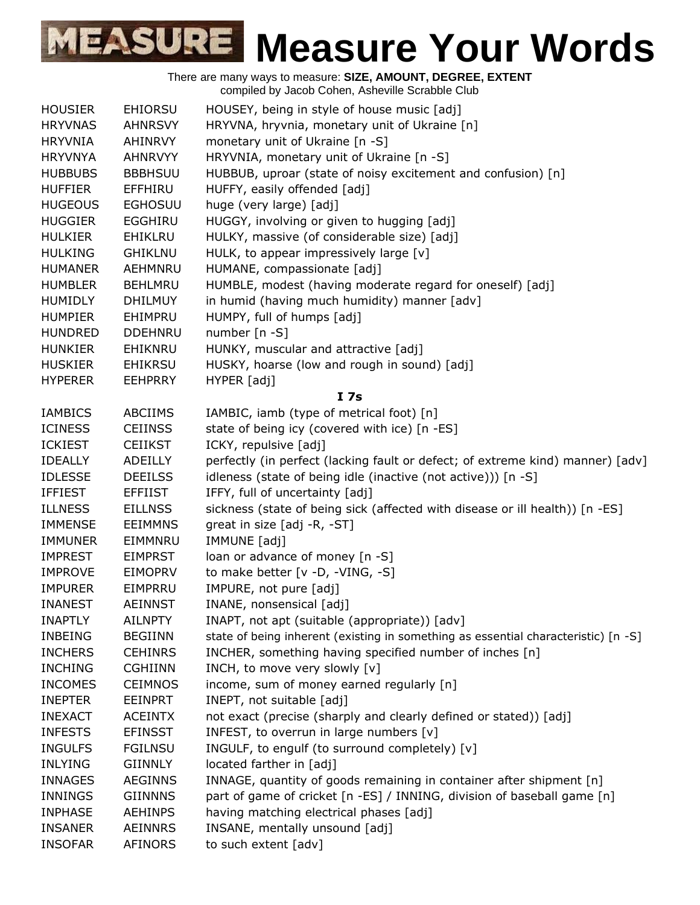|                |                | There are many ways to measure: SIZE, AMOUNT, DEGREE, EXTENT<br>compiled by Jacob Cohen, Asheville Scrabble Club |
|----------------|----------------|------------------------------------------------------------------------------------------------------------------|
| <b>HOUSIER</b> | <b>EHIORSU</b> | HOUSEY, being in style of house music [adj]                                                                      |
| <b>HRYVNAS</b> | <b>AHNRSVY</b> | HRYVNA, hryvnia, monetary unit of Ukraine [n]                                                                    |
| <b>HRYVNIA</b> | AHINRVY        | monetary unit of Ukraine [n -S]                                                                                  |
| <b>HRYVNYA</b> | <b>AHNRVYY</b> | HRYVNIA, monetary unit of Ukraine [n -S]                                                                         |
| <b>HUBBUBS</b> | <b>BBBHSUU</b> | HUBBUB, uproar (state of noisy excitement and confusion) [n]                                                     |
| <b>HUFFIER</b> | <b>EFFHIRU</b> | HUFFY, easily offended [adj]                                                                                     |
| <b>HUGEOUS</b> | <b>EGHOSUU</b> | huge (very large) [adj]                                                                                          |
| <b>HUGGIER</b> | <b>EGGHIRU</b> | HUGGY, involving or given to hugging [adj]                                                                       |
| <b>HULKIER</b> | <b>EHIKLRU</b> | HULKY, massive (of considerable size) [adj]                                                                      |
| <b>HULKING</b> | <b>GHIKLNU</b> | HULK, to appear impressively large [v]                                                                           |
| <b>HUMANER</b> | AEHMNRU        | HUMANE, compassionate [adj]                                                                                      |
| <b>HUMBLER</b> | <b>BEHLMRU</b> | HUMBLE, modest (having moderate regard for oneself) [adj]                                                        |
| <b>HUMIDLY</b> | <b>DHILMUY</b> | in humid (having much humidity) manner [adv]                                                                     |
| <b>HUMPIER</b> | EHIMPRU        | HUMPY, full of humps [adj]                                                                                       |
| <b>HUNDRED</b> | <b>DDEHNRU</b> | number [n -S]                                                                                                    |
| <b>HUNKIER</b> | EHIKNRU        | HUNKY, muscular and attractive [adj]                                                                             |
| <b>HUSKIER</b> | <b>EHIKRSU</b> | HUSKY, hoarse (low and rough in sound) [adj]                                                                     |
| <b>HYPERER</b> | <b>EEHPRRY</b> | HYPER [adj]                                                                                                      |
|                |                | I <sub>7s</sub>                                                                                                  |
| <b>IAMBICS</b> | <b>ABCIIMS</b> | IAMBIC, iamb (type of metrical foot) [n]                                                                         |
| <b>ICINESS</b> | <b>CEIINSS</b> | state of being icy (covered with ice) [n -ES]                                                                    |
| <b>ICKIEST</b> | <b>CEIIKST</b> | ICKY, repulsive [adj]                                                                                            |
| <b>IDEALLY</b> | ADEILLY        | perfectly (in perfect (lacking fault or defect; of extreme kind) manner) [adv]                                   |
| <b>IDLESSE</b> | <b>DEEILSS</b> | idleness (state of being idle (inactive (not active))) [n -S]                                                    |
| <b>IFFIEST</b> | <b>EFFIIST</b> | IFFY, full of uncertainty [adj]                                                                                  |
| <b>ILLNESS</b> | <b>EILLNSS</b> | sickness (state of being sick (affected with disease or ill health)) [n -ES]                                     |
| <b>IMMENSE</b> | <b>EEIMMNS</b> | great in size [adj -R, -ST]                                                                                      |
| <b>IMMUNER</b> | EIMMNRU        | IMMUNE [adj]                                                                                                     |
| <b>IMPREST</b> | <b>EIMPRST</b> | loan or advance of money [n -S]                                                                                  |
| <b>IMPROVE</b> | <b>EIMOPRV</b> | to make better [v -D, -VING, -S]                                                                                 |
| <b>IMPURER</b> | EIMPRRU        | IMPURE, not pure [adj]                                                                                           |
| <b>INANEST</b> | <b>AEINNST</b> | INANE, nonsensical [adj]                                                                                         |
| <b>INAPTLY</b> | <b>AILNPTY</b> | INAPT, not apt (suitable (appropriate)) [adv]                                                                    |
| <b>INBEING</b> | <b>BEGIINN</b> | state of being inherent (existing in something as essential characteristic) [n -S]                               |
| <b>INCHERS</b> | <b>CEHINRS</b> | INCHER, something having specified number of inches [n]                                                          |
| <b>INCHING</b> | <b>CGHIINN</b> | INCH, to move very slowly [v]                                                                                    |
| <b>INCOMES</b> | <b>CEIMNOS</b> | income, sum of money earned regularly [n]                                                                        |
| <b>INEPTER</b> | <b>EEINPRT</b> | INEPT, not suitable [adj]                                                                                        |
| <b>INEXACT</b> | <b>ACEINTX</b> | not exact (precise (sharply and clearly defined or stated)) [adj]                                                |
| <b>INFESTS</b> | <b>EFINSST</b> | INFEST, to overrun in large numbers [v]                                                                          |
| <b>INGULFS</b> | <b>FGILNSU</b> | INGULF, to engulf (to surround completely) [v]                                                                   |
| <b>INLYING</b> | <b>GIINNLY</b> | located farther in [adj]                                                                                         |
| <b>INNAGES</b> | <b>AEGINNS</b> | INNAGE, quantity of goods remaining in container after shipment [n]                                              |
| INNINGS        | <b>GIINNNS</b> | part of game of cricket [n -ES] / INNING, division of baseball game [n]                                          |
| <b>INPHASE</b> | <b>AEHINPS</b> | having matching electrical phases [adj]                                                                          |
| <b>INSANER</b> | <b>AEINNRS</b> | INSANE, mentally unsound [adj]                                                                                   |
| <b>INSOFAR</b> | AFINORS        | to such extent [adv]                                                                                             |
|                |                |                                                                                                                  |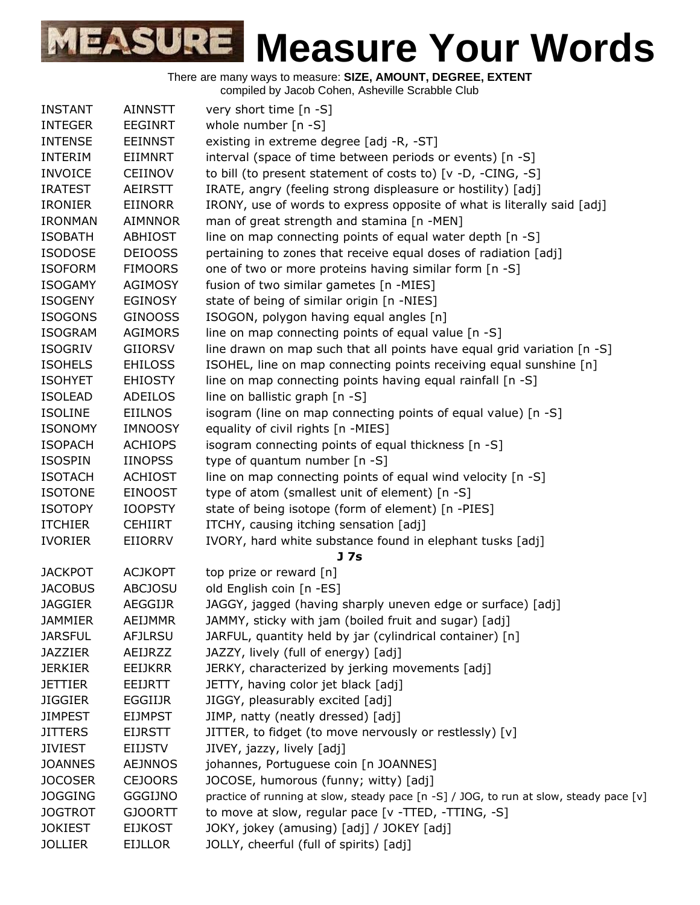

| <b>AINNSTT</b><br>very short time [n -S]<br><b>INSTANT</b><br><b>INTEGER</b><br>whole number $[n - S]$<br><b>EEGINRT</b><br>existing in extreme degree [adj -R, -ST]<br><b>INTENSE</b><br><b>EEINNST</b><br><b>INTERIM</b><br>EIIMNRT<br>interval (space of time between periods or events) [n -S]<br>to bill (to present statement of costs to) [v -D, -CING, -S]<br><b>INVOICE</b><br><b>CEIINOV</b><br>IRATE, angry (feeling strong displeasure or hostility) [adj]<br><b>IRATEST</b><br><b>AEIRSTT</b><br>IRONY, use of words to express opposite of what is literally said [adj]<br><b>IRONIER</b><br>EIINORR<br>man of great strength and stamina [n -MEN]<br><b>IRONMAN</b><br><b>AIMNNOR</b><br><b>ISOBATH</b><br><b>ABHIOST</b><br>line on map connecting points of equal water depth [n -S]<br><b>ISODOSE</b><br>pertaining to zones that receive equal doses of radiation [adj]<br><b>DEIOOSS</b><br>one of two or more proteins having similar form [n -S]<br><b>ISOFORM</b><br><b>FIMOORS</b><br>fusion of two similar gametes [n -MIES]<br><b>ISOGAMY</b><br><b>AGIMOSY</b><br>state of being of similar origin [n -NIES]<br><b>ISOGENY</b><br><b>EGINOSY</b><br>ISOGON, polygon having equal angles [n]<br><b>ISOGONS</b><br><b>GINOOSS</b><br>line on map connecting points of equal value [n -S]<br><b>ISOGRAM</b><br><b>AGIMORS</b><br><b>ISOGRIV</b><br>line drawn on map such that all points have equal grid variation [n -S]<br><b>GIIORSV</b><br>ISOHEL, line on map connecting points receiving equal sunshine [n]<br><b>ISOHELS</b><br><b>EHILOSS</b><br>line on map connecting points having equal rainfall [n -S]<br><b>ISOHYET</b><br><b>EHIOSTY</b><br><b>ISOLEAD</b><br><b>ADEILOS</b><br>line on ballistic graph [n -S]<br>isogram (line on map connecting points of equal value) [n -S]<br><b>ISOLINE</b><br>EIILNOS<br>equality of civil rights [n -MIES]<br><b>ISONOMY</b><br><b>IMNOOSY</b><br><b>ISOPACH</b><br><b>ACHIOPS</b><br>isogram connecting points of equal thickness [n -S]<br>type of quantum number [n -S]<br><b>ISOSPIN</b><br><b>IINOPSS</b><br>line on map connecting points of equal wind velocity [n -S]<br><b>ISOTACH</b><br><b>ACHIOST</b><br><b>ISOTONE</b><br><b>EINOOST</b><br>type of atom (smallest unit of element) [n -S]<br>state of being isotope (form of element) [n -PIES]<br><b>ISOTOPY</b><br><b>IOOPSTY</b><br>ITCHY, causing itching sensation [adj]<br><b>ITCHIER</b><br><b>CEHIIRT</b><br><b>IVORIER</b><br>EIIORRV<br>IVORY, hard white substance found in elephant tusks [adj]<br>J 7s<br><b>ACJKOPT</b><br>top prize or reward [n]<br><b>JACKPOT</b><br>old English coin [n -ES]<br><b>JACOBUS</b><br><b>ABCJOSU</b><br>JAGGY, jagged (having sharply uneven edge or surface) [adj]<br><b>JAGGIER</b><br><b>AEGGIJR</b><br><b>JAMMIER</b><br>AEIJMMR<br>JAMMY, sticky with jam (boiled fruit and sugar) [adj]<br><b>JARSFUL</b><br><b>AFJLRSU</b><br>JARFUL, quantity held by jar (cylindrical container) [n]<br>JAZZY, lively (full of energy) [adj]<br><b>JAZZIER</b><br>AEIJRZZ<br><b>JERKIER</b><br>JERKY, characterized by jerking movements [adj]<br><b>EEIJKRR</b><br>JETTY, having color jet black [adj]<br><b>JETTIER</b><br><b>EEIJRTT</b><br>JIGGY, pleasurably excited [adj]<br><b>JIGGIER</b><br><b>EGGIIJR</b><br>JIMP, natty (neatly dressed) [adj]<br><b>JIMPEST</b><br><b>EIJMPST</b><br><b>JITTERS</b><br><b>EIJRSTT</b><br>JITTER, to fidget (to move nervously or restlessly) [v]<br>JIVEY, jazzy, lively [adj]<br><b>JIVIEST</b><br><b>EIIJSTV</b><br><b>JOANNES</b><br><b>AEJNNOS</b><br>johannes, Portuguese coin [n JOANNES]<br><b>JOCOSER</b><br><b>CEJOORS</b><br>JOCOSE, humorous (funny; witty) [adj]<br><b>JOGGING</b><br><b>GGGIJNO</b><br>practice of running at slow, steady pace [n -S] / JOG, to run at slow, steady pace [v]<br>to move at slow, regular pace [v -TTED, -TTING, -S]<br><b>JOGTROT</b><br><b>GJOORTT</b><br><b>JOKIEST</b><br><b>EIJKOST</b><br>JOKY, jokey (amusing) [adj] / JOKEY [adj]<br><b>JOLLIER</b><br>JOLLY, cheerful (full of spirits) [adj]<br><b>EIJLLOR</b> |  |  |
|--------------------------------------------------------------------------------------------------------------------------------------------------------------------------------------------------------------------------------------------------------------------------------------------------------------------------------------------------------------------------------------------------------------------------------------------------------------------------------------------------------------------------------------------------------------------------------------------------------------------------------------------------------------------------------------------------------------------------------------------------------------------------------------------------------------------------------------------------------------------------------------------------------------------------------------------------------------------------------------------------------------------------------------------------------------------------------------------------------------------------------------------------------------------------------------------------------------------------------------------------------------------------------------------------------------------------------------------------------------------------------------------------------------------------------------------------------------------------------------------------------------------------------------------------------------------------------------------------------------------------------------------------------------------------------------------------------------------------------------------------------------------------------------------------------------------------------------------------------------------------------------------------------------------------------------------------------------------------------------------------------------------------------------------------------------------------------------------------------------------------------------------------------------------------------------------------------------------------------------------------------------------------------------------------------------------------------------------------------------------------------------------------------------------------------------------------------------------------------------------------------------------------------------------------------------------------------------------------------------------------------------------------------------------------------------------------------------------------------------------------------------------------------------------------------------------------------------------------------------------------------------------------------------------------------------------------------------------------------------------------------------------------------------------------------------------------------------------------------------------------------------------------------------------------------------------------------------------------------------------------------------------------------------------------------------------------------------------------------------------------------------------------------------------------------------------------------------------------------------------------------------------------------------------------------------------------------------------------------------------------------------------------------------------------------------------------------------------------------------------------------------------------------------------------------------------------------------------------------------------------------------------------------------------------------------------------------------------------------------------------------------------------------------------------------------------------------------------------------|--|--|
|                                                                                                                                                                                                                                                                                                                                                                                                                                                                                                                                                                                                                                                                                                                                                                                                                                                                                                                                                                                                                                                                                                                                                                                                                                                                                                                                                                                                                                                                                                                                                                                                                                                                                                                                                                                                                                                                                                                                                                                                                                                                                                                                                                                                                                                                                                                                                                                                                                                                                                                                                                                                                                                                                                                                                                                                                                                                                                                                                                                                                                                                                                                                                                                                                                                                                                                                                                                                                                                                                                                                                                                                                                                                                                                                                                                                                                                                                                                                                                                                                                                                                                        |  |  |
|                                                                                                                                                                                                                                                                                                                                                                                                                                                                                                                                                                                                                                                                                                                                                                                                                                                                                                                                                                                                                                                                                                                                                                                                                                                                                                                                                                                                                                                                                                                                                                                                                                                                                                                                                                                                                                                                                                                                                                                                                                                                                                                                                                                                                                                                                                                                                                                                                                                                                                                                                                                                                                                                                                                                                                                                                                                                                                                                                                                                                                                                                                                                                                                                                                                                                                                                                                                                                                                                                                                                                                                                                                                                                                                                                                                                                                                                                                                                                                                                                                                                                                        |  |  |
|                                                                                                                                                                                                                                                                                                                                                                                                                                                                                                                                                                                                                                                                                                                                                                                                                                                                                                                                                                                                                                                                                                                                                                                                                                                                                                                                                                                                                                                                                                                                                                                                                                                                                                                                                                                                                                                                                                                                                                                                                                                                                                                                                                                                                                                                                                                                                                                                                                                                                                                                                                                                                                                                                                                                                                                                                                                                                                                                                                                                                                                                                                                                                                                                                                                                                                                                                                                                                                                                                                                                                                                                                                                                                                                                                                                                                                                                                                                                                                                                                                                                                                        |  |  |
|                                                                                                                                                                                                                                                                                                                                                                                                                                                                                                                                                                                                                                                                                                                                                                                                                                                                                                                                                                                                                                                                                                                                                                                                                                                                                                                                                                                                                                                                                                                                                                                                                                                                                                                                                                                                                                                                                                                                                                                                                                                                                                                                                                                                                                                                                                                                                                                                                                                                                                                                                                                                                                                                                                                                                                                                                                                                                                                                                                                                                                                                                                                                                                                                                                                                                                                                                                                                                                                                                                                                                                                                                                                                                                                                                                                                                                                                                                                                                                                                                                                                                                        |  |  |
|                                                                                                                                                                                                                                                                                                                                                                                                                                                                                                                                                                                                                                                                                                                                                                                                                                                                                                                                                                                                                                                                                                                                                                                                                                                                                                                                                                                                                                                                                                                                                                                                                                                                                                                                                                                                                                                                                                                                                                                                                                                                                                                                                                                                                                                                                                                                                                                                                                                                                                                                                                                                                                                                                                                                                                                                                                                                                                                                                                                                                                                                                                                                                                                                                                                                                                                                                                                                                                                                                                                                                                                                                                                                                                                                                                                                                                                                                                                                                                                                                                                                                                        |  |  |
|                                                                                                                                                                                                                                                                                                                                                                                                                                                                                                                                                                                                                                                                                                                                                                                                                                                                                                                                                                                                                                                                                                                                                                                                                                                                                                                                                                                                                                                                                                                                                                                                                                                                                                                                                                                                                                                                                                                                                                                                                                                                                                                                                                                                                                                                                                                                                                                                                                                                                                                                                                                                                                                                                                                                                                                                                                                                                                                                                                                                                                                                                                                                                                                                                                                                                                                                                                                                                                                                                                                                                                                                                                                                                                                                                                                                                                                                                                                                                                                                                                                                                                        |  |  |
|                                                                                                                                                                                                                                                                                                                                                                                                                                                                                                                                                                                                                                                                                                                                                                                                                                                                                                                                                                                                                                                                                                                                                                                                                                                                                                                                                                                                                                                                                                                                                                                                                                                                                                                                                                                                                                                                                                                                                                                                                                                                                                                                                                                                                                                                                                                                                                                                                                                                                                                                                                                                                                                                                                                                                                                                                                                                                                                                                                                                                                                                                                                                                                                                                                                                                                                                                                                                                                                                                                                                                                                                                                                                                                                                                                                                                                                                                                                                                                                                                                                                                                        |  |  |
|                                                                                                                                                                                                                                                                                                                                                                                                                                                                                                                                                                                                                                                                                                                                                                                                                                                                                                                                                                                                                                                                                                                                                                                                                                                                                                                                                                                                                                                                                                                                                                                                                                                                                                                                                                                                                                                                                                                                                                                                                                                                                                                                                                                                                                                                                                                                                                                                                                                                                                                                                                                                                                                                                                                                                                                                                                                                                                                                                                                                                                                                                                                                                                                                                                                                                                                                                                                                                                                                                                                                                                                                                                                                                                                                                                                                                                                                                                                                                                                                                                                                                                        |  |  |
|                                                                                                                                                                                                                                                                                                                                                                                                                                                                                                                                                                                                                                                                                                                                                                                                                                                                                                                                                                                                                                                                                                                                                                                                                                                                                                                                                                                                                                                                                                                                                                                                                                                                                                                                                                                                                                                                                                                                                                                                                                                                                                                                                                                                                                                                                                                                                                                                                                                                                                                                                                                                                                                                                                                                                                                                                                                                                                                                                                                                                                                                                                                                                                                                                                                                                                                                                                                                                                                                                                                                                                                                                                                                                                                                                                                                                                                                                                                                                                                                                                                                                                        |  |  |
|                                                                                                                                                                                                                                                                                                                                                                                                                                                                                                                                                                                                                                                                                                                                                                                                                                                                                                                                                                                                                                                                                                                                                                                                                                                                                                                                                                                                                                                                                                                                                                                                                                                                                                                                                                                                                                                                                                                                                                                                                                                                                                                                                                                                                                                                                                                                                                                                                                                                                                                                                                                                                                                                                                                                                                                                                                                                                                                                                                                                                                                                                                                                                                                                                                                                                                                                                                                                                                                                                                                                                                                                                                                                                                                                                                                                                                                                                                                                                                                                                                                                                                        |  |  |
|                                                                                                                                                                                                                                                                                                                                                                                                                                                                                                                                                                                                                                                                                                                                                                                                                                                                                                                                                                                                                                                                                                                                                                                                                                                                                                                                                                                                                                                                                                                                                                                                                                                                                                                                                                                                                                                                                                                                                                                                                                                                                                                                                                                                                                                                                                                                                                                                                                                                                                                                                                                                                                                                                                                                                                                                                                                                                                                                                                                                                                                                                                                                                                                                                                                                                                                                                                                                                                                                                                                                                                                                                                                                                                                                                                                                                                                                                                                                                                                                                                                                                                        |  |  |
|                                                                                                                                                                                                                                                                                                                                                                                                                                                                                                                                                                                                                                                                                                                                                                                                                                                                                                                                                                                                                                                                                                                                                                                                                                                                                                                                                                                                                                                                                                                                                                                                                                                                                                                                                                                                                                                                                                                                                                                                                                                                                                                                                                                                                                                                                                                                                                                                                                                                                                                                                                                                                                                                                                                                                                                                                                                                                                                                                                                                                                                                                                                                                                                                                                                                                                                                                                                                                                                                                                                                                                                                                                                                                                                                                                                                                                                                                                                                                                                                                                                                                                        |  |  |
|                                                                                                                                                                                                                                                                                                                                                                                                                                                                                                                                                                                                                                                                                                                                                                                                                                                                                                                                                                                                                                                                                                                                                                                                                                                                                                                                                                                                                                                                                                                                                                                                                                                                                                                                                                                                                                                                                                                                                                                                                                                                                                                                                                                                                                                                                                                                                                                                                                                                                                                                                                                                                                                                                                                                                                                                                                                                                                                                                                                                                                                                                                                                                                                                                                                                                                                                                                                                                                                                                                                                                                                                                                                                                                                                                                                                                                                                                                                                                                                                                                                                                                        |  |  |
|                                                                                                                                                                                                                                                                                                                                                                                                                                                                                                                                                                                                                                                                                                                                                                                                                                                                                                                                                                                                                                                                                                                                                                                                                                                                                                                                                                                                                                                                                                                                                                                                                                                                                                                                                                                                                                                                                                                                                                                                                                                                                                                                                                                                                                                                                                                                                                                                                                                                                                                                                                                                                                                                                                                                                                                                                                                                                                                                                                                                                                                                                                                                                                                                                                                                                                                                                                                                                                                                                                                                                                                                                                                                                                                                                                                                                                                                                                                                                                                                                                                                                                        |  |  |
|                                                                                                                                                                                                                                                                                                                                                                                                                                                                                                                                                                                                                                                                                                                                                                                                                                                                                                                                                                                                                                                                                                                                                                                                                                                                                                                                                                                                                                                                                                                                                                                                                                                                                                                                                                                                                                                                                                                                                                                                                                                                                                                                                                                                                                                                                                                                                                                                                                                                                                                                                                                                                                                                                                                                                                                                                                                                                                                                                                                                                                                                                                                                                                                                                                                                                                                                                                                                                                                                                                                                                                                                                                                                                                                                                                                                                                                                                                                                                                                                                                                                                                        |  |  |
|                                                                                                                                                                                                                                                                                                                                                                                                                                                                                                                                                                                                                                                                                                                                                                                                                                                                                                                                                                                                                                                                                                                                                                                                                                                                                                                                                                                                                                                                                                                                                                                                                                                                                                                                                                                                                                                                                                                                                                                                                                                                                                                                                                                                                                                                                                                                                                                                                                                                                                                                                                                                                                                                                                                                                                                                                                                                                                                                                                                                                                                                                                                                                                                                                                                                                                                                                                                                                                                                                                                                                                                                                                                                                                                                                                                                                                                                                                                                                                                                                                                                                                        |  |  |
|                                                                                                                                                                                                                                                                                                                                                                                                                                                                                                                                                                                                                                                                                                                                                                                                                                                                                                                                                                                                                                                                                                                                                                                                                                                                                                                                                                                                                                                                                                                                                                                                                                                                                                                                                                                                                                                                                                                                                                                                                                                                                                                                                                                                                                                                                                                                                                                                                                                                                                                                                                                                                                                                                                                                                                                                                                                                                                                                                                                                                                                                                                                                                                                                                                                                                                                                                                                                                                                                                                                                                                                                                                                                                                                                                                                                                                                                                                                                                                                                                                                                                                        |  |  |
|                                                                                                                                                                                                                                                                                                                                                                                                                                                                                                                                                                                                                                                                                                                                                                                                                                                                                                                                                                                                                                                                                                                                                                                                                                                                                                                                                                                                                                                                                                                                                                                                                                                                                                                                                                                                                                                                                                                                                                                                                                                                                                                                                                                                                                                                                                                                                                                                                                                                                                                                                                                                                                                                                                                                                                                                                                                                                                                                                                                                                                                                                                                                                                                                                                                                                                                                                                                                                                                                                                                                                                                                                                                                                                                                                                                                                                                                                                                                                                                                                                                                                                        |  |  |
|                                                                                                                                                                                                                                                                                                                                                                                                                                                                                                                                                                                                                                                                                                                                                                                                                                                                                                                                                                                                                                                                                                                                                                                                                                                                                                                                                                                                                                                                                                                                                                                                                                                                                                                                                                                                                                                                                                                                                                                                                                                                                                                                                                                                                                                                                                                                                                                                                                                                                                                                                                                                                                                                                                                                                                                                                                                                                                                                                                                                                                                                                                                                                                                                                                                                                                                                                                                                                                                                                                                                                                                                                                                                                                                                                                                                                                                                                                                                                                                                                                                                                                        |  |  |
|                                                                                                                                                                                                                                                                                                                                                                                                                                                                                                                                                                                                                                                                                                                                                                                                                                                                                                                                                                                                                                                                                                                                                                                                                                                                                                                                                                                                                                                                                                                                                                                                                                                                                                                                                                                                                                                                                                                                                                                                                                                                                                                                                                                                                                                                                                                                                                                                                                                                                                                                                                                                                                                                                                                                                                                                                                                                                                                                                                                                                                                                                                                                                                                                                                                                                                                                                                                                                                                                                                                                                                                                                                                                                                                                                                                                                                                                                                                                                                                                                                                                                                        |  |  |
|                                                                                                                                                                                                                                                                                                                                                                                                                                                                                                                                                                                                                                                                                                                                                                                                                                                                                                                                                                                                                                                                                                                                                                                                                                                                                                                                                                                                                                                                                                                                                                                                                                                                                                                                                                                                                                                                                                                                                                                                                                                                                                                                                                                                                                                                                                                                                                                                                                                                                                                                                                                                                                                                                                                                                                                                                                                                                                                                                                                                                                                                                                                                                                                                                                                                                                                                                                                                                                                                                                                                                                                                                                                                                                                                                                                                                                                                                                                                                                                                                                                                                                        |  |  |
|                                                                                                                                                                                                                                                                                                                                                                                                                                                                                                                                                                                                                                                                                                                                                                                                                                                                                                                                                                                                                                                                                                                                                                                                                                                                                                                                                                                                                                                                                                                                                                                                                                                                                                                                                                                                                                                                                                                                                                                                                                                                                                                                                                                                                                                                                                                                                                                                                                                                                                                                                                                                                                                                                                                                                                                                                                                                                                                                                                                                                                                                                                                                                                                                                                                                                                                                                                                                                                                                                                                                                                                                                                                                                                                                                                                                                                                                                                                                                                                                                                                                                                        |  |  |
|                                                                                                                                                                                                                                                                                                                                                                                                                                                                                                                                                                                                                                                                                                                                                                                                                                                                                                                                                                                                                                                                                                                                                                                                                                                                                                                                                                                                                                                                                                                                                                                                                                                                                                                                                                                                                                                                                                                                                                                                                                                                                                                                                                                                                                                                                                                                                                                                                                                                                                                                                                                                                                                                                                                                                                                                                                                                                                                                                                                                                                                                                                                                                                                                                                                                                                                                                                                                                                                                                                                                                                                                                                                                                                                                                                                                                                                                                                                                                                                                                                                                                                        |  |  |
|                                                                                                                                                                                                                                                                                                                                                                                                                                                                                                                                                                                                                                                                                                                                                                                                                                                                                                                                                                                                                                                                                                                                                                                                                                                                                                                                                                                                                                                                                                                                                                                                                                                                                                                                                                                                                                                                                                                                                                                                                                                                                                                                                                                                                                                                                                                                                                                                                                                                                                                                                                                                                                                                                                                                                                                                                                                                                                                                                                                                                                                                                                                                                                                                                                                                                                                                                                                                                                                                                                                                                                                                                                                                                                                                                                                                                                                                                                                                                                                                                                                                                                        |  |  |
|                                                                                                                                                                                                                                                                                                                                                                                                                                                                                                                                                                                                                                                                                                                                                                                                                                                                                                                                                                                                                                                                                                                                                                                                                                                                                                                                                                                                                                                                                                                                                                                                                                                                                                                                                                                                                                                                                                                                                                                                                                                                                                                                                                                                                                                                                                                                                                                                                                                                                                                                                                                                                                                                                                                                                                                                                                                                                                                                                                                                                                                                                                                                                                                                                                                                                                                                                                                                                                                                                                                                                                                                                                                                                                                                                                                                                                                                                                                                                                                                                                                                                                        |  |  |
|                                                                                                                                                                                                                                                                                                                                                                                                                                                                                                                                                                                                                                                                                                                                                                                                                                                                                                                                                                                                                                                                                                                                                                                                                                                                                                                                                                                                                                                                                                                                                                                                                                                                                                                                                                                                                                                                                                                                                                                                                                                                                                                                                                                                                                                                                                                                                                                                                                                                                                                                                                                                                                                                                                                                                                                                                                                                                                                                                                                                                                                                                                                                                                                                                                                                                                                                                                                                                                                                                                                                                                                                                                                                                                                                                                                                                                                                                                                                                                                                                                                                                                        |  |  |
|                                                                                                                                                                                                                                                                                                                                                                                                                                                                                                                                                                                                                                                                                                                                                                                                                                                                                                                                                                                                                                                                                                                                                                                                                                                                                                                                                                                                                                                                                                                                                                                                                                                                                                                                                                                                                                                                                                                                                                                                                                                                                                                                                                                                                                                                                                                                                                                                                                                                                                                                                                                                                                                                                                                                                                                                                                                                                                                                                                                                                                                                                                                                                                                                                                                                                                                                                                                                                                                                                                                                                                                                                                                                                                                                                                                                                                                                                                                                                                                                                                                                                                        |  |  |
|                                                                                                                                                                                                                                                                                                                                                                                                                                                                                                                                                                                                                                                                                                                                                                                                                                                                                                                                                                                                                                                                                                                                                                                                                                                                                                                                                                                                                                                                                                                                                                                                                                                                                                                                                                                                                                                                                                                                                                                                                                                                                                                                                                                                                                                                                                                                                                                                                                                                                                                                                                                                                                                                                                                                                                                                                                                                                                                                                                                                                                                                                                                                                                                                                                                                                                                                                                                                                                                                                                                                                                                                                                                                                                                                                                                                                                                                                                                                                                                                                                                                                                        |  |  |
|                                                                                                                                                                                                                                                                                                                                                                                                                                                                                                                                                                                                                                                                                                                                                                                                                                                                                                                                                                                                                                                                                                                                                                                                                                                                                                                                                                                                                                                                                                                                                                                                                                                                                                                                                                                                                                                                                                                                                                                                                                                                                                                                                                                                                                                                                                                                                                                                                                                                                                                                                                                                                                                                                                                                                                                                                                                                                                                                                                                                                                                                                                                                                                                                                                                                                                                                                                                                                                                                                                                                                                                                                                                                                                                                                                                                                                                                                                                                                                                                                                                                                                        |  |  |
|                                                                                                                                                                                                                                                                                                                                                                                                                                                                                                                                                                                                                                                                                                                                                                                                                                                                                                                                                                                                                                                                                                                                                                                                                                                                                                                                                                                                                                                                                                                                                                                                                                                                                                                                                                                                                                                                                                                                                                                                                                                                                                                                                                                                                                                                                                                                                                                                                                                                                                                                                                                                                                                                                                                                                                                                                                                                                                                                                                                                                                                                                                                                                                                                                                                                                                                                                                                                                                                                                                                                                                                                                                                                                                                                                                                                                                                                                                                                                                                                                                                                                                        |  |  |
|                                                                                                                                                                                                                                                                                                                                                                                                                                                                                                                                                                                                                                                                                                                                                                                                                                                                                                                                                                                                                                                                                                                                                                                                                                                                                                                                                                                                                                                                                                                                                                                                                                                                                                                                                                                                                                                                                                                                                                                                                                                                                                                                                                                                                                                                                                                                                                                                                                                                                                                                                                                                                                                                                                                                                                                                                                                                                                                                                                                                                                                                                                                                                                                                                                                                                                                                                                                                                                                                                                                                                                                                                                                                                                                                                                                                                                                                                                                                                                                                                                                                                                        |  |  |
|                                                                                                                                                                                                                                                                                                                                                                                                                                                                                                                                                                                                                                                                                                                                                                                                                                                                                                                                                                                                                                                                                                                                                                                                                                                                                                                                                                                                                                                                                                                                                                                                                                                                                                                                                                                                                                                                                                                                                                                                                                                                                                                                                                                                                                                                                                                                                                                                                                                                                                                                                                                                                                                                                                                                                                                                                                                                                                                                                                                                                                                                                                                                                                                                                                                                                                                                                                                                                                                                                                                                                                                                                                                                                                                                                                                                                                                                                                                                                                                                                                                                                                        |  |  |
|                                                                                                                                                                                                                                                                                                                                                                                                                                                                                                                                                                                                                                                                                                                                                                                                                                                                                                                                                                                                                                                                                                                                                                                                                                                                                                                                                                                                                                                                                                                                                                                                                                                                                                                                                                                                                                                                                                                                                                                                                                                                                                                                                                                                                                                                                                                                                                                                                                                                                                                                                                                                                                                                                                                                                                                                                                                                                                                                                                                                                                                                                                                                                                                                                                                                                                                                                                                                                                                                                                                                                                                                                                                                                                                                                                                                                                                                                                                                                                                                                                                                                                        |  |  |
|                                                                                                                                                                                                                                                                                                                                                                                                                                                                                                                                                                                                                                                                                                                                                                                                                                                                                                                                                                                                                                                                                                                                                                                                                                                                                                                                                                                                                                                                                                                                                                                                                                                                                                                                                                                                                                                                                                                                                                                                                                                                                                                                                                                                                                                                                                                                                                                                                                                                                                                                                                                                                                                                                                                                                                                                                                                                                                                                                                                                                                                                                                                                                                                                                                                                                                                                                                                                                                                                                                                                                                                                                                                                                                                                                                                                                                                                                                                                                                                                                                                                                                        |  |  |
|                                                                                                                                                                                                                                                                                                                                                                                                                                                                                                                                                                                                                                                                                                                                                                                                                                                                                                                                                                                                                                                                                                                                                                                                                                                                                                                                                                                                                                                                                                                                                                                                                                                                                                                                                                                                                                                                                                                                                                                                                                                                                                                                                                                                                                                                                                                                                                                                                                                                                                                                                                                                                                                                                                                                                                                                                                                                                                                                                                                                                                                                                                                                                                                                                                                                                                                                                                                                                                                                                                                                                                                                                                                                                                                                                                                                                                                                                                                                                                                                                                                                                                        |  |  |
|                                                                                                                                                                                                                                                                                                                                                                                                                                                                                                                                                                                                                                                                                                                                                                                                                                                                                                                                                                                                                                                                                                                                                                                                                                                                                                                                                                                                                                                                                                                                                                                                                                                                                                                                                                                                                                                                                                                                                                                                                                                                                                                                                                                                                                                                                                                                                                                                                                                                                                                                                                                                                                                                                                                                                                                                                                                                                                                                                                                                                                                                                                                                                                                                                                                                                                                                                                                                                                                                                                                                                                                                                                                                                                                                                                                                                                                                                                                                                                                                                                                                                                        |  |  |
|                                                                                                                                                                                                                                                                                                                                                                                                                                                                                                                                                                                                                                                                                                                                                                                                                                                                                                                                                                                                                                                                                                                                                                                                                                                                                                                                                                                                                                                                                                                                                                                                                                                                                                                                                                                                                                                                                                                                                                                                                                                                                                                                                                                                                                                                                                                                                                                                                                                                                                                                                                                                                                                                                                                                                                                                                                                                                                                                                                                                                                                                                                                                                                                                                                                                                                                                                                                                                                                                                                                                                                                                                                                                                                                                                                                                                                                                                                                                                                                                                                                                                                        |  |  |
|                                                                                                                                                                                                                                                                                                                                                                                                                                                                                                                                                                                                                                                                                                                                                                                                                                                                                                                                                                                                                                                                                                                                                                                                                                                                                                                                                                                                                                                                                                                                                                                                                                                                                                                                                                                                                                                                                                                                                                                                                                                                                                                                                                                                                                                                                                                                                                                                                                                                                                                                                                                                                                                                                                                                                                                                                                                                                                                                                                                                                                                                                                                                                                                                                                                                                                                                                                                                                                                                                                                                                                                                                                                                                                                                                                                                                                                                                                                                                                                                                                                                                                        |  |  |
|                                                                                                                                                                                                                                                                                                                                                                                                                                                                                                                                                                                                                                                                                                                                                                                                                                                                                                                                                                                                                                                                                                                                                                                                                                                                                                                                                                                                                                                                                                                                                                                                                                                                                                                                                                                                                                                                                                                                                                                                                                                                                                                                                                                                                                                                                                                                                                                                                                                                                                                                                                                                                                                                                                                                                                                                                                                                                                                                                                                                                                                                                                                                                                                                                                                                                                                                                                                                                                                                                                                                                                                                                                                                                                                                                                                                                                                                                                                                                                                                                                                                                                        |  |  |
|                                                                                                                                                                                                                                                                                                                                                                                                                                                                                                                                                                                                                                                                                                                                                                                                                                                                                                                                                                                                                                                                                                                                                                                                                                                                                                                                                                                                                                                                                                                                                                                                                                                                                                                                                                                                                                                                                                                                                                                                                                                                                                                                                                                                                                                                                                                                                                                                                                                                                                                                                                                                                                                                                                                                                                                                                                                                                                                                                                                                                                                                                                                                                                                                                                                                                                                                                                                                                                                                                                                                                                                                                                                                                                                                                                                                                                                                                                                                                                                                                                                                                                        |  |  |
|                                                                                                                                                                                                                                                                                                                                                                                                                                                                                                                                                                                                                                                                                                                                                                                                                                                                                                                                                                                                                                                                                                                                                                                                                                                                                                                                                                                                                                                                                                                                                                                                                                                                                                                                                                                                                                                                                                                                                                                                                                                                                                                                                                                                                                                                                                                                                                                                                                                                                                                                                                                                                                                                                                                                                                                                                                                                                                                                                                                                                                                                                                                                                                                                                                                                                                                                                                                                                                                                                                                                                                                                                                                                                                                                                                                                                                                                                                                                                                                                                                                                                                        |  |  |
|                                                                                                                                                                                                                                                                                                                                                                                                                                                                                                                                                                                                                                                                                                                                                                                                                                                                                                                                                                                                                                                                                                                                                                                                                                                                                                                                                                                                                                                                                                                                                                                                                                                                                                                                                                                                                                                                                                                                                                                                                                                                                                                                                                                                                                                                                                                                                                                                                                                                                                                                                                                                                                                                                                                                                                                                                                                                                                                                                                                                                                                                                                                                                                                                                                                                                                                                                                                                                                                                                                                                                                                                                                                                                                                                                                                                                                                                                                                                                                                                                                                                                                        |  |  |
|                                                                                                                                                                                                                                                                                                                                                                                                                                                                                                                                                                                                                                                                                                                                                                                                                                                                                                                                                                                                                                                                                                                                                                                                                                                                                                                                                                                                                                                                                                                                                                                                                                                                                                                                                                                                                                                                                                                                                                                                                                                                                                                                                                                                                                                                                                                                                                                                                                                                                                                                                                                                                                                                                                                                                                                                                                                                                                                                                                                                                                                                                                                                                                                                                                                                                                                                                                                                                                                                                                                                                                                                                                                                                                                                                                                                                                                                                                                                                                                                                                                                                                        |  |  |
|                                                                                                                                                                                                                                                                                                                                                                                                                                                                                                                                                                                                                                                                                                                                                                                                                                                                                                                                                                                                                                                                                                                                                                                                                                                                                                                                                                                                                                                                                                                                                                                                                                                                                                                                                                                                                                                                                                                                                                                                                                                                                                                                                                                                                                                                                                                                                                                                                                                                                                                                                                                                                                                                                                                                                                                                                                                                                                                                                                                                                                                                                                                                                                                                                                                                                                                                                                                                                                                                                                                                                                                                                                                                                                                                                                                                                                                                                                                                                                                                                                                                                                        |  |  |
|                                                                                                                                                                                                                                                                                                                                                                                                                                                                                                                                                                                                                                                                                                                                                                                                                                                                                                                                                                                                                                                                                                                                                                                                                                                                                                                                                                                                                                                                                                                                                                                                                                                                                                                                                                                                                                                                                                                                                                                                                                                                                                                                                                                                                                                                                                                                                                                                                                                                                                                                                                                                                                                                                                                                                                                                                                                                                                                                                                                                                                                                                                                                                                                                                                                                                                                                                                                                                                                                                                                                                                                                                                                                                                                                                                                                                                                                                                                                                                                                                                                                                                        |  |  |
|                                                                                                                                                                                                                                                                                                                                                                                                                                                                                                                                                                                                                                                                                                                                                                                                                                                                                                                                                                                                                                                                                                                                                                                                                                                                                                                                                                                                                                                                                                                                                                                                                                                                                                                                                                                                                                                                                                                                                                                                                                                                                                                                                                                                                                                                                                                                                                                                                                                                                                                                                                                                                                                                                                                                                                                                                                                                                                                                                                                                                                                                                                                                                                                                                                                                                                                                                                                                                                                                                                                                                                                                                                                                                                                                                                                                                                                                                                                                                                                                                                                                                                        |  |  |
|                                                                                                                                                                                                                                                                                                                                                                                                                                                                                                                                                                                                                                                                                                                                                                                                                                                                                                                                                                                                                                                                                                                                                                                                                                                                                                                                                                                                                                                                                                                                                                                                                                                                                                                                                                                                                                                                                                                                                                                                                                                                                                                                                                                                                                                                                                                                                                                                                                                                                                                                                                                                                                                                                                                                                                                                                                                                                                                                                                                                                                                                                                                                                                                                                                                                                                                                                                                                                                                                                                                                                                                                                                                                                                                                                                                                                                                                                                                                                                                                                                                                                                        |  |  |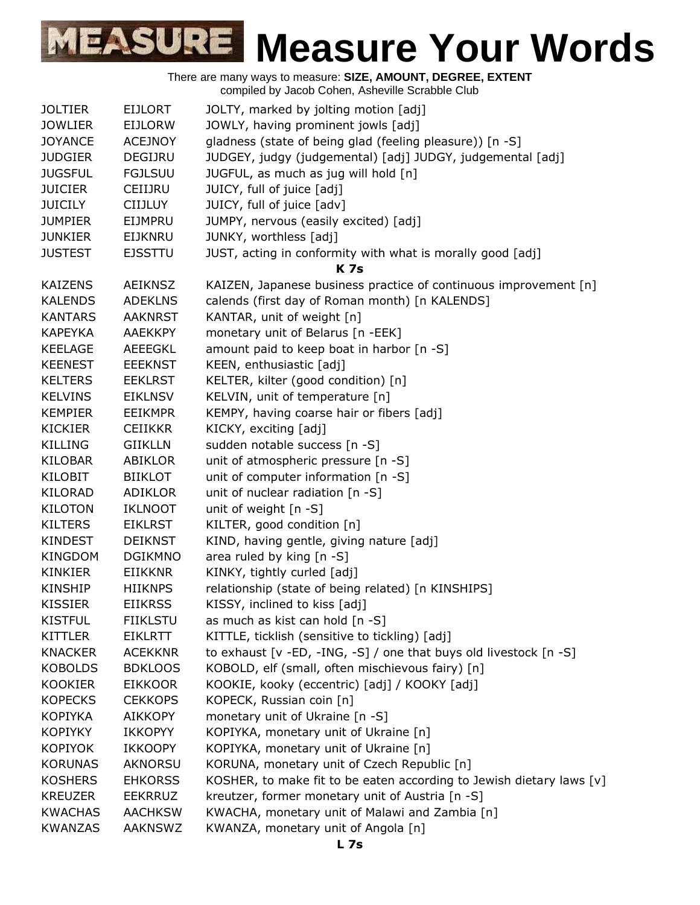| <b>JOLTIER</b> | <b>EIJLORT</b>  | JOLTY, marked by jolting motion [adj]                                    |
|----------------|-----------------|--------------------------------------------------------------------------|
| <b>JOWLIER</b> | <b>EIJLORW</b>  | JOWLY, having prominent jowls [adj]                                      |
| <b>JOYANCE</b> | <b>ACEJNOY</b>  | gladness (state of being glad (feeling pleasure)) [n -S]                 |
| <b>JUDGIER</b> | DEGIJRU         | JUDGEY, judgy (judgemental) [adj] JUDGY, judgemental [adj]               |
| <b>JUGSFUL</b> | <b>FGJLSUU</b>  | JUGFUL, as much as jug will hold [n]                                     |
| <b>JUICIER</b> | CEIIJRU         | JUICY, full of juice [adj]                                               |
| <b>JUICILY</b> | <b>CIIJLUY</b>  | JUICY, full of juice [adv]                                               |
| <b>JUMPIER</b> | EIJMPRU         | JUMPY, nervous (easily excited) [adj]                                    |
| <b>JUNKIER</b> | <b>EIJKNRU</b>  | JUNKY, worthless [adj]                                                   |
|                |                 |                                                                          |
| <b>JUSTEST</b> | <b>EJSSTTU</b>  | JUST, acting in conformity with what is morally good [adj]<br><b>K7s</b> |
|                |                 |                                                                          |
| <b>KAIZENS</b> | <b>AEIKNSZ</b>  | KAIZEN, Japanese business practice of continuous improvement [n]         |
| <b>KALENDS</b> | <b>ADEKLNS</b>  | calends (first day of Roman month) [n KALENDS]                           |
| <b>KANTARS</b> | <b>AAKNRST</b>  | KANTAR, unit of weight [n]                                               |
| <b>KAPEYKA</b> | <b>AAEKKPY</b>  | monetary unit of Belarus [n -EEK]                                        |
| <b>KEELAGE</b> | <b>AEEEGKL</b>  | amount paid to keep boat in harbor [n -S]                                |
| <b>KEENEST</b> | <b>EEEKNST</b>  | KEEN, enthusiastic [adj]                                                 |
| <b>KELTERS</b> | <b>EEKLRST</b>  | KELTER, kilter (good condition) [n]                                      |
| <b>KELVINS</b> | <b>EIKLNSV</b>  | KELVIN, unit of temperature [n]                                          |
| <b>KEMPIER</b> | <b>EEIKMPR</b>  | KEMPY, having coarse hair or fibers [adj]                                |
| <b>KICKIER</b> | <b>CEIIKKR</b>  | KICKY, exciting [adj]                                                    |
| <b>KILLING</b> | <b>GIIKLLN</b>  | sudden notable success [n -S]                                            |
| <b>KILOBAR</b> | ABIKLOR         | unit of atmospheric pressure [n -S]                                      |
| KILOBIT        | <b>BIIKLOT</b>  | unit of computer information [n -S]                                      |
| <b>KILORAD</b> | ADIKLOR         | unit of nuclear radiation [n -S]                                         |
| <b>KILOTON</b> | <b>IKLNOOT</b>  | unit of weight [n -S]                                                    |
| <b>KILTERS</b> | <b>EIKLRST</b>  | KILTER, good condition [n]                                               |
| <b>KINDEST</b> | <b>DEIKNST</b>  | KIND, having gentle, giving nature [adj]                                 |
| <b>KINGDOM</b> | <b>DGIKMNO</b>  | area ruled by king [n -S]                                                |
| <b>KINKIER</b> | <b>EIIKKNR</b>  | KINKY, tightly curled [adj]                                              |
| <b>KINSHIP</b> | <b>HIIKNPS</b>  | relationship (state of being related) [n KINSHIPS]                       |
| <b>KISSIER</b> | <b>EIIKRSS</b>  | KISSY, inclined to kiss [adj]                                            |
| <b>KISTFUL</b> | <b>FIIKLSTU</b> | as much as kist can hold [n -S]                                          |
| <b>KITTLER</b> | <b>EIKLRTT</b>  | KITTLE, ticklish (sensitive to tickling) [adj]                           |
| <b>KNACKER</b> | <b>ACEKKNR</b>  | to exhaust [v -ED, -ING, -S] / one that buys old livestock [n -S]        |
| <b>KOBOLDS</b> | <b>BDKLOOS</b>  | KOBOLD, elf (small, often mischievous fairy) [n]                         |
| <b>KOOKIER</b> | <b>EIKKOOR</b>  | KOOKIE, kooky (eccentric) [adj] / KOOKY [adj]                            |
| <b>KOPECKS</b> | <b>CEKKOPS</b>  | KOPECK, Russian coin [n]                                                 |
| <b>KOPIYKA</b> | <b>AIKKOPY</b>  | monetary unit of Ukraine [n -S]                                          |
| <b>KOPIYKY</b> | <b>IKKOPYY</b>  | KOPIYKA, monetary unit of Ukraine [n]                                    |
| <b>KOPIYOK</b> |                 |                                                                          |
|                | <b>IKKOOPY</b>  | KOPIYKA, monetary unit of Ukraine [n]                                    |
| <b>KORUNAS</b> | <b>AKNORSU</b>  | KORUNA, monetary unit of Czech Republic [n]                              |
| <b>KOSHERS</b> | <b>EHKORSS</b>  | KOSHER, to make fit to be eaten according to Jewish dietary laws [v]     |
| <b>KREUZER</b> | <b>EEKRRUZ</b>  | kreutzer, former monetary unit of Austria [n -S]                         |
| <b>KWACHAS</b> | <b>AACHKSW</b>  | KWACHA, monetary unit of Malawi and Zambia [n]                           |
| <b>KWANZAS</b> | <b>AAKNSWZ</b>  | KWANZA, monetary unit of Angola [n]                                      |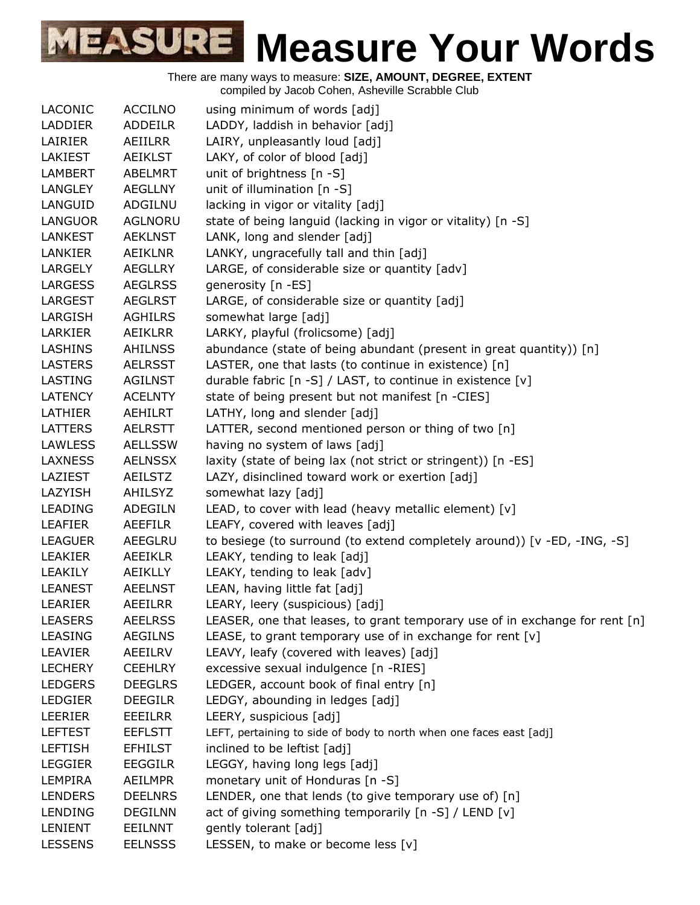There are many ways to measure: **SIZE, AMOUNT, DEGREE, EXTENT**

compiled by Jacob Cohen, Asheville Scrabble Club

| LACONIC        | <b>ACCILNO</b> | using minimum of words [adj]                                                |
|----------------|----------------|-----------------------------------------------------------------------------|
| LADDIER        | <b>ADDEILR</b> | LADDY, laddish in behavior [adj]                                            |
| LAIRIER        | AEIILRR        | LAIRY, unpleasantly loud [adj]                                              |
| LAKIEST        | <b>AEIKLST</b> | LAKY, of color of blood [adj]                                               |
| <b>LAMBERT</b> | <b>ABELMRT</b> | unit of brightness [n -S]                                                   |
| <b>LANGLEY</b> | <b>AEGLLNY</b> | unit of illumination [n -S]                                                 |
| LANGUID        | ADGILNU        | lacking in vigor or vitality [adj]                                          |
| <b>LANGUOR</b> | <b>AGLNORU</b> | state of being languid (lacking in vigor or vitality) [n -S]                |
| <b>LANKEST</b> | <b>AEKLNST</b> | LANK, long and slender [adj]                                                |
| <b>LANKIER</b> | <b>AEIKLNR</b> | LANKY, ungracefully tall and thin [adj]                                     |
| LARGELY        | <b>AEGLLRY</b> | LARGE, of considerable size or quantity [adv]                               |
| <b>LARGESS</b> | <b>AEGLRSS</b> | generosity [n -ES]                                                          |
| LARGEST        | <b>AEGLRST</b> | LARGE, of considerable size or quantity [adj]                               |
| LARGISH        | <b>AGHILRS</b> | somewhat large [adj]                                                        |
| LARKIER        | <b>AEIKLRR</b> | LARKY, playful (frolicsome) [adj]                                           |
| <b>LASHINS</b> | <b>AHILNSS</b> | abundance (state of being abundant (present in great quantity)) [n]         |
| <b>LASTERS</b> | <b>AELRSST</b> | LASTER, one that lasts (to continue in existence) [n]                       |
| LASTING        | <b>AGILNST</b> | durable fabric [n -S] / LAST, to continue in existence [v]                  |
| <b>LATENCY</b> | <b>ACELNTY</b> | state of being present but not manifest [n -CIES]                           |
| LATHIER        | AEHILRT        | LATHY, long and slender [adj]                                               |
| LATTERS        | <b>AELRSTT</b> | LATTER, second mentioned person or thing of two [n]                         |
| <b>LAWLESS</b> | <b>AELLSSW</b> | having no system of laws [adj]                                              |
| <b>LAXNESS</b> | <b>AELNSSX</b> | laxity (state of being lax (not strict or stringent)) [n -ES]               |
| LAZIEST        | <b>AEILSTZ</b> | LAZY, disinclined toward work or exertion [adj]                             |
| LAZYISH        | AHILSYZ        | somewhat lazy [adj]                                                         |
| LEADING        | ADEGILN        | LEAD, to cover with lead (heavy metallic element) [v]                       |
| LEAFIER        | <b>AEEFILR</b> | LEAFY, covered with leaves [adj]                                            |
| <b>LEAGUER</b> | AEEGLRU        | to besiege (to surround (to extend completely around)) [ $v$ -ED, -ING, -S] |
| <b>LEAKIER</b> | AEEIKLR        | LEAKY, tending to leak [adj]                                                |
| LEAKILY        | AEIKLLY        | LEAKY, tending to leak [adv]                                                |
| <b>LEANEST</b> | <b>AEELNST</b> | LEAN, having little fat [adj]                                               |
| LEARIER        | <b>AEEILRR</b> | LEARY, leery (suspicious) [adj]                                             |
| <b>LEASERS</b> | <b>AEELRSS</b> | LEASER, one that leases, to grant temporary use of in exchange for rent [n] |
| <b>LEASING</b> | <b>AEGILNS</b> | LEASE, to grant temporary use of in exchange for rent [v]                   |
| LEAVIER        | AEEILRV        | LEAVY, leafy (covered with leaves) [adj]                                    |
| <b>LECHERY</b> | <b>CEEHLRY</b> | excessive sexual indulgence [n -RIES]                                       |
| <b>LEDGERS</b> | <b>DEEGLRS</b> | LEDGER, account book of final entry [n]                                     |
| <b>LEDGIER</b> | <b>DEEGILR</b> | LEDGY, abounding in ledges [adj]                                            |
| LEERIER        | EEEILRR        | LEERY, suspicious [adj]                                                     |
| <b>LEFTEST</b> | <b>EEFLSTT</b> | LEFT, pertaining to side of body to north when one faces east [adj]         |
| <b>LEFTISH</b> | <b>EFHILST</b> | inclined to be leftist [adj]                                                |
| <b>LEGGIER</b> | <b>EEGGILR</b> | LEGGY, having long legs [adj]                                               |
| LEMPIRA        | <b>AEILMPR</b> | monetary unit of Honduras [n -S]                                            |
| <b>LENDERS</b> | <b>DEELNRS</b> | LENDER, one that lends (to give temporary use of) [n]                       |
| <b>LENDING</b> | <b>DEGILNN</b> | act of giving something temporarily [n -S] / LEND [v]                       |
| LENIENT        | EEILNNT        | gently tolerant [adj]                                                       |
| <b>LESSENS</b> | <b>EELNSSS</b> | LESSEN, to make or become less [v]                                          |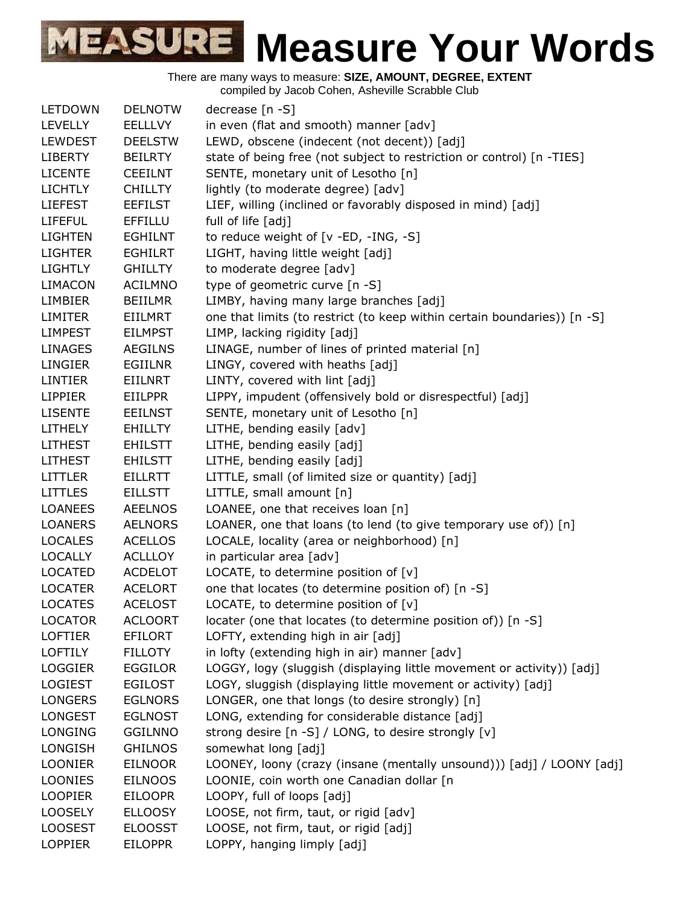There are many ways to measure: **SIZE, AMOUNT, DEGREE, EXTENT**

compiled by Jacob Cohen, Asheville Scrabble Club

| LETDOWN        | <b>DELNOTW</b> | decrease [n -S]                                                          |
|----------------|----------------|--------------------------------------------------------------------------|
| <b>LEVELLY</b> | <b>EELLLVY</b> | in even (flat and smooth) manner [adv]                                   |
| LEWDEST        | <b>DEELSTW</b> | LEWD, obscene (indecent (not decent)) [adj]                              |
| <b>LIBERTY</b> | <b>BEILRTY</b> | state of being free (not subject to restriction or control) [n -TIES]    |
| <b>LICENTE</b> | <b>CEEILNT</b> | SENTE, monetary unit of Lesotho [n]                                      |
| <b>LICHTLY</b> | <b>CHILLTY</b> | lightly (to moderate degree) [adv]                                       |
| <b>LIEFEST</b> | <b>EEFILST</b> | LIEF, willing (inclined or favorably disposed in mind) [adj]             |
| <b>LIFEFUL</b> | <b>EFFILLU</b> | full of life [adj]                                                       |
| <b>LIGHTEN</b> | <b>EGHILNT</b> | to reduce weight of [v -ED, -ING, -S]                                    |
| <b>LIGHTER</b> | <b>EGHILRT</b> | LIGHT, having little weight [adj]                                        |
| <b>LIGHTLY</b> | <b>GHILLTY</b> | to moderate degree [adv]                                                 |
| <b>LIMACON</b> | <b>ACILMNO</b> | type of geometric curve [n -S]                                           |
| LIMBIER        | <b>BEIILMR</b> | LIMBY, having many large branches [adj]                                  |
| <b>LIMITER</b> | EIILMRT        | one that limits (to restrict (to keep within certain boundaries)) [n -S] |
| <b>LIMPEST</b> | <b>EILMPST</b> | LIMP, lacking rigidity [adj]                                             |
| <b>LINAGES</b> | <b>AEGILNS</b> | LINAGE, number of lines of printed material [n]                          |
| <b>LINGIER</b> | <b>EGIILNR</b> | LINGY, covered with heaths [adj]                                         |
| <b>LINTIER</b> | <b>EIILNRT</b> | LINTY, covered with lint [adj]                                           |
| <b>LIPPIER</b> | EIILPPR        | LIPPY, impudent (offensively bold or disrespectful) [adj]                |
| <b>LISENTE</b> | <b>EEILNST</b> | SENTE, monetary unit of Lesotho [n]                                      |
| <b>LITHELY</b> | <b>EHILLTY</b> | LITHE, bending easily [adv]                                              |
| <b>LITHEST</b> | <b>EHILSTT</b> | LITHE, bending easily [adj]                                              |
| <b>LITHEST</b> | <b>EHILSTT</b> | LITHE, bending easily [adj]                                              |
| <b>LITTLER</b> | <b>EILLRTT</b> | LITTLE, small (of limited size or quantity) [adj]                        |
| <b>LITTLES</b> | <b>EILLSTT</b> | LITTLE, small amount [n]                                                 |
| <b>LOANEES</b> | <b>AEELNOS</b> | LOANEE, one that receives loan [n]                                       |
| <b>LOANERS</b> | <b>AELNORS</b> | LOANER, one that loans (to lend (to give temporary use of)) [n]          |
| <b>LOCALES</b> | <b>ACELLOS</b> | LOCALE, locality (area or neighborhood) [n]                              |
| <b>LOCALLY</b> | <b>ACLLLOY</b> | in particular area [adv]                                                 |
| <b>LOCATED</b> | <b>ACDELOT</b> | LOCATE, to determine position of $[v]$                                   |
| <b>LOCATER</b> | <b>ACELORT</b> | one that locates (to determine position of) [n -S]                       |
| <b>LOCATES</b> | <b>ACELOST</b> | LOCATE, to determine position of $[v]$                                   |
| <b>LOCATOR</b> | <b>ACLOORT</b> | locater (one that locates (to determine position of)) [n -S]             |
| <b>LOFTIER</b> | <b>EFILORT</b> | LOFTY, extending high in air [adj]                                       |
| <b>LOFTILY</b> | <b>FILLOTY</b> | in lofty (extending high in air) manner [adv]                            |
| <b>LOGGIER</b> | <b>EGGILOR</b> | LOGGY, logy (sluggish (displaying little movement or activity)) [adj]    |
| <b>LOGIEST</b> | <b>EGILOST</b> | LOGY, sluggish (displaying little movement or activity) [adj]            |
| <b>LONGERS</b> | <b>EGLNORS</b> | LONGER, one that longs (to desire strongly) [n]                          |
| <b>LONGEST</b> | <b>EGLNOST</b> | LONG, extending for considerable distance [adj]                          |
| <b>LONGING</b> | <b>GGILNNO</b> | strong desire [n -S] / LONG, to desire strongly [v]                      |
| LONGISH        | <b>GHILNOS</b> | somewhat long [adj]                                                      |
| <b>LOONIER</b> | <b>EILNOOR</b> | LOONEY, loony (crazy (insane (mentally unsound))) [adj] / LOONY [adj]    |
| <b>LOONIES</b> | <b>EILNOOS</b> | LOONIE, coin worth one Canadian dollar [n                                |
| <b>LOOPIER</b> | <b>EILOOPR</b> | LOOPY, full of loops [adj]                                               |
| <b>LOOSELY</b> | <b>ELLOOSY</b> | LOOSE, not firm, taut, or rigid [adv]                                    |
| <b>LOOSEST</b> | <b>ELOOSST</b> | LOOSE, not firm, taut, or rigid [adj]                                    |
| <b>LOPPIER</b> | <b>EILOPPR</b> | LOPPY, hanging limply [adj]                                              |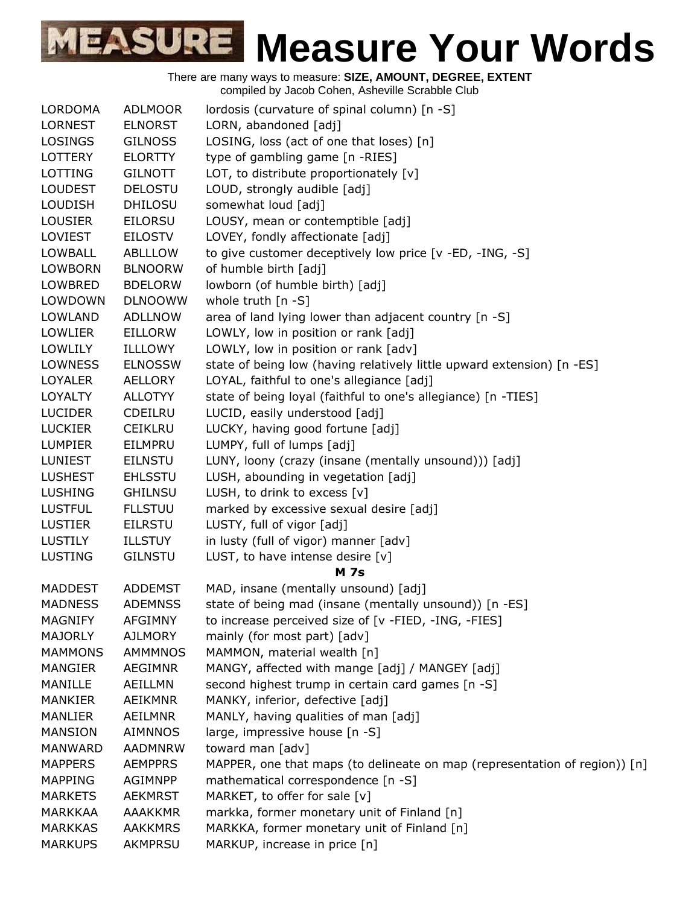| <b>LORDOMA</b> | <b>ADLMOOR</b> | lordosis (curvature of spinal column) [n -S]                               |
|----------------|----------------|----------------------------------------------------------------------------|
| <b>LORNEST</b> | <b>ELNORST</b> | LORN, abandoned [adj]                                                      |
| <b>LOSINGS</b> | <b>GILNOSS</b> | LOSING, loss (act of one that loses) [n]                                   |
| <b>LOTTERY</b> | <b>ELORTTY</b> | type of gambling game [n -RIES]                                            |
| LOTTING        | <b>GILNOTT</b> | LOT, to distribute proportionately [v]                                     |
| <b>LOUDEST</b> | <b>DELOSTU</b> | LOUD, strongly audible [adj]                                               |
| <b>LOUDISH</b> | <b>DHILOSU</b> | somewhat loud [adj]                                                        |
| <b>LOUSIER</b> | <b>EILORSU</b> | LOUSY, mean or contemptible [adj]                                          |
| LOVIEST        | EILOSTV        | LOVEY, fondly affectionate [adj]                                           |
| <b>LOWBALL</b> | ABLLLOW        | to give customer deceptively low price [v -ED, -ING, -S]                   |
| <b>LOWBORN</b> | <b>BLNOORW</b> | of humble birth [adj]                                                      |
| LOWBRED        | <b>BDELORW</b> | lowborn (of humble birth) [adj]                                            |
| LOWDOWN        | <b>DLNOOWW</b> | whole truth $[n - S]$                                                      |
| <b>LOWLAND</b> | <b>ADLLNOW</b> | area of land lying lower than adjacent country [n -S]                      |
| <b>LOWLIER</b> | EILLORW        | LOWLY, low in position or rank [adj]                                       |
| <b>LOWLILY</b> | ILLLOWY        | LOWLY, low in position or rank [adv]                                       |
| <b>LOWNESS</b> | <b>ELNOSSW</b> | state of being low (having relatively little upward extension) [n -ES]     |
| <b>LOYALER</b> | AELLORY        | LOYAL, faithful to one's allegiance [adj]                                  |
| <b>LOYALTY</b> | <b>ALLOTYY</b> | state of being loyal (faithful to one's allegiance) [n -TIES]              |
| <b>LUCIDER</b> | <b>CDEILRU</b> | LUCID, easily understood [adj]                                             |
| <b>LUCKIER</b> | <b>CEIKLRU</b> | LUCKY, having good fortune [adj]                                           |
| <b>LUMPIER</b> | EILMPRU        | LUMPY, full of lumps [adj]                                                 |
| <b>LUNIEST</b> | <b>EILNSTU</b> | LUNY, loony (crazy (insane (mentally unsound))) [adj]                      |
| <b>LUSHEST</b> | <b>EHLSSTU</b> | LUSH, abounding in vegetation [adj]                                        |
| <b>LUSHING</b> | <b>GHILNSU</b> | LUSH, to drink to excess [v]                                               |
| <b>LUSTFUL</b> | <b>FLLSTUU</b> | marked by excessive sexual desire [adj]                                    |
| <b>LUSTIER</b> | <b>EILRSTU</b> | LUSTY, full of vigor [adj]                                                 |
| <b>LUSTILY</b> | <b>ILLSTUY</b> | in lusty (full of vigor) manner [adv]                                      |
| <b>LUSTING</b> | <b>GILNSTU</b> | LUST, to have intense desire [v]                                           |
|                |                | <b>M</b> 7s                                                                |
| <b>MADDEST</b> | <b>ADDEMST</b> | MAD, insane (mentally unsound) [adj]                                       |
| <b>MADNESS</b> | <b>ADEMNSS</b> | state of being mad (insane (mentally unsound)) [n -ES]                     |
| <b>MAGNIFY</b> | <b>AFGIMNY</b> | to increase perceived size of [v -FIED, -ING, -FIES]                       |
| <b>MAJORLY</b> | <b>AJLMORY</b> | mainly (for most part) [adv]                                               |
| <b>MAMMONS</b> | AMMMNOS        | MAMMON, material wealth [n]                                                |
| <b>MANGIER</b> | <b>AEGIMNR</b> | MANGY, affected with mange [adj] / MANGEY [adj]                            |
| MANILLE        | AEILLMN        | second highest trump in certain card games [n -S]                          |
| <b>MANKIER</b> | <b>AEIKMNR</b> | MANKY, inferior, defective [adj]                                           |
| MANLIER        | <b>AEILMNR</b> | MANLY, having qualities of man [adj]                                       |
| <b>MANSION</b> | <b>AIMNNOS</b> | large, impressive house [n -S]                                             |
| <b>MANWARD</b> | <b>AADMNRW</b> | toward man [adv]                                                           |
| <b>MAPPERS</b> | <b>AEMPPRS</b> | MAPPER, one that maps (to delineate on map (representation of region)) [n] |
| <b>MAPPING</b> | <b>AGIMNPP</b> | mathematical correspondence [n -S]                                         |
| <b>MARKETS</b> | <b>AEKMRST</b> | MARKET, to offer for sale [v]                                              |
| <b>MARKKAA</b> | <b>AAAKKMR</b> | markka, former monetary unit of Finland [n]                                |
| <b>MARKKAS</b> | <b>AAKKMRS</b> | MARKKA, former monetary unit of Finland [n]                                |
| <b>MARKUPS</b> | AKMPRSU        | MARKUP, increase in price [n]                                              |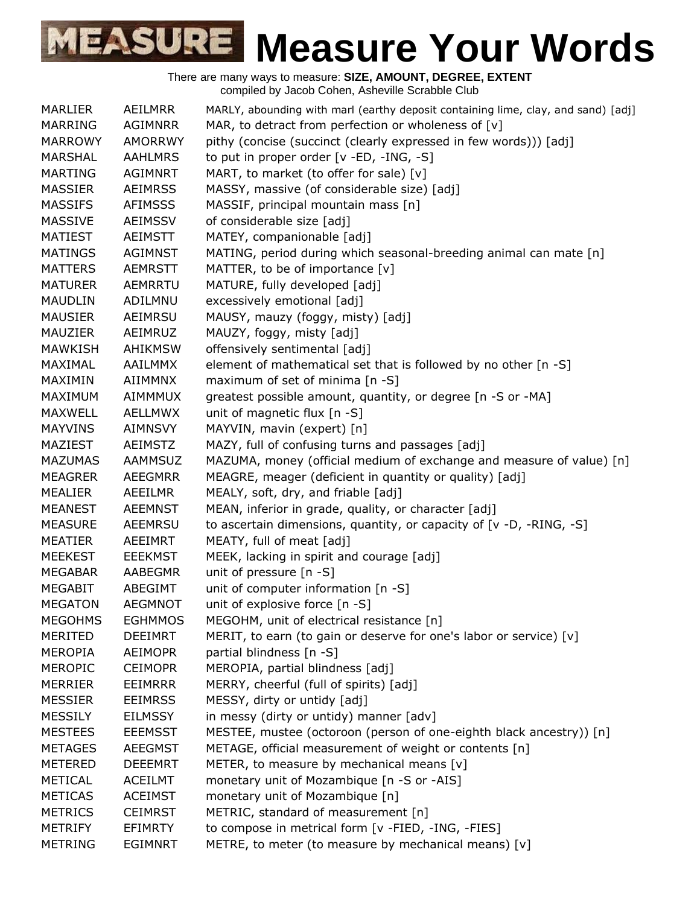| MARLIER        | AEILMRR        | MARLY, abounding with marl (earthy deposit containing lime, clay, and sand) [adj] |
|----------------|----------------|-----------------------------------------------------------------------------------|
| <b>MARRING</b> | <b>AGIMNRR</b> | MAR, to detract from perfection or wholeness of [v]                               |
| <b>MARROWY</b> | <b>AMORRWY</b> | pithy (concise (succinct (clearly expressed in few words))) [adj]                 |
| <b>MARSHAL</b> | <b>AAHLMRS</b> | to put in proper order [v -ED, -ING, -S]                                          |
| <b>MARTING</b> | <b>AGIMNRT</b> | MART, to market (to offer for sale) [v]                                           |
| <b>MASSIER</b> | <b>AEIMRSS</b> | MASSY, massive (of considerable size) [adj]                                       |
| <b>MASSIFS</b> | <b>AFIMSSS</b> | MASSIF, principal mountain mass [n]                                               |
| <b>MASSIVE</b> | <b>AEIMSSV</b> | of considerable size [adj]                                                        |
| <b>MATIEST</b> | <b>AEIMSTT</b> | MATEY, companionable [adj]                                                        |
| <b>MATINGS</b> | <b>AGIMNST</b> | MATING, period during which seasonal-breeding animal can mate [n]                 |
| <b>MATTERS</b> | <b>AEMRSTT</b> | MATTER, to be of importance [v]                                                   |
| <b>MATURER</b> | AEMRRTU        | MATURE, fully developed [adj]                                                     |
| <b>MAUDLIN</b> | ADILMNU        | excessively emotional [adj]                                                       |
| <b>MAUSIER</b> | AEIMRSU        | MAUSY, mauzy (foggy, misty) [adj]                                                 |
| MAUZIER        | AEIMRUZ        | MAUZY, foggy, misty [adj]                                                         |
| <b>MAWKISH</b> | <b>AHIKMSW</b> | offensively sentimental [adj]                                                     |
| MAXIMAL        | <b>AAILMMX</b> | element of mathematical set that is followed by no other [n -S]                   |
| MAXIMIN        | AIIMMNX        | maximum of set of minima [n -S]                                                   |
| MAXIMUM        | <b>AIMMMUX</b> | greatest possible amount, quantity, or degree [n -S or -MA]                       |
| <b>MAXWELL</b> | AELLMWX        | unit of magnetic flux [n -S]                                                      |
| <b>MAYVINS</b> | <b>AIMNSVY</b> | MAYVIN, mavin (expert) [n]                                                        |
| MAZIEST        | <b>AEIMSTZ</b> | MAZY, full of confusing turns and passages [adj]                                  |
| <b>MAZUMAS</b> | <b>AAMMSUZ</b> | MAZUMA, money (official medium of exchange and measure of value) [n]              |
| <b>MEAGRER</b> | <b>AEEGMRR</b> | MEAGRE, meager (deficient in quantity or quality) [adj]                           |
| <b>MEALIER</b> | <b>AEEILMR</b> | MEALY, soft, dry, and friable [adj]                                               |
| <b>MEANEST</b> | <b>AEEMNST</b> | MEAN, inferior in grade, quality, or character [adj]                              |
| <b>MEASURE</b> | <b>AEEMRSU</b> | to ascertain dimensions, quantity, or capacity of $[v -D, -RING, -S]$             |
| <b>MEATIER</b> | AEEIMRT        | MEATY, full of meat [adj]                                                         |
| <b>MEEKEST</b> | <b>EEEKMST</b> | MEEK, lacking in spirit and courage [adj]                                         |
| <b>MEGABAR</b> | AABEGMR        | unit of pressure [n -S]                                                           |
| <b>MEGABIT</b> | ABEGIMT        | unit of computer information [n -S]                                               |
| <b>MEGATON</b> | <b>AEGMNOT</b> | unit of explosive force [n -S]                                                    |
| <b>MEGOHMS</b> | <b>EGHMMOS</b> | MEGOHM, unit of electrical resistance [n]                                         |
| <b>MERITED</b> | <b>DEEIMRT</b> | MERIT, to earn (to gain or deserve for one's labor or service) [v]                |
| <b>MEROPIA</b> | <b>AEIMOPR</b> | partial blindness [n -S]                                                          |
| <b>MEROPIC</b> | <b>CEIMOPR</b> | MEROPIA, partial blindness [adj]                                                  |
| <b>MERRIER</b> | <b>EEIMRRR</b> | MERRY, cheerful (full of spirits) [adj]                                           |
| <b>MESSIER</b> | <b>EEIMRSS</b> | MESSY, dirty or untidy [adj]                                                      |
| <b>MESSILY</b> | <b>EILMSSY</b> | in messy (dirty or untidy) manner [adv]                                           |
| <b>MESTEES</b> | <b>EEEMSST</b> | MESTEE, mustee (octoroon (person of one-eighth black ancestry)) [n]               |
| <b>METAGES</b> | <b>AEEGMST</b> | METAGE, official measurement of weight or contents [n]                            |
| <b>METERED</b> | <b>DEEEMRT</b> | METER, to measure by mechanical means $[v]$                                       |
| <b>METICAL</b> | <b>ACEILMT</b> | monetary unit of Mozambique [n -S or -AIS]                                        |
| <b>METICAS</b> | <b>ACEIMST</b> | monetary unit of Mozambique [n]                                                   |
| <b>METRICS</b> | <b>CEIMRST</b> | METRIC, standard of measurement [n]                                               |
| <b>METRIFY</b> | <b>EFIMRTY</b> | to compose in metrical form [v -FIED, -ING, -FIES]                                |
| <b>METRING</b> | <b>EGIMNRT</b> | METRE, to meter (to measure by mechanical means) [v]                              |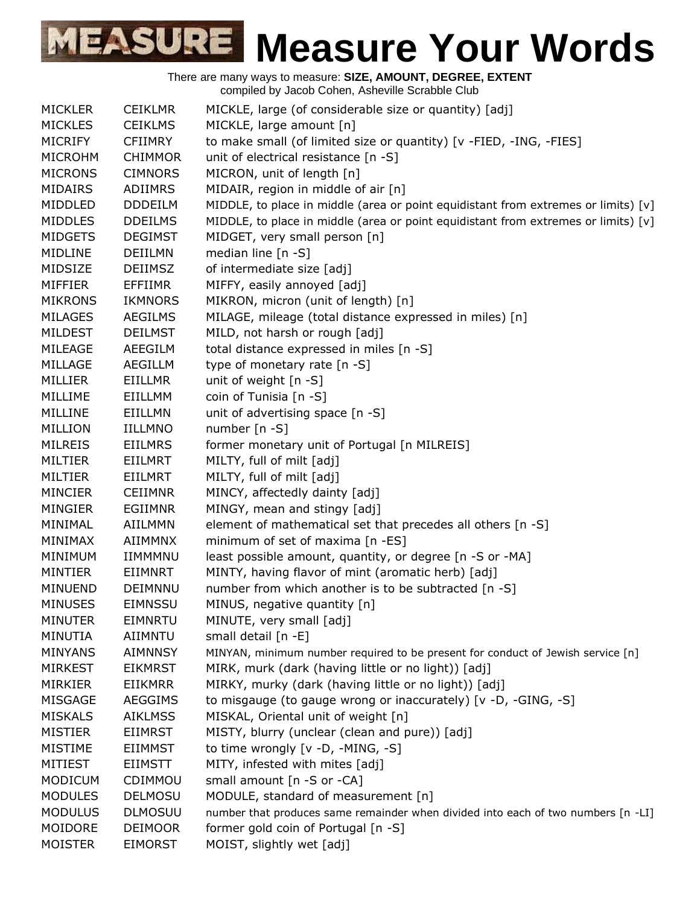| <b>MICKLER</b> | <b>CEIKLMR</b> | MICKLE, large (of considerable size or quantity) [adj]                               |
|----------------|----------------|--------------------------------------------------------------------------------------|
| <b>MICKLES</b> | <b>CEIKLMS</b> | MICKLE, large amount [n]                                                             |
| <b>MICRIFY</b> | <b>CFIIMRY</b> | to make small (of limited size or quantity) [v -FIED, -ING, -FIES]                   |
| <b>MICROHM</b> | <b>CHIMMOR</b> | unit of electrical resistance [n -S]                                                 |
| <b>MICRONS</b> | <b>CIMNORS</b> | MICRON, unit of length [n]                                                           |
| <b>MIDAIRS</b> | ADIIMRS        | MIDAIR, region in middle of air [n]                                                  |
| MIDDLED        | <b>DDDEILM</b> | MIDDLE, to place in middle (area or point equidistant from extremes or limits) [v]   |
| MIDDLES        | <b>DDEILMS</b> | MIDDLE, to place in middle (area or point equidistant from extremes or limits) $[v]$ |
| <b>MIDGETS</b> | <b>DEGIMST</b> | MIDGET, very small person [n]                                                        |
| <b>MIDLINE</b> | DEIILMN        | median line [n -S]                                                                   |
| MIDSIZE        | <b>DEIIMSZ</b> | of intermediate size [adj]                                                           |
| <b>MIFFIER</b> | <b>EFFIIMR</b> | MIFFY, easily annoyed [adj]                                                          |
| <b>MIKRONS</b> | <b>IKMNORS</b> | MIKRON, micron (unit of length) [n]                                                  |
| <b>MILAGES</b> | <b>AEGILMS</b> | MILAGE, mileage (total distance expressed in miles) [n]                              |
| <b>MILDEST</b> | <b>DEILMST</b> | MILD, not harsh or rough [adj]                                                       |
| MILEAGE        | AEEGILM        | total distance expressed in miles [n -S]                                             |
| MILLAGE        | <b>AEGILLM</b> | type of monetary rate [n -S]                                                         |
| MILLIER        | EIILLMR        | unit of weight [n -S]                                                                |
| MILLIME        | EIILLMM        | coin of Tunisia [n -S]                                                               |
| MILLINE        | EIILLMN        | unit of advertising space [n -S]                                                     |
| <b>MILLION</b> | <b>IILLMNO</b> | number $[n - S]$                                                                     |
| <b>MILREIS</b> | <b>EIILMRS</b> | former monetary unit of Portugal [n MILREIS]                                         |
| <b>MILTIER</b> | EIILMRT        | MILTY, full of milt [adj]                                                            |
| <b>MILTIER</b> | <b>EIILMRT</b> | MILTY, full of milt [adj]                                                            |
| <b>MINCIER</b> | <b>CEIIMNR</b> | MINCY, affectedly dainty [adj]                                                       |
| MINGIER        | <b>EGIIMNR</b> | MINGY, mean and stingy [adj]                                                         |
| MINIMAL        | <b>AIILMMN</b> | element of mathematical set that precedes all others [n -S]                          |
| MINIMAX        | <b>AIIMMNX</b> | minimum of set of maxima [n -ES]                                                     |
| MINIMUM        | IIMMMNU        | least possible amount, quantity, or degree [n -S or -MA]                             |
| <b>MINTIER</b> | EIIMNRT        | MINTY, having flavor of mint (aromatic herb) [adj]                                   |
| <b>MINUEND</b> | DEIMNNU        | number from which another is to be subtracted [n -S]                                 |
| <b>MINUSES</b> | <b>EIMNSSU</b> | MINUS, negative quantity [n]                                                         |
| <b>MINUTER</b> | EIMNRTU        | MINUTE, very small [adj]                                                             |
| MINUTIA        | AIIMNTU        | small detail [n -E]                                                                  |
| <b>MINYANS</b> | <b>AIMNNSY</b> | MINYAN, minimum number required to be present for conduct of Jewish service [n]      |
| <b>MIRKEST</b> | <b>EIKMRST</b> | MIRK, murk (dark (having little or no light)) [adj]                                  |
| <b>MIRKIER</b> | <b>EIIKMRR</b> | MIRKY, murky (dark (having little or no light)) [adj]                                |
| <b>MISGAGE</b> | AEGGIMS        | to misgauge (to gauge wrong or inaccurately) [v -D, -GING, -S]                       |
| <b>MISKALS</b> | <b>AIKLMSS</b> | MISKAL, Oriental unit of weight [n]                                                  |
| <b>MISTIER</b> | <b>EIIMRST</b> | MISTY, blurry (unclear (clean and pure)) [adj]                                       |
| <b>MISTIME</b> | <b>EIIMMST</b> | to time wrongly [v -D, -MING, -S]                                                    |
| <b>MITIEST</b> | <b>EIIMSTT</b> | MITY, infested with mites [adj]                                                      |
| <b>MODICUM</b> | CDIMMOU        | small amount [n -S or -CA]                                                           |
| <b>MODULES</b> | <b>DELMOSU</b> | MODULE, standard of measurement [n]                                                  |
| <b>MODULUS</b> | <b>DLMOSUU</b> | number that produces same remainder when divided into each of two numbers [n -LI]    |
| MOIDORE        | <b>DEIMOOR</b> | former gold coin of Portugal [n -S]                                                  |
| <b>MOISTER</b> | <b>EIMORST</b> | MOIST, slightly wet [adj]                                                            |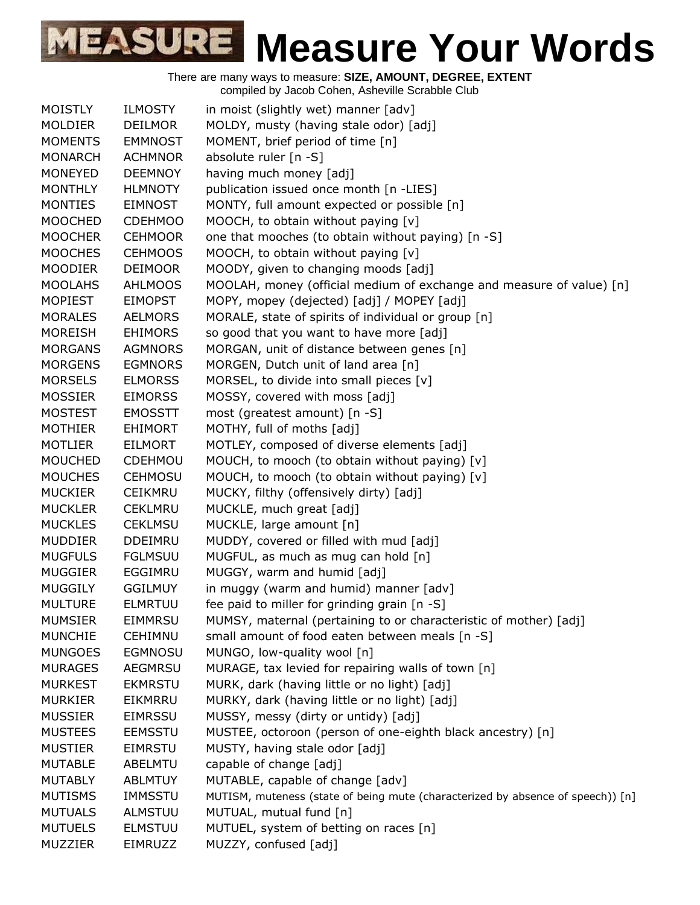| <b>MOISTLY</b> | <b>ILMOSTY</b> | in moist (slightly wet) manner [adv]                                            |
|----------------|----------------|---------------------------------------------------------------------------------|
| <b>MOLDIER</b> | <b>DEILMOR</b> | MOLDY, musty (having stale odor) [adj]                                          |
| <b>MOMENTS</b> | <b>EMMNOST</b> | MOMENT, brief period of time [n]                                                |
| <b>MONARCH</b> | <b>ACHMNOR</b> | absolute ruler [n -S]                                                           |
| <b>MONEYED</b> | <b>DEEMNOY</b> | having much money [adj]                                                         |
| <b>MONTHLY</b> | <b>HLMNOTY</b> | publication issued once month [n -LIES]                                         |
| <b>MONTIES</b> | <b>EIMNOST</b> | MONTY, full amount expected or possible [n]                                     |
| <b>MOOCHED</b> | <b>CDEHMOO</b> | MOOCH, to obtain without paying [v]                                             |
| <b>MOOCHER</b> | <b>CEHMOOR</b> | one that mooches (to obtain without paying) [n -S]                              |
| <b>MOOCHES</b> | <b>CEHMOOS</b> | MOOCH, to obtain without paying [v]                                             |
| <b>MOODIER</b> | <b>DEIMOOR</b> | MOODY, given to changing moods [adj]                                            |
| <b>MOOLAHS</b> | <b>AHLMOOS</b> | MOOLAH, money (official medium of exchange and measure of value) [n]            |
| <b>MOPIEST</b> | <b>EIMOPST</b> | MOPY, mopey (dejected) [adj] / MOPEY [adj]                                      |
| <b>MORALES</b> | <b>AELMORS</b> | MORALE, state of spirits of individual or group [n]                             |
| <b>MOREISH</b> | <b>EHIMORS</b> | so good that you want to have more [adj]                                        |
| <b>MORGANS</b> | <b>AGMNORS</b> | MORGAN, unit of distance between genes [n]                                      |
| <b>MORGENS</b> | <b>EGMNORS</b> | MORGEN, Dutch unit of land area [n]                                             |
| <b>MORSELS</b> | <b>ELMORSS</b> | MORSEL, to divide into small pieces $[v]$                                       |
| <b>MOSSIER</b> | <b>EIMORSS</b> | MOSSY, covered with moss [adj]                                                  |
| <b>MOSTEST</b> | <b>EMOSSTT</b> | most (greatest amount) [n -S]                                                   |
| <b>MOTHIER</b> | <b>EHIMORT</b> | MOTHY, full of moths [adj]                                                      |
| <b>MOTLIER</b> | <b>EILMORT</b> | MOTLEY, composed of diverse elements [adj]                                      |
| <b>MOUCHED</b> | CDEHMOU        | MOUCH, to mooch (to obtain without paying) [v]                                  |
| <b>MOUCHES</b> | <b>CEHMOSU</b> | MOUCH, to mooch (to obtain without paying) [v]                                  |
| <b>MUCKIER</b> | <b>CEIKMRU</b> | MUCKY, filthy (offensively dirty) [adj]                                         |
| <b>MUCKLER</b> | <b>CEKLMRU</b> | MUCKLE, much great [adj]                                                        |
| <b>MUCKLES</b> | <b>CEKLMSU</b> | MUCKLE, large amount [n]                                                        |
| <b>MUDDIER</b> | <b>DDEIMRU</b> | MUDDY, covered or filled with mud [adj]                                         |
| <b>MUGFULS</b> | <b>FGLMSUU</b> | MUGFUL, as much as mug can hold [n]                                             |
| <b>MUGGIER</b> | EGGIMRU        | MUGGY, warm and humid [adj]                                                     |
| <b>MUGGILY</b> | <b>GGILMUY</b> | in muggy (warm and humid) manner [adv]                                          |
| <b>MULTURE</b> | <b>ELMRTUU</b> | fee paid to miller for grinding grain [n -S]                                    |
| <b>MUMSIER</b> | EIMMRSU        | MUMSY, maternal (pertaining to or characteristic of mother) [adj]               |
| <b>MUNCHIE</b> | <b>CEHIMNU</b> | small amount of food eaten between meals [n -S]                                 |
| <b>MUNGOES</b> | <b>EGMNOSU</b> | MUNGO, low-quality wool [n]                                                     |
| <b>MURAGES</b> | <b>AEGMRSU</b> | MURAGE, tax levied for repairing walls of town [n]                              |
| <b>MURKEST</b> | <b>EKMRSTU</b> | MURK, dark (having little or no light) [adj]                                    |
| <b>MURKIER</b> | EIKMRRU        | MURKY, dark (having little or no light) [adj]                                   |
| <b>MUSSIER</b> | <b>EIMRSSU</b> | MUSSY, messy (dirty or untidy) [adj]                                            |
| <b>MUSTEES</b> | <b>EEMSSTU</b> | MUSTEE, octoroon (person of one-eighth black ancestry) [n]                      |
| <b>MUSTIER</b> | <b>EIMRSTU</b> | MUSTY, having stale odor [adj]                                                  |
| <b>MUTABLE</b> | ABELMTU        | capable of change [adj]                                                         |
| <b>MUTABLY</b> | <b>ABLMTUY</b> | MUTABLE, capable of change [adv]                                                |
| <b>MUTISMS</b> | IMMSSTU        | MUTISM, muteness (state of being mute (characterized by absence of speech)) [n] |
| <b>MUTUALS</b> | ALMSTUU        | MUTUAL, mutual fund [n]                                                         |
| <b>MUTUELS</b> | <b>ELMSTUU</b> | MUTUEL, system of betting on races [n]                                          |
| MUZZIER        | EIMRUZZ        | MUZZY, confused [adj]                                                           |
|                |                |                                                                                 |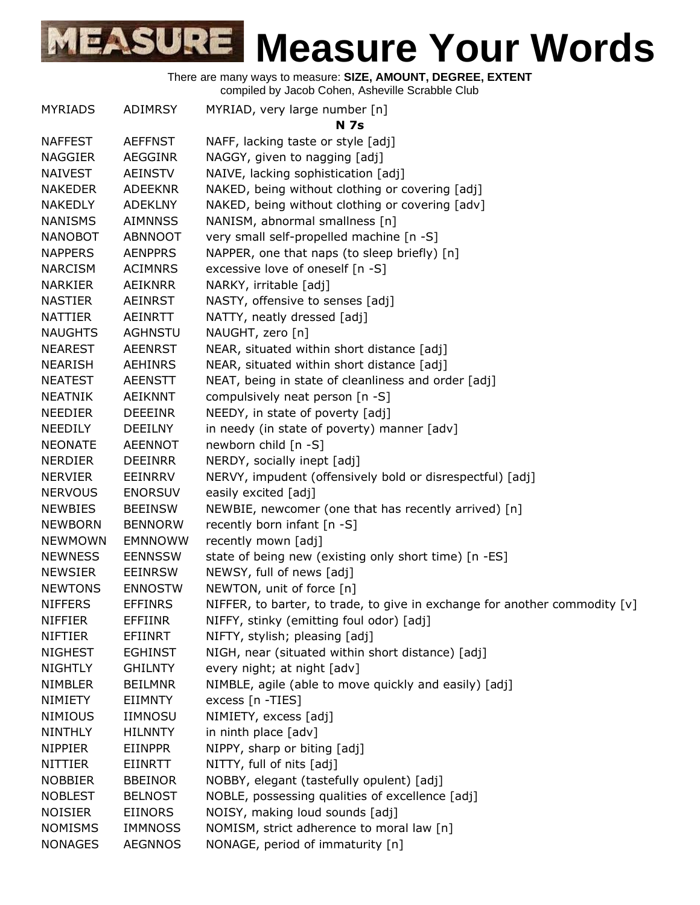| <b>MYRIADS</b> | ADIMRSY        | MYRIAD, very large number [n]<br><b>N</b> 7s                               |
|----------------|----------------|----------------------------------------------------------------------------|
| <b>NAFFEST</b> | <b>AEFFNST</b> | NAFF, lacking taste or style [adj]                                         |
| <b>NAGGIER</b> | <b>AEGGINR</b> | NAGGY, given to nagging [adj]                                              |
| <b>NAIVEST</b> | <b>AEINSTV</b> | NAIVE, lacking sophistication [adj]                                        |
| <b>NAKEDER</b> | <b>ADEEKNR</b> | NAKED, being without clothing or covering [adj]                            |
| <b>NAKEDLY</b> | <b>ADEKLNY</b> | NAKED, being without clothing or covering [adv]                            |
| <b>NANISMS</b> | <b>AIMNNSS</b> | NANISM, abnormal smallness [n]                                             |
| <b>NANOBOT</b> | ABNNOOT        | very small self-propelled machine [n -S]                                   |
| <b>NAPPERS</b> | <b>AENPPRS</b> | NAPPER, one that naps (to sleep briefly) [n]                               |
| <b>NARCISM</b> | <b>ACIMNRS</b> | excessive love of oneself [n -S]                                           |
| <b>NARKIER</b> | AEIKNRR        | NARKY, irritable [adj]                                                     |
| <b>NASTIER</b> | AEINRST        | NASTY, offensive to senses [adj]                                           |
| <b>NATTIER</b> | <b>AEINRTT</b> | NATTY, neatly dressed [adj]                                                |
| <b>NAUGHTS</b> | <b>AGHNSTU</b> | NAUGHT, zero [n]                                                           |
| <b>NEAREST</b> | <b>AEENRST</b> | NEAR, situated within short distance [adj]                                 |
| <b>NEARISH</b> | <b>AEHINRS</b> | NEAR, situated within short distance [adj]                                 |
| <b>NEATEST</b> | <b>AEENSTT</b> | NEAT, being in state of cleanliness and order [adj]                        |
| <b>NEATNIK</b> | AEIKNNT        | compulsively neat person [n -S]                                            |
| <b>NEEDIER</b> | <b>DEEEINR</b> | NEEDY, in state of poverty [adj]                                           |
| <b>NEEDILY</b> | <b>DEEILNY</b> | in needy (in state of poverty) manner [adv]                                |
| <b>NEONATE</b> | <b>AEENNOT</b> | newborn child [n -S]                                                       |
| <b>NERDIER</b> | <b>DEEINRR</b> | NERDY, socially inept [adj]                                                |
| <b>NERVIER</b> | EEINRRV        | NERVY, impudent (offensively bold or disrespectful) [adj]                  |
| <b>NERVOUS</b> | <b>ENORSUV</b> | easily excited [adj]                                                       |
| <b>NEWBIES</b> | <b>BEEINSW</b> | NEWBIE, newcomer (one that has recently arrived) [n]                       |
| <b>NEWBORN</b> | <b>BENNORW</b> | recently born infant [n -S]                                                |
| <b>NEWMOWN</b> | <b>EMNNOWW</b> | recently mown [adj]                                                        |
| <b>NEWNESS</b> | <b>EENNSSW</b> | state of being new (existing only short time) [n -ES]                      |
| <b>NEWSIER</b> | <b>EEINRSW</b> | NEWSY, full of news [adj]                                                  |
| <b>NEWTONS</b> | <b>ENNOSTW</b> | NEWTON, unit of force [n]                                                  |
| <b>NIFFERS</b> | <b>EFFINRS</b> | NIFFER, to barter, to trade, to give in exchange for another commodity [v] |
| <b>NIFFIER</b> | <b>EFFIINR</b> | NIFFY, stinky (emitting foul odor) [adj]                                   |
| <b>NIFTIER</b> | EFIINRT        | NIFTY, stylish; pleasing [adj]                                             |
| <b>NIGHEST</b> | <b>EGHINST</b> | NIGH, near (situated within short distance) [adj]                          |
| <b>NIGHTLY</b> | <b>GHILNTY</b> | every night; at night [adv]                                                |
| <b>NIMBLER</b> | <b>BEILMNR</b> | NIMBLE, agile (able to move quickly and easily) [adj]                      |
| <b>NIMIETY</b> | <b>EIIMNTY</b> | excess [n -TIES]                                                           |
| <b>NIMIOUS</b> | <b>IIMNOSU</b> | NIMIETY, excess [adj]                                                      |
| <b>NINTHLY</b> | <b>HILNNTY</b> | in ninth place [adv]                                                       |
| <b>NIPPIER</b> | <b>EIINPPR</b> | NIPPY, sharp or biting [adj]                                               |
| <b>NITTIER</b> | EIINRTT        | NITTY, full of nits [adj]                                                  |
| <b>NOBBIER</b> | <b>BBEINOR</b> | NOBBY, elegant (tastefully opulent) [adj]                                  |
| <b>NOBLEST</b> | <b>BELNOST</b> | NOBLE, possessing qualities of excellence [adj]                            |
| <b>NOISIER</b> | <b>EIINORS</b> | NOISY, making loud sounds [adj]                                            |
| <b>NOMISMS</b> | <b>IMMNOSS</b> | NOMISM, strict adherence to moral law [n]                                  |
| <b>NONAGES</b> | <b>AEGNNOS</b> | NONAGE, period of immaturity [n]                                           |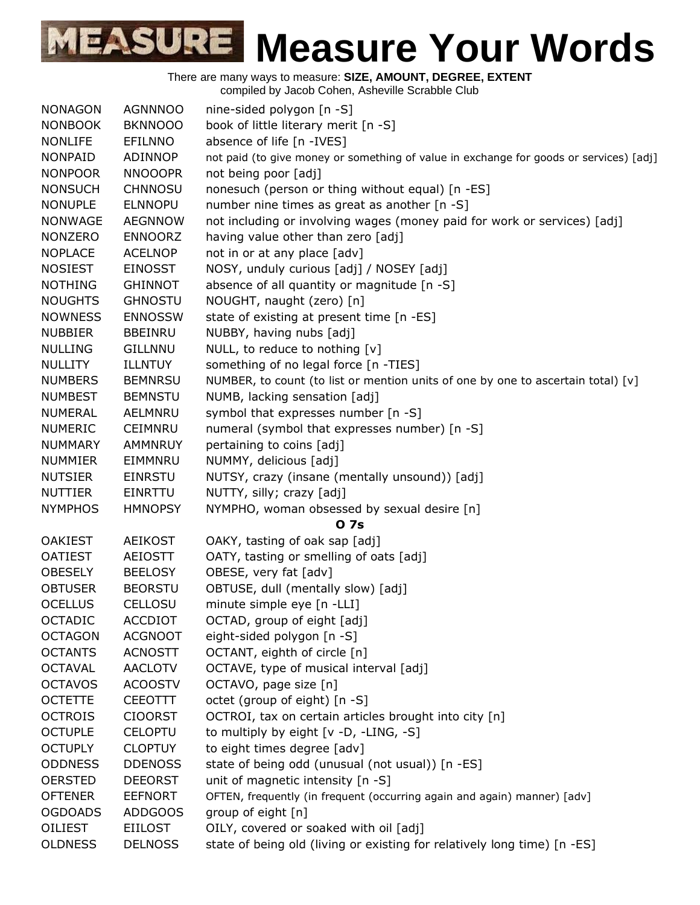There are many ways to measure: **SIZE, AMOUNT, DEGREE, EXTENT**

compiled by Jacob Cohen, Asheville Scrabble Club

| <b>NONAGON</b> | <b>AGNNNOO</b> | nine-sided polygon $[n - S]$                                                           |
|----------------|----------------|----------------------------------------------------------------------------------------|
| <b>NONBOOK</b> | <b>BKNNOOO</b> | book of little literary merit [n -S]                                                   |
| <b>NONLIFE</b> | <b>EFILNNO</b> | absence of life [n -IVES]                                                              |
| <b>NONPAID</b> | ADINNOP        | not paid (to give money or something of value in exchange for goods or services) [adj] |
| <b>NONPOOR</b> | <b>NNOOOPR</b> | not being poor [adj]                                                                   |
| <b>NONSUCH</b> | <b>CHNNOSU</b> | nonesuch (person or thing without equal) [n -ES]                                       |
| <b>NONUPLE</b> | <b>ELNNOPU</b> | number nine times as great as another [n -S]                                           |
| <b>NONWAGE</b> | <b>AEGNNOW</b> | not including or involving wages (money paid for work or services) [adj]               |
| <b>NONZERO</b> | <b>ENNOORZ</b> | having value other than zero [adj]                                                     |
| <b>NOPLACE</b> | <b>ACELNOP</b> | not in or at any place [adv]                                                           |
| <b>NOSIEST</b> | <b>EINOSST</b> | NOSY, unduly curious [adj] / NOSEY [adj]                                               |
| <b>NOTHING</b> | <b>GHINNOT</b> | absence of all quantity or magnitude [n -S]                                            |
| <b>NOUGHTS</b> | <b>GHNOSTU</b> | NOUGHT, naught (zero) [n]                                                              |
| <b>NOWNESS</b> | <b>ENNOSSW</b> | state of existing at present time [n -ES]                                              |
| <b>NUBBIER</b> | <b>BBEINRU</b> | NUBBY, having nubs [adj]                                                               |
| <b>NULLING</b> | <b>GILLNNU</b> | NULL, to reduce to nothing [v]                                                         |
| <b>NULLITY</b> | <b>ILLNTUY</b> | something of no legal force [n -TIES]                                                  |
| <b>NUMBERS</b> | <b>BEMNRSU</b> | NUMBER, to count (to list or mention units of one by one to ascertain total) [v]       |
| <b>NUMBEST</b> | <b>BEMNSTU</b> | NUMB, lacking sensation [adj]                                                          |
| <b>NUMERAL</b> | AELMNRU        | symbol that expresses number [n -S]                                                    |
| <b>NUMERIC</b> | <b>CEIMNRU</b> | numeral (symbol that expresses number) [n -S]                                          |
| <b>NUMMARY</b> | <b>AMMNRUY</b> | pertaining to coins [adj]                                                              |
| <b>NUMMIER</b> | EIMMNRU        | NUMMY, delicious [adj]                                                                 |
| <b>NUTSIER</b> | <b>EINRSTU</b> | NUTSY, crazy (insane (mentally unsound)) [adj]                                         |
| <b>NUTTIER</b> | <b>EINRTTU</b> | NUTTY, silly; crazy [adj]                                                              |
| <b>NYMPHOS</b> | <b>HMNOPSY</b> | NYMPHO, woman obsessed by sexual desire [n]                                            |
|                |                | <b>07s</b>                                                                             |
| <b>OAKIEST</b> | <b>AEIKOST</b> | OAKY, tasting of oak sap [adj]                                                         |
| <b>OATIEST</b> | <b>AEIOSTT</b> | OATY, tasting or smelling of oats [adj]                                                |
| <b>OBESELY</b> | <b>BEELOSY</b> | OBESE, very fat [adv]                                                                  |
| <b>OBTUSER</b> | <b>BEORSTU</b> | OBTUSE, dull (mentally slow) [adj]                                                     |
| <b>OCELLUS</b> | <b>CELLOSU</b> | minute simple eye [n -LLI]                                                             |
| <b>OCTADIC</b> | <b>ACCDIOT</b> | OCTAD, group of eight [adj]                                                            |
| <b>OCTAGON</b> | <b>ACGNOOT</b> | eight-sided polygon [n -S]                                                             |
| <b>OCTANTS</b> | <b>ACNOSTT</b> | OCTANT, eighth of circle [n]                                                           |
| <b>OCTAVAL</b> | <b>AACLOTV</b> | OCTAVE, type of musical interval [adj]                                                 |
| <b>OCTAVOS</b> | <b>ACOOSTV</b> | OCTAVO, page size [n]                                                                  |
| <b>OCTETTE</b> | <b>CEEOTTT</b> | octet (group of eight) [n -S]                                                          |
| <b>OCTROIS</b> | <b>CIOORST</b> | OCTROI, tax on certain articles brought into city [n]                                  |
| <b>OCTUPLE</b> | <b>CELOPTU</b> | to multiply by eight [v -D, -LING, -S]                                                 |
| <b>OCTUPLY</b> | <b>CLOPTUY</b> | to eight times degree [adv]                                                            |
| <b>ODDNESS</b> | <b>DDENOSS</b> | state of being odd (unusual (not usual)) [n -ES]                                       |
| <b>OERSTED</b> | <b>DEEORST</b> | unit of magnetic intensity [n -S]                                                      |
| <b>OFTENER</b> | <b>EEFNORT</b> | OFTEN, frequently (in frequent (occurring again and again) manner) [adv]               |
| <b>OGDOADS</b> | ADDGOOS        | group of eight [n]                                                                     |
| <b>OILIEST</b> | <b>EIILOST</b> | OILY, covered or soaked with oil [adj]                                                 |
| <b>OLDNESS</b> | <b>DELNOSS</b> | state of being old (living or existing for relatively long time) [n -ES]               |
|                |                |                                                                                        |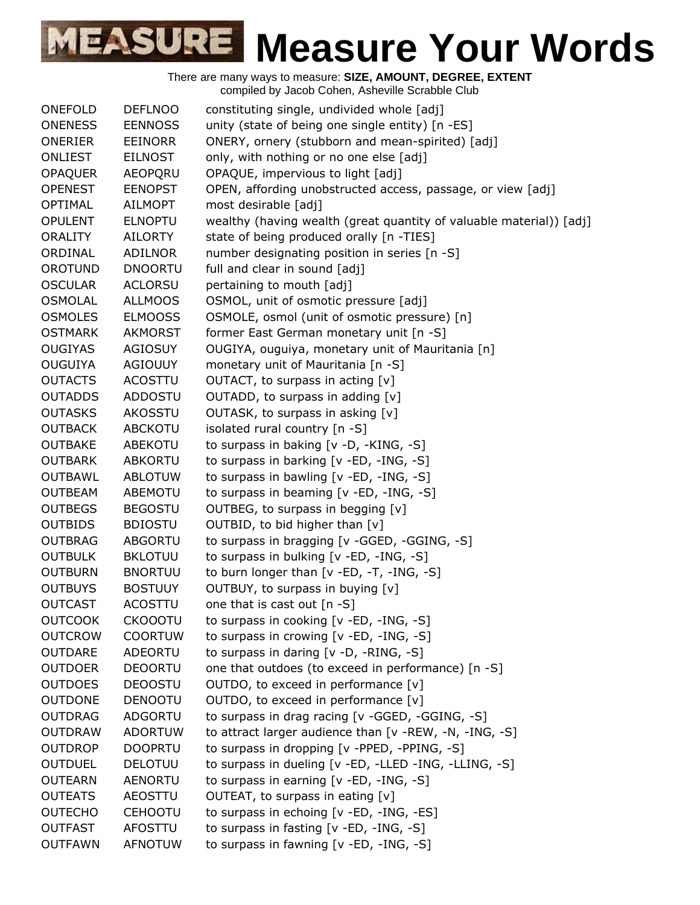| ONEFOLD        | <b>DEFLNOO</b> | constituting single, undivided whole [adj]                          |
|----------------|----------------|---------------------------------------------------------------------|
| <b>ONENESS</b> | <b>EENNOSS</b> | unity (state of being one single entity) [n -ES]                    |
| ONERIER        | <b>EEINORR</b> | ONERY, ornery (stubborn and mean-spirited) [adj]                    |
| <b>ONLIEST</b> | <b>EILNOST</b> | only, with nothing or no one else [adj]                             |
| <b>OPAQUER</b> | AEOPQRU        | OPAQUE, impervious to light [adj]                                   |
| <b>OPENEST</b> | <b>EENOPST</b> | OPEN, affording unobstructed access, passage, or view [adj]         |
| <b>OPTIMAL</b> | <b>AILMOPT</b> | most desirable [adj]                                                |
| <b>OPULENT</b> | <b>ELNOPTU</b> | wealthy (having wealth (great quantity of valuable material)) [adj] |
| <b>ORALITY</b> | AILORTY        | state of being produced orally [n -TIES]                            |
| ORDINAL        | <b>ADILNOR</b> | number designating position in series [n -S]                        |
| <b>OROTUND</b> | <b>DNOORTU</b> | full and clear in sound [adj]                                       |
| <b>OSCULAR</b> | <b>ACLORSU</b> | pertaining to mouth [adj]                                           |
| <b>OSMOLAL</b> | <b>ALLMOOS</b> | OSMOL, unit of osmotic pressure [adj]                               |
| <b>OSMOLES</b> | <b>ELMOOSS</b> | OSMOLE, osmol (unit of osmotic pressure) [n]                        |
| <b>OSTMARK</b> | <b>AKMORST</b> | former East German monetary unit [n -S]                             |
| <b>OUGIYAS</b> | <b>AGIOSUY</b> | OUGIYA, ouguiya, monetary unit of Mauritania [n]                    |
| <b>OUGUIYA</b> | <b>AGIOUUY</b> | monetary unit of Mauritania [n -S]                                  |
| <b>OUTACTS</b> | ACOSTTU        | OUTACT, to surpass in acting [v]                                    |
| <b>OUTADDS</b> | ADDOSTU        | OUTADD, to surpass in adding [v]                                    |
| <b>OUTASKS</b> | AKOSSTU        | OUTASK, to surpass in asking [v]                                    |
| <b>OUTBACK</b> | <b>ABCKOTU</b> | isolated rural country [n -S]                                       |
| <b>OUTBAKE</b> | <b>ABEKOTU</b> | to surpass in baking [v -D, -KING, -S]                              |
| <b>OUTBARK</b> | ABKORTU        | to surpass in barking [v -ED, -ING, -S]                             |
| <b>OUTBAWL</b> | <b>ABLOTUW</b> | to surpass in bawling [v -ED, -ING, -S]                             |
| <b>OUTBEAM</b> | <b>ABEMOTU</b> | to surpass in beaming [v -ED, -ING, -S]                             |
| <b>OUTBEGS</b> | <b>BEGOSTU</b> | OUTBEG, to surpass in begging [v]                                   |
| <b>OUTBIDS</b> | <b>BDIOSTU</b> | OUTBID, to bid higher than [v]                                      |
| <b>OUTBRAG</b> | <b>ABGORTU</b> | to surpass in bragging [v -GGED, -GGING, -S]                        |
| <b>OUTBULK</b> | <b>BKLOTUU</b> | to surpass in bulking [v -ED, -ING, -S]                             |
| <b>OUTBURN</b> | <b>BNORTUU</b> | to burn longer than [v -ED, -T, -ING, -S]                           |
| <b>OUTBUYS</b> | <b>BOSTUUY</b> | OUTBUY, to surpass in buying [v]                                    |
| <b>OUTCAST</b> | <b>ACOSTTU</b> | one that is cast out [n -S]                                         |
| <b>OUTCOOK</b> | <b>CKOOOTU</b> | to surpass in cooking [v -ED, -ING, -S]                             |
| <b>OUTCROW</b> | <b>COORTUW</b> | to surpass in crowing $[v - ED, -ING, -S]$                          |
| <b>OUTDARE</b> | ADEORTU        | to surpass in daring [v -D, -RING, -S]                              |
| <b>OUTDOER</b> | <b>DEOORTU</b> | one that outdoes (to exceed in performance) [n -S]                  |
| <b>OUTDOES</b> | <b>DEOOSTU</b> | OUTDO, to exceed in performance [v]                                 |
| <b>OUTDONE</b> | <b>DENOOTU</b> | OUTDO, to exceed in performance [v]                                 |
| <b>OUTDRAG</b> | <b>ADGORTU</b> | to surpass in drag racing [v -GGED, -GGING, -S]                     |
| <b>OUTDRAW</b> | <b>ADORTUW</b> | to attract larger audience than [v -REW, -N, -ING, -S]              |
| <b>OUTDROP</b> | <b>DOOPRTU</b> | to surpass in dropping [v -PPED, -PPING, -S]                        |
| <b>OUTDUEL</b> | <b>DELOTUU</b> | to surpass in dueling [v -ED, -LLED -ING, -LLING, -S]               |
| <b>OUTEARN</b> | <b>AENORTU</b> | to surpass in earning [v -ED, -ING, -S]                             |
| <b>OUTEATS</b> | <b>AEOSTTU</b> | OUTEAT, to surpass in eating [v]                                    |
| <b>OUTECHO</b> | <b>CEHOOTU</b> | to surpass in echoing [v -ED, -ING, -ES]                            |
| <b>OUTFAST</b> | <b>AFOSTTU</b> | to surpass in fasting [v -ED, -ING, -S]                             |
| <b>OUTFAWN</b> | <b>AFNOTUW</b> | to surpass in fawning [v -ED, -ING, -S]                             |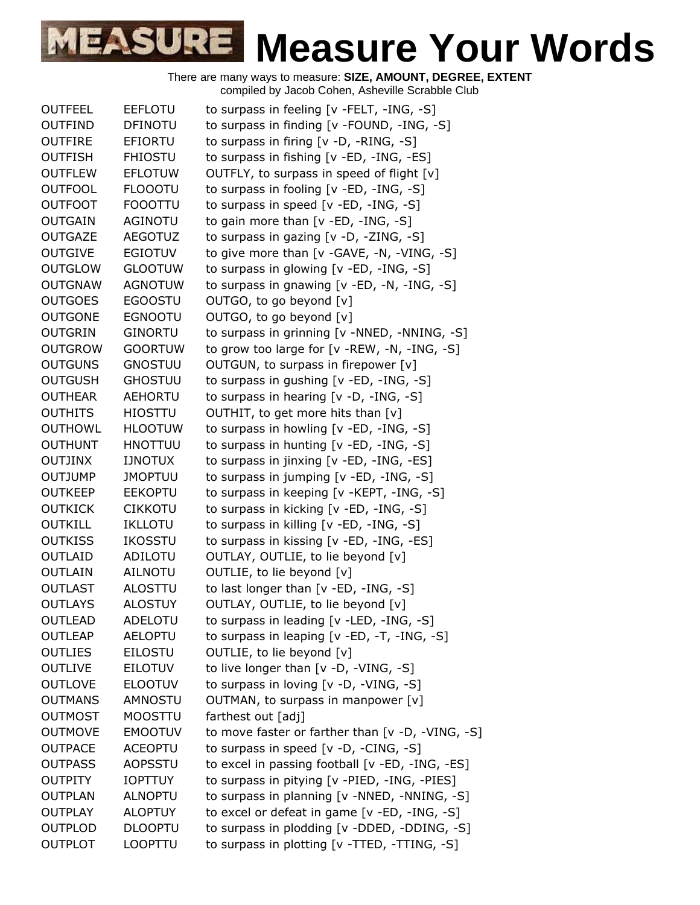| <b>OUTFEEL</b> | <b>EEFLOTU</b> | to surpass in feeling [v -FELT, -ING, -S]        |
|----------------|----------------|--------------------------------------------------|
| <b>OUTFIND</b> | <b>DFINOTU</b> | to surpass in finding [v -FOUND, -ING, -S]       |
| <b>OUTFIRE</b> | <b>EFIORTU</b> | to surpass in firing [v -D, -RING, -S]           |
| <b>OUTFISH</b> | <b>FHIOSTU</b> | to surpass in fishing [v -ED, -ING, -ES]         |
| <b>OUTFLEW</b> | <b>EFLOTUW</b> | OUTFLY, to surpass in speed of flight [v]        |
| <b>OUTFOOL</b> | <b>FLOOOTU</b> | to surpass in fooling $[v - ED, -ING, -S]$       |
| <b>OUTFOOT</b> | <b>FOOOTTU</b> | to surpass in speed [v -ED, -ING, -S]            |
| <b>OUTGAIN</b> | AGINOTU        | to gain more than $[v - ED, -ING, -S]$           |
| <b>OUTGAZE</b> | <b>AEGOTUZ</b> | to surpass in gazing [v -D, -ZING, -S]           |
| <b>OUTGIVE</b> | <b>EGIOTUV</b> | to give more than [v -GAVE, -N, -VING, -S]       |
| <b>OUTGLOW</b> | <b>GLOOTUW</b> | to surpass in glowing [v -ED, -ING, -S]          |
| <b>OUTGNAW</b> | <b>AGNOTUW</b> | to surpass in gnawing [v -ED, -N, -ING, -S]      |
| <b>OUTGOES</b> | <b>EGOOSTU</b> | OUTGO, to go beyond [v]                          |
| <b>OUTGONE</b> | <b>EGNOOTU</b> | OUTGO, to go beyond [v]                          |
| <b>OUTGRIN</b> | <b>GINORTU</b> | to surpass in grinning [v -NNED, -NNING, -S]     |
| <b>OUTGROW</b> | <b>GOORTUW</b> | to grow too large for [v -REW, -N, -ING, -S]     |
| <b>OUTGUNS</b> | <b>GNOSTUU</b> | OUTGUN, to surpass in firepower [v]              |
| <b>OUTGUSH</b> | <b>GHOSTUU</b> | to surpass in gushing [v -ED, -ING, -S]          |
| <b>OUTHEAR</b> | <b>AEHORTU</b> | to surpass in hearing [v -D, -ING, -S]           |
| <b>OUTHITS</b> | <b>HIOSTTU</b> | OUTHIT, to get more hits than [v]                |
| <b>OUTHOWL</b> | <b>HLOOTUW</b> | to surpass in howling [v -ED, -ING, -S]          |
| <b>OUTHUNT</b> | <b>HNOTTUU</b> | to surpass in hunting [v -ED, -ING, -S]          |
| <b>OUTJINX</b> | <b>IJNOTUX</b> | to surpass in jinxing [v -ED, -ING, -ES]         |
| <b>OUTJUMP</b> | <b>JMOPTUU</b> | to surpass in jumping [v -ED, -ING, -S]          |
| <b>OUTKEEP</b> | <b>EEKOPTU</b> | to surpass in keeping [v -KEPT, -ING, -S]        |
| <b>OUTKICK</b> | <b>CIKKOTU</b> | to surpass in kicking [v -ED, -ING, -S]          |
| <b>OUTKILL</b> | IKLLOTU        | to surpass in killing [v -ED, -ING, -S]          |
| <b>OUTKISS</b> | <b>IKOSSTU</b> | to surpass in kissing [v -ED, -ING, -ES]         |
| OUTLAID        | ADILOTU        | OUTLAY, OUTLIE, to lie beyond [v]                |
| <b>OUTLAIN</b> | <b>AILNOTU</b> | OUTLIE, to lie beyond [v]                        |
| <b>OUTLAST</b> | ALOSTTU        | to last longer than $[v - ED, -ING, -S]$         |
| <b>OUTLAYS</b> | <b>ALOSTUY</b> | OUTLAY, OUTLIE, to lie beyond [v]                |
| <b>OUTLEAD</b> | <b>ADELOTU</b> | to surpass in leading [v -LED, -ING, -S]         |
| <b>OUTLEAP</b> | <b>AELOPTU</b> | to surpass in leaping $[v - ED, -T, -ING, -S]$   |
| <b>OUTLIES</b> | <b>EILOSTU</b> | OUTLIE, to lie beyond [v]                        |
| <b>OUTLIVE</b> | <b>EILOTUV</b> | to live longer than $[v -D, -VING, -S]$          |
| <b>OUTLOVE</b> | <b>ELOOTUV</b> | to surpass in loving [v -D, -VING, -S]           |
| <b>OUTMANS</b> | <b>AMNOSTU</b> | OUTMAN, to surpass in manpower [v]               |
| <b>OUTMOST</b> | <b>MOOSTTU</b> | farthest out [adj]                               |
| <b>OUTMOVE</b> | <b>EMOOTUV</b> | to move faster or farther than [v -D, -VING, -S] |
| <b>OUTPACE</b> | <b>ACEOPTU</b> | to surpass in speed [v -D, -CING, -S]            |
| <b>OUTPASS</b> | AOPSSTU        | to excel in passing football [v -ED, -ING, -ES]  |
| <b>OUTPITY</b> | <b>IOPTTUY</b> | to surpass in pitying [v -PIED, -ING, -PIES]     |
| <b>OUTPLAN</b> | <b>ALNOPTU</b> | to surpass in planning [v -NNED, -NNING, -S]     |
| <b>OUTPLAY</b> | <b>ALOPTUY</b> | to excel or defeat in game [v -ED, -ING, -S]     |
| <b>OUTPLOD</b> | <b>DLOOPTU</b> | to surpass in plodding [v -DDED, -DDING, -S]     |
| <b>OUTPLOT</b> | LOOPTTU        | to surpass in plotting [v -TTED, -TTING, -S]     |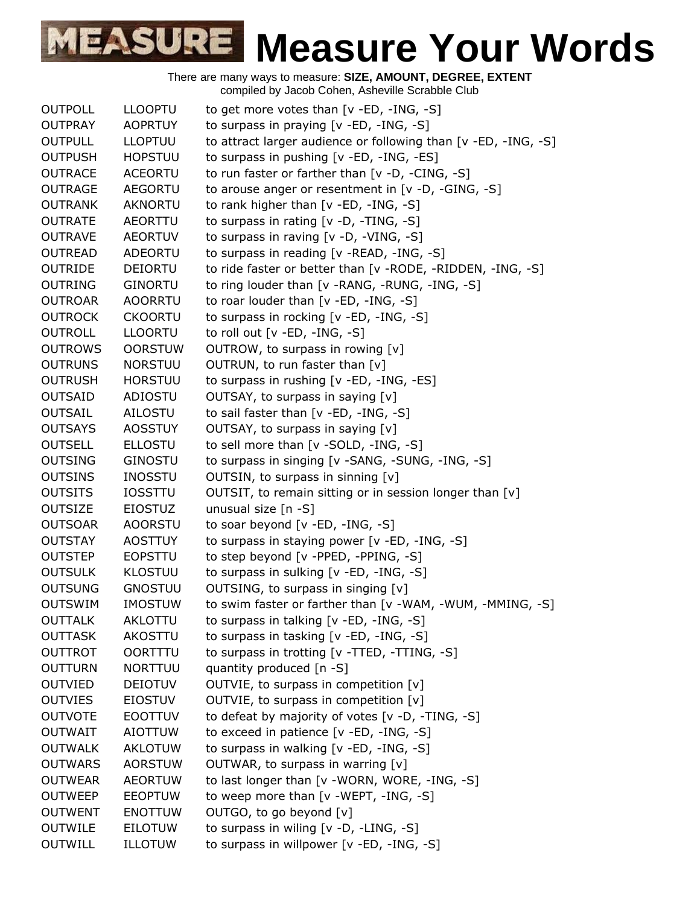| <b>OUTPOLL</b> | <b>LLOOPTU</b> | to get more votes than $[v - ED, -ING, -S]$                    |
|----------------|----------------|----------------------------------------------------------------|
| <b>OUTPRAY</b> | <b>AOPRTUY</b> | to surpass in praying [v -ED, -ING, -S]                        |
| <b>OUTPULL</b> | <b>LLOPTUU</b> | to attract larger audience or following than [v -ED, -ING, -S] |
| <b>OUTPUSH</b> | <b>HOPSTUU</b> | to surpass in pushing [v -ED, -ING, -ES]                       |
| <b>OUTRACE</b> | <b>ACEORTU</b> | to run faster or farther than [v -D, -CING, -S]                |
| <b>OUTRAGE</b> | <b>AEGORTU</b> | to arouse anger or resentment in [v -D, -GING, -S]             |
| <b>OUTRANK</b> | <b>AKNORTU</b> | to rank higher than $[v - ED, -ING, -S]$                       |
| <b>OUTRATE</b> | AEORTTU        | to surpass in rating [v -D, -TING, -S]                         |
| <b>OUTRAVE</b> | <b>AEORTUV</b> | to surpass in raving [v -D, -VING, -S]                         |
| <b>OUTREAD</b> | <b>ADEORTU</b> | to surpass in reading [v -READ, -ING, -S]                      |
| <b>OUTRIDE</b> | <b>DEIORTU</b> | to ride faster or better than [v -RODE, -RIDDEN, -ING, -S]     |
| <b>OUTRING</b> | <b>GINORTU</b> | to ring louder than [v -RANG, -RUNG, -ING, -S]                 |
| <b>OUTROAR</b> | <b>AOORRTU</b> | to roar louder than $[v - ED, -ING, -S]$                       |
| <b>OUTROCK</b> | <b>CKOORTU</b> | to surpass in rocking [v -ED, -ING, -S]                        |
| <b>OUTROLL</b> | <b>LLOORTU</b> | to roll out $[v - ED, -ING, -S]$                               |
| <b>OUTROWS</b> | <b>OORSTUW</b> | OUTROW, to surpass in rowing [v]                               |
| <b>OUTRUNS</b> | <b>NORSTUU</b> | OUTRUN, to run faster than [v]                                 |
| <b>OUTRUSH</b> | <b>HORSTUU</b> | to surpass in rushing [v -ED, -ING, -ES]                       |
| <b>OUTSAID</b> | <b>ADIOSTU</b> | OUTSAY, to surpass in saying [v]                               |
| <b>OUTSAIL</b> | AILOSTU        | to sail faster than [v -ED, -ING, -S]                          |
| <b>OUTSAYS</b> | <b>AOSSTUY</b> | OUTSAY, to surpass in saying [v]                               |
| <b>OUTSELL</b> | <b>ELLOSTU</b> | to sell more than [v -SOLD, -ING, -S]                          |
| <b>OUTSING</b> | <b>GINOSTU</b> | to surpass in singing [v -SANG, -SUNG, -ING, -S]               |
| <b>OUTSINS</b> | <b>INOSSTU</b> | OUTSIN, to surpass in sinning [v]                              |
| <b>OUTSITS</b> | <b>IOSSTTU</b> | OUTSIT, to remain sitting or in session longer than [v]        |
| <b>OUTSIZE</b> | <b>EIOSTUZ</b> | unusual size [n -S]                                            |
| <b>OUTSOAR</b> | <b>AOORSTU</b> | to soar beyond [v -ED, -ING, -S]                               |
| <b>OUTSTAY</b> | <b>AOSTTUY</b> | to surpass in staying power [v -ED, -ING, -S]                  |
| <b>OUTSTEP</b> | <b>EOPSTTU</b> | to step beyond [v -PPED, -PPING, -S]                           |
| <b>OUTSULK</b> | <b>KLOSTUU</b> | to surpass in sulking [v -ED, -ING, -S]                        |
| <b>OUTSUNG</b> | <b>GNOSTUU</b> | OUTSING, to surpass in singing [v]                             |
| <b>OUTSWIM</b> | <b>IMOSTUW</b> | to swim faster or farther than [v -WAM, -WUM, -MMING, -S]      |
| <b>OUTTALK</b> | AKLOTTU        | to surpass in talking [v -ED, -ING, -S]                        |
| <b>OUTTASK</b> | AKOSTTU        | to surpass in tasking [v -ED, -ING, -S]                        |
| <b>OUTTROT</b> | <b>OORTTTU</b> | to surpass in trotting [v -TTED, -TTING, -S]                   |
| <b>OUTTURN</b> | <b>NORTTUU</b> | quantity produced [n -S]                                       |
| <b>OUTVIED</b> | <b>DEIOTUV</b> | OUTVIE, to surpass in competition [v]                          |
| <b>OUTVIES</b> | <b>EIOSTUV</b> | OUTVIE, to surpass in competition [v]                          |
| <b>OUTVOTE</b> | <b>EOOTTUV</b> | to defeat by majority of votes [v -D, -TING, -S]               |
| <b>OUTWAIT</b> | <b>AIOTTUW</b> | to exceed in patience [v -ED, -ING, -S]                        |
| <b>OUTWALK</b> | AKLOTUW        | to surpass in walking [v -ED, -ING, -S]                        |
| <b>OUTWARS</b> | <b>AORSTUW</b> | OUTWAR, to surpass in warring [v]                              |
| <b>OUTWEAR</b> | <b>AEORTUW</b> | to last longer than [v -WORN, WORE, -ING, -S]                  |
| <b>OUTWEEP</b> | <b>EEOPTUW</b> | to weep more than [v -WEPT, -ING, -S]                          |
| <b>OUTWENT</b> | <b>ENOTTUW</b> | OUTGO, to go beyond [v]                                        |
| <b>OUTWILE</b> | <b>EILOTUW</b> | to surpass in wiling [v -D, -LING, -S]                         |
| <b>OUTWILL</b> | ILLOTUW        | to surpass in willpower [v -ED, -ING, -S]                      |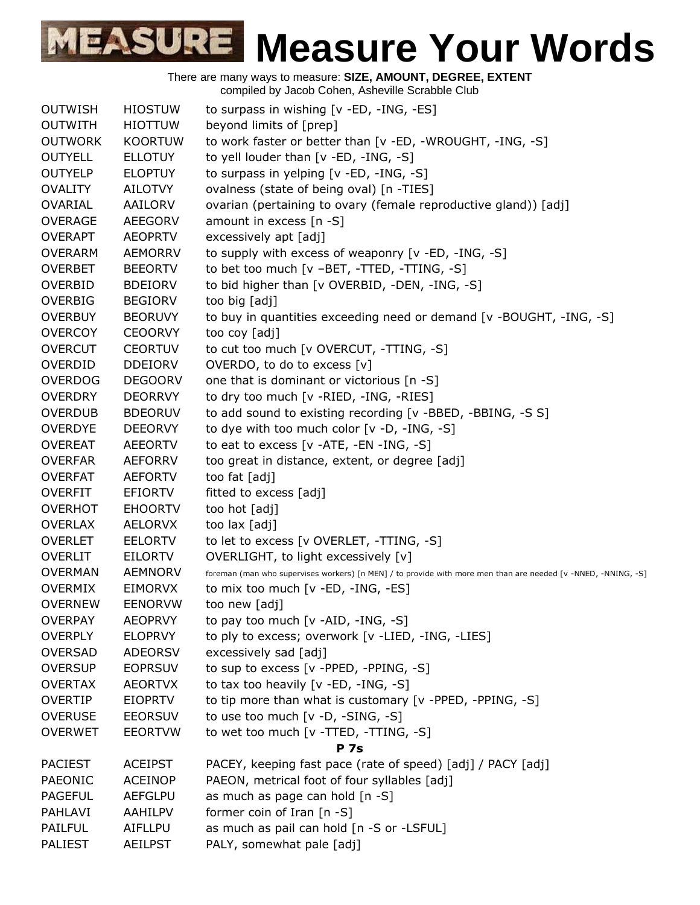

| <b>OUTWISH</b> | <b>HIOSTUW</b> | to surpass in wishing [v -ED, -ING, -ES]                                                                      |
|----------------|----------------|---------------------------------------------------------------------------------------------------------------|
| <b>OUTWITH</b> | <b>HIOTTUW</b> | beyond limits of [prep]                                                                                       |
| <b>OUTWORK</b> | <b>KOORTUW</b> | to work faster or better than [v -ED, -WROUGHT, -ING, -S]                                                     |
| <b>OUTYELL</b> | <b>ELLOTUY</b> | to yell louder than [v -ED, -ING, -S]                                                                         |
| <b>OUTYELP</b> | <b>ELOPTUY</b> | to surpass in yelping [v -ED, -ING, -S]                                                                       |
| <b>OVALITY</b> | AILOTVY        | ovalness (state of being oval) [n -TIES]                                                                      |
| OVARIAL        | AAILORV        | ovarian (pertaining to ovary (female reproductive gland)) [adj]                                               |
| <b>OVERAGE</b> | <b>AEEGORV</b> | amount in excess $[n - S]$                                                                                    |
| <b>OVERAPT</b> | <b>AEOPRTV</b> | excessively apt [adj]                                                                                         |
| <b>OVERARM</b> | <b>AEMORRV</b> | to supply with excess of weaponry [v -ED, -ING, -S]                                                           |
| <b>OVERBET</b> | <b>BEEORTV</b> | to bet too much [v -BET, -TTED, -TTING, -S]                                                                   |
| <b>OVERBID</b> | <b>BDEIORV</b> | to bid higher than [v OVERBID, -DEN, -ING, -S]                                                                |
| <b>OVERBIG</b> | <b>BEGIORV</b> | too big [adj]                                                                                                 |
| <b>OVERBUY</b> | <b>BEORUVY</b> | to buy in quantities exceeding need or demand [v -BOUGHT, -ING, -S]                                           |
| <b>OVERCOY</b> | <b>CEOORVY</b> | too coy [adj]                                                                                                 |
| <b>OVERCUT</b> | <b>CEORTUV</b> | to cut too much [v OVERCUT, -TTING, -S]                                                                       |
| <b>OVERDID</b> | <b>DDEIORV</b> | OVERDO, to do to excess [v]                                                                                   |
| <b>OVERDOG</b> | <b>DEGOORV</b> | one that is dominant or victorious [n -S]                                                                     |
| <b>OVERDRY</b> | <b>DEORRVY</b> | to dry too much [v -RIED, -ING, -RIES]                                                                        |
| <b>OVERDUB</b> | <b>BDEORUV</b> | to add sound to existing recording [v -BBED, -BBING, -S S]                                                    |
| <b>OVERDYE</b> | <b>DEEORVY</b> | to dye with too much color [v -D, -ING, -S]                                                                   |
| <b>OVEREAT</b> | <b>AEEORTV</b> | to eat to excess $[v -ATE, -EN -ING, -S]$                                                                     |
| <b>OVERFAR</b> | <b>AEFORRV</b> | too great in distance, extent, or degree [adj]                                                                |
| <b>OVERFAT</b> | <b>AEFORTV</b> | too fat [adj]                                                                                                 |
| <b>OVERFIT</b> | <b>EFIORTV</b> | fitted to excess [adj]                                                                                        |
| <b>OVERHOT</b> | <b>EHOORTV</b> | too hot [adj]                                                                                                 |
| <b>OVERLAX</b> | <b>AELORVX</b> | too lax [adj]                                                                                                 |
| <b>OVERLET</b> | <b>EELORTV</b> | to let to excess [v OVERLET, -TTING, -S]                                                                      |
| <b>OVERLIT</b> | <b>EILORTV</b> | OVERLIGHT, to light excessively [v]                                                                           |
| <b>OVERMAN</b> | <b>AEMNORV</b> | foreman (man who supervises workers) [n MEN] / to provide with more men than are needed [v -NNED, -NNING, -S] |
| <b>OVERMIX</b> | <b>EIMORVX</b> | to mix too much [v -ED, -ING, -ES]                                                                            |
| <b>OVERNEW</b> | <b>EENORVW</b> | too new [adj]                                                                                                 |
| <b>OVERPAY</b> | <b>AEOPRVY</b> | to pay too much [v -AID, -ING, -S]                                                                            |
| <b>OVERPLY</b> | <b>ELOPRVY</b> | to ply to excess; overwork [v -LIED, -ING, -LIES]                                                             |
| <b>OVERSAD</b> | <b>ADEORSV</b> | excessively sad [adj]                                                                                         |
| <b>OVERSUP</b> | <b>EOPRSUV</b> | to sup to excess [v -PPED, -PPING, -S]                                                                        |
| <b>OVERTAX</b> | <b>AEORTVX</b> | to tax too heavily [v -ED, -ING, -S]                                                                          |
| <b>OVERTIP</b> | <b>EIOPRTV</b> | to tip more than what is customary [v -PPED, -PPING, -S]                                                      |
| <b>OVERUSE</b> | <b>EEORSUV</b> | to use too much [v -D, -SING, -S]                                                                             |
| <b>OVERWET</b> | <b>EEORTVW</b> | to wet too much [v -TTED, -TTING, -S]                                                                         |
|                |                | <b>P</b> 7s                                                                                                   |
| <b>PACIEST</b> | <b>ACEIPST</b> | PACEY, keeping fast pace (rate of speed) [adj] / PACY [adj]                                                   |
| PAEONIC        | <b>ACEINOP</b> | PAEON, metrical foot of four syllables [adj]                                                                  |
| <b>PAGEFUL</b> | <b>AEFGLPU</b> | as much as page can hold [n -S]                                                                               |
| PAHLAVI        | AAHILPV        | former coin of Iran [n -S]                                                                                    |
| <b>PAILFUL</b> | AIFLLPU        | as much as pail can hold [n -S or -LSFUL]                                                                     |
| <b>PALIEST</b> | <b>AEILPST</b> | PALY, somewhat pale [adj]                                                                                     |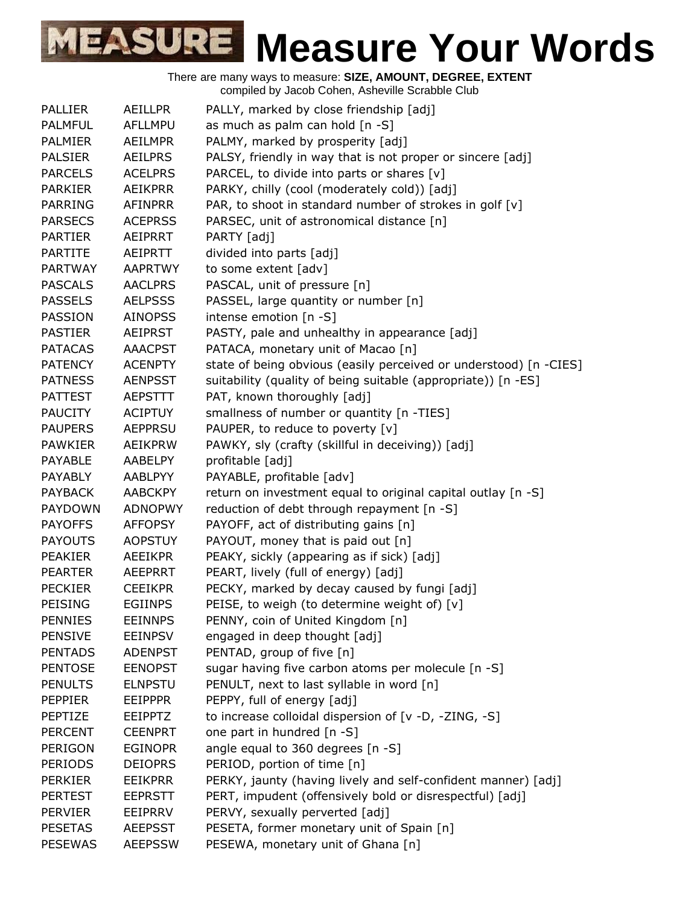| <b>PALLIER</b> | <b>AEILLPR</b> | PALLY, marked by close friendship [adj]                           |
|----------------|----------------|-------------------------------------------------------------------|
| <b>PALMFUL</b> | <b>AFLLMPU</b> | as much as palm can hold [n -S]                                   |
| <b>PALMIER</b> | <b>AEILMPR</b> | PALMY, marked by prosperity [adj]                                 |
| <b>PALSIER</b> | <b>AEILPRS</b> | PALSY, friendly in way that is not proper or sincere [adj]        |
| <b>PARCELS</b> | <b>ACELPRS</b> | PARCEL, to divide into parts or shares [v]                        |
| <b>PARKIER</b> | AEIKPRR        | PARKY, chilly (cool (moderately cold)) [adj]                      |
| <b>PARRING</b> | AFINPRR        | PAR, to shoot in standard number of strokes in golf [v]           |
| <b>PARSECS</b> | <b>ACEPRSS</b> | PARSEC, unit of astronomical distance [n]                         |
| <b>PARTIER</b> | AEIPRRT        | PARTY [adj]                                                       |
| <b>PARTITE</b> | AEIPRTT        | divided into parts [adj]                                          |
| <b>PARTWAY</b> | <b>AAPRTWY</b> | to some extent [adv]                                              |
| <b>PASCALS</b> | <b>AACLPRS</b> | PASCAL, unit of pressure [n]                                      |
| <b>PASSELS</b> | <b>AELPSSS</b> | PASSEL, large quantity or number [n]                              |
| PASSION        | <b>AINOPSS</b> | intense emotion [n -S]                                            |
| <b>PASTIER</b> | <b>AEIPRST</b> | PASTY, pale and unhealthy in appearance [adj]                     |
| <b>PATACAS</b> | <b>AAACPST</b> | PATACA, monetary unit of Macao [n]                                |
| <b>PATENCY</b> | <b>ACENPTY</b> | state of being obvious (easily perceived or understood) [n -CIES] |
| <b>PATNESS</b> | <b>AENPSST</b> | suitability (quality of being suitable (appropriate)) [n -ES]     |
| <b>PATTEST</b> | <b>AEPSTTT</b> | PAT, known thoroughly [adj]                                       |
| <b>PAUCITY</b> | <b>ACIPTUY</b> | smallness of number or quantity [n -TIES]                         |
| <b>PAUPERS</b> | <b>AEPPRSU</b> | PAUPER, to reduce to poverty [v]                                  |
| <b>PAWKIER</b> | <b>AEIKPRW</b> | PAWKY, sly (crafty (skillful in deceiving)) [adj]                 |
| PAYABLE        | AABELPY        | profitable [adj]                                                  |
| PAYABLY        | <b>AABLPYY</b> | PAYABLE, profitable [adv]                                         |
| <b>PAYBACK</b> | <b>AABCKPY</b> | return on investment equal to original capital outlay [n -S]      |
| <b>PAYDOWN</b> | <b>ADNOPWY</b> | reduction of debt through repayment [n -S]                        |
| <b>PAYOFFS</b> | <b>AFFOPSY</b> | PAYOFF, act of distributing gains [n]                             |
| <b>PAYOUTS</b> | <b>AOPSTUY</b> | PAYOUT, money that is paid out [n]                                |
| <b>PEAKIER</b> | <b>AEEIKPR</b> | PEAKY, sickly (appearing as if sick) [adj]                        |
| <b>PEARTER</b> | <b>AEEPRRT</b> | PEART, lively (full of energy) [adj]                              |
| <b>PECKIER</b> | <b>CEEIKPR</b> | PECKY, marked by decay caused by fungi [adj]                      |
| PEISING        | <b>EGIINPS</b> | PEISE, to weigh (to determine weight of) [v]                      |
| <b>PENNIES</b> | <b>EEINNPS</b> | PENNY, coin of United Kingdom [n]                                 |
| <b>PENSIVE</b> | <b>EEINPSV</b> | engaged in deep thought [adj]                                     |
| <b>PENTADS</b> | <b>ADENPST</b> | PENTAD, group of five [n]                                         |
| <b>PENTOSE</b> | <b>EENOPST</b> | sugar having five carbon atoms per molecule [n -S]                |
| <b>PENULTS</b> | <b>ELNPSTU</b> | PENULT, next to last syllable in word [n]                         |
| <b>PEPPIER</b> | <b>EEIPPPR</b> | PEPPY, full of energy [adj]                                       |
| PEPTIZE        | <b>EEIPPTZ</b> | to increase colloidal dispersion of [v -D, -ZING, -S]             |
| <b>PERCENT</b> | <b>CEENPRT</b> | one part in hundred [n -S]                                        |
| PERIGON        | <b>EGINOPR</b> | angle equal to 360 degrees [n -S]                                 |
| <b>PERIODS</b> | <b>DEIOPRS</b> | PERIOD, portion of time [n]                                       |
| <b>PERKIER</b> | <b>EEIKPRR</b> | PERKY, jaunty (having lively and self-confident manner) [adj]     |
| <b>PERTEST</b> | <b>EEPRSTT</b> | PERT, impudent (offensively bold or disrespectful) [adj]          |
| <b>PERVIER</b> | EEIPRRV        | PERVY, sexually perverted [adj]                                   |
| <b>PESETAS</b> | <b>AEEPSST</b> | PESETA, former monetary unit of Spain [n]                         |
| <b>PESEWAS</b> | <b>AEEPSSW</b> | PESEWA, monetary unit of Ghana [n]                                |
|                |                |                                                                   |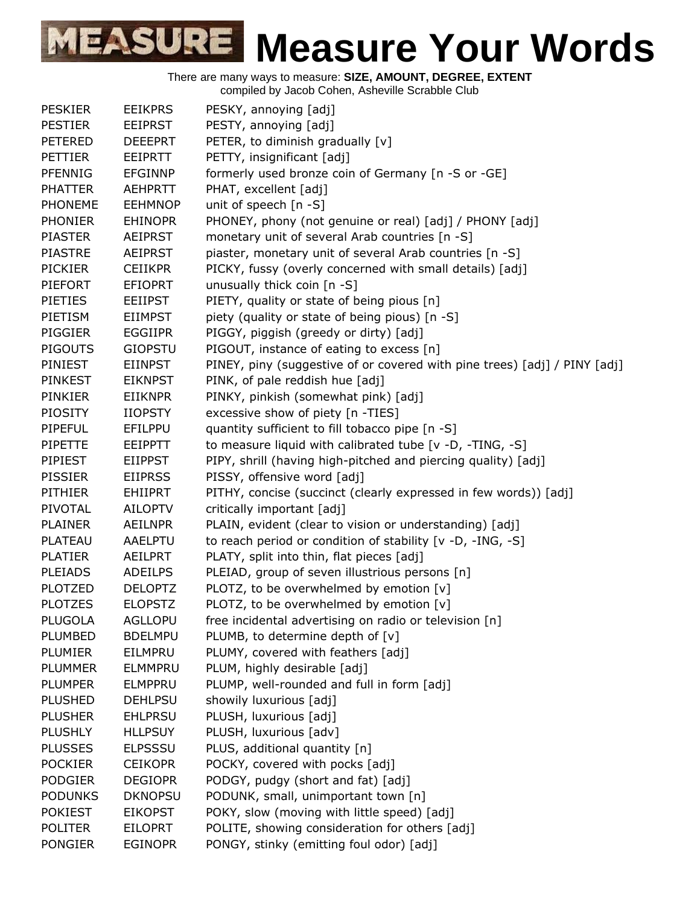

There are many ways to measure: **SIZE, AMOUNT, DEGREE, EXTENT**

compiled by Jacob Cohen, Asheville Scrabble Club

| <b>PESKIER</b> | <b>EEIKPRS</b> | PESKY, annoying [adj]                                                     |
|----------------|----------------|---------------------------------------------------------------------------|
| <b>PESTIER</b> | <b>EEIPRST</b> | PESTY, annoying [adj]                                                     |
| <b>PETERED</b> | <b>DEEEPRT</b> | PETER, to diminish gradually [v]                                          |
| <b>PETTIER</b> | <b>EEIPRTT</b> | PETTY, insignificant [adj]                                                |
| <b>PFENNIG</b> | <b>EFGINNP</b> | formerly used bronze coin of Germany [n -S or -GE]                        |
| <b>PHATTER</b> | <b>AEHPRTT</b> | PHAT, excellent [adj]                                                     |
| <b>PHONEME</b> | <b>EEHMNOP</b> | unit of speech [n -S]                                                     |
| <b>PHONIER</b> | <b>EHINOPR</b> | PHONEY, phony (not genuine or real) [adj] / PHONY [adj]                   |
| <b>PIASTER</b> | <b>AEIPRST</b> | monetary unit of several Arab countries [n -S]                            |
| <b>PIASTRE</b> | <b>AEIPRST</b> | piaster, monetary unit of several Arab countries [n -S]                   |
| <b>PICKIER</b> | <b>CEIIKPR</b> | PICKY, fussy (overly concerned with small details) [adj]                  |
| PIEFORT        | <b>EFIOPRT</b> | unusually thick coin [n -S]                                               |
| <b>PIETIES</b> | <b>EEIIPST</b> | PIETY, quality or state of being pious [n]                                |
| PIETISM        | <b>EIIMPST</b> | piety (quality or state of being pious) [n -S]                            |
| <b>PIGGIER</b> | <b>EGGIIPR</b> | PIGGY, piggish (greedy or dirty) [adj]                                    |
| <b>PIGOUTS</b> | <b>GIOPSTU</b> | PIGOUT, instance of eating to excess [n]                                  |
| PINIEST        | <b>EIINPST</b> | PINEY, piny (suggestive of or covered with pine trees) [adj] / PINY [adj] |
| <b>PINKEST</b> | <b>EIKNPST</b> | PINK, of pale reddish hue [adj]                                           |
| <b>PINKIER</b> | <b>EIIKNPR</b> | PINKY, pinkish (somewhat pink) [adj]                                      |
| <b>PIOSITY</b> | <b>IIOPSTY</b> | excessive show of piety [n -TIES]                                         |
| <b>PIPEFUL</b> | EFILPPU        | quantity sufficient to fill tobacco pipe [n -S]                           |
| <b>PIPETTE</b> | <b>EEIPPTT</b> | to measure liquid with calibrated tube [v -D, -TING, -S]                  |
| PIPIEST        | <b>EIIPPST</b> | PIPY, shrill (having high-pitched and piercing quality) [adj]             |
| <b>PISSIER</b> | <b>EIIPRSS</b> | PISSY, offensive word [adj]                                               |
| <b>PITHIER</b> | <b>EHIIPRT</b> | PITHY, concise (succinct (clearly expressed in few words)) [adj]          |
| PIVOTAL        | <b>AILOPTV</b> | critically important [adj]                                                |
| <b>PLAINER</b> | <b>AEILNPR</b> | PLAIN, evident (clear to vision or understanding) [adj]                   |
| <b>PLATEAU</b> | <b>AAELPTU</b> | to reach period or condition of stability [v -D, -ING, -S]                |
| <b>PLATIER</b> | AEILPRT        | PLATY, split into thin, flat pieces [adj]                                 |
| <b>PLEIADS</b> | <b>ADEILPS</b> | PLEIAD, group of seven illustrious persons [n]                            |
| <b>PLOTZED</b> | <b>DELOPTZ</b> | PLOTZ, to be overwhelmed by emotion [v]                                   |
| <b>PLOTZES</b> | <b>ELOPSTZ</b> | PLOTZ, to be overwhelmed by emotion [v]                                   |
| <b>PLUGOLA</b> | <b>AGLLOPU</b> | free incidental advertising on radio or television [n]                    |
| PLUMBED        | <b>BDELMPU</b> | PLUMB, to determine depth of [v]                                          |
| <b>PLUMIER</b> | EILMPRU        | PLUMY, covered with feathers [adj]                                        |
| <b>PLUMMER</b> | <b>ELMMPRU</b> | PLUM, highly desirable [adj]                                              |
| <b>PLUMPER</b> | <b>ELMPPRU</b> | PLUMP, well-rounded and full in form [adj]                                |
| <b>PLUSHED</b> | <b>DEHLPSU</b> | showily luxurious [adj]                                                   |
| <b>PLUSHER</b> | <b>EHLPRSU</b> | PLUSH, luxurious [adj]                                                    |
| <b>PLUSHLY</b> | <b>HLLPSUY</b> | PLUSH, luxurious [adv]                                                    |
| <b>PLUSSES</b> | <b>ELPSSSU</b> | PLUS, additional quantity [n]                                             |
| <b>POCKIER</b> | <b>CEIKOPR</b> | POCKY, covered with pocks [adj]                                           |
| <b>PODGIER</b> | <b>DEGIOPR</b> | PODGY, pudgy (short and fat) [adj]                                        |
| <b>PODUNKS</b> | <b>DKNOPSU</b> | PODUNK, small, unimportant town [n]                                       |
| <b>POKIEST</b> | <b>EIKOPST</b> | POKY, slow (moving with little speed) [adj]                               |
| <b>POLITER</b> | <b>EILOPRT</b> | POLITE, showing consideration for others [adj]                            |
| <b>PONGIER</b> | <b>EGINOPR</b> | PONGY, stinky (emitting foul odor) [adj]                                  |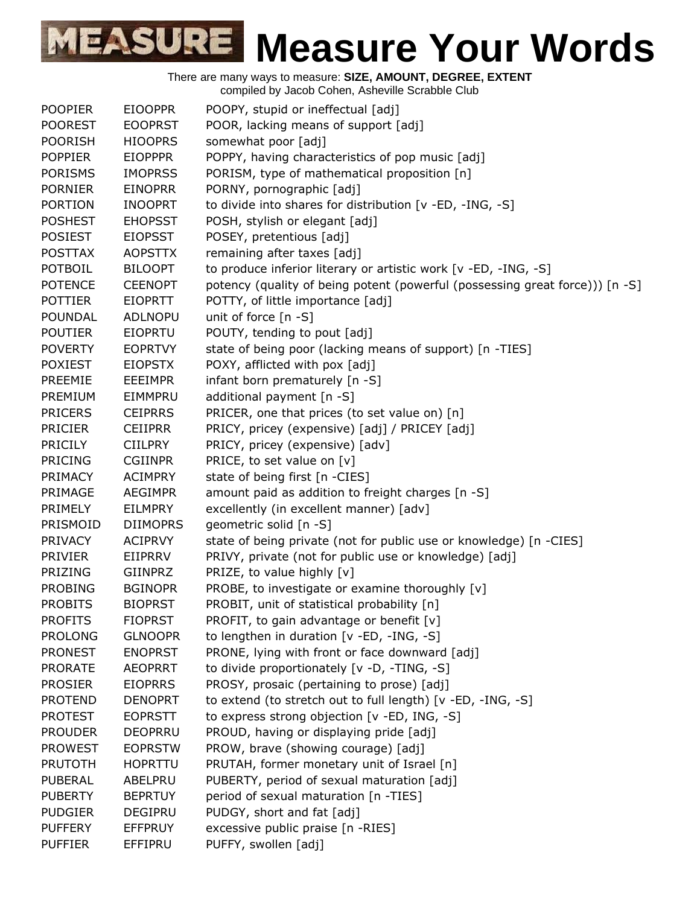| <b>POOPIER</b> | <b>EIOOPPR</b>  | POOPY, stupid or ineffectual [adj]                                           |
|----------------|-----------------|------------------------------------------------------------------------------|
| <b>POOREST</b> | <b>EOOPRST</b>  | POOR, lacking means of support [adj]                                         |
| <b>POORISH</b> | <b>HIOOPRS</b>  | somewhat poor [adj]                                                          |
| <b>POPPIER</b> | <b>EIOPPPR</b>  | POPPY, having characteristics of pop music [adj]                             |
| <b>PORISMS</b> | <b>IMOPRSS</b>  | PORISM, type of mathematical proposition [n]                                 |
| <b>PORNIER</b> | <b>EINOPRR</b>  | PORNY, pornographic [adj]                                                    |
| <b>PORTION</b> | <b>INOOPRT</b>  | to divide into shares for distribution [v -ED, -ING, -S]                     |
| <b>POSHEST</b> | <b>EHOPSST</b>  | POSH, stylish or elegant [adj]                                               |
| <b>POSIEST</b> | <b>EIOPSST</b>  | POSEY, pretentious [adj]                                                     |
| <b>POSTTAX</b> | <b>AOPSTTX</b>  | remaining after taxes [adj]                                                  |
| <b>POTBOIL</b> | <b>BILOOPT</b>  | to produce inferior literary or artistic work [v -ED, -ING, -S]              |
| <b>POTENCE</b> | <b>CEENOPT</b>  | potency (quality of being potent (powerful (possessing great force))) [n -S] |
| <b>POTTIER</b> | <b>EIOPRTT</b>  | POTTY, of little importance [adj]                                            |
| <b>POUNDAL</b> | <b>ADLNOPU</b>  | unit of force $[n -S]$                                                       |
| <b>POUTIER</b> | <b>EIOPRTU</b>  | POUTY, tending to pout [adj]                                                 |
| <b>POVERTY</b> | <b>EOPRTVY</b>  | state of being poor (lacking means of support) [n -TIES]                     |
| <b>POXIEST</b> | <b>EIOPSTX</b>  | POXY, afflicted with pox [adj]                                               |
| PREEMIE        | <b>EEEIMPR</b>  | infant born prematurely [n -S]                                               |
| PREMIUM        | EIMMPRU         | additional payment [n -S]                                                    |
| <b>PRICERS</b> | <b>CEIPRRS</b>  | PRICER, one that prices (to set value on) [n]                                |
| <b>PRICIER</b> | <b>CEIIPRR</b>  | PRICY, pricey (expensive) [adj] / PRICEY [adj]                               |
| PRICILY        | <b>CIILPRY</b>  | PRICY, pricey (expensive) [adv]                                              |
| <b>PRICING</b> | <b>CGIINPR</b>  | PRICE, to set value on [v]                                                   |
| PRIMACY        | <b>ACIMPRY</b>  | state of being first [n -CIES]                                               |
| PRIMAGE        | <b>AEGIMPR</b>  | amount paid as addition to freight charges [n -S]                            |
| PRIMELY        | <b>EILMPRY</b>  | excellently (in excellent manner) [adv]                                      |
| PRISMOID       | <b>DIIMOPRS</b> | geometric solid [n -S]                                                       |
| <b>PRIVACY</b> | <b>ACIPRVY</b>  | state of being private (not for public use or knowledge) [n -CIES]           |
| <b>PRIVIER</b> | EIIPRRV         | PRIVY, private (not for public use or knowledge) [adj]                       |
| PRIZING        | GIINPRZ         | PRIZE, to value highly [v]                                                   |
| <b>PROBING</b> | <b>BGINOPR</b>  | PROBE, to investigate or examine thoroughly [v]                              |
| <b>PROBITS</b> | <b>BIOPRST</b>  | PROBIT, unit of statistical probability [n]                                  |
| <b>PROFITS</b> | <b>FIOPRST</b>  | PROFIT, to gain advantage or benefit [v]                                     |
| <b>PROLONG</b> | <b>GLNOOPR</b>  | to lengthen in duration [v -ED, -ING, -S]                                    |
| <b>PRONEST</b> | <b>ENOPRST</b>  | PRONE, lying with front or face downward [adj]                               |
| <b>PRORATE</b> | <b>AEOPRRT</b>  | to divide proportionately [v -D, -TING, -S]                                  |
| <b>PROSIER</b> | <b>EIOPRRS</b>  | PROSY, prosaic (pertaining to prose) [adj]                                   |
| <b>PROTEND</b> | <b>DENOPRT</b>  | to extend (to stretch out to full length) [v -ED, -ING, -S]                  |
| <b>PROTEST</b> | <b>EOPRSTT</b>  | to express strong objection [v -ED, ING, -S]                                 |
| <b>PROUDER</b> | <b>DEOPRRU</b>  | PROUD, having or displaying pride [adj]                                      |
| <b>PROWEST</b> | <b>EOPRSTW</b>  | PROW, brave (showing courage) [adj]                                          |
| <b>PRUTOTH</b> | <b>HOPRTTU</b>  | PRUTAH, former monetary unit of Israel [n]                                   |
| <b>PUBERAL</b> | ABELPRU         | PUBERTY, period of sexual maturation [adj]                                   |
| <b>PUBERTY</b> | <b>BEPRTUY</b>  | period of sexual maturation [n -TIES]                                        |
| <b>PUDGIER</b> | <b>DEGIPRU</b>  | PUDGY, short and fat [adj]                                                   |
| <b>PUFFERY</b> | <b>EFFPRUY</b>  | excessive public praise [n -RIES]                                            |
| <b>PUFFIER</b> | EFFIPRU         | PUFFY, swollen [adj]                                                         |
|                |                 |                                                                              |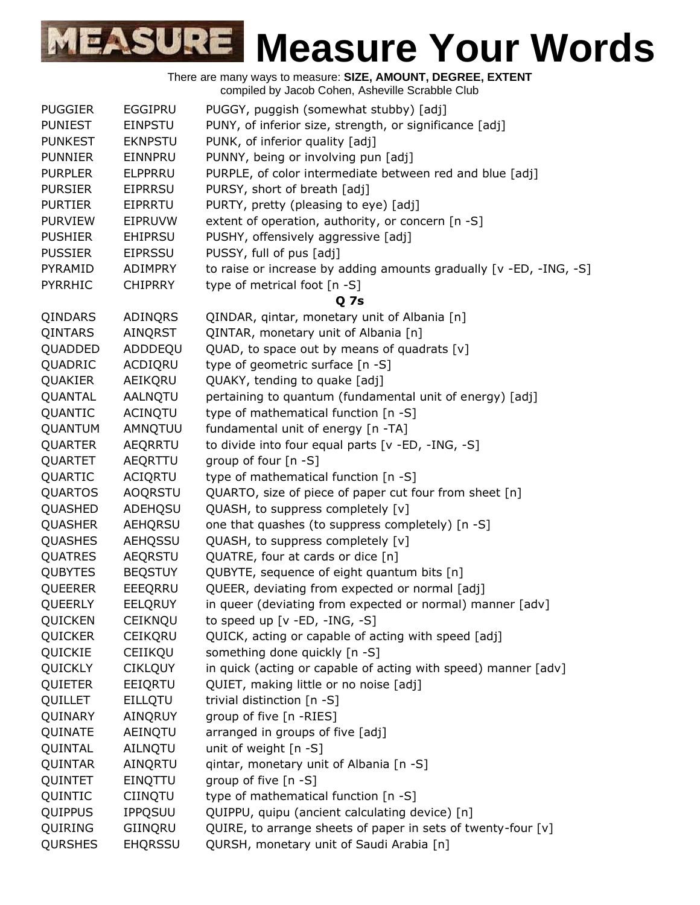|                |                | saces concinent concernic conditions                               |
|----------------|----------------|--------------------------------------------------------------------|
| <b>PUGGIER</b> | EGGIPRU        | PUGGY, puggish (somewhat stubby) [adj]                             |
| <b>PUNIEST</b> | <b>EINPSTU</b> | PUNY, of inferior size, strength, or significance [adj]            |
| <b>PUNKEST</b> | <b>EKNPSTU</b> | PUNK, of inferior quality [adj]                                    |
| <b>PUNNIER</b> | EINNPRU        | PUNNY, being or involving pun [adj]                                |
| <b>PURPLER</b> | <b>ELPPRRU</b> | PURPLE, of color intermediate between red and blue [adj]           |
| <b>PURSIER</b> | <b>EIPRRSU</b> | PURSY, short of breath [adj]                                       |
| <b>PURTIER</b> | <b>EIPRRTU</b> | PURTY, pretty (pleasing to eye) [adj]                              |
| <b>PURVIEW</b> | EIPRUVW        | extent of operation, authority, or concern [n -S]                  |
| <b>PUSHIER</b> | <b>EHIPRSU</b> | PUSHY, offensively aggressive [adj]                                |
| <b>PUSSIER</b> | <b>EIPRSSU</b> | PUSSY, full of pus [adj]                                           |
| PYRAMID        | <b>ADIMPRY</b> | to raise or increase by adding amounts gradually [v -ED, -ING, -S] |
| PYRRHIC        | <b>CHIPRRY</b> | type of metrical foot [n -S]                                       |
|                |                | <b>Q</b> 7s                                                        |
| QINDARS        | ADINQRS        | QINDAR, qintar, monetary unit of Albania [n]                       |
| QINTARS        | AINQRST        | QINTAR, monetary unit of Albania [n]                               |
| QUADDED        | ADDDEQU        | QUAD, to space out by means of quadrats [v]                        |
| QUADRIC        | ACDIQRU        | type of geometric surface [n -S]                                   |
| QUAKIER        | AEIKQRU        | QUAKY, tending to quake [adj]                                      |
| QUANTAL        | AALNQTU        | pertaining to quantum (fundamental unit of energy) [adj]           |
| QUANTIC        | <b>ACINQTU</b> | type of mathematical function [n -S]                               |
| QUANTUM        | AMNQTUU        | fundamental unit of energy [n -TA]                                 |
| <b>QUARTER</b> | <b>AEQRRTU</b> | to divide into four equal parts [v -ED, -ING, -S]                  |
| QUARTET        | AEQRTTU        | group of four [n -S]                                               |
| QUARTIC        | ACIQRTU        | type of mathematical function [n -S]                               |
| <b>QUARTOS</b> | <b>AOQRSTU</b> | QUARTO, size of piece of paper cut four from sheet [n]             |
| QUASHED        | ADEHQSU        | QUASH, to suppress completely [v]                                  |
| QUASHER        | <b>AEHQRSU</b> | one that quashes (to suppress completely) [n -S]                   |
| <b>QUASHES</b> | <b>AEHQSSU</b> | QUASH, to suppress completely [v]                                  |
| QUATRES        | <b>AEQRSTU</b> | QUATRE, four at cards or dice [n]                                  |
| <b>QUBYTES</b> | <b>BEQSTUY</b> | QUBYTE, sequence of eight quantum bits [n]                         |
| QUEERER        | EEEQRRU        | QUEER, deviating from expected or normal [adj]                     |
| QUEERLY        | <b>EELQRUY</b> | in queer (deviating from expected or normal) manner [adv]          |
| QUICKEN        | CEIKNQU        | to speed up $[v - ED, -ING, -S]$                                   |
| QUICKER        | <b>CEIKQRU</b> | QUICK, acting or capable of acting with speed [adj]                |
| QUICKIE        | CEIIKQU        | something done quickly [n -S]                                      |
| QUICKLY        | <b>CIKLQUY</b> | in quick (acting or capable of acting with speed) manner [adv]     |
| QUIETER        | EEIQRTU        | QUIET, making little or no noise [adj]                             |
| QUILLET        | <b>EILLQTU</b> | trivial distinction [n -S]                                         |
| QUINARY        | AINQRUY        | group of five [n -RIES]                                            |
| QUINATE        | AEINQTU        | arranged in groups of five [adj]                                   |
| QUINTAL        | AILNQTU        | unit of weight [n -S]                                              |
| QUINTAR        | AINQRTU        | qintar, monetary unit of Albania [n -S]                            |
| QUINTET        | EINQTTU        | group of five [n -S]                                               |
| QUINTIC        | <b>CIINQTU</b> | type of mathematical function [n -S]                               |
| QUIPPUS        | <b>IPPQSUU</b> | QUIPPU, quipu (ancient calculating device) [n]                     |
| QUIRING        | GIINQRU        | QUIRE, to arrange sheets of paper in sets of twenty-four [v]       |
| <b>QURSHES</b> | <b>EHQRSSU</b> | QURSH, monetary unit of Saudi Arabia [n]                           |
|                |                |                                                                    |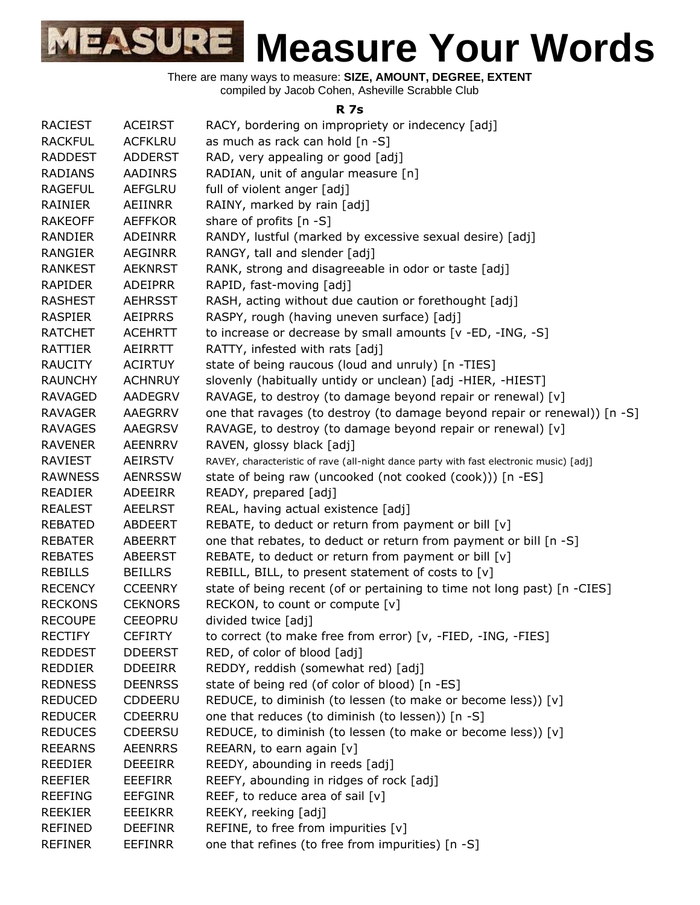There are many ways to measure: **SIZE, AMOUNT, DEGREE, EXTENT** compiled by Jacob Cohen, Asheville Scrabble Club

#### **R 7s**

| <b>RACIEST</b> | <b>ACEIRST</b> | RACY, bordering on impropriety or indecency [adj]                                      |
|----------------|----------------|----------------------------------------------------------------------------------------|
| <b>RACKFUL</b> | <b>ACFKLRU</b> | as much as rack can hold [n -S]                                                        |
| <b>RADDEST</b> | <b>ADDERST</b> | RAD, very appealing or good [adj]                                                      |
| <b>RADIANS</b> | <b>AADINRS</b> | RADIAN, unit of angular measure [n]                                                    |
| <b>RAGEFUL</b> | <b>AEFGLRU</b> | full of violent anger [adj]                                                            |
| RAINIER        | AEIINRR        | RAINY, marked by rain [adj]                                                            |
| <b>RAKEOFF</b> | <b>AEFFKOR</b> | share of profits [n -S]                                                                |
| <b>RANDIER</b> | <b>ADEINRR</b> | RANDY, lustful (marked by excessive sexual desire) [adj]                               |
| <b>RANGIER</b> | <b>AEGINRR</b> | RANGY, tall and slender [adj]                                                          |
| <b>RANKEST</b> | <b>AEKNRST</b> | RANK, strong and disagreeable in odor or taste [adj]                                   |
| <b>RAPIDER</b> | <b>ADEIPRR</b> | RAPID, fast-moving [adj]                                                               |
| <b>RASHEST</b> | <b>AEHRSST</b> | RASH, acting without due caution or forethought [adj]                                  |
| <b>RASPIER</b> | <b>AEIPRRS</b> | RASPY, rough (having uneven surface) [adj]                                             |
| <b>RATCHET</b> | <b>ACEHRTT</b> | to increase or decrease by small amounts [v -ED, -ING, -S]                             |
| <b>RATTIER</b> | AEIRRTT        | RATTY, infested with rats [adj]                                                        |
| <b>RAUCITY</b> | <b>ACIRTUY</b> | state of being raucous (loud and unruly) [n -TIES]                                     |
| <b>RAUNCHY</b> | <b>ACHNRUY</b> | slovenly (habitually untidy or unclean) [adj -HIER, -HIEST]                            |
| <b>RAVAGED</b> | <b>AADEGRV</b> | RAVAGE, to destroy (to damage beyond repair or renewal) [v]                            |
| RAVAGER        | <b>AAEGRRV</b> | one that ravages (to destroy (to damage beyond repair or renewal)) [n -S]              |
| <b>RAVAGES</b> | <b>AAEGRSV</b> | RAVAGE, to destroy (to damage beyond repair or renewal) [v]                            |
| <b>RAVENER</b> | <b>AEENRRV</b> | RAVEN, glossy black [adj]                                                              |
| <b>RAVIEST</b> | <b>AEIRSTV</b> | RAVEY, characteristic of rave (all-night dance party with fast electronic music) [adj] |
| <b>RAWNESS</b> | <b>AENRSSW</b> | state of being raw (uncooked (not cooked (cook))) [n -ES]                              |
| <b>READIER</b> | <b>ADEEIRR</b> | READY, prepared [adj]                                                                  |
| <b>REALEST</b> | <b>AEELRST</b> | REAL, having actual existence [adj]                                                    |
| <b>REBATED</b> | <b>ABDEERT</b> | REBATE, to deduct or return from payment or bill [v]                                   |
| <b>REBATER</b> | <b>ABEERRT</b> | one that rebates, to deduct or return from payment or bill [n -S]                      |
| <b>REBATES</b> | <b>ABEERST</b> | REBATE, to deduct or return from payment or bill [v]                                   |
| <b>REBILLS</b> | <b>BEILLRS</b> | REBILL, BILL, to present statement of costs to [v]                                     |
| <b>RECENCY</b> | <b>CCEENRY</b> | state of being recent (of or pertaining to time not long past) [n -CIES]               |
| <b>RECKONS</b> | <b>CEKNORS</b> | RECKON, to count or compute [v]                                                        |
| <b>RECOUPE</b> | <b>CEEOPRU</b> | divided twice [adj]                                                                    |
| <b>RECTIFY</b> | <b>CEFIRTY</b> | to correct (to make free from error) [v, -FIED, -ING, -FIES]                           |
| <b>REDDEST</b> | <b>DDEERST</b> | RED, of color of blood [adj]                                                           |
| <b>REDDIER</b> | <b>DDEEIRR</b> | REDDY, reddish (somewhat red) [adj]                                                    |
| <b>REDNESS</b> | <b>DEENRSS</b> | state of being red (of color of blood) [n -ES]                                         |
| <b>REDUCED</b> | CDDEERU        | REDUCE, to diminish (to lessen (to make or become less)) [v]                           |
| <b>REDUCER</b> | <b>CDEERRU</b> | one that reduces (to diminish (to lessen)) [n -S]                                      |
| <b>REDUCES</b> | <b>CDEERSU</b> | REDUCE, to diminish (to lessen (to make or become less)) [v]                           |
| <b>REEARNS</b> | <b>AEENRRS</b> | REEARN, to earn again [v]                                                              |
| <b>REEDIER</b> | <b>DEEEIRR</b> | REEDY, abounding in reeds [adj]                                                        |
| <b>REEFIER</b> | <b>EEEFIRR</b> | REEFY, abounding in ridges of rock [adj]                                               |
| <b>REEFING</b> | <b>EEFGINR</b> | REEF, to reduce area of sail [v]                                                       |
| <b>REEKIER</b> | <b>EEEIKRR</b> | REEKY, reeking [adj]                                                                   |
| <b>REFINED</b> | <b>DEEFINR</b> | REFINE, to free from impurities [v]                                                    |
| <b>REFINER</b> | <b>EEFINRR</b> | one that refines (to free from impurities) [n -S]                                      |
|                |                |                                                                                        |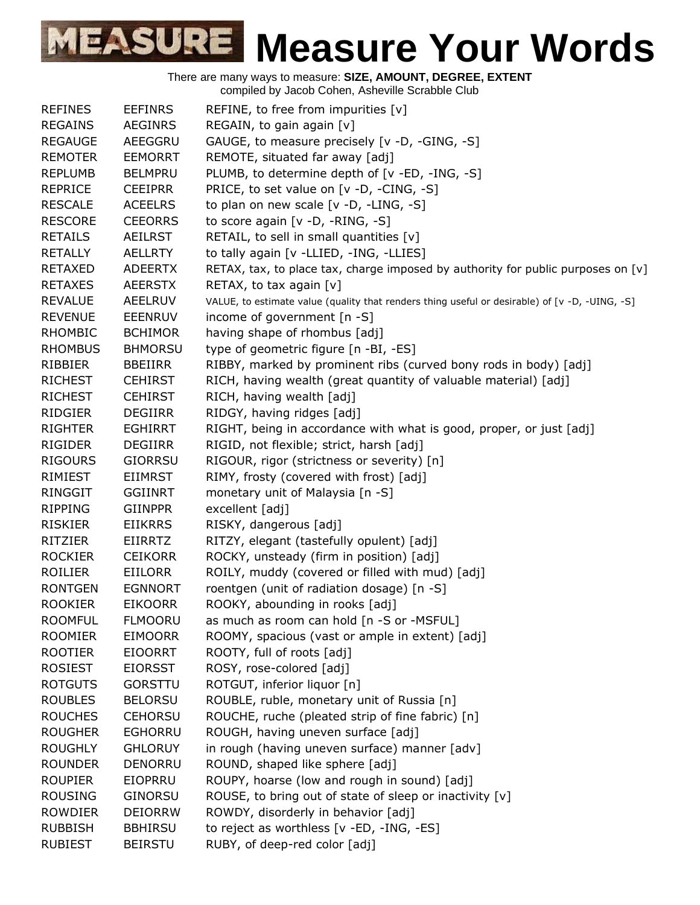| <b>REFINES</b> | <b>EEFINRS</b> | REFINE, to free from impurities [v]                                                            |
|----------------|----------------|------------------------------------------------------------------------------------------------|
| <b>REGAINS</b> | <b>AEGINRS</b> | REGAIN, to gain again [v]                                                                      |
| <b>REGAUGE</b> | AEEGGRU        | GAUGE, to measure precisely [v -D, -GING, -S]                                                  |
| <b>REMOTER</b> | <b>EEMORRT</b> | REMOTE, situated far away [adj]                                                                |
| <b>REPLUMB</b> | <b>BELMPRU</b> | PLUMB, to determine depth of [v -ED, -ING, -S]                                                 |
| <b>REPRICE</b> | <b>CEEIPRR</b> | PRICE, to set value on [v -D, -CING, -S]                                                       |
| <b>RESCALE</b> | <b>ACEELRS</b> | to plan on new scale [v -D, -LING, -S]                                                         |
| <b>RESCORE</b> | <b>CEEORRS</b> | to score again [v -D, -RING, -S]                                                               |
| <b>RETAILS</b> | <b>AEILRST</b> | RETAIL, to sell in small quantities [v]                                                        |
| <b>RETALLY</b> | <b>AELLRTY</b> | to tally again [v -LLIED, -ING, -LLIES]                                                        |
| <b>RETAXED</b> | <b>ADEERTX</b> | RETAX, tax, to place tax, charge imposed by authority for public purposes on [v]               |
| <b>RETAXES</b> | <b>AEERSTX</b> | RETAX, to tax again $[v]$                                                                      |
| <b>REVALUE</b> | <b>AEELRUV</b> | VALUE, to estimate value (quality that renders thing useful or desirable) of [v -D, -UING, -S] |
| <b>REVENUE</b> | <b>EEENRUV</b> | income of government [n -S]                                                                    |
| <b>RHOMBIC</b> | <b>BCHIMOR</b> | having shape of rhombus [adj]                                                                  |
| <b>RHOMBUS</b> | <b>BHMORSU</b> | type of geometric figure [n -BI, -ES]                                                          |
| RIBBIER        | <b>BBEIIRR</b> | RIBBY, marked by prominent ribs (curved bony rods in body) [adj]                               |
| <b>RICHEST</b> | <b>CEHIRST</b> | RICH, having wealth (great quantity of valuable material) [adj]                                |
| <b>RICHEST</b> | <b>CEHIRST</b> | RICH, having wealth [adj]                                                                      |
| RIDGIER        | <b>DEGIIRR</b> | RIDGY, having ridges [adj]                                                                     |
| <b>RIGHTER</b> | <b>EGHIRRT</b> | RIGHT, being in accordance with what is good, proper, or just [adj]                            |
| <b>RIGIDER</b> | <b>DEGIIRR</b> | RIGID, not flexible; strict, harsh [adj]                                                       |
| <b>RIGOURS</b> | <b>GIORRSU</b> | RIGOUR, rigor (strictness or severity) [n]                                                     |
| RIMIEST        | <b>EIIMRST</b> | RIMY, frosty (covered with frost) [adj]                                                        |
| <b>RINGGIT</b> | <b>GGIINRT</b> | monetary unit of Malaysia [n -S]                                                               |
| <b>RIPPING</b> | <b>GIINPPR</b> | excellent [adj]                                                                                |
| <b>RISKIER</b> | <b>EIIKRRS</b> | RISKY, dangerous [adj]                                                                         |
| <b>RITZIER</b> | <b>EIIRRTZ</b> | RITZY, elegant (tastefully opulent) [adj]                                                      |
| <b>ROCKIER</b> | <b>CEIKORR</b> | ROCKY, unsteady (firm in position) [adj]                                                       |
| <b>ROILIER</b> | <b>EIILORR</b> | ROILY, muddy (covered or filled with mud) [adj]                                                |
| <b>RONTGEN</b> | <b>EGNNORT</b> | roentgen (unit of radiation dosage) [n -S]                                                     |
| <b>ROOKIER</b> | <b>EIKOORR</b> | ROOKY, abounding in rooks [adj]                                                                |
| <b>ROOMFUL</b> | <b>FLMOORU</b> | as much as room can hold [n -S or -MSFUL]                                                      |
| <b>ROOMIER</b> | <b>EIMOORR</b> | ROOMY, spacious (vast or ample in extent) [adj]                                                |
| <b>ROOTIER</b> | <b>EIOORRT</b> | ROOTY, full of roots [adj]                                                                     |
| <b>ROSIEST</b> | <b>EIORSST</b> | ROSY, rose-colored [adj]                                                                       |
| <b>ROTGUTS</b> | <b>GORSTTU</b> | ROTGUT, inferior liquor [n]                                                                    |
| <b>ROUBLES</b> | <b>BELORSU</b> | ROUBLE, ruble, monetary unit of Russia [n]                                                     |
| <b>ROUCHES</b> | <b>CEHORSU</b> | ROUCHE, ruche (pleated strip of fine fabric) [n]                                               |
| <b>ROUGHER</b> | <b>EGHORRU</b> | ROUGH, having uneven surface [adj]                                                             |
| <b>ROUGHLY</b> | <b>GHLORUY</b> | in rough (having uneven surface) manner [adv]                                                  |
| <b>ROUNDER</b> | DENORRU        | ROUND, shaped like sphere [adj]                                                                |
| <b>ROUPIER</b> | EIOPRRU        | ROUPY, hoarse (low and rough in sound) [adj]                                                   |
| <b>ROUSING</b> | <b>GINORSU</b> | ROUSE, to bring out of state of sleep or inactivity [v]                                        |
| <b>ROWDIER</b> | <b>DEIORRW</b> | ROWDY, disorderly in behavior [adj]                                                            |
| <b>RUBBISH</b> | <b>BBHIRSU</b> | to reject as worthless [v -ED, -ING, -ES]                                                      |
| <b>RUBIEST</b> | <b>BEIRSTU</b> | RUBY, of deep-red color [adj]                                                                  |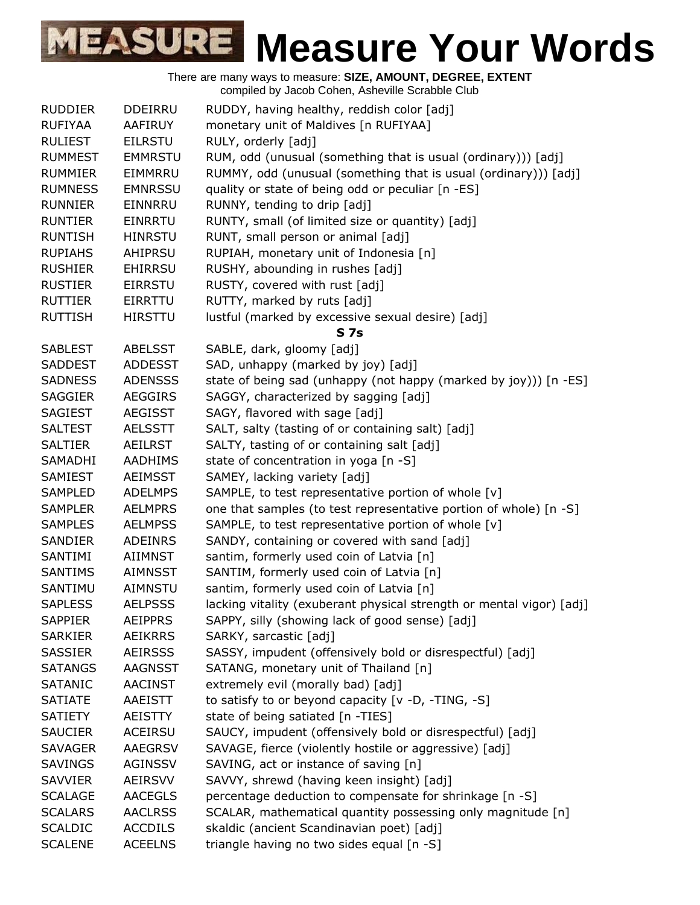| <b>RUDDIER</b> | <b>DDEIRRU</b> | RUDDY, having healthy, reddish color [adj]                           |
|----------------|----------------|----------------------------------------------------------------------|
| <b>RUFIYAA</b> | AAFIRUY        | monetary unit of Maldives [n RUFIYAA]                                |
| <b>RULIEST</b> | <b>EILRSTU</b> | RULY, orderly [adj]                                                  |
| <b>RUMMEST</b> | <b>EMMRSTU</b> | RUM, odd (unusual (something that is usual (ordinary))) [adj]        |
| <b>RUMMIER</b> | EIMMRRU        | RUMMY, odd (unusual (something that is usual (ordinary))) [adj]      |
| <b>RUMNESS</b> | <b>EMNRSSU</b> | quality or state of being odd or peculiar [n -ES]                    |
| <b>RUNNIER</b> | EINNRRU        | RUNNY, tending to drip [adj]                                         |
| <b>RUNTIER</b> | <b>EINRRTU</b> | RUNTY, small (of limited size or quantity) [adj]                     |
| <b>RUNTISH</b> | <b>HINRSTU</b> | RUNT, small person or animal [adj]                                   |
| <b>RUPIAHS</b> | AHIPRSU        | RUPIAH, monetary unit of Indonesia [n]                               |
| <b>RUSHIER</b> | <b>EHIRRSU</b> | RUSHY, abounding in rushes [adj]                                     |
| <b>RUSTIER</b> | EIRRSTU        | RUSTY, covered with rust [adj]                                       |
| <b>RUTTIER</b> | EIRRTTU        | RUTTY, marked by ruts [adj]                                          |
| <b>RUTTISH</b> | <b>HIRSTTU</b> | lustful (marked by excessive sexual desire) [adj]                    |
|                |                | S <sub>7s</sub>                                                      |
| <b>SABLEST</b> | <b>ABELSST</b> | SABLE, dark, gloomy [adj]                                            |
| <b>SADDEST</b> | <b>ADDESST</b> | SAD, unhappy (marked by joy) [adj]                                   |
| <b>SADNESS</b> | <b>ADENSSS</b> | state of being sad (unhappy (not happy (marked by joy))) [n -ES]     |
| <b>SAGGIER</b> | <b>AEGGIRS</b> | SAGGY, characterized by sagging [adj]                                |
| <b>SAGIEST</b> | <b>AEGISST</b> | SAGY, flavored with sage [adj]                                       |
| <b>SALTEST</b> | <b>AELSSTT</b> | SALT, salty (tasting of or containing salt) [adj]                    |
| <b>SALTIER</b> | <b>AEILRST</b> | SALTY, tasting of or containing salt [adj]                           |
| SAMADHI        | <b>AADHIMS</b> | state of concentration in yoga [n -S]                                |
| SAMIEST        | <b>AEIMSST</b> | SAMEY, lacking variety [adj]                                         |
| <b>SAMPLED</b> | <b>ADELMPS</b> | SAMPLE, to test representative portion of whole [v]                  |
| <b>SAMPLER</b> | <b>AELMPRS</b> | one that samples (to test representative portion of whole) [n -S]    |
| <b>SAMPLES</b> | <b>AELMPSS</b> | SAMPLE, to test representative portion of whole [v]                  |
| <b>SANDIER</b> | <b>ADEINRS</b> | SANDY, containing or covered with sand [adj]                         |
| SANTIMI        | AIIMNST        | santim, formerly used coin of Latvia [n]                             |
| <b>SANTIMS</b> | <b>AIMNSST</b> | SANTIM, formerly used coin of Latvia [n]                             |
| SANTIMU        | AIMNSTU        | santim, formerly used coin of Latvia [n]                             |
| <b>SAPLESS</b> | <b>AELPSSS</b> | lacking vitality (exuberant physical strength or mental vigor) [adj] |
| <b>SAPPIER</b> | <b>AEIPPRS</b> | SAPPY, silly (showing lack of good sense) [adj]                      |
| <b>SARKIER</b> | <b>AEIKRRS</b> | SARKY, sarcastic [adj]                                               |
| <b>SASSIER</b> | <b>AEIRSSS</b> | SASSY, impudent (offensively bold or disrespectful) [adj]            |
| <b>SATANGS</b> | <b>AAGNSST</b> | SATANG, monetary unit of Thailand [n]                                |
| <b>SATANIC</b> | <b>AACINST</b> | extremely evil (morally bad) [adj]                                   |
| <b>SATIATE</b> | AAEISTT        | to satisfy to or beyond capacity [v -D, -TING, -S]                   |
| <b>SATIETY</b> | AEISTTY        | state of being satiated [n -TIES]                                    |
| <b>SAUCIER</b> | <b>ACEIRSU</b> | SAUCY, impudent (offensively bold or disrespectful) [adj]            |
| <b>SAVAGER</b> | <b>AAEGRSV</b> | SAVAGE, fierce (violently hostile or aggressive) [adj]               |
| <b>SAVINGS</b> | <b>AGINSSV</b> | SAVING, act or instance of saving [n]                                |
| <b>SAVVIER</b> | <b>AEIRSVV</b> | SAVVY, shrewd (having keen insight) [adj]                            |
| <b>SCALAGE</b> | <b>AACEGLS</b> | percentage deduction to compensate for shrinkage [n -S]              |
| <b>SCALARS</b> | <b>AACLRSS</b> | SCALAR, mathematical quantity possessing only magnitude [n]          |
| <b>SCALDIC</b> | <b>ACCDILS</b> | skaldic (ancient Scandinavian poet) [adj]                            |
| <b>SCALENE</b> | <b>ACEELNS</b> | triangle having no two sides equal [n -S]                            |
|                |                |                                                                      |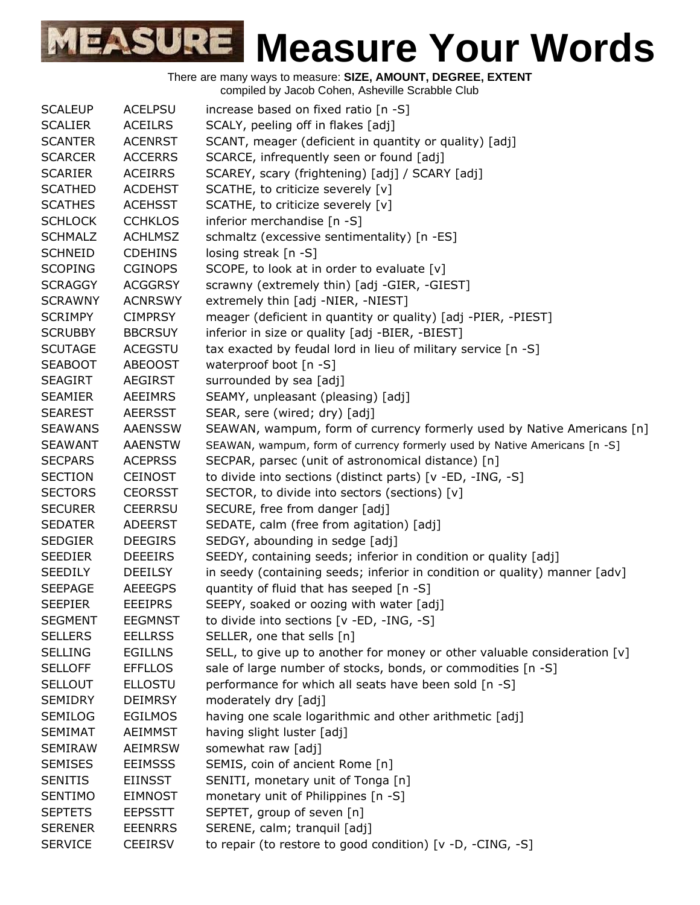| <b>SCALEUP</b> | <b>ACELPSU</b> | increase based on fixed ratio [n -S]                                       |
|----------------|----------------|----------------------------------------------------------------------------|
| <b>SCALIER</b> | <b>ACEILRS</b> | SCALY, peeling off in flakes [adj]                                         |
| <b>SCANTER</b> | <b>ACENRST</b> | SCANT, meager (deficient in quantity or quality) [adj]                     |
| <b>SCARCER</b> | <b>ACCERRS</b> | SCARCE, infrequently seen or found [adj]                                   |
| <b>SCARIER</b> | <b>ACEIRRS</b> | SCAREY, scary (frightening) [adj] / SCARY [adj]                            |
| <b>SCATHED</b> | <b>ACDEHST</b> | SCATHE, to criticize severely [v]                                          |
| <b>SCATHES</b> | <b>ACEHSST</b> | SCATHE, to criticize severely [v]                                          |
| <b>SCHLOCK</b> | <b>CCHKLOS</b> | inferior merchandise [n -S]                                                |
| <b>SCHMALZ</b> | <b>ACHLMSZ</b> | schmaltz (excessive sentimentality) [n -ES]                                |
| <b>SCHNEID</b> | <b>CDEHINS</b> | losing streak $[n - S]$                                                    |
| <b>SCOPING</b> | <b>CGINOPS</b> | SCOPE, to look at in order to evaluate [v]                                 |
| <b>SCRAGGY</b> | <b>ACGGRSY</b> | scrawny (extremely thin) [adj -GIER, -GIEST]                               |
| <b>SCRAWNY</b> | <b>ACNRSWY</b> | extremely thin [adj -NIER, -NIEST]                                         |
| <b>SCRIMPY</b> | <b>CIMPRSY</b> | meager (deficient in quantity or quality) [adj -PIER, -PIEST]              |
| <b>SCRUBBY</b> | <b>BBCRSUY</b> | inferior in size or quality [adj -BIER, -BIEST]                            |
| <b>SCUTAGE</b> | <b>ACEGSTU</b> | tax exacted by feudal lord in lieu of military service [n -S]              |
| <b>SEABOOT</b> | <b>ABEOOST</b> | waterproof boot [n -S]                                                     |
| <b>SEAGIRT</b> | AEGIRST        | surrounded by sea [adj]                                                    |
| <b>SEAMIER</b> | <b>AEEIMRS</b> | SEAMY, unpleasant (pleasing) [adj]                                         |
| <b>SEAREST</b> | <b>AEERSST</b> | SEAR, sere (wired; dry) [adj]                                              |
| <b>SEAWANS</b> | <b>AAENSSW</b> | SEAWAN, wampum, form of currency formerly used by Native Americans [n]     |
| <b>SEAWANT</b> | <b>AAENSTW</b> | SEAWAN, wampum, form of currency formerly used by Native Americans [n -S]  |
| <b>SECPARS</b> | <b>ACEPRSS</b> | SECPAR, parsec (unit of astronomical distance) [n]                         |
| <b>SECTION</b> | <b>CEINOST</b> | to divide into sections (distinct parts) [v -ED, -ING, -S]                 |
| <b>SECTORS</b> | <b>CEORSST</b> | SECTOR, to divide into sectors (sections) [v]                              |
| <b>SECURER</b> | <b>CEERRSU</b> | SECURE, free from danger [adj]                                             |
| <b>SEDATER</b> | <b>ADEERST</b> | SEDATE, calm (free from agitation) [adj]                                   |
| <b>SEDGIER</b> | <b>DEEGIRS</b> | SEDGY, abounding in sedge [adj]                                            |
| <b>SEEDIER</b> | <b>DEEEIRS</b> | SEEDY, containing seeds; inferior in condition or quality [adj]            |
| <b>SEEDILY</b> | <b>DEEILSY</b> | in seedy (containing seeds; inferior in condition or quality) manner [adv] |
| <b>SEEPAGE</b> | <b>AEEEGPS</b> | quantity of fluid that has seeped [n -S]                                   |
| <b>SEEPIER</b> | <b>EEEIPRS</b> | SEEPY, soaked or oozing with water [adj]                                   |
| <b>SEGMENT</b> | <b>EEGMNST</b> | to divide into sections $[v - ED, -ING, -S]$                               |
| <b>SELLERS</b> | <b>EELLRSS</b> | SELLER, one that sells [n]                                                 |
| <b>SELLING</b> | <b>EGILLNS</b> | SELL, to give up to another for money or other valuable consideration [v]  |
| <b>SELLOFF</b> | <b>EFFLLOS</b> | sale of large number of stocks, bonds, or commodities [n -S]               |
| <b>SELLOUT</b> | <b>ELLOSTU</b> | performance for which all seats have been sold [n -S]                      |
| <b>SEMIDRY</b> | <b>DEIMRSY</b> | moderately dry [adj]                                                       |
| <b>SEMILOG</b> | <b>EGILMOS</b> | having one scale logarithmic and other arithmetic [adj]                    |
| <b>SEMIMAT</b> | <b>AEIMMST</b> | having slight luster [adj]                                                 |
| <b>SEMIRAW</b> | <b>AEIMRSW</b> | somewhat raw [adj]                                                         |
| <b>SEMISES</b> | <b>EEIMSSS</b> | SEMIS, coin of ancient Rome [n]                                            |
| <b>SENITIS</b> | <b>EIINSST</b> | SENITI, monetary unit of Tonga [n]                                         |
| <b>SENTIMO</b> | <b>EIMNOST</b> | monetary unit of Philippines [n -S]                                        |
| <b>SEPTETS</b> | <b>EEPSSTT</b> | SEPTET, group of seven [n]                                                 |
| <b>SERENER</b> | <b>EEENRRS</b> | SERENE, calm; tranquil [adj]                                               |
| <b>SERVICE</b> | <b>CEEIRSV</b> | to repair (to restore to good condition) $[v -D, -CING, -S]$               |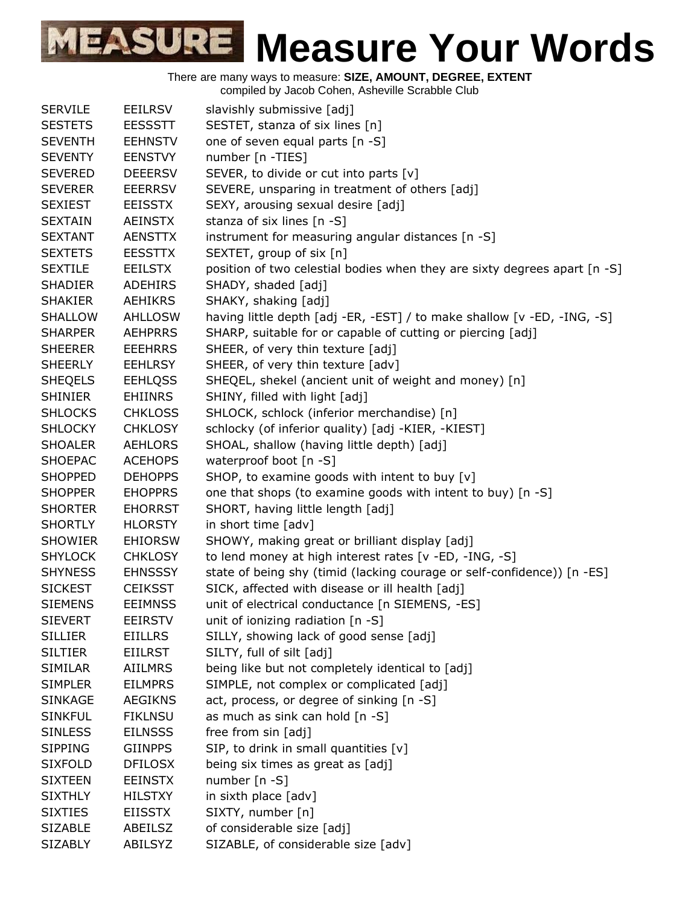There are many ways to measure: **SIZE, AMOUNT, DEGREE, EXTENT**

compiled by Jacob Cohen, Asheville Scrabble Club

| <b>SERVILE</b> | <b>EEILRSV</b> | slavishly submissive [adj]                                                |
|----------------|----------------|---------------------------------------------------------------------------|
| <b>SESTETS</b> | <b>EESSSTT</b> | SESTET, stanza of six lines [n]                                           |
| <b>SEVENTH</b> | <b>EEHNSTV</b> | one of seven equal parts [n -S]                                           |
| <b>SEVENTY</b> | <b>EENSTVY</b> | number [n -TIES]                                                          |
| <b>SEVERED</b> | <b>DEEERSV</b> | SEVER, to divide or cut into parts [v]                                    |
| <b>SEVERER</b> | <b>EEERRSV</b> | SEVERE, unsparing in treatment of others [adj]                            |
| <b>SEXIEST</b> | <b>EEISSTX</b> | SEXY, arousing sexual desire [adj]                                        |
| <b>SEXTAIN</b> | <b>AEINSTX</b> | stanza of six lines [n -S]                                                |
| <b>SEXTANT</b> | <b>AENSTTX</b> | instrument for measuring angular distances [n -S]                         |
| <b>SEXTETS</b> | <b>EESSTTX</b> | SEXTET, group of six [n]                                                  |
| <b>SEXTILE</b> | <b>EEILSTX</b> | position of two celestial bodies when they are sixty degrees apart [n -S] |
| <b>SHADIER</b> | <b>ADEHIRS</b> | SHADY, shaded [adj]                                                       |
| <b>SHAKIER</b> | <b>AEHIKRS</b> | SHAKY, shaking [adj]                                                      |
| <b>SHALLOW</b> | <b>AHLLOSW</b> | having little depth [adj -ER, -EST] / to make shallow [v -ED, -ING, -S]   |
| <b>SHARPER</b> | <b>AEHPRRS</b> | SHARP, suitable for or capable of cutting or piercing [adj]               |
| <b>SHEERER</b> | <b>EEEHRRS</b> | SHEER, of very thin texture [adj]                                         |
| <b>SHEERLY</b> | <b>EEHLRSY</b> | SHEER, of very thin texture [adv]                                         |
| <b>SHEQELS</b> | <b>EEHLQSS</b> | SHEQEL, shekel (ancient unit of weight and money) [n]                     |
| <b>SHINIER</b> | <b>EHIINRS</b> | SHINY, filled with light [adj]                                            |
| <b>SHLOCKS</b> | <b>CHKLOSS</b> | SHLOCK, schlock (inferior merchandise) [n]                                |
| <b>SHLOCKY</b> | <b>CHKLOSY</b> | schlocky (of inferior quality) [adj -KIER, -KIEST]                        |
| <b>SHOALER</b> | <b>AEHLORS</b> | SHOAL, shallow (having little depth) [adj]                                |
| <b>SHOEPAC</b> | <b>ACEHOPS</b> | waterproof boot [n -S]                                                    |
| <b>SHOPPED</b> | <b>DEHOPPS</b> | SHOP, to examine goods with intent to buy [v]                             |
| <b>SHOPPER</b> | <b>EHOPPRS</b> | one that shops (to examine goods with intent to buy) [n -S]               |
| <b>SHORTER</b> | <b>EHORRST</b> | SHORT, having little length [adj]                                         |
| <b>SHORTLY</b> | <b>HLORSTY</b> | in short time [adv]                                                       |
| <b>SHOWIER</b> | <b>EHIORSW</b> | SHOWY, making great or brilliant display [adj]                            |
| <b>SHYLOCK</b> | <b>CHKLOSY</b> | to lend money at high interest rates [v -ED, -ING, -S]                    |
| <b>SHYNESS</b> | <b>EHNSSSY</b> | state of being shy (timid (lacking courage or self-confidence)) [n -ES]   |
| <b>SICKEST</b> | <b>CEIKSST</b> | SICK, affected with disease or ill health [adj]                           |
| <b>SIEMENS</b> | <b>EEIMNSS</b> | unit of electrical conductance [n SIEMENS, -ES]                           |
| <b>SIEVERT</b> | <b>EEIRSTV</b> | unit of ionizing radiation $[n - S]$                                      |
| <b>SILLIER</b> | <b>EIILLRS</b> | SILLY, showing lack of good sense [adj]                                   |
| <b>SILTIER</b> | <b>EIILRST</b> | SILTY, full of silt [adj]                                                 |
| <b>SIMILAR</b> | <b>AIILMRS</b> | being like but not completely identical to [adj]                          |
| <b>SIMPLER</b> | <b>EILMPRS</b> | SIMPLE, not complex or complicated [adj]                                  |
| <b>SINKAGE</b> | <b>AEGIKNS</b> | act, process, or degree of sinking [n -S]                                 |
| <b>SINKFUL</b> | <b>FIKLNSU</b> | as much as sink can hold [n -S]                                           |
| <b>SINLESS</b> | <b>EILNSSS</b> | free from sin [adj]                                                       |
| <b>SIPPING</b> | <b>GIINPPS</b> | SIP, to drink in small quantities [v]                                     |
| <b>SIXFOLD</b> | <b>DFILOSX</b> | being six times as great as [adj]                                         |
| <b>SIXTEEN</b> | <b>EEINSTX</b> | number [n -S]                                                             |
| <b>SIXTHLY</b> | <b>HILSTXY</b> | in sixth place [adv]                                                      |
| <b>SIXTIES</b> | <b>EIISSTX</b> | SIXTY, number [n]                                                         |
| <b>SIZABLE</b> | ABEILSZ        | of considerable size [adj]                                                |
| <b>SIZABLY</b> | ABILSYZ        | SIZABLE, of considerable size [adv]                                       |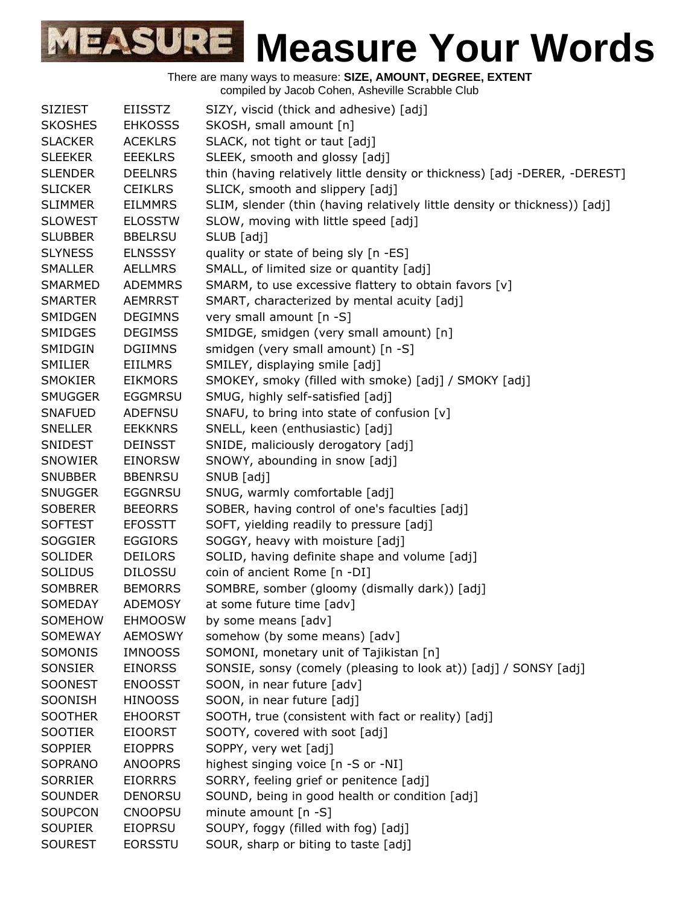| <b>SIZIEST</b> | <b>EIISSTZ</b> | SIZY, viscid (thick and adhesive) [adj]                                    |
|----------------|----------------|----------------------------------------------------------------------------|
| <b>SKOSHES</b> | <b>EHKOSSS</b> | SKOSH, small amount [n]                                                    |
| <b>SLACKER</b> | <b>ACEKLRS</b> | SLACK, not tight or taut [adj]                                             |
| <b>SLEEKER</b> | <b>EEEKLRS</b> | SLEEK, smooth and glossy [adj]                                             |
| <b>SLENDER</b> | <b>DEELNRS</b> | thin (having relatively little density or thickness) [adj -DERER, -DEREST] |
| <b>SLICKER</b> | <b>CEIKLRS</b> | SLICK, smooth and slippery [adj]                                           |
| <b>SLIMMER</b> | <b>EILMMRS</b> | SLIM, slender (thin (having relatively little density or thickness)) [adj] |
| <b>SLOWEST</b> | <b>ELOSSTW</b> | SLOW, moving with little speed [adj]                                       |
| <b>SLUBBER</b> | <b>BBELRSU</b> | SLUB [adj]                                                                 |
| <b>SLYNESS</b> | <b>ELNSSSY</b> | quality or state of being sly [n -ES]                                      |
| <b>SMALLER</b> | <b>AELLMRS</b> | SMALL, of limited size or quantity [adj]                                   |
| SMARMED        | <b>ADEMMRS</b> | SMARM, to use excessive flattery to obtain favors [v]                      |
| <b>SMARTER</b> | <b>AEMRRST</b> | SMART, characterized by mental acuity [adj]                                |
| SMIDGEN        | <b>DEGIMNS</b> | very small amount [n -S]                                                   |
| <b>SMIDGES</b> | <b>DEGIMSS</b> | SMIDGE, smidgen (very small amount) [n]                                    |
| SMIDGIN        | <b>DGIIMNS</b> | smidgen (very small amount) [n -S]                                         |
| <b>SMILIER</b> | <b>EIILMRS</b> | SMILEY, displaying smile [adj]                                             |
| <b>SMOKIER</b> | <b>EIKMORS</b> | SMOKEY, smoky (filled with smoke) [adj] / SMOKY [adj]                      |
| <b>SMUGGER</b> | <b>EGGMRSU</b> | SMUG, highly self-satisfied [adj]                                          |
| <b>SNAFUED</b> | <b>ADEFNSU</b> | SNAFU, to bring into state of confusion [v]                                |
| <b>SNELLER</b> | <b>EEKKNRS</b> | SNELL, keen (enthusiastic) [adj]                                           |
| <b>SNIDEST</b> | <b>DEINSST</b> | SNIDE, maliciously derogatory [adj]                                        |
| SNOWIER        | <b>EINORSW</b> | SNOWY, abounding in snow [adj]                                             |
| <b>SNUBBER</b> | <b>BBENRSU</b> | SNUB [adj]                                                                 |
| <b>SNUGGER</b> | <b>EGGNRSU</b> | SNUG, warmly comfortable [adj]                                             |
| <b>SOBERER</b> | <b>BEEORRS</b> | SOBER, having control of one's faculties [adj]                             |
| <b>SOFTEST</b> | <b>EFOSSTT</b> | SOFT, yielding readily to pressure [adj]                                   |
| <b>SOGGIER</b> | <b>EGGIORS</b> | SOGGY, heavy with moisture [adj]                                           |
| <b>SOLIDER</b> | <b>DEILORS</b> | SOLID, having definite shape and volume [adj]                              |
| <b>SOLIDUS</b> | <b>DILOSSU</b> | coin of ancient Rome [n -DI]                                               |
| <b>SOMBRER</b> | <b>BEMORRS</b> | SOMBRE, somber (gloomy (dismally dark)) [adj]                              |
| SOMEDAY        | <b>ADEMOSY</b> | at some future time [adv]                                                  |
| SOMEHOW        | <b>EHMOOSW</b> | by some means [adv]                                                        |
| SOMEWAY        | <b>AEMOSWY</b> | somehow (by some means) [adv]                                              |
| SOMONIS        | <b>IMNOOSS</b> | SOMONI, monetary unit of Tajikistan [n]                                    |
| SONSIER        | <b>EINORSS</b> | SONSIE, sonsy (comely (pleasing to look at)) [adj] / SONSY [adj]           |
| <b>SOONEST</b> | <b>ENOOSST</b> | SOON, in near future [adv]                                                 |
| SOONISH        | <b>HINOOSS</b> | SOON, in near future [adj]                                                 |
| <b>SOOTHER</b> | <b>EHOORST</b> | SOOTH, true (consistent with fact or reality) [adj]                        |
| <b>SOOTIER</b> | <b>EIOORST</b> | SOOTY, covered with soot [adj]                                             |
| <b>SOPPIER</b> | <b>EIOPPRS</b> | SOPPY, very wet [adj]                                                      |
| SOPRANO        | <b>ANOOPRS</b> | highest singing voice [n -S or -NI]                                        |
| <b>SORRIER</b> | <b>EIORRRS</b> | SORRY, feeling grief or penitence [adj]                                    |
| <b>SOUNDER</b> | <b>DENORSU</b> | SOUND, being in good health or condition [adj]                             |
| SOUPCON        | <b>CNOOPSU</b> | minute amount [n -S]                                                       |
| <b>SOUPIER</b> | <b>EIOPRSU</b> | SOUPY, foggy (filled with fog) [adj]                                       |
| <b>SOUREST</b> | <b>EORSSTU</b> | SOUR, sharp or biting to taste [adj]                                       |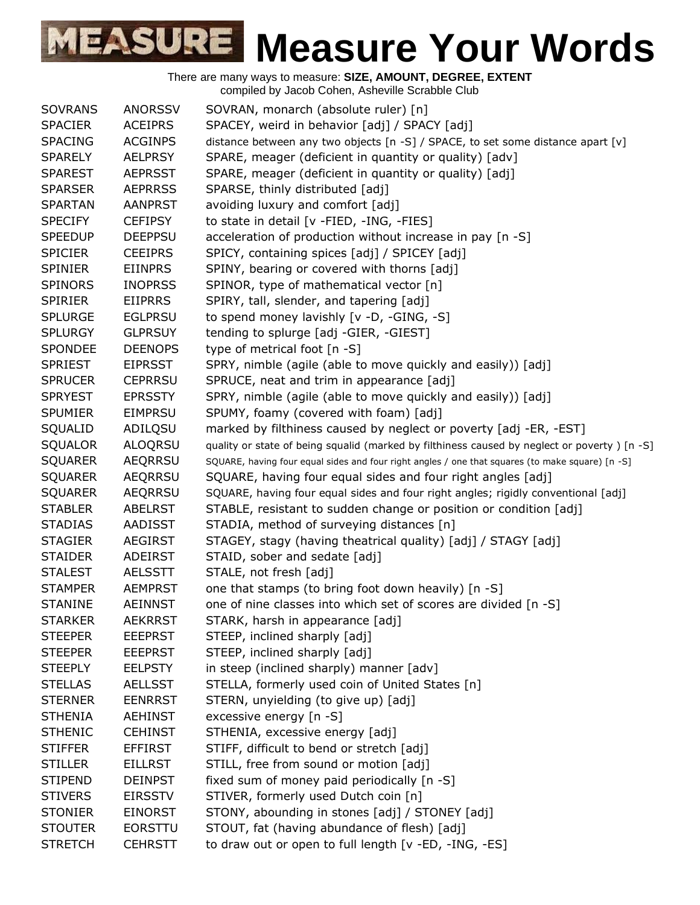| <b>SOVRANS</b> | <b>ANORSSV</b> | SOVRAN, monarch (absolute ruler) [n]                                                             |
|----------------|----------------|--------------------------------------------------------------------------------------------------|
| <b>SPACIER</b> | <b>ACEIPRS</b> | SPACEY, weird in behavior [adj] / SPACY [adj]                                                    |
| <b>SPACING</b> | <b>ACGINPS</b> | distance between any two objects [n -S] / SPACE, to set some distance apart [v]                  |
| <b>SPARELY</b> | <b>AELPRSY</b> | SPARE, meager (deficient in quantity or quality) [adv]                                           |
| <b>SPAREST</b> | <b>AEPRSST</b> | SPARE, meager (deficient in quantity or quality) [adj]                                           |
| <b>SPARSER</b> | <b>AEPRRSS</b> | SPARSE, thinly distributed [adj]                                                                 |
| <b>SPARTAN</b> | <b>AANPRST</b> | avoiding luxury and comfort [adj]                                                                |
| <b>SPECIFY</b> | <b>CEFIPSY</b> | to state in detail [v -FIED, -ING, -FIES]                                                        |
| <b>SPEEDUP</b> | <b>DEEPPSU</b> | acceleration of production without increase in pay [n -S]                                        |
| <b>SPICIER</b> | <b>CEEIPRS</b> | SPICY, containing spices [adj] / SPICEY [adj]                                                    |
| <b>SPINIER</b> | <b>EIINPRS</b> | SPINY, bearing or covered with thorns [adj]                                                      |
| <b>SPINORS</b> | <b>INOPRSS</b> | SPINOR, type of mathematical vector [n]                                                          |
| <b>SPIRIER</b> | <b>EIIPRRS</b> | SPIRY, tall, slender, and tapering [adj]                                                         |
| <b>SPLURGE</b> | <b>EGLPRSU</b> | to spend money lavishly [v -D, -GING, -S]                                                        |
| <b>SPLURGY</b> | <b>GLPRSUY</b> | tending to splurge [adj -GIER, -GIEST]                                                           |
| <b>SPONDEE</b> | <b>DEENOPS</b> | type of metrical foot [n -S]                                                                     |
| <b>SPRIEST</b> | <b>EIPRSST</b> | SPRY, nimble (agile (able to move quickly and easily)) [adj]                                     |
| <b>SPRUCER</b> | <b>CEPRRSU</b> | SPRUCE, neat and trim in appearance [adj]                                                        |
| <b>SPRYEST</b> | <b>EPRSSTY</b> | SPRY, nimble (agile (able to move quickly and easily)) [adj]                                     |
| <b>SPUMIER</b> | <b>EIMPRSU</b> | SPUMY, foamy (covered with foam) [adj]                                                           |
| SQUALID        | ADILQSU        | marked by filthiness caused by neglect or poverty [adj -ER, -EST]                                |
| SQUALOR        | <b>ALOQRSU</b> | quality or state of being squalid (marked by filthiness caused by neglect or poverty) [n -S]     |
| <b>SQUARER</b> | <b>AEQRRSU</b> | SQUARE, having four equal sides and four right angles / one that squares (to make square) [n -S] |
| <b>SQUARER</b> | AEQRRSU        | SQUARE, having four equal sides and four right angles [adj]                                      |
| <b>SQUARER</b> | AEQRRSU        | SQUARE, having four equal sides and four right angles; rigidly conventional [adj]                |
| <b>STABLER</b> | <b>ABELRST</b> | STABLE, resistant to sudden change or position or condition [adj]                                |
| <b>STADIAS</b> | AADISST        | STADIA, method of surveying distances [n]                                                        |
| <b>STAGIER</b> | <b>AEGIRST</b> | STAGEY, stagy (having theatrical quality) [adj] / STAGY [adj]                                    |
| <b>STAIDER</b> | ADEIRST        | STAID, sober and sedate [adj]                                                                    |
| <b>STALEST</b> | <b>AELSSTT</b> | STALE, not fresh [adj]                                                                           |
| <b>STAMPER</b> | <b>AEMPRST</b> | one that stamps (to bring foot down heavily) [n -S]                                              |
| <b>STANINE</b> | AEINNST        | one of nine classes into which set of scores are divided [n -S]                                  |
| <b>STARKER</b> | <b>AEKRRST</b> | STARK, harsh in appearance [adj]                                                                 |
| <b>STEEPER</b> | <b>EEEPRST</b> | STEEP, inclined sharply [adj]                                                                    |
| <b>STEEPER</b> | <b>EEEPRST</b> | STEEP, inclined sharply [adj]                                                                    |
| <b>STEEPLY</b> | <b>EELPSTY</b> | in steep (inclined sharply) manner [adv]                                                         |
| <b>STELLAS</b> | <b>AELLSST</b> | STELLA, formerly used coin of United States [n]                                                  |
| <b>STERNER</b> | <b>EENRRST</b> | STERN, unyielding (to give up) [adj]                                                             |
| <b>STHENIA</b> | <b>AEHINST</b> | excessive energy [n -S]                                                                          |
| <b>STHENIC</b> | <b>CEHINST</b> | STHENIA, excessive energy [adj]                                                                  |
| <b>STIFFER</b> | <b>EFFIRST</b> | STIFF, difficult to bend or stretch [adj]                                                        |
| <b>STILLER</b> | <b>EILLRST</b> | STILL, free from sound or motion [adj]                                                           |
| <b>STIPEND</b> | <b>DEINPST</b> | fixed sum of money paid periodically [n -S]                                                      |
| <b>STIVERS</b> | <b>EIRSSTV</b> | STIVER, formerly used Dutch coin [n]                                                             |
| <b>STONIER</b> | <b>EINORST</b> | STONY, abounding in stones [adj] / STONEY [adj]                                                  |
| <b>STOUTER</b> | <b>EORSTTU</b> | STOUT, fat (having abundance of flesh) [adj]                                                     |
| <b>STRETCH</b> | <b>CEHRSTT</b> | to draw out or open to full length [v -ED, -ING, -ES]                                            |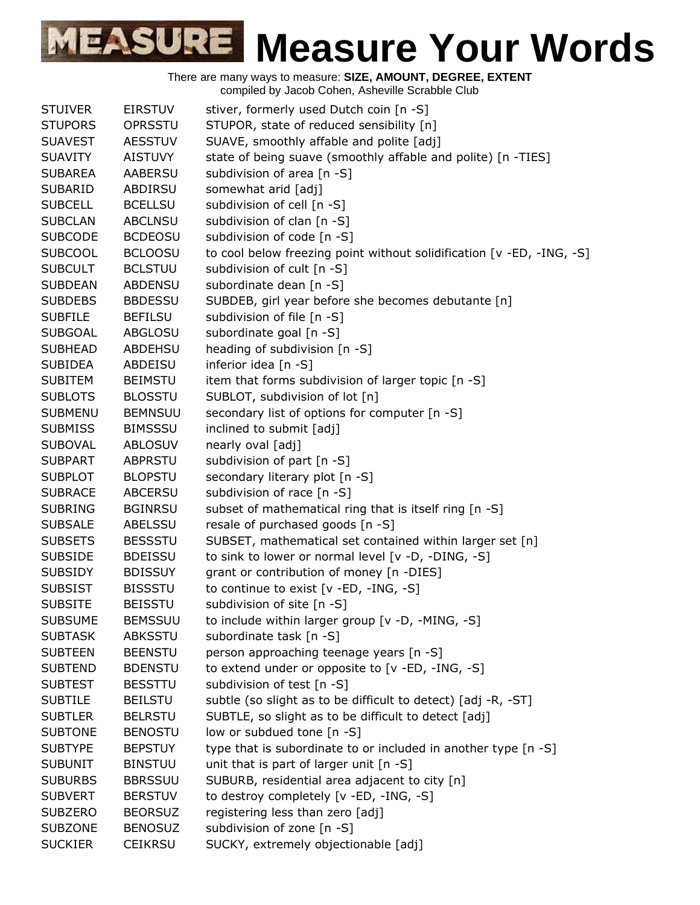| <b>STUIVER</b> | <b>EIRSTUV</b> | stiver, formerly used Dutch coin [n -S]                               |
|----------------|----------------|-----------------------------------------------------------------------|
| <b>STUPORS</b> | <b>OPRSSTU</b> | STUPOR, state of reduced sensibility [n]                              |
| <b>SUAVEST</b> | <b>AESSTUV</b> | SUAVE, smoothly affable and polite [adj]                              |
| <b>SUAVITY</b> | <b>AISTUVY</b> | state of being suave (smoothly affable and polite) [n -TIES]          |
| <b>SUBAREA</b> | <b>AABERSU</b> | subdivision of area [n -S]                                            |
| <b>SUBARID</b> | ABDIRSU        | somewhat arid [adj]                                                   |
| <b>SUBCELL</b> | <b>BCELLSU</b> | subdivision of cell [n -S]                                            |
| <b>SUBCLAN</b> | <b>ABCLNSU</b> | subdivision of clan [n -S]                                            |
| <b>SUBCODE</b> | <b>BCDEOSU</b> | subdivision of code [n -S]                                            |
| <b>SUBCOOL</b> | <b>BCLOOSU</b> | to cool below freezing point without solidification [v -ED, -ING, -S] |
| <b>SUBCULT</b> | <b>BCLSTUU</b> | subdivision of cult [n -S]                                            |
| <b>SUBDEAN</b> | <b>ABDENSU</b> | subordinate dean [n -S]                                               |
| <b>SUBDEBS</b> | <b>BBDESSU</b> | SUBDEB, girl year before she becomes debutante [n]                    |
| <b>SUBFILE</b> | <b>BEFILSU</b> | subdivision of file [n -S]                                            |
| <b>SUBGOAL</b> | ABGLOSU        | subordinate goal [n -S]                                               |
| <b>SUBHEAD</b> | ABDEHSU        | heading of subdivision [n -S]                                         |
| <b>SUBIDEA</b> | ABDEISU        | inferior idea [n -S]                                                  |
| <b>SUBITEM</b> | <b>BEIMSTU</b> | item that forms subdivision of larger topic [n -S]                    |
| <b>SUBLOTS</b> | <b>BLOSSTU</b> | SUBLOT, subdivision of lot [n]                                        |
| <b>SUBMENU</b> | <b>BEMNSUU</b> | secondary list of options for computer [n -S]                         |
| <b>SUBMISS</b> | <b>BIMSSSU</b> | inclined to submit [adj]                                              |
| <b>SUBOVAL</b> | <b>ABLOSUV</b> | nearly oval [adj]                                                     |
| <b>SUBPART</b> | <b>ABPRSTU</b> | subdivision of part [n -S]                                            |
| <b>SUBPLOT</b> | <b>BLOPSTU</b> | secondary literary plot [n -S]                                        |
| <b>SUBRACE</b> | <b>ABCERSU</b> | subdivision of race [n -S]                                            |
| <b>SUBRING</b> | <b>BGINRSU</b> | subset of mathematical ring that is itself ring [n -S]                |
| <b>SUBSALE</b> | ABELSSU        | resale of purchased goods [n -S]                                      |
| <b>SUBSETS</b> | <b>BESSSTU</b> | SUBSET, mathematical set contained within larger set [n]              |
| <b>SUBSIDE</b> | <b>BDEISSU</b> | to sink to lower or normal level [v -D, -DING, -S]                    |
| <b>SUBSIDY</b> | <b>BDISSUY</b> | grant or contribution of money [n -DIES]                              |
| <b>SUBSIST</b> | <b>BISSSTU</b> | to continue to exist [v -ED, -ING, -S]                                |
| <b>SUBSITE</b> | <b>BEISSTU</b> | subdivision of site [n -S]                                            |
| <b>SUBSUME</b> | <b>BEMSSUU</b> | to include within larger group [v -D, -MING, -S]                      |
| <b>SUBTASK</b> | <b>ABKSSTU</b> | subordinate task [n -S]                                               |
| <b>SUBTEEN</b> | <b>BEENSTU</b> | person approaching teenage years [n -S]                               |
| <b>SUBTEND</b> | <b>BDENSTU</b> | to extend under or opposite to [v -ED, -ING, -S]                      |
| <b>SUBTEST</b> | <b>BESSTTU</b> | subdivision of test [n -S]                                            |
| <b>SUBTILE</b> | <b>BEILSTU</b> | subtle (so slight as to be difficult to detect) [adj -R, -ST]         |
| <b>SUBTLER</b> | <b>BELRSTU</b> | SUBTLE, so slight as to be difficult to detect [adj]                  |
| <b>SUBTONE</b> | <b>BENOSTU</b> | low or subdued tone [n -S]                                            |
| <b>SUBTYPE</b> | <b>BEPSTUY</b> | type that is subordinate to or included in another type [n -S]        |
| <b>SUBUNIT</b> | <b>BINSTUU</b> | unit that is part of larger unit $[n - S]$                            |
| <b>SUBURBS</b> | <b>BBRSSUU</b> | SUBURB, residential area adjacent to city [n]                         |
| <b>SUBVERT</b> | <b>BERSTUV</b> | to destroy completely [v -ED, -ING, -S]                               |
| <b>SUBZERO</b> | <b>BEORSUZ</b> | registering less than zero [adj]                                      |
| <b>SUBZONE</b> | <b>BENOSUZ</b> | subdivision of zone [n -S]                                            |
| <b>SUCKIER</b> | <b>CEIKRSU</b> | SUCKY, extremely objectionable [adj]                                  |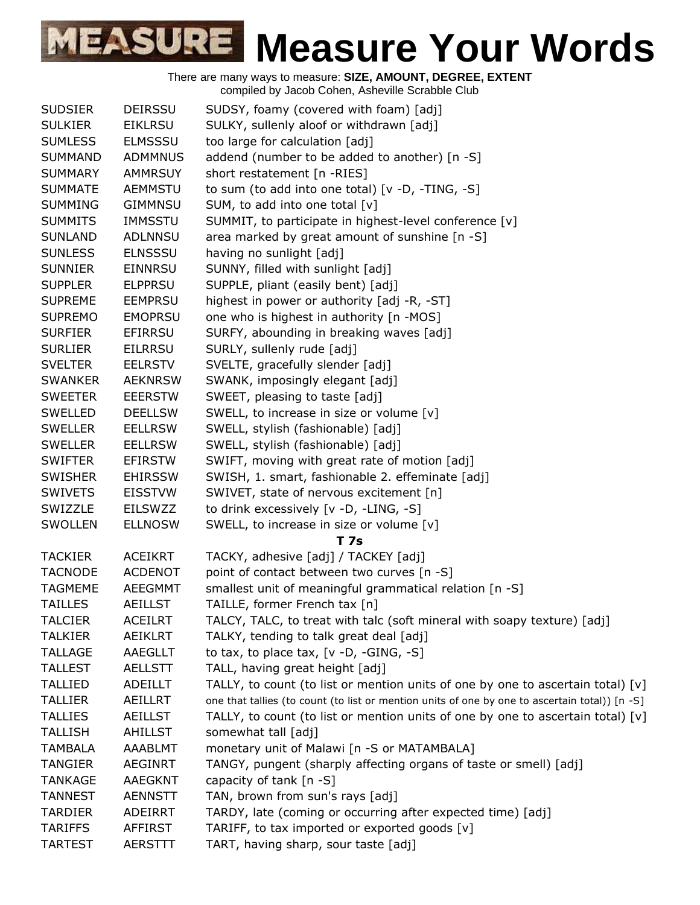| <b>SUDSIER</b> | <b>DEIRSSU</b> | SUDSY, foamy (covered with foam) [adj]                                                         |
|----------------|----------------|------------------------------------------------------------------------------------------------|
| <b>SULKIER</b> | <b>EIKLRSU</b> | SULKY, sullenly aloof or withdrawn [adj]                                                       |
| <b>SUMLESS</b> | <b>ELMSSSU</b> | too large for calculation [adj]                                                                |
| <b>SUMMAND</b> | <b>ADMMNUS</b> | addend (number to be added to another) [n -S]                                                  |
| <b>SUMMARY</b> | <b>AMMRSUY</b> | short restatement [n -RIES]                                                                    |
| <b>SUMMATE</b> | <b>AEMMSTU</b> | to sum (to add into one total) [v -D, -TING, -S]                                               |
| <b>SUMMING</b> | GIMMNSU        | SUM, to add into one total [v]                                                                 |
| <b>SUMMITS</b> | <b>IMMSSTU</b> | SUMMIT, to participate in highest-level conference [v]                                         |
| <b>SUNLAND</b> | <b>ADLNNSU</b> | area marked by great amount of sunshine [n -S]                                                 |
| <b>SUNLESS</b> | <b>ELNSSSU</b> | having no sunlight [adj]                                                                       |
| <b>SUNNIER</b> | <b>EINNRSU</b> | SUNNY, filled with sunlight [adj]                                                              |
| <b>SUPPLER</b> | <b>ELPPRSU</b> | SUPPLE, pliant (easily bent) [adj]                                                             |
| <b>SUPREME</b> | <b>EEMPRSU</b> | highest in power or authority [adj -R, -ST]                                                    |
| <b>SUPREMO</b> | <b>EMOPRSU</b> | one who is highest in authority [n -MOS]                                                       |
| <b>SURFIER</b> | EFIRRSU        | SURFY, abounding in breaking waves [adj]                                                       |
| <b>SURLIER</b> | EILRRSU        | SURLY, sullenly rude [adj]                                                                     |
| <b>SVELTER</b> | <b>EELRSTV</b> | SVELTE, gracefully slender [adj]                                                               |
| <b>SWANKER</b> | <b>AEKNRSW</b> | SWANK, imposingly elegant [adj]                                                                |
| <b>SWEETER</b> | <b>EEERSTW</b> | SWEET, pleasing to taste [adj]                                                                 |
| <b>SWELLED</b> | <b>DEELLSW</b> | SWELL, to increase in size or volume [v]                                                       |
| <b>SWELLER</b> | <b>EELLRSW</b> | SWELL, stylish (fashionable) [adj]                                                             |
| <b>SWELLER</b> | <b>EELLRSW</b> | SWELL, stylish (fashionable) [adj]                                                             |
| <b>SWIFTER</b> | <b>EFIRSTW</b> | SWIFT, moving with great rate of motion [adj]                                                  |
| <b>SWISHER</b> | <b>EHIRSSW</b> | SWISH, 1. smart, fashionable 2. effeminate [adj]                                               |
| <b>SWIVETS</b> | <b>EISSTVW</b> | SWIVET, state of nervous excitement [n]                                                        |
| SWIZZLE        | <b>EILSWZZ</b> | to drink excessively [v -D, -LING, -S]                                                         |
| <b>SWOLLEN</b> | <b>ELLNOSW</b> | SWELL, to increase in size or volume [v]                                                       |
|                |                | T 7s                                                                                           |
| <b>TACKIER</b> | <b>ACEIKRT</b> | TACKY, adhesive [adj] / TACKEY [adj]                                                           |
| <b>TACNODE</b> | <b>ACDENOT</b> | point of contact between two curves [n -S]                                                     |
| <b>TAGMEME</b> | AEEGMMT        | smallest unit of meaningful grammatical relation [n -S]                                        |
| <b>TAILLES</b> | <b>AEILLST</b> | TAILLE, former French tax [n]                                                                  |
| <b>TALCIER</b> | <b>ACEILRT</b> | TALCY, TALC, to treat with talc (soft mineral with soapy texture) [adj]                        |
| <b>TALKIER</b> | AEIKLRT        | TALKY, tending to talk great deal [adj]                                                        |
| <b>TALLAGE</b> | AAEGLLT        | to tax, to place tax, $[v -D, -GING, -S]$                                                      |
| <b>TALLEST</b> | <b>AELLSTT</b> | TALL, having great height [adj]                                                                |
| <b>TALLIED</b> | ADEILLT        | TALLY, to count (to list or mention units of one by one to ascertain total) $[v]$              |
| <b>TALLIER</b> | <b>AEILLRT</b> | one that tallies (to count (to list or mention units of one by one to ascertain total)) [n -S] |
| <b>TALLIES</b> | <b>AEILLST</b> | TALLY, to count (to list or mention units of one by one to ascertain total) $[v]$              |
| <b>TALLISH</b> | AHILLST        | somewhat tall [adj]                                                                            |
| <b>TAMBALA</b> | AAABLMT        | monetary unit of Malawi [n -S or MATAMBALA]                                                    |
| <b>TANGIER</b> | <b>AEGINRT</b> | TANGY, pungent (sharply affecting organs of taste or smell) [adj]                              |
| <b>TANKAGE</b> | <b>AAEGKNT</b> | capacity of tank [n -S]                                                                        |
| <b>TANNEST</b> | <b>AENNSTT</b> | TAN, brown from sun's rays [adj]                                                               |
| <b>TARDIER</b> | <b>ADEIRRT</b> | TARDY, late (coming or occurring after expected time) [adj]                                    |
| <b>TARIFFS</b> | AFFIRST        | TARIFF, to tax imported or exported goods [v]                                                  |
| <b>TARTEST</b> | <b>AERSTTT</b> | TART, having sharp, sour taste [adj]                                                           |
|                |                |                                                                                                |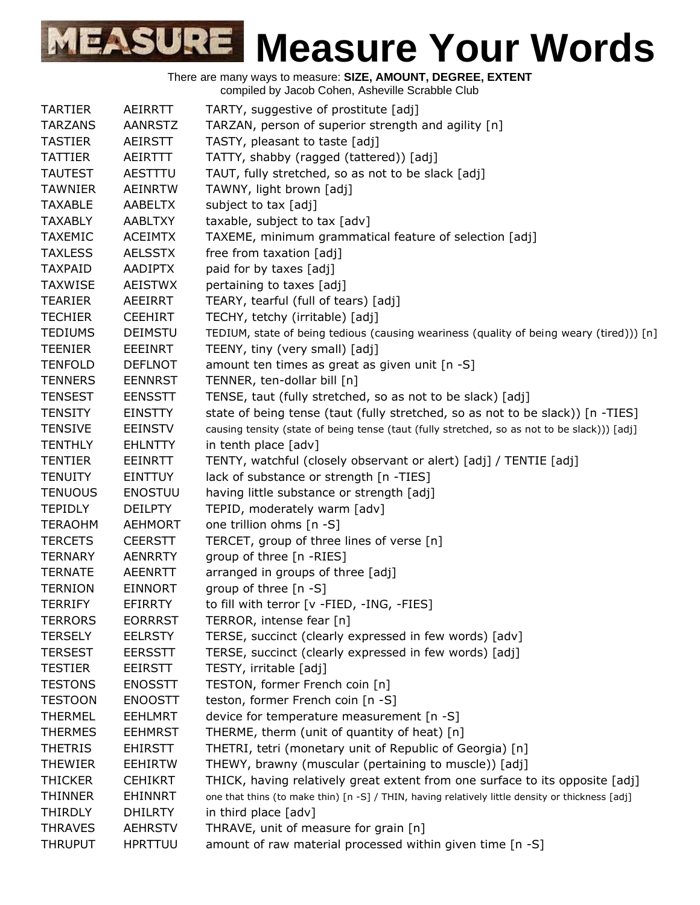|                |                | complied by Jacob Conen, Asheville Octabble Club                                                 |
|----------------|----------------|--------------------------------------------------------------------------------------------------|
| <b>TARTIER</b> | AEIRRTT        | TARTY, suggestive of prostitute [adj]                                                            |
| <b>TARZANS</b> | <b>AANRSTZ</b> | TARZAN, person of superior strength and agility [n]                                              |
| <b>TASTIER</b> | <b>AEIRSTT</b> | TASTY, pleasant to taste [adj]                                                                   |
| <b>TATTIER</b> | AEIRTTT        | TATTY, shabby (ragged (tattered)) [adj]                                                          |
| <b>TAUTEST</b> | AESTTTU        | TAUT, fully stretched, so as not to be slack [adj]                                               |
| <b>TAWNIER</b> | <b>AEINRTW</b> | TAWNY, light brown [adj]                                                                         |
| <b>TAXABLE</b> | AABELTX        | subject to tax [adj]                                                                             |
| <b>TAXABLY</b> | AABLTXY        | taxable, subject to tax [adv]                                                                    |
| <b>TAXEMIC</b> | <b>ACEIMTX</b> | TAXEME, minimum grammatical feature of selection [adj]                                           |
| <b>TAXLESS</b> | <b>AELSSTX</b> | free from taxation [adj]                                                                         |
| <b>TAXPAID</b> | <b>AADIPTX</b> | paid for by taxes [adj]                                                                          |
| <b>TAXWISE</b> | <b>AEISTWX</b> | pertaining to taxes [adj]                                                                        |
| <b>TEARIER</b> | AEEIRRT        | TEARY, tearful (full of tears) [adj]                                                             |
| <b>TECHIER</b> | <b>CEEHIRT</b> | TECHY, tetchy (irritable) [adj]                                                                  |
| <b>TEDIUMS</b> | <b>DEIMSTU</b> | TEDIUM, state of being tedious (causing weariness (quality of being weary (tired))) [n]          |
| <b>TEENIER</b> | EEEINRT        | TEENY, tiny (very small) [adj]                                                                   |
| <b>TENFOLD</b> | <b>DEFLNOT</b> | amount ten times as great as given unit [n -S]                                                   |
| <b>TENNERS</b> | <b>EENNRST</b> | TENNER, ten-dollar bill [n]                                                                      |
| <b>TENSEST</b> | <b>EENSSTT</b> | TENSE, taut (fully stretched, so as not to be slack) [adj]                                       |
| <b>TENSITY</b> | <b>EINSTTY</b> | state of being tense (taut (fully stretched, so as not to be slack)) [n -TIES]                   |
| <b>TENSIVE</b> | <b>EEINSTV</b> | causing tensity (state of being tense (taut (fully stretched, so as not to be slack))) [adj]     |
| <b>TENTHLY</b> | <b>EHLNTTY</b> | in tenth place [adv]                                                                             |
| <b>TENTIER</b> | <b>EEINRTT</b> | TENTY, watchful (closely observant or alert) [adj] / TENTIE [adj]                                |
| <b>TENUITY</b> | <b>EINTTUY</b> | lack of substance or strength [n -TIES]                                                          |
| <b>TENUOUS</b> | <b>ENOSTUU</b> | having little substance or strength [adj]                                                        |
| <b>TEPIDLY</b> | <b>DEILPTY</b> | TEPID, moderately warm [adv]                                                                     |
| <b>TERAOHM</b> | <b>AEHMORT</b> | one trillion ohms [n -S]                                                                         |
| <b>TERCETS</b> | <b>CEERSTT</b> | TERCET, group of three lines of verse [n]                                                        |
| <b>TERNARY</b> | <b>AENRRTY</b> | group of three [n -RIES]                                                                         |
| <b>TERNATE</b> | <b>AEENRTT</b> | arranged in groups of three [adj]                                                                |
| <b>TERNION</b> | <b>EINNORT</b> | group of three [n -S]                                                                            |
| <b>TERRIFY</b> | EFIRRTY        | to fill with terror [v -FIED, -ING, -FIES]                                                       |
| <b>TERRORS</b> | <b>EORRRST</b> | TERROR, intense fear [n]                                                                         |
| <b>TERSELY</b> | <b>EELRSTY</b> | TERSE, succinct (clearly expressed in few words) [adv]                                           |
| <b>TERSEST</b> | <b>EERSSTT</b> | TERSE, succinct (clearly expressed in few words) [adj]                                           |
| <b>TESTIER</b> | <b>EEIRSTT</b> | TESTY, irritable [adj]                                                                           |
| <b>TESTONS</b> | <b>ENOSSTT</b> | TESTON, former French coin [n]                                                                   |
| <b>TESTOON</b> | <b>ENOOSTT</b> | teston, former French coin [n -S]                                                                |
| <b>THERMEL</b> | <b>EEHLMRT</b> | device for temperature measurement [n -S]                                                        |
| <b>THERMES</b> | <b>EEHMRST</b> | THERME, therm (unit of quantity of heat) [n]                                                     |
| <b>THETRIS</b> | <b>EHIRSTT</b> | THETRI, tetri (monetary unit of Republic of Georgia) [n]                                         |
| <b>THEWIER</b> | <b>EEHIRTW</b> | THEWY, brawny (muscular (pertaining to muscle)) [adj]                                            |
| <b>THICKER</b> | <b>CEHIKRT</b> | THICK, having relatively great extent from one surface to its opposite [adj]                     |
| <b>THINNER</b> | EHINNRT        | one that thins (to make thin) [n -S] / THIN, having relatively little density or thickness [adj] |
| <b>THIRDLY</b> | <b>DHILRTY</b> | in third place [adv]                                                                             |
| <b>THRAVES</b> | <b>AEHRSTV</b> | THRAVE, unit of measure for grain [n]                                                            |
|                |                |                                                                                                  |
| <b>THRUPUT</b> | <b>HPRTTUU</b> | amount of raw material processed within given time [n -S]                                        |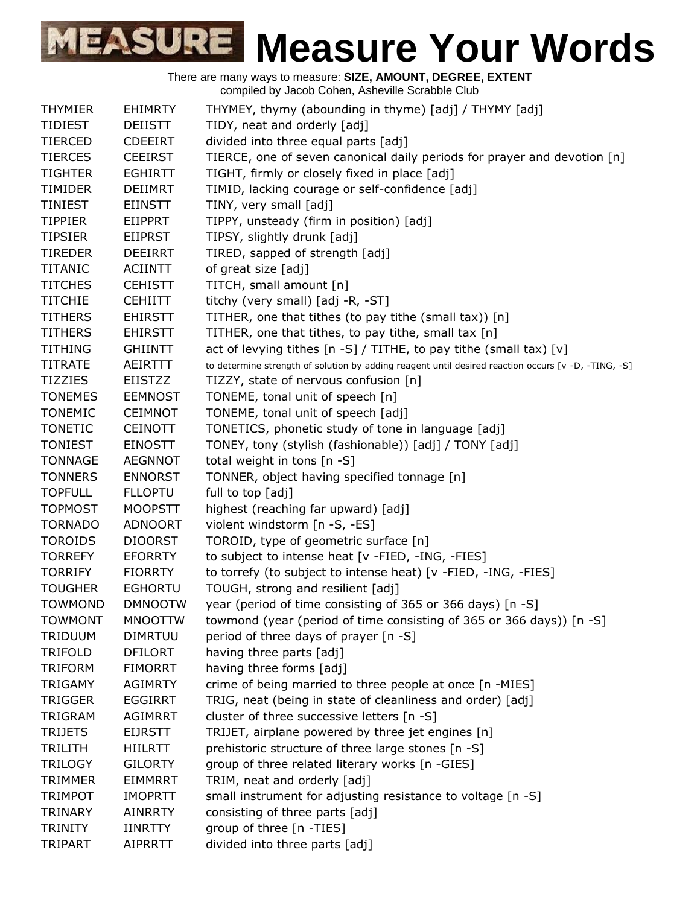|                |                | <b>The condition of the condition of the condition of the condition of the condition of the condition of the condition of the condition of the condition of the condition of the condition of the condition of the condition of </b> |
|----------------|----------------|--------------------------------------------------------------------------------------------------------------------------------------------------------------------------------------------------------------------------------------|
| <b>THYMIER</b> | <b>EHIMRTY</b> | THYMEY, thymy (abounding in thyme) [adj] / THYMY [adj]                                                                                                                                                                               |
| <b>TIDIEST</b> | <b>DEIISTT</b> | TIDY, neat and orderly [adj]                                                                                                                                                                                                         |
| <b>TIERCED</b> | <b>CDEEIRT</b> | divided into three equal parts [adj]                                                                                                                                                                                                 |
| <b>TIERCES</b> | <b>CEEIRST</b> | TIERCE, one of seven canonical daily periods for prayer and devotion [n]                                                                                                                                                             |
| <b>TIGHTER</b> | <b>EGHIRTT</b> | TIGHT, firmly or closely fixed in place [adj]                                                                                                                                                                                        |
| <b>TIMIDER</b> | <b>DEIIMRT</b> | TIMID, lacking courage or self-confidence [adj]                                                                                                                                                                                      |
| <b>TINIEST</b> | <b>EIINSTT</b> | TINY, very small [adj]                                                                                                                                                                                                               |
| <b>TIPPIER</b> | <b>EIIPPRT</b> | TIPPY, unsteady (firm in position) [adj]                                                                                                                                                                                             |
| <b>TIPSIER</b> | <b>EIIPRST</b> | TIPSY, slightly drunk [adj]                                                                                                                                                                                                          |
| <b>TIREDER</b> | <b>DEEIRRT</b> | TIRED, sapped of strength [adj]                                                                                                                                                                                                      |
| <b>TITANIC</b> | <b>ACIINTT</b> | of great size [adj]                                                                                                                                                                                                                  |
| <b>TITCHES</b> | <b>CEHISTT</b> | TITCH, small amount [n]                                                                                                                                                                                                              |
| <b>TITCHIE</b> | <b>CEHIITT</b> | titchy (very small) [adj -R, -ST]                                                                                                                                                                                                    |
| <b>TITHERS</b> | <b>EHIRSTT</b> | TITHER, one that tithes (to pay tithe (small tax)) [n]                                                                                                                                                                               |
| <b>TITHERS</b> | <b>EHIRSTT</b> | TITHER, one that tithes, to pay tithe, small tax [n]                                                                                                                                                                                 |
| <b>TITHING</b> | <b>GHIINTT</b> | act of levying tithes $[n -S] / TITHE$ , to pay tithe (small tax) $[v]$                                                                                                                                                              |
| <b>TITRATE</b> | AEIRTTT        | to determine strength of solution by adding reagent until desired reaction occurs [v -D, -TING, -S]                                                                                                                                  |
| <b>TIZZIES</b> | EIISTZZ        | TIZZY, state of nervous confusion [n]                                                                                                                                                                                                |
| <b>TONEMES</b> | <b>EEMNOST</b> | TONEME, tonal unit of speech [n]                                                                                                                                                                                                     |
| <b>TONEMIC</b> | <b>CEIMNOT</b> | TONEME, tonal unit of speech [adj]                                                                                                                                                                                                   |
| <b>TONETIC</b> | <b>CEINOTT</b> | TONETICS, phonetic study of tone in language [adj]                                                                                                                                                                                   |
| <b>TONIEST</b> | <b>EINOSTT</b> | TONEY, tony (stylish (fashionable)) [adj] / TONY [adj]                                                                                                                                                                               |
| <b>TONNAGE</b> | <b>AEGNNOT</b> | total weight in tons [n -S]                                                                                                                                                                                                          |
| <b>TONNERS</b> | <b>ENNORST</b> | TONNER, object having specified tonnage [n]                                                                                                                                                                                          |
| <b>TOPFULL</b> | <b>FLLOPTU</b> | full to top [adj]                                                                                                                                                                                                                    |
| <b>TOPMOST</b> | <b>MOOPSTT</b> | highest (reaching far upward) [adj]                                                                                                                                                                                                  |
| <b>TORNADO</b> | <b>ADNOORT</b> | violent windstorm [n -S, -ES]                                                                                                                                                                                                        |
| <b>TOROIDS</b> | <b>DIOORST</b> | TOROID, type of geometric surface [n]                                                                                                                                                                                                |
| <b>TORREFY</b> | <b>EFORRTY</b> | to subject to intense heat [v -FIED, -ING, -FIES]                                                                                                                                                                                    |
| <b>TORRIFY</b> | <b>FIORRTY</b> | to torrefy (to subject to intense heat) [v -FIED, -ING, -FIES]                                                                                                                                                                       |
| <b>TOUGHER</b> | <b>EGHORTU</b> | TOUGH, strong and resilient [adj]                                                                                                                                                                                                    |
| <b>TOWMOND</b> | <b>DMNOOTW</b> | year (period of time consisting of 365 or 366 days) [n -S]                                                                                                                                                                           |
| <b>TOWMONT</b> | <b>MNOOTTW</b> | towmond (year (period of time consisting of 365 or 366 days)) [n -S]                                                                                                                                                                 |
| <b>TRIDUUM</b> | <b>DIMRTUU</b> | period of three days of prayer [n -S]                                                                                                                                                                                                |
| <b>TRIFOLD</b> | <b>DFILORT</b> | having three parts [adj]                                                                                                                                                                                                             |
| <b>TRIFORM</b> | <b>FIMORRT</b> | having three forms [adj]                                                                                                                                                                                                             |
| <b>TRIGAMY</b> | <b>AGIMRTY</b> | crime of being married to three people at once [n -MIES]                                                                                                                                                                             |
| <b>TRIGGER</b> | <b>EGGIRRT</b> | TRIG, neat (being in state of cleanliness and order) [adj]                                                                                                                                                                           |
| TRIGRAM        | <b>AGIMRRT</b> | cluster of three successive letters [n -S]                                                                                                                                                                                           |
| <b>TRIJETS</b> | <b>EIJRSTT</b> | TRIJET, airplane powered by three jet engines [n]                                                                                                                                                                                    |
| <b>TRILITH</b> | HIILRTT        | prehistoric structure of three large stones [n -S]                                                                                                                                                                                   |
| <b>TRILOGY</b> | <b>GILORTY</b> | group of three related literary works [n -GIES]                                                                                                                                                                                      |
| <b>TRIMMER</b> | <b>EIMMRRT</b> | TRIM, neat and orderly [adj]                                                                                                                                                                                                         |
| <b>TRIMPOT</b> | <b>IMOPRTT</b> | small instrument for adjusting resistance to voltage [n -S]                                                                                                                                                                          |
| <b>TRINARY</b> | <b>AINRRTY</b> | consisting of three parts [adj]                                                                                                                                                                                                      |
| <b>TRINITY</b> | <b>IINRTTY</b> | group of three [n -TIES]                                                                                                                                                                                                             |
| TRIPART        | <b>AIPRRTT</b> | divided into three parts [adj]                                                                                                                                                                                                       |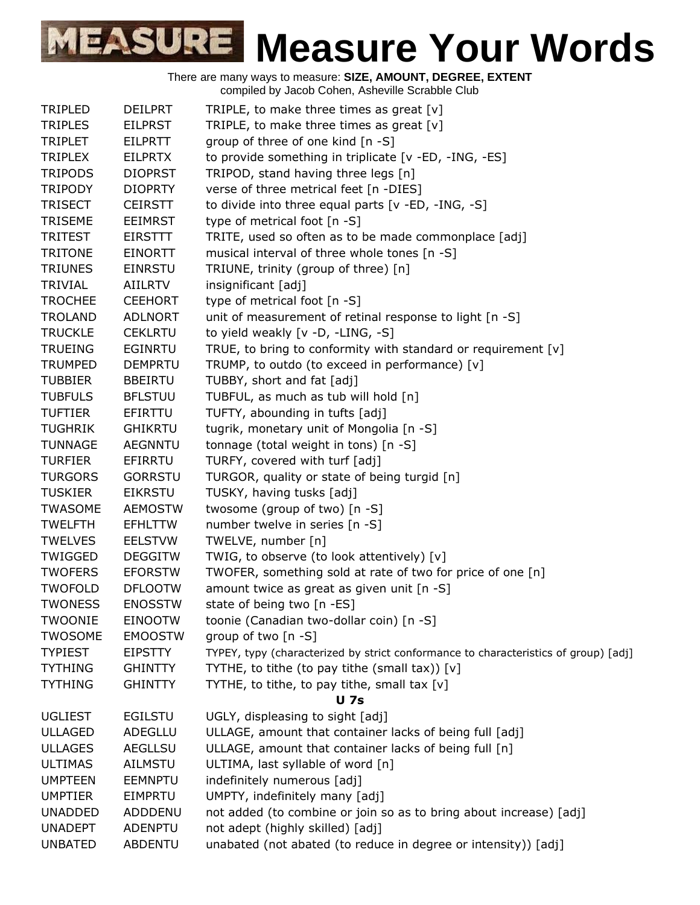| <b>TRIPLED</b> | <b>DEILPRT</b> | TRIPLE, to make three times as great $[v]$                                          |
|----------------|----------------|-------------------------------------------------------------------------------------|
| <b>TRIPLES</b> | <b>EILPRST</b> | TRIPLE, to make three times as great [v]                                            |
| <b>TRIPLET</b> | <b>EILPRTT</b> | group of three of one kind [n -S]                                                   |
| <b>TRIPLEX</b> | <b>EILPRTX</b> | to provide something in triplicate [v -ED, -ING, -ES]                               |
| <b>TRIPODS</b> | <b>DIOPRST</b> | TRIPOD, stand having three legs [n]                                                 |
| <b>TRIPODY</b> | <b>DIOPRTY</b> | verse of three metrical feet [n -DIES]                                              |
| <b>TRISECT</b> | <b>CEIRSTT</b> | to divide into three equal parts [v -ED, -ING, -S]                                  |
| <b>TRISEME</b> | <b>EEIMRST</b> | type of metrical foot [n -S]                                                        |
| <b>TRITEST</b> | <b>EIRSTTT</b> | TRITE, used so often as to be made commonplace [adj]                                |
| <b>TRITONE</b> | <b>EINORTT</b> | musical interval of three whole tones [n -S]                                        |
| <b>TRIUNES</b> | <b>EINRSTU</b> | TRIUNE, trinity (group of three) [n]                                                |
| <b>TRIVIAL</b> | <b>AIILRTV</b> | insignificant [adj]                                                                 |
| <b>TROCHEE</b> | <b>CEEHORT</b> | type of metrical foot [n -S]                                                        |
| <b>TROLAND</b> | <b>ADLNORT</b> | unit of measurement of retinal response to light [n -S]                             |
| <b>TRUCKLE</b> | <b>CEKLRTU</b> | to yield weakly [v -D, -LING, -S]                                                   |
| <b>TRUEING</b> | <b>EGINRTU</b> | TRUE, to bring to conformity with standard or requirement [v]                       |
| <b>TRUMPED</b> | <b>DEMPRTU</b> | TRUMP, to outdo (to exceed in performance) [v]                                      |
| <b>TUBBIER</b> | <b>BBEIRTU</b> | TUBBY, short and fat [adj]                                                          |
| <b>TUBFULS</b> | <b>BFLSTUU</b> | TUBFUL, as much as tub will hold [n]                                                |
| <b>TUFTIER</b> | EFIRTTU        | TUFTY, abounding in tufts [adj]                                                     |
| <b>TUGHRIK</b> | <b>GHIKRTU</b> | tugrik, monetary unit of Mongolia [n -S]                                            |
| <b>TUNNAGE</b> | <b>AEGNNTU</b> | tonnage (total weight in tons) [n -S]                                               |
| <b>TURFIER</b> | EFIRRTU        | TURFY, covered with turf [adj]                                                      |
| <b>TURGORS</b> | <b>GORRSTU</b> | TURGOR, quality or state of being turgid [n]                                        |
| <b>TUSKIER</b> | EIKRSTU        | TUSKY, having tusks [adj]                                                           |
| TWASOME        | <b>AEMOSTW</b> | twosome (group of two) [n -S]                                                       |
| <b>TWELFTH</b> | <b>EFHLTTW</b> | number twelve in series [n -S]                                                      |
| <b>TWELVES</b> | <b>EELSTVW</b> | TWELVE, number [n]                                                                  |
| TWIGGED        | <b>DEGGITW</b> | TWIG, to observe (to look attentively) [v]                                          |
| <b>TWOFERS</b> | <b>EFORSTW</b> | TWOFER, something sold at rate of two for price of one [n]                          |
| <b>TWOFOLD</b> | <b>DFLOOTW</b> | amount twice as great as given unit [n -S]                                          |
| <b>TWONESS</b> | <b>ENOSSTW</b> | state of being two [n -ES]                                                          |
| <b>TWOONIE</b> | <b>EINOOTW</b> | toonie (Canadian two-dollar coin) [n -S]                                            |
| <b>TWOSOME</b> | <b>EMOOSTW</b> | group of two [n -S]                                                                 |
| <b>TYPIEST</b> | <b>EIPSTTY</b> | TYPEY, typy (characterized by strict conformance to characteristics of group) [adj] |
| <b>TYTHING</b> | <b>GHINTTY</b> | TYTHE, to tithe (to pay tithe (small tax)) $[v]$                                    |
| <b>TYTHING</b> | <b>GHINTTY</b> | TYTHE, to tithe, to pay tithe, small tax [v]                                        |
|                |                | <b>U</b> 7s                                                                         |
| <b>UGLIEST</b> | <b>EGILSTU</b> | UGLY, displeasing to sight [adj]                                                    |
| <b>ULLAGED</b> | ADEGLLU        | ULLAGE, amount that container lacks of being full [adj]                             |
| <b>ULLAGES</b> | <b>AEGLLSU</b> | ULLAGE, amount that container lacks of being full [n]                               |
| <b>ULTIMAS</b> | <b>AILMSTU</b> | ULTIMA, last syllable of word [n]                                                   |
| <b>UMPTEEN</b> | <b>EEMNPTU</b> | indefinitely numerous [adj]                                                         |
| <b>UMPTIER</b> | <b>EIMPRTU</b> | UMPTY, indefinitely many [adj]                                                      |
| <b>UNADDED</b> | ADDDENU        | not added (to combine or join so as to bring about increase) [adj]                  |
| <b>UNADEPT</b> | ADENPTU        | not adept (highly skilled) [adj]                                                    |
| <b>UNBATED</b> | <b>ABDENTU</b> | unabated (not abated (to reduce in degree or intensity)) [adj]                      |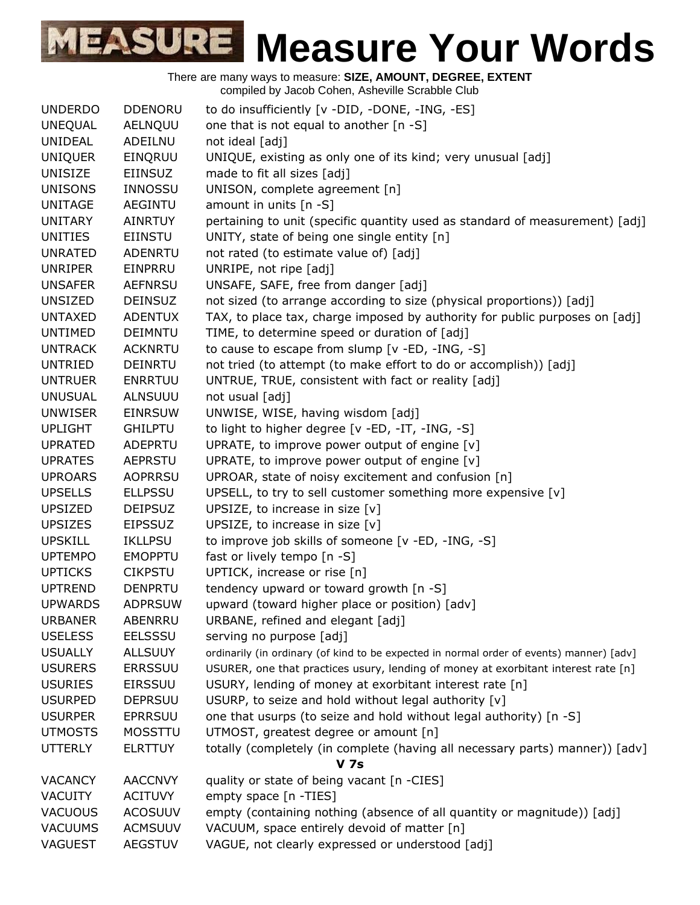There are many ways to measure: **SIZE, AMOUNT, DEGREE, EXTENT** compiled by Jacob Cohen, Asheville Scrabble Club UNDERDO DDENORU to do insufficiently [v -DID, -DONE, -ING, -ES] UNEQUAL AELNQUU one that is not equal to another [n -S] UNIDEAL ADEILNU not ideal [adj] UNIQUER EINQRUU UNIQUE, existing as only one of its kind; very unusual [adj] UNISIZE EIINSUZ made to fit all sizes [adj] UNISONS INNOSSU UNISON, complete agreement [n] UNITAGE AEGINTU amount in units [n -S] UNITARY AINRTUY pertaining to unit (specific quantity used as standard of measurement) [adj] UNITIES EIINSTU UNITY, state of being one single entity [n] UNRATED ADENRTU not rated (to estimate value of) [adj] UNRIPER EINPRRU UNRIPE, not ripe [adj] UNSAFER AEFNRSU UNSAFE, SAFE, free from danger [adj] UNSIZED DEINSUZ not sized (to arrange according to size (physical proportions)) [adj] UNTAXED ADENTUX TAX, to place tax, charge imposed by authority for public purposes on [adj] UNTIMED DEIMNTU TIME, to determine speed or duration of [adj] UNTRACK ACKNRTU to cause to escape from slump [v -ED, -ING, -S] UNTRIED DEINRTU not tried (to attempt (to make effort to do or accomplish)) [adj] UNTRUER ENRRTUU UNTRUE, TRUE, consistent with fact or reality [adj] UNUSUAL ALNSUUU not usual [adj] UNWISER EINRSUW UNWISE, WISE, having wisdom [adj] UPLIGHT GHILPTU to light to higher degree [v -ED, -IT, -ING, -S] UPRATED ADEPRTU UPRATE, to improve power output of engine [v] UPRATES AEPRSTU UPRATE, to improve power output of engine [v] UPROARS AOPRRSU UPROAR, state of noisy excitement and confusion [n] UPSELLS ELLPSSU UPSELL, to try to sell customer something more expensive [v] UPSIZED DEIPSUZ UPSIZE, to increase in size [v] UPSIZES EIPSSUZ UPSIZE, to increase in size [v] UPSKILL IKLLPSU to improve job skills of someone [v -ED, -ING, -S] UPTEMPO EMOPPTU fast or lively tempo [n -S] UPTICKS CIKPSTU UPTICK, increase or rise [n] UPTREND DENPRTU tendency upward or toward growth [n -S] UPWARDS ADPRSUW upward (toward higher place or position) [adv] URBANER ABENRRU URBANE, refined and elegant [adj] USELESS EELSSSU serving no purpose [adj] USUALLY ALLSUUY ordinarily (in ordinary (of kind to be expected in normal order of events) manner) [adv] USURERS ERRSSUU USURER, one that practices usury, lending of money at exorbitant interest rate [n] USURIES EIRSSUU USURY, lending of money at exorbitant interest rate [n] USURPED DEPRSUU USURP, to seize and hold without legal authority [v] USURPER EPRRSUU one that usurps (to seize and hold without legal authority) [n -S] UTMOSTS MOSSTTU UTMOST, greatest degree or amount [n] UTTERLY ELRTTUY totally (completely (in complete (having all necessary parts) manner)) [adv] **V 7s** VACANCY AACCNVY quality or state of being vacant [n -CIES] VACUITY ACITUVY empty space [n -TIES] VACUOUS ACOSUUV empty (containing nothing (absence of all quantity or magnitude)) [adj] VACUUMS ACMSUUV VACUUM, space entirely devoid of matter [n] VAGUEST AEGSTUV VAGUE, not clearly expressed or understood [adj]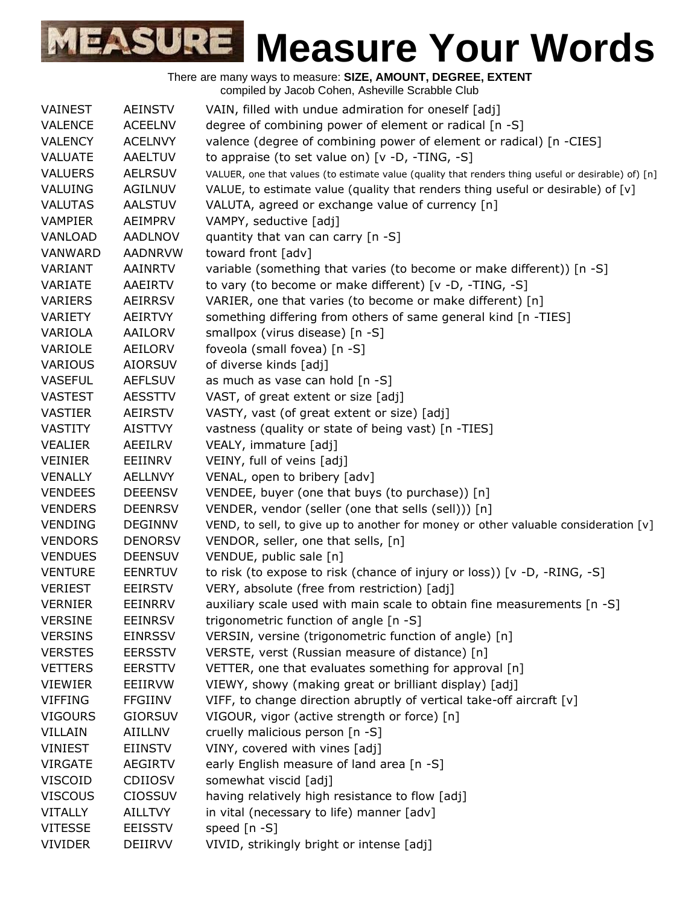| VAINEST        | AEINSTV        | VAIN, filled with undue admiration for oneself [adj]                                                |
|----------------|----------------|-----------------------------------------------------------------------------------------------------|
| <b>VALENCE</b> | <b>ACEELNV</b> | degree of combining power of element or radical [n -S]                                              |
| <b>VALENCY</b> | <b>ACELNVY</b> | valence (degree of combining power of element or radical) [n -CIES]                                 |
| <b>VALUATE</b> | <b>AAELTUV</b> | to appraise (to set value on) $[v -D, -TING, -S]$                                                   |
| <b>VALUERS</b> | <b>AELRSUV</b> | VALUER, one that values (to estimate value (quality that renders thing useful or desirable) of) [n] |
| VALUING        | AGILNUV        | VALUE, to estimate value (quality that renders thing useful or desirable) of [v]                    |
| <b>VALUTAS</b> | <b>AALSTUV</b> | VALUTA, agreed or exchange value of currency [n]                                                    |
| <b>VAMPIER</b> | AEIMPRV        | VAMPY, seductive [adj]                                                                              |
| VANLOAD        | <b>AADLNOV</b> | quantity that van can carry [n -S]                                                                  |
| VANWARD        | <b>AADNRVW</b> | toward front [adv]                                                                                  |
| VARIANT        | AAINRTV        | variable (something that varies (to become or make different)) [n -S]                               |
| VARIATE        | AAEIRTV        | to vary (to become or make different) [v -D, -TING, -S]                                             |
| VARIERS        | AEIRRSV        | VARIER, one that varies (to become or make different) [n]                                           |
| VARIETY        | AEIRTVY        | something differing from others of same general kind [n -TIES]                                      |
| VARIOLA        | AAILORV        | smallpox (virus disease) [n -S]                                                                     |
| VARIOLE        | AEILORV        | foveola (small fovea) [n -S]                                                                        |
| <b>VARIOUS</b> | <b>AIORSUV</b> | of diverse kinds [adj]                                                                              |
| <b>VASEFUL</b> | <b>AEFLSUV</b> | as much as vase can hold [n -S]                                                                     |
| <b>VASTEST</b> | <b>AESSTTV</b> | VAST, of great extent or size [adj]                                                                 |
| <b>VASTIER</b> | <b>AEIRSTV</b> | VASTY, vast (of great extent or size) [adj]                                                         |
| <b>VASTITY</b> | <b>AISTTVY</b> | vastness (quality or state of being vast) [n -TIES]                                                 |
| <b>VEALIER</b> | AEEILRV        | VEALY, immature [adj]                                                                               |
| <b>VEINIER</b> | EEIINRV        | VEINY, full of veins [adj]                                                                          |
| <b>VENALLY</b> | AELLNVY        | VENAL, open to bribery [adv]                                                                        |
| <b>VENDEES</b> | <b>DEEENSV</b> | VENDEE, buyer (one that buys (to purchase)) [n]                                                     |
| <b>VENDERS</b> | <b>DEENRSV</b> | VENDER, vendor (seller (one that sells (sell))) [n]                                                 |
| <b>VENDING</b> | <b>DEGINNV</b> | VEND, to sell, to give up to another for money or other valuable consideration [v]                  |
| <b>VENDORS</b> | <b>DENORSV</b> | VENDOR, seller, one that sells, [n]                                                                 |
| <b>VENDUES</b> | <b>DEENSUV</b> | VENDUE, public sale [n]                                                                             |
| <b>VENTURE</b> | <b>EENRTUV</b> | to risk (to expose to risk (chance of injury or loss)) [v -D, -RING, -S]                            |
| <b>VERIEST</b> | <b>EEIRSTV</b> | VERY, absolute (free from restriction) [adj]                                                        |
| <b>VERNIER</b> | EEINRRV        | auxiliary scale used with main scale to obtain fine measurements $[n -S]$                           |
| <b>VERSINE</b> | <b>EEINRSV</b> | trigonometric function of angle [n -S]                                                              |
| <b>VERSINS</b> | <b>EINRSSV</b> | VERSIN, versine (trigonometric function of angle) [n]                                               |
| <b>VERSTES</b> | <b>EERSSTV</b> | VERSTE, verst (Russian measure of distance) [n]                                                     |
| <b>VETTERS</b> | <b>EERSTTV</b> | VETTER, one that evaluates something for approval [n]                                               |
| <b>VIEWIER</b> | EEIIRVW        | VIEWY, showy (making great or brilliant display) [adj]                                              |
| <b>VIFFING</b> | <b>FFGIINV</b> | VIFF, to change direction abruptly of vertical take-off aircraft [v]                                |
| <b>VIGOURS</b> | <b>GIORSUV</b> | VIGOUR, vigor (active strength or force) [n]                                                        |
| VILLAIN        | <b>AIILLNV</b> | cruelly malicious person [n -S]                                                                     |
| <b>VINIEST</b> | <b>EIINSTV</b> | VINY, covered with vines [adj]                                                                      |
| <b>VIRGATE</b> | <b>AEGIRTV</b> | early English measure of land area [n -S]                                                           |
| <b>VISCOID</b> | <b>CDIIOSV</b> | somewhat viscid [adj]                                                                               |
| <b>VISCOUS</b> | <b>CIOSSUV</b> | having relatively high resistance to flow [adj]                                                     |
| <b>VITALLY</b> | AILLTVY        | in vital (necessary to life) manner [adv]                                                           |
| <b>VITESSE</b> | <b>EEISSTV</b> | speed [n -S]                                                                                        |
| <b>VIVIDER</b> | DEIIRVV        | VIVID, strikingly bright or intense [adj]                                                           |
|                |                |                                                                                                     |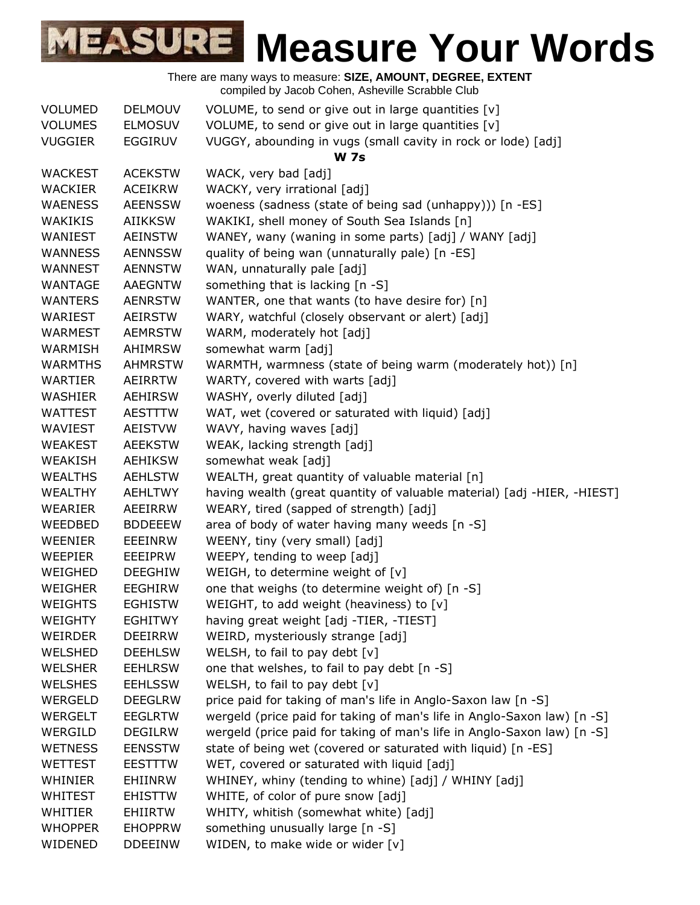| <b>VOLUMED</b> | <b>DELMOUV</b> | VOLUME, to send or give out in large quantities [v]                     |
|----------------|----------------|-------------------------------------------------------------------------|
| <b>VOLUMES</b> | <b>ELMOSUV</b> | VOLUME, to send or give out in large quantities [v]                     |
| <b>VUGGIER</b> | <b>EGGIRUV</b> | VUGGY, abounding in vugs (small cavity in rock or lode) [adj]           |
|                |                | <b>W</b> 7s                                                             |
| <b>WACKEST</b> | <b>ACEKSTW</b> | WACK, very bad [adj]                                                    |
| <b>WACKIER</b> | <b>ACEIKRW</b> | WACKY, very irrational [adj]                                            |
| <b>WAENESS</b> | <b>AEENSSW</b> | woeness (sadness (state of being sad (unhappy))) [n -ES]                |
| WAKIKIS        | <b>AIIKKSW</b> | WAKIKI, shell money of South Sea Islands [n]                            |
| WANIEST        | <b>AEINSTW</b> | WANEY, wany (waning in some parts) [adj] / WANY [adj]                   |
| <b>WANNESS</b> | <b>AENNSSW</b> | quality of being wan (unnaturally pale) [n -ES]                         |
| <b>WANNEST</b> | <b>AENNSTW</b> | WAN, unnaturally pale [adj]                                             |
| WANTAGE        | <b>AAEGNTW</b> | something that is lacking [n -S]                                        |
| <b>WANTERS</b> | <b>AENRSTW</b> | WANTER, one that wants (to have desire for) [n]                         |
| WARIEST        | <b>AEIRSTW</b> | WARY, watchful (closely observant or alert) [adj]                       |
| <b>WARMEST</b> | <b>AEMRSTW</b> | WARM, moderately hot [adj]                                              |
| <b>WARMISH</b> | <b>AHIMRSW</b> | somewhat warm [adj]                                                     |
| <b>WARMTHS</b> | <b>AHMRSTW</b> | WARMTH, warmness (state of being warm (moderately hot)) [n]             |
| WARTIER        | AEIRRTW        | WARTY, covered with warts [adj]                                         |
| <b>WASHIER</b> | <b>AEHIRSW</b> | WASHY, overly diluted [adj]                                             |
| <b>WATTEST</b> | <b>AESTTTW</b> | WAT, wet (covered or saturated with liquid) [adj]                       |
| WAVIEST        | <b>AEISTVW</b> | WAVY, having waves [adj]                                                |
| <b>WEAKEST</b> | <b>AEEKSTW</b> | WEAK, lacking strength [adj]                                            |
| <b>WEAKISH</b> | <b>AEHIKSW</b> | somewhat weak [adj]                                                     |
| <b>WEALTHS</b> | <b>AEHLSTW</b> | WEALTH, great quantity of valuable material [n]                         |
| <b>WEALTHY</b> | <b>AEHLTWY</b> | having wealth (great quantity of valuable material) [adj -HIER, -HIEST] |
| <b>WEARIER</b> | AEEIRRW        | WEARY, tired (sapped of strength) [adj]                                 |
| WEEDBED        | <b>BDDEEEW</b> | area of body of water having many weeds [n -S]                          |
| WEENIER        | <b>EEEINRW</b> | WEENY, tiny (very small) [adj]                                          |
| <b>WEEPIER</b> | EEEIPRW        | WEEPY, tending to weep [adj]                                            |
| WEIGHED        | <b>DEEGHIW</b> | WEIGH, to determine weight of [v]                                       |
| <b>WEIGHER</b> | <b>EEGHIRW</b> | one that weighs (to determine weight of) [n -S]                         |
| WEIGHTS        | <b>EGHISTW</b> | WEIGHT, to add weight (heaviness) to [v]                                |
| <b>WEIGHTY</b> | <b>EGHITWY</b> | having great weight [adj -TIER, -TIEST]                                 |
| WEIRDER        | <b>DEEIRRW</b> | WEIRD, mysteriously strange [adj]                                       |
| <b>WELSHED</b> | <b>DEEHLSW</b> | WELSH, to fail to pay debt [v]                                          |
| <b>WELSHER</b> | <b>EEHLRSW</b> | one that welshes, to fail to pay debt [n -S]                            |
| <b>WELSHES</b> | <b>EEHLSSW</b> | WELSH, to fail to pay debt [v]                                          |
| <b>WERGELD</b> | <b>DEEGLRW</b> | price paid for taking of man's life in Anglo-Saxon law [n -S]           |
| WERGELT        | <b>EEGLRTW</b> | wergeld (price paid for taking of man's life in Anglo-Saxon law) [n -S] |
| WERGILD        | <b>DEGILRW</b> | wergeld (price paid for taking of man's life in Anglo-Saxon law) [n -S] |
| <b>WETNESS</b> | <b>EENSSTW</b> | state of being wet (covered or saturated with liquid) [n -ES]           |
| <b>WETTEST</b> | <b>EESTTTW</b> | WET, covered or saturated with liquid [adj]                             |
| WHINIER        | EHIINRW        | WHINEY, whiny (tending to whine) [adj] / WHINY [adj]                    |
| <b>WHITEST</b> | <b>EHISTTW</b> | WHITE, of color of pure snow [adj]                                      |
| WHITIER        | <b>EHIIRTW</b> | WHITY, whitish (somewhat white) [adj]                                   |
| <b>WHOPPER</b> | <b>EHOPPRW</b> | something unusually large [n -S]                                        |
| WIDENED        | <b>DDEEINW</b> | WIDEN, to make wide or wider [v]                                        |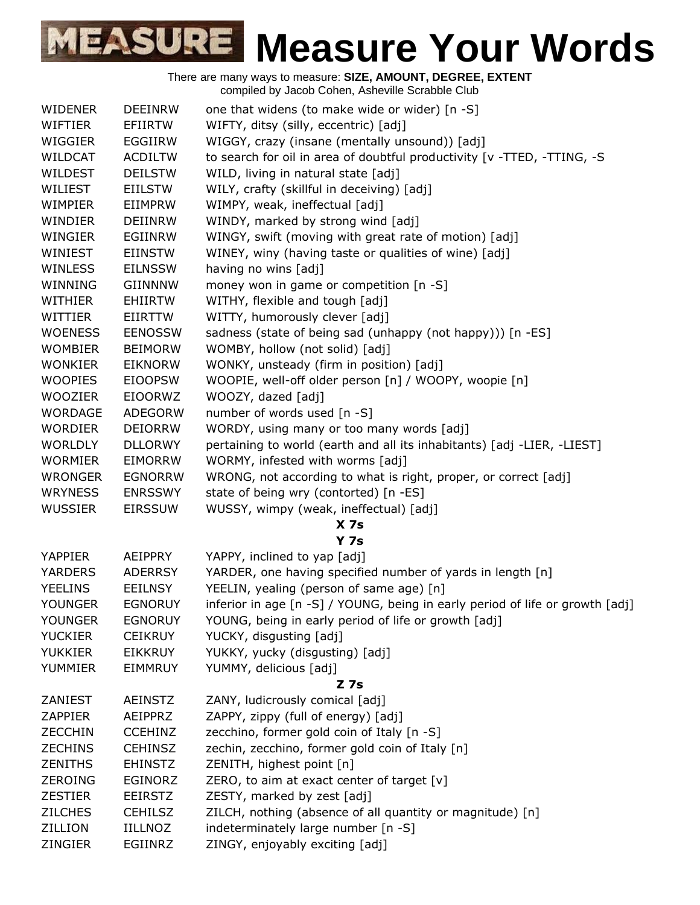| <b>WIDENER</b> | <b>DEEINRW</b> | one that widens (to make wide or wider) [n -S]                                |
|----------------|----------------|-------------------------------------------------------------------------------|
| <b>WIFTIER</b> | <b>EFIIRTW</b> | WIFTY, ditsy (silly, eccentric) [adj]                                         |
| WIGGIER        | EGGIIRW        | WIGGY, crazy (insane (mentally unsound)) [adj]                                |
| WILDCAT        | <b>ACDILTW</b> | to search for oil in area of doubtful productivity [v -TTED, -TTING, -S       |
| WILDEST        | <b>DEILSTW</b> | WILD, living in natural state [adj]                                           |
| WILIEST        | <b>EIILSTW</b> | WILY, crafty (skillful in deceiving) [adj]                                    |
| WIMPIER        | EIIMPRW        | WIMPY, weak, ineffectual [adj]                                                |
| WINDIER        | <b>DEIINRW</b> | WINDY, marked by strong wind [adj]                                            |
| WINGIER        | EGIINRW        | WINGY, swift (moving with great rate of motion) [adj]                         |
| WINIEST        | <b>EIINSTW</b> | WINEY, winy (having taste or qualities of wine) [adj]                         |
| WINLESS        | <b>EILNSSW</b> | having no wins [adj]                                                          |
| WINNING        | GIINNNW        | money won in game or competition [n -S]                                       |
| WITHIER        | <b>EHIIRTW</b> | WITHY, flexible and tough [adj]                                               |
| WITTIER        | <b>EIIRTTW</b> | WITTY, humorously clever [adj]                                                |
| <b>WOENESS</b> | <b>EENOSSW</b> | sadness (state of being sad (unhappy (not happy))) [n -ES]                    |
| <b>WOMBIER</b> | <b>BEIMORW</b> | WOMBY, hollow (not solid) [adj]                                               |
| <b>WONKIER</b> | <b>EIKNORW</b> | WONKY, unsteady (firm in position) [adj]                                      |
| <b>WOOPIES</b> | <b>EIOOPSW</b> | WOOPIE, well-off older person [n] / WOOPY, woopie [n]                         |
| <b>WOOZIER</b> | <b>EIOORWZ</b> | WOOZY, dazed [adj]                                                            |
| <b>WORDAGE</b> | <b>ADEGORW</b> | number of words used [n -S]                                                   |
| <b>WORDIER</b> | <b>DEIORRW</b> | WORDY, using many or too many words [adj]                                     |
| <b>WORLDLY</b> | <b>DLLORWY</b> | pertaining to world (earth and all its inhabitants) [adj -LIER, -LIEST]       |
| <b>WORMIER</b> | <b>EIMORRW</b> | WORMY, infested with worms [adj]                                              |
| <b>WRONGER</b> | <b>EGNORRW</b> | WRONG, not according to what is right, proper, or correct [adj]               |
| <b>WRYNESS</b> | <b>ENRSSWY</b> | state of being wry (contorted) [n -ES]                                        |
| <b>WUSSIER</b> | <b>EIRSSUW</b> | WUSSY, wimpy (weak, ineffectual) [adj]                                        |
|                |                | X <sub>7s</sub>                                                               |
|                |                | <b>Y</b> 7s                                                                   |
| <b>YAPPIER</b> | AEIPPRY        | YAPPY, inclined to yap [adj]                                                  |
| <b>YARDERS</b> | <b>ADERRSY</b> | YARDER, one having specified number of yards in length [n]                    |
| <b>YEELINS</b> | <b>EEILNSY</b> | YEELIN, yealing (person of same age) [n]                                      |
| <b>YOUNGER</b> | <b>EGNORUY</b> | inferior in age [n -S] / YOUNG, being in early period of life or growth [adj] |
| <b>YOUNGER</b> | <b>EGNORUY</b> | YOUNG, being in early period of life or growth [adj]                          |
| <b>YUCKIER</b> | <b>CEIKRUY</b> | YUCKY, disgusting [adj]                                                       |
| <b>YUKKIER</b> | <b>EIKKRUY</b> | YUKKY, yucky (disgusting) [adj]                                               |
| YUMMIER        | <b>EIMMRUY</b> | YUMMY, delicious [adj]                                                        |
|                |                | $Z$ 7s                                                                        |
| ZANIEST        | <b>AEINSTZ</b> | ZANY, ludicrously comical [adj]                                               |
| <b>ZAPPIER</b> | AEIPPRZ        | ZAPPY, zippy (full of energy) [adj]                                           |
| <b>ZECCHIN</b> | <b>CCEHINZ</b> | zecchino, former gold coin of Italy [n -S]                                    |
| <b>ZECHINS</b> | <b>CEHINSZ</b> | zechin, zecchino, former gold coin of Italy [n]                               |
| <b>ZENITHS</b> | <b>EHINSTZ</b> | ZENITH, highest point [n]                                                     |
| <b>ZEROING</b> | <b>EGINORZ</b> | ZERO, to aim at exact center of target $[v]$                                  |
| <b>ZESTIER</b> | <b>EEIRSTZ</b> | ZESTY, marked by zest [adj]                                                   |
| <b>ZILCHES</b> | <b>CEHILSZ</b> | ZILCH, nothing (absence of all quantity or magnitude) [n]                     |
| ZILLION        | <b>IILLNOZ</b> | indeterminately large number [n -S]                                           |
| ZINGIER        | EGIINRZ        | ZINGY, enjoyably exciting [adj]                                               |